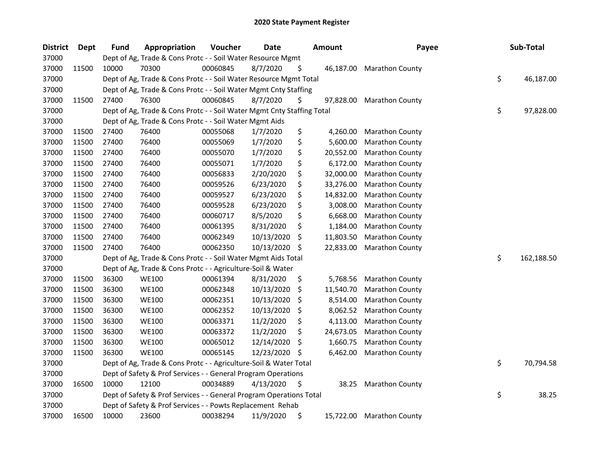| <b>District</b> | <b>Dept</b> | <b>Fund</b> | Appropriation                                                          | Voucher  | <b>Date</b> |     | <b>Amount</b> | Payee                  | Sub-Total        |
|-----------------|-------------|-------------|------------------------------------------------------------------------|----------|-------------|-----|---------------|------------------------|------------------|
| 37000           |             |             | Dept of Ag, Trade & Cons Protc - - Soil Water Resource Mgmt            |          |             |     |               |                        |                  |
| 37000           | 11500       | 10000       | 70300                                                                  | 00060845 | 8/7/2020    | \$  | 46,187.00     | <b>Marathon County</b> |                  |
| 37000           |             |             | Dept of Ag, Trade & Cons Protc - - Soil Water Resource Mgmt Total      |          |             |     |               |                        | \$<br>46,187.00  |
| 37000           |             |             | Dept of Ag, Trade & Cons Protc - - Soil Water Mgmt Cnty Staffing       |          |             |     |               |                        |                  |
| 37000           | 11500       | 27400       | 76300                                                                  | 00060845 | 8/7/2020    | \$  | 97,828.00     | <b>Marathon County</b> |                  |
| 37000           |             |             | Dept of Ag, Trade & Cons Protc - - Soil Water Mgmt Cnty Staffing Total |          |             |     |               |                        | \$<br>97,828.00  |
| 37000           |             |             | Dept of Ag, Trade & Cons Protc - - Soil Water Mgmt Aids                |          |             |     |               |                        |                  |
| 37000           | 11500       | 27400       | 76400                                                                  | 00055068 | 1/7/2020    | \$  | 4,260.00      | Marathon County        |                  |
| 37000           | 11500       | 27400       | 76400                                                                  | 00055069 | 1/7/2020    | \$  | 5,600.00      | Marathon County        |                  |
| 37000           | 11500       | 27400       | 76400                                                                  | 00055070 | 1/7/2020    | \$  | 20,552.00     | Marathon County        |                  |
| 37000           | 11500       | 27400       | 76400                                                                  | 00055071 | 1/7/2020    | \$  | 6,172.00      | Marathon County        |                  |
| 37000           | 11500       | 27400       | 76400                                                                  | 00056833 | 2/20/2020   | \$  | 32,000.00     | Marathon County        |                  |
| 37000           | 11500       | 27400       | 76400                                                                  | 00059526 | 6/23/2020   | \$  | 33,276.00     | Marathon County        |                  |
| 37000           | 11500       | 27400       | 76400                                                                  | 00059527 | 6/23/2020   | \$  | 14,832.00     | Marathon County        |                  |
| 37000           | 11500       | 27400       | 76400                                                                  | 00059528 | 6/23/2020   | \$  | 3,008.00      | Marathon County        |                  |
| 37000           | 11500       | 27400       | 76400                                                                  | 00060717 | 8/5/2020    | \$  | 6,668.00      | Marathon County        |                  |
| 37000           | 11500       | 27400       | 76400                                                                  | 00061395 | 8/31/2020   | \$  | 1,184.00      | Marathon County        |                  |
| 37000           | 11500       | 27400       | 76400                                                                  | 00062349 | 10/13/2020  | S   | 11,803.50     | Marathon County        |                  |
| 37000           | 11500       | 27400       | 76400                                                                  | 00062350 | 10/13/2020  | \$  | 22,833.00     | Marathon County        |                  |
| 37000           |             |             | Dept of Ag, Trade & Cons Protc - - Soil Water Mgmt Aids Total          |          |             |     |               |                        | \$<br>162,188.50 |
| 37000           |             |             | Dept of Ag, Trade & Cons Protc - - Agriculture-Soil & Water            |          |             |     |               |                        |                  |
| 37000           | 11500       | 36300       | <b>WE100</b>                                                           | 00061394 | 8/31/2020   | \$  | 5,768.56      | Marathon County        |                  |
| 37000           | 11500       | 36300       | <b>WE100</b>                                                           | 00062348 | 10/13/2020  | \$. | 11,540.70     | <b>Marathon County</b> |                  |
| 37000           | 11500       | 36300       | <b>WE100</b>                                                           | 00062351 | 10/13/2020  | \$  | 8,514.00      | Marathon County        |                  |
| 37000           | 11500       | 36300       | <b>WE100</b>                                                           | 00062352 | 10/13/2020  | \$  | 8,062.52      | Marathon County        |                  |
| 37000           | 11500       | 36300       | <b>WE100</b>                                                           | 00063371 | 11/2/2020   | \$  | 4,113.00      | Marathon County        |                  |
| 37000           | 11500       | 36300       | <b>WE100</b>                                                           | 00063372 | 11/2/2020   | \$  | 24,673.05     | Marathon County        |                  |
| 37000           | 11500       | 36300       | <b>WE100</b>                                                           | 00065012 | 12/14/2020  | \$  | 1,660.75      | Marathon County        |                  |
| 37000           | 11500       | 36300       | <b>WE100</b>                                                           | 00065145 | 12/23/2020  | S   | 6,462.00      | Marathon County        |                  |
| 37000           |             |             | Dept of Ag, Trade & Cons Protc - - Agriculture-Soil & Water Total      |          |             |     |               |                        | \$<br>70,794.58  |
| 37000           |             |             | Dept of Safety & Prof Services - - General Program Operations          |          |             |     |               |                        |                  |
| 37000           | 16500       | 10000       | 12100                                                                  | 00034889 | 4/13/2020   | \$  | 38.25         | Marathon County        |                  |
| 37000           |             |             | Dept of Safety & Prof Services - - General Program Operations Total    |          |             |     |               |                        | \$<br>38.25      |
| 37000           |             |             | Dept of Safety & Prof Services - - Powts Replacement Rehab             |          |             |     |               |                        |                  |
| 37000           | 16500       | 10000       | 23600                                                                  | 00038294 | 11/9/2020   | \$  | 15,722.00     | <b>Marathon County</b> |                  |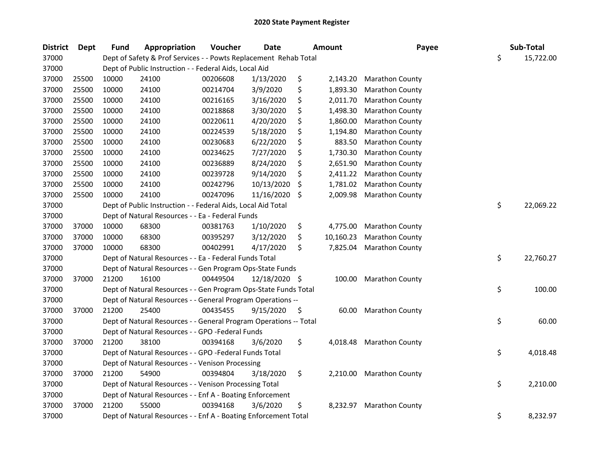| <b>District</b> | <b>Dept</b> | Fund  | Appropriation                                                     | Voucher  | <b>Date</b>   | Amount          | Payee                  | Sub-Total       |
|-----------------|-------------|-------|-------------------------------------------------------------------|----------|---------------|-----------------|------------------------|-----------------|
| 37000           |             |       | Dept of Safety & Prof Services - - Powts Replacement Rehab Total  |          |               |                 |                        | \$<br>15,722.00 |
| 37000           |             |       | Dept of Public Instruction - - Federal Aids, Local Aid            |          |               |                 |                        |                 |
| 37000           | 25500       | 10000 | 24100                                                             | 00206608 | 1/13/2020     | \$<br>2,143.20  | <b>Marathon County</b> |                 |
| 37000           | 25500       | 10000 | 24100                                                             | 00214704 | 3/9/2020      | \$<br>1,893.30  | Marathon County        |                 |
| 37000           | 25500       | 10000 | 24100                                                             | 00216165 | 3/16/2020     | \$<br>2,011.70  | Marathon County        |                 |
| 37000           | 25500       | 10000 | 24100                                                             | 00218868 | 3/30/2020     | 1,498.30        | Marathon County        |                 |
| 37000           | 25500       | 10000 | 24100                                                             | 00220611 | 4/20/2020     | \$<br>1,860.00  | Marathon County        |                 |
| 37000           | 25500       | 10000 | 24100                                                             | 00224539 | 5/18/2020     | 1,194.80        | Marathon County        |                 |
| 37000           | 25500       | 10000 | 24100                                                             | 00230683 | 6/22/2020     | \$<br>883.50    | Marathon County        |                 |
| 37000           | 25500       | 10000 | 24100                                                             | 00234625 | 7/27/2020     | \$<br>1,730.30  | Marathon County        |                 |
| 37000           | 25500       | 10000 | 24100                                                             | 00236889 | 8/24/2020     | \$<br>2,651.90  | Marathon County        |                 |
| 37000           | 25500       | 10000 | 24100                                                             | 00239728 | 9/14/2020     | 2,411.22        | Marathon County        |                 |
| 37000           | 25500       | 10000 | 24100                                                             | 00242796 | 10/13/2020    | \$<br>1,781.02  | Marathon County        |                 |
| 37000           | 25500       | 10000 | 24100                                                             | 00247096 | 11/16/2020    | \$<br>2,009.98  | Marathon County        |                 |
| 37000           |             |       | Dept of Public Instruction - - Federal Aids, Local Aid Total      |          |               |                 |                        | \$<br>22,069.22 |
| 37000           |             |       | Dept of Natural Resources - - Ea - Federal Funds                  |          |               |                 |                        |                 |
| 37000           | 37000       | 10000 | 68300                                                             | 00381763 | 1/10/2020     | \$<br>4,775.00  | Marathon County        |                 |
| 37000           | 37000       | 10000 | 68300                                                             | 00395297 | 3/12/2020     | \$<br>10,160.23 | Marathon County        |                 |
| 37000           | 37000       | 10000 | 68300                                                             | 00402991 | 4/17/2020     | \$<br>7,825.04  | <b>Marathon County</b> |                 |
| 37000           |             |       | Dept of Natural Resources - - Ea - Federal Funds Total            |          |               |                 |                        | \$<br>22,760.27 |
| 37000           |             |       | Dept of Natural Resources - - Gen Program Ops-State Funds         |          |               |                 |                        |                 |
| 37000           | 37000       | 21200 | 16100                                                             | 00449504 | 12/18/2020 \$ | 100.00          | <b>Marathon County</b> |                 |
| 37000           |             |       | Dept of Natural Resources - - Gen Program Ops-State Funds Total   |          |               |                 |                        | \$<br>100.00    |
| 37000           |             |       | Dept of Natural Resources - - General Program Operations --       |          |               |                 |                        |                 |
| 37000           | 37000       | 21200 | 25400                                                             | 00435455 | 9/15/2020     | \$<br>60.00     | <b>Marathon County</b> |                 |
| 37000           |             |       | Dept of Natural Resources - - General Program Operations -- Total |          |               |                 |                        | \$<br>60.00     |
| 37000           |             |       | Dept of Natural Resources - - GPO -Federal Funds                  |          |               |                 |                        |                 |
| 37000           | 37000       | 21200 | 38100                                                             | 00394168 | 3/6/2020      | \$<br>4,018.48  | <b>Marathon County</b> |                 |
| 37000           |             |       | Dept of Natural Resources - - GPO -Federal Funds Total            |          |               |                 |                        | \$<br>4,018.48  |
| 37000           |             |       | Dept of Natural Resources - - Venison Processing                  |          |               |                 |                        |                 |
| 37000           | 37000       | 21200 | 54900                                                             | 00394804 | 3/18/2020     | \$<br>2,210.00  | <b>Marathon County</b> |                 |
| 37000           |             |       | Dept of Natural Resources - - Venison Processing Total            |          |               |                 |                        | \$<br>2,210.00  |
| 37000           |             |       | Dept of Natural Resources - - Enf A - Boating Enforcement         |          |               |                 |                        |                 |
| 37000           | 37000       | 21200 | 55000                                                             | 00394168 | 3/6/2020      | \$<br>8,232.97  | Marathon County        |                 |
| 37000           |             |       | Dept of Natural Resources - - Enf A - Boating Enforcement Total   |          |               |                 |                        | \$<br>8,232.97  |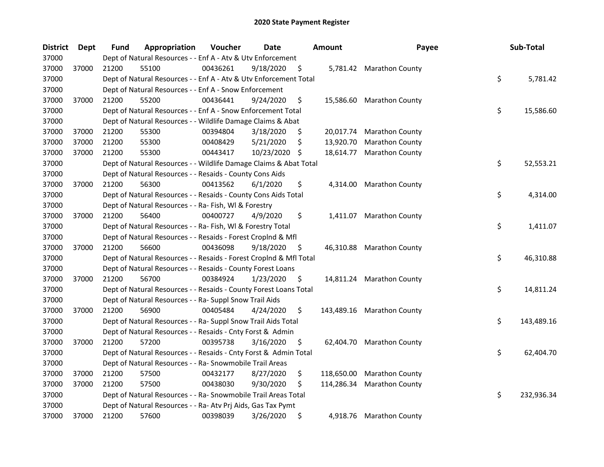| <b>District</b> | <b>Dept</b> | Fund  | Appropriation                                                      | Voucher  | <b>Date</b>   | <b>Amount</b>    | Payee                      | Sub-Total        |
|-----------------|-------------|-------|--------------------------------------------------------------------|----------|---------------|------------------|----------------------------|------------------|
| 37000           |             |       | Dept of Natural Resources - - Enf A - Atv & Utv Enforcement        |          |               |                  |                            |                  |
| 37000           | 37000       | 21200 | 55100                                                              | 00436261 | 9/18/2020     | \$               | 5,781.42 Marathon County   |                  |
| 37000           |             |       | Dept of Natural Resources - - Enf A - Atv & Utv Enforcement Total  |          |               |                  |                            | \$<br>5,781.42   |
| 37000           |             |       | Dept of Natural Resources - - Enf A - Snow Enforcement             |          |               |                  |                            |                  |
| 37000           | 37000       | 21200 | 55200                                                              | 00436441 | 9/24/2020     | \$               | 15,586.60 Marathon County  |                  |
| 37000           |             |       | Dept of Natural Resources - - Enf A - Snow Enforcement Total       |          |               |                  |                            | \$<br>15,586.60  |
| 37000           |             |       | Dept of Natural Resources - - Wildlife Damage Claims & Abat        |          |               |                  |                            |                  |
| 37000           | 37000       | 21200 | 55300                                                              | 00394804 | 3/18/2020     | \$<br>20,017.74  | <b>Marathon County</b>     |                  |
| 37000           | 37000       | 21200 | 55300                                                              | 00408429 | 5/21/2020     | \$<br>13,920.70  | <b>Marathon County</b>     |                  |
| 37000           | 37000       | 21200 | 55300                                                              | 00443417 | 10/23/2020 \$ | 18,614.77        | <b>Marathon County</b>     |                  |
| 37000           |             |       | Dept of Natural Resources - - Wildlife Damage Claims & Abat Total  |          |               |                  |                            | \$<br>52,553.21  |
| 37000           |             |       | Dept of Natural Resources - - Resaids - County Cons Aids           |          |               |                  |                            |                  |
| 37000           | 37000       | 21200 | 56300                                                              | 00413562 | 6/1/2020      | \$<br>4,314.00   | <b>Marathon County</b>     |                  |
| 37000           |             |       | Dept of Natural Resources - - Resaids - County Cons Aids Total     |          |               |                  |                            | \$<br>4,314.00   |
| 37000           |             |       | Dept of Natural Resources - - Ra- Fish, WI & Forestry              |          |               |                  |                            |                  |
| 37000           | 37000       | 21200 | 56400                                                              | 00400727 | 4/9/2020      | \$<br>1,411.07   | <b>Marathon County</b>     |                  |
| 37000           |             |       | Dept of Natural Resources - - Ra- Fish, WI & Forestry Total        |          |               |                  |                            | \$<br>1,411.07   |
| 37000           |             |       | Dept of Natural Resources - - Resaids - Forest Croplnd & Mfl       |          |               |                  |                            |                  |
| 37000           | 37000       | 21200 | 56600                                                              | 00436098 | 9/18/2020     | \$               | 46,310.88 Marathon County  |                  |
| 37000           |             |       | Dept of Natural Resources - - Resaids - Forest CropInd & Mfl Total |          |               |                  |                            | \$<br>46,310.88  |
| 37000           |             |       | Dept of Natural Resources - - Resaids - County Forest Loans        |          |               |                  |                            |                  |
| 37000           | 37000       | 21200 | 56700                                                              | 00384924 | 1/23/2020     | \$               | 14,811.24 Marathon County  |                  |
| 37000           |             |       | Dept of Natural Resources - - Resaids - County Forest Loans Total  |          |               |                  |                            | \$<br>14,811.24  |
| 37000           |             |       | Dept of Natural Resources - - Ra- Suppl Snow Trail Aids            |          |               |                  |                            |                  |
| 37000           | 37000       | 21200 | 56900                                                              | 00405484 | 4/24/2020     | \$               | 143,489.16 Marathon County |                  |
| 37000           |             |       | Dept of Natural Resources - - Ra- Suppl Snow Trail Aids Total      |          |               |                  |                            | \$<br>143,489.16 |
| 37000           |             |       | Dept of Natural Resources - - Resaids - Cnty Forst & Admin         |          |               |                  |                            |                  |
| 37000           | 37000       | 21200 | 57200                                                              | 00395738 | 3/16/2020     | \$<br>62,404.70  | <b>Marathon County</b>     |                  |
| 37000           |             |       | Dept of Natural Resources - - Resaids - Cnty Forst & Admin Total   |          |               |                  |                            | \$<br>62,404.70  |
| 37000           |             |       | Dept of Natural Resources - - Ra- Snowmobile Trail Areas           |          |               |                  |                            |                  |
| 37000           | 37000       | 21200 | 57500                                                              | 00432177 | 8/27/2020     | \$<br>118,650.00 | <b>Marathon County</b>     |                  |
| 37000           | 37000       | 21200 | 57500                                                              | 00438030 | 9/30/2020     | \$<br>114,286.34 | <b>Marathon County</b>     |                  |
| 37000           |             |       | Dept of Natural Resources - - Ra- Snowmobile Trail Areas Total     |          |               |                  |                            | \$<br>232,936.34 |
| 37000           |             |       | Dept of Natural Resources - - Ra- Atv Prj Aids, Gas Tax Pymt       |          |               |                  |                            |                  |
| 37000           | 37000       | 21200 | 57600                                                              | 00398039 | 3/26/2020     | \$               | 4,918.76 Marathon County   |                  |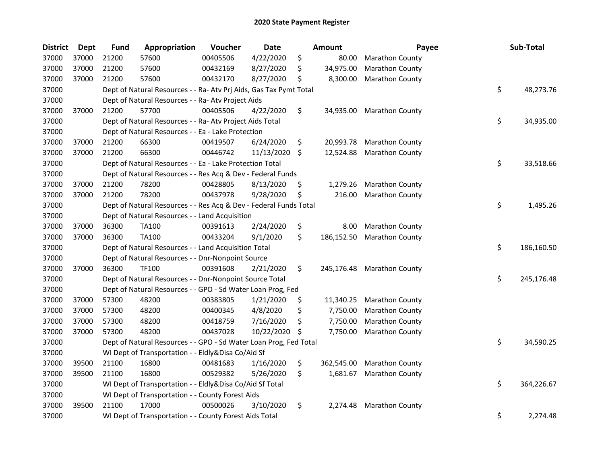| District | Dept  | <b>Fund</b> | Appropriation                                                      | Voucher  | <b>Date</b> | <b>Amount</b>    | Payee                     | Sub-Total        |
|----------|-------|-------------|--------------------------------------------------------------------|----------|-------------|------------------|---------------------------|------------------|
| 37000    | 37000 | 21200       | 57600                                                              | 00405506 | 4/22/2020   | \$<br>80.00      | <b>Marathon County</b>    |                  |
| 37000    | 37000 | 21200       | 57600                                                              | 00432169 | 8/27/2020   | \$<br>34,975.00  | Marathon County           |                  |
| 37000    | 37000 | 21200       | 57600                                                              | 00432170 | 8/27/2020   | \$<br>8,300.00   | <b>Marathon County</b>    |                  |
| 37000    |       |             | Dept of Natural Resources - - Ra- Atv Prj Aids, Gas Tax Pymt Total |          |             |                  |                           | \$<br>48,273.76  |
| 37000    |       |             | Dept of Natural Resources - - Ra- Atv Project Aids                 |          |             |                  |                           |                  |
| 37000    | 37000 | 21200       | 57700                                                              | 00405506 | 4/22/2020   | \$               | 34,935.00 Marathon County |                  |
| 37000    |       |             | Dept of Natural Resources - - Ra- Atv Project Aids Total           |          |             |                  |                           | \$<br>34,935.00  |
| 37000    |       |             | Dept of Natural Resources - - Ea - Lake Protection                 |          |             |                  |                           |                  |
| 37000    | 37000 | 21200       | 66300                                                              | 00419507 | 6/24/2020   | \$               | 20,993.78 Marathon County |                  |
| 37000    | 37000 | 21200       | 66300                                                              | 00446742 | 11/13/2020  | \$<br>12,524.88  | <b>Marathon County</b>    |                  |
| 37000    |       |             | Dept of Natural Resources - - Ea - Lake Protection Total           |          |             |                  |                           | \$<br>33,518.66  |
| 37000    |       |             | Dept of Natural Resources - - Res Acq & Dev - Federal Funds        |          |             |                  |                           |                  |
| 37000    | 37000 | 21200       | 78200                                                              | 00428805 | 8/13/2020   | \$<br>1,279.26   | <b>Marathon County</b>    |                  |
| 37000    | 37000 | 21200       | 78200                                                              | 00437978 | 9/28/2020   | \$<br>216.00     | <b>Marathon County</b>    |                  |
| 37000    |       |             | Dept of Natural Resources - - Res Acq & Dev - Federal Funds Total  |          |             |                  |                           | \$<br>1,495.26   |
| 37000    |       |             | Dept of Natural Resources - - Land Acquisition                     |          |             |                  |                           |                  |
| 37000    | 37000 | 36300       | <b>TA100</b>                                                       | 00391613 | 2/24/2020   | \$<br>8.00       | <b>Marathon County</b>    |                  |
| 37000    | 37000 | 36300       | <b>TA100</b>                                                       | 00433204 | 9/1/2020    | \$<br>186,152.50 | Marathon County           |                  |
| 37000    |       |             | Dept of Natural Resources - - Land Acquisition Total               |          |             |                  |                           | \$<br>186,160.50 |
| 37000    |       |             | Dept of Natural Resources - - Dnr-Nonpoint Source                  |          |             |                  |                           |                  |
| 37000    | 37000 | 36300       | <b>TF100</b>                                                       | 00391608 | 2/21/2020   | \$<br>245,176.48 | <b>Marathon County</b>    |                  |
| 37000    |       |             | Dept of Natural Resources - - Dnr-Nonpoint Source Total            |          |             |                  |                           | \$<br>245,176.48 |
| 37000    |       |             | Dept of Natural Resources - - GPO - Sd Water Loan Prog, Fed        |          |             |                  |                           |                  |
| 37000    | 37000 | 57300       | 48200                                                              | 00383805 | 1/21/2020   | \$<br>11,340.25  | Marathon County           |                  |
| 37000    | 37000 | 57300       | 48200                                                              | 00400345 | 4/8/2020    | \$<br>7,750.00   | <b>Marathon County</b>    |                  |
| 37000    | 37000 | 57300       | 48200                                                              | 00418759 | 7/16/2020   | \$<br>7,750.00   | <b>Marathon County</b>    |                  |
| 37000    | 37000 | 57300       | 48200                                                              | 00437028 | 10/22/2020  | \$<br>7,750.00   | <b>Marathon County</b>    |                  |
| 37000    |       |             | Dept of Natural Resources - - GPO - Sd Water Loan Prog, Fed Total  |          |             |                  |                           | \$<br>34,590.25  |
| 37000    |       |             | WI Dept of Transportation - - Eldly&Disa Co/Aid Sf                 |          |             |                  |                           |                  |
| 37000    | 39500 | 21100       | 16800                                                              | 00481683 | 1/16/2020   | \$<br>362,545.00 | Marathon County           |                  |
| 37000    | 39500 | 21100       | 16800                                                              | 00529382 | 5/26/2020   | \$<br>1,681.67   | Marathon County           |                  |
| 37000    |       |             | WI Dept of Transportation - - Eldly&Disa Co/Aid Sf Total           |          |             |                  |                           | \$<br>364,226.67 |
| 37000    |       |             | WI Dept of Transportation - - County Forest Aids                   |          |             |                  |                           |                  |
| 37000    | 39500 | 21100       | 17000                                                              | 00500026 | 3/10/2020   | \$<br>2,274.48   | <b>Marathon County</b>    |                  |
| 37000    |       |             | WI Dept of Transportation - - County Forest Aids Total             |          |             |                  |                           | \$<br>2,274.48   |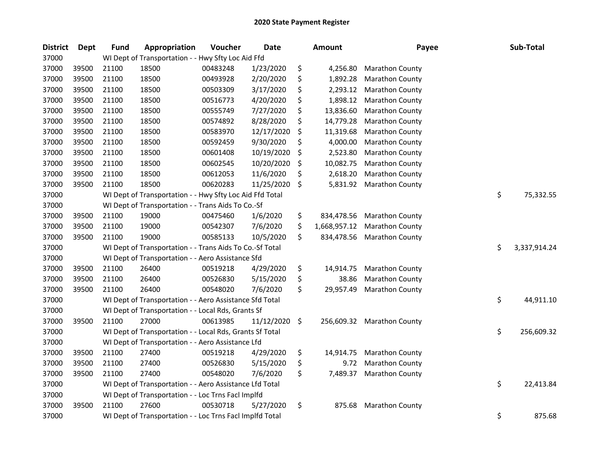| <b>District</b> | <b>Dept</b> | <b>Fund</b> | Appropriation                                            | Voucher  | <b>Date</b> | Amount             | Payee                  | Sub-Total          |
|-----------------|-------------|-------------|----------------------------------------------------------|----------|-------------|--------------------|------------------------|--------------------|
| 37000           |             |             | WI Dept of Transportation - - Hwy Sfty Loc Aid Ffd       |          |             |                    |                        |                    |
| 37000           | 39500       | 21100       | 18500                                                    | 00483248 | 1/23/2020   | \$<br>4,256.80     | <b>Marathon County</b> |                    |
| 37000           | 39500       | 21100       | 18500                                                    | 00493928 | 2/20/2020   | \$<br>1,892.28     | Marathon County        |                    |
| 37000           | 39500       | 21100       | 18500                                                    | 00503309 | 3/17/2020   | \$<br>2,293.12     | Marathon County        |                    |
| 37000           | 39500       | 21100       | 18500                                                    | 00516773 | 4/20/2020   | \$<br>1,898.12     | Marathon County        |                    |
| 37000           | 39500       | 21100       | 18500                                                    | 00555749 | 7/27/2020   | \$<br>13,836.60    | <b>Marathon County</b> |                    |
| 37000           | 39500       | 21100       | 18500                                                    | 00574892 | 8/28/2020   | \$<br>14,779.28    | <b>Marathon County</b> |                    |
| 37000           | 39500       | 21100       | 18500                                                    | 00583970 | 12/17/2020  | \$<br>11,319.68    | <b>Marathon County</b> |                    |
| 37000           | 39500       | 21100       | 18500                                                    | 00592459 | 9/30/2020   | \$<br>4,000.00     | <b>Marathon County</b> |                    |
| 37000           | 39500       | 21100       | 18500                                                    | 00601408 | 10/19/2020  | \$<br>2,523.80     | <b>Marathon County</b> |                    |
| 37000           | 39500       | 21100       | 18500                                                    | 00602545 | 10/20/2020  | \$<br>10,082.75    | Marathon County        |                    |
| 37000           | 39500       | 21100       | 18500                                                    | 00612053 | 11/6/2020   | \$<br>2,618.20     | Marathon County        |                    |
| 37000           | 39500       | 21100       | 18500                                                    | 00620283 | 11/25/2020  | \$<br>5,831.92     | <b>Marathon County</b> |                    |
| 37000           |             |             | WI Dept of Transportation - - Hwy Sfty Loc Aid Ffd Total |          |             |                    |                        | \$<br>75,332.55    |
| 37000           |             |             | WI Dept of Transportation - - Trans Aids To Co.-Sf       |          |             |                    |                        |                    |
| 37000           | 39500       | 21100       | 19000                                                    | 00475460 | 1/6/2020    | \$<br>834,478.56   | Marathon County        |                    |
| 37000           | 39500       | 21100       | 19000                                                    | 00542307 | 7/6/2020    | \$<br>1,668,957.12 | Marathon County        |                    |
| 37000           | 39500       | 21100       | 19000                                                    | 00585133 | 10/5/2020   | \$<br>834,478.56   | <b>Marathon County</b> |                    |
| 37000           |             |             | WI Dept of Transportation - - Trans Aids To Co.-Sf Total |          |             |                    |                        | \$<br>3,337,914.24 |
| 37000           |             |             | WI Dept of Transportation - - Aero Assistance Sfd        |          |             |                    |                        |                    |
| 37000           | 39500       | 21100       | 26400                                                    | 00519218 | 4/29/2020   | \$<br>14,914.75    | <b>Marathon County</b> |                    |
| 37000           | 39500       | 21100       | 26400                                                    | 00526830 | 5/15/2020   | \$<br>38.86        | <b>Marathon County</b> |                    |
| 37000           | 39500       | 21100       | 26400                                                    | 00548020 | 7/6/2020    | \$<br>29,957.49    | <b>Marathon County</b> |                    |
| 37000           |             |             | WI Dept of Transportation - - Aero Assistance Sfd Total  |          |             |                    |                        | \$<br>44,911.10    |
| 37000           |             |             | WI Dept of Transportation - - Local Rds, Grants Sf       |          |             |                    |                        |                    |
| 37000           | 39500       | 21100       | 27000                                                    | 00613985 | 11/12/2020  | \$<br>256,609.32   | <b>Marathon County</b> |                    |
| 37000           |             |             | WI Dept of Transportation - - Local Rds, Grants Sf Total |          |             |                    |                        | \$<br>256,609.32   |
| 37000           |             |             | WI Dept of Transportation - - Aero Assistance Lfd        |          |             |                    |                        |                    |
| 37000           | 39500       | 21100       | 27400                                                    | 00519218 | 4/29/2020   | \$<br>14,914.75    | <b>Marathon County</b> |                    |
| 37000           | 39500       | 21100       | 27400                                                    | 00526830 | 5/15/2020   | \$<br>9.72         | Marathon County        |                    |
| 37000           | 39500       | 21100       | 27400                                                    | 00548020 | 7/6/2020    | \$<br>7,489.37     | <b>Marathon County</b> |                    |
| 37000           |             |             | WI Dept of Transportation - - Aero Assistance Lfd Total  |          |             |                    |                        | \$<br>22,413.84    |
| 37000           |             |             | WI Dept of Transportation - - Loc Trns Facl Implfd       |          |             |                    |                        |                    |
| 37000           | 39500       | 21100       | 27600                                                    | 00530718 | 5/27/2020   | \$<br>875.68       | <b>Marathon County</b> |                    |
| 37000           |             |             | WI Dept of Transportation - - Loc Trns Facl Implfd Total |          |             |                    |                        | \$<br>875.68       |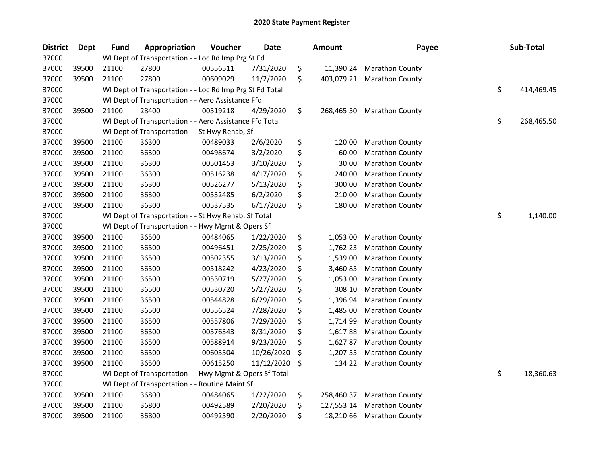| <b>District</b> | <b>Dept</b> | <b>Fund</b> | Appropriation                                            | Voucher  | <b>Date</b> | <b>Amount</b>    | Payee                  | Sub-Total        |
|-----------------|-------------|-------------|----------------------------------------------------------|----------|-------------|------------------|------------------------|------------------|
| 37000           |             |             | WI Dept of Transportation - - Loc Rd Imp Prg St Fd       |          |             |                  |                        |                  |
| 37000           | 39500       | 21100       | 27800                                                    | 00556511 | 7/31/2020   | \$<br>11,390.24  | <b>Marathon County</b> |                  |
| 37000           | 39500       | 21100       | 27800                                                    | 00609029 | 11/2/2020   | \$<br>403,079.21 | Marathon County        |                  |
| 37000           |             |             | WI Dept of Transportation - - Loc Rd Imp Prg St Fd Total |          |             |                  |                        | \$<br>414,469.45 |
| 37000           |             |             | WI Dept of Transportation - - Aero Assistance Ffd        |          |             |                  |                        |                  |
| 37000           | 39500       | 21100       | 28400                                                    | 00519218 | 4/29/2020   | \$<br>268,465.50 | Marathon County        |                  |
| 37000           |             |             | WI Dept of Transportation - - Aero Assistance Ffd Total  |          |             |                  |                        | \$<br>268,465.50 |
| 37000           |             |             | WI Dept of Transportation - - St Hwy Rehab, Sf           |          |             |                  |                        |                  |
| 37000           | 39500       | 21100       | 36300                                                    | 00489033 | 2/6/2020    | \$<br>120.00     | <b>Marathon County</b> |                  |
| 37000           | 39500       | 21100       | 36300                                                    | 00498674 | 3/2/2020    | \$<br>60.00      | Marathon County        |                  |
| 37000           | 39500       | 21100       | 36300                                                    | 00501453 | 3/10/2020   | \$<br>30.00      | Marathon County        |                  |
| 37000           | 39500       | 21100       | 36300                                                    | 00516238 | 4/17/2020   | \$<br>240.00     | Marathon County        |                  |
| 37000           | 39500       | 21100       | 36300                                                    | 00526277 | 5/13/2020   | \$<br>300.00     | Marathon County        |                  |
| 37000           | 39500       | 21100       | 36300                                                    | 00532485 | 6/2/2020    | \$<br>210.00     | Marathon County        |                  |
| 37000           | 39500       | 21100       | 36300                                                    | 00537535 | 6/17/2020   | \$<br>180.00     | <b>Marathon County</b> |                  |
| 37000           |             |             | WI Dept of Transportation - - St Hwy Rehab, Sf Total     |          |             |                  |                        | \$<br>1,140.00   |
| 37000           |             |             | WI Dept of Transportation - - Hwy Mgmt & Opers Sf        |          |             |                  |                        |                  |
| 37000           | 39500       | 21100       | 36500                                                    | 00484065 | 1/22/2020   | \$<br>1,053.00   | Marathon County        |                  |
| 37000           | 39500       | 21100       | 36500                                                    | 00496451 | 2/25/2020   | \$<br>1,762.23   | Marathon County        |                  |
| 37000           | 39500       | 21100       | 36500                                                    | 00502355 | 3/13/2020   | \$<br>1,539.00   | Marathon County        |                  |
| 37000           | 39500       | 21100       | 36500                                                    | 00518242 | 4/23/2020   | \$<br>3,460.85   | Marathon County        |                  |
| 37000           | 39500       | 21100       | 36500                                                    | 00530719 | 5/27/2020   | \$<br>1,053.00   | Marathon County        |                  |
| 37000           | 39500       | 21100       | 36500                                                    | 00530720 | 5/27/2020   | \$<br>308.10     | Marathon County        |                  |
| 37000           | 39500       | 21100       | 36500                                                    | 00544828 | 6/29/2020   | \$<br>1,396.94   | Marathon County        |                  |
| 37000           | 39500       | 21100       | 36500                                                    | 00556524 | 7/28/2020   | \$<br>1,485.00   | Marathon County        |                  |
| 37000           | 39500       | 21100       | 36500                                                    | 00557806 | 7/29/2020   | \$<br>1,714.99   | Marathon County        |                  |
| 37000           | 39500       | 21100       | 36500                                                    | 00576343 | 8/31/2020   | \$<br>1,617.88   | Marathon County        |                  |
| 37000           | 39500       | 21100       | 36500                                                    | 00588914 | 9/23/2020   | \$<br>1,627.87   | Marathon County        |                  |
| 37000           | 39500       | 21100       | 36500                                                    | 00605504 | 10/26/2020  | \$<br>1,207.55   | Marathon County        |                  |
| 37000           | 39500       | 21100       | 36500                                                    | 00615250 | 11/12/2020  | \$<br>134.22     | Marathon County        |                  |
| 37000           |             |             | WI Dept of Transportation - - Hwy Mgmt & Opers Sf Total  |          |             |                  |                        | \$<br>18,360.63  |
| 37000           |             |             | WI Dept of Transportation - - Routine Maint Sf           |          |             |                  |                        |                  |
| 37000           | 39500       | 21100       | 36800                                                    | 00484065 | 1/22/2020   | \$<br>258,460.37 | Marathon County        |                  |
| 37000           | 39500       | 21100       | 36800                                                    | 00492589 | 2/20/2020   | \$<br>127,553.14 | Marathon County        |                  |
| 37000           | 39500       | 21100       | 36800                                                    | 00492590 | 2/20/2020   | \$<br>18,210.66  | Marathon County        |                  |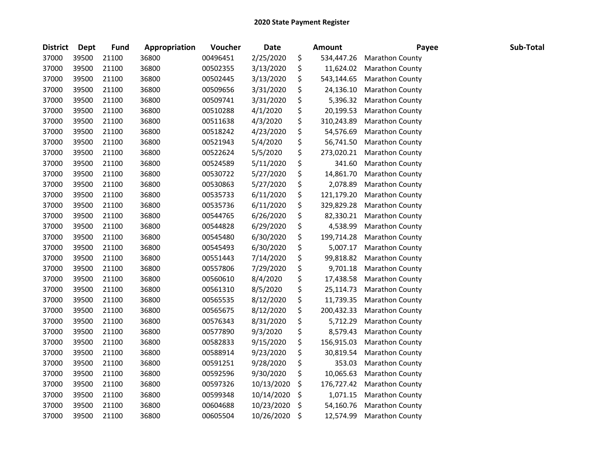| <b>District</b> | <b>Dept</b> | <b>Fund</b> | Appropriation | Voucher  | <b>Date</b> | Amount           | Payee                  | Sub-Total |
|-----------------|-------------|-------------|---------------|----------|-------------|------------------|------------------------|-----------|
| 37000           | 39500       | 21100       | 36800         | 00496451 | 2/25/2020   | \$<br>534,447.26 | Marathon County        |           |
| 37000           | 39500       | 21100       | 36800         | 00502355 | 3/13/2020   | \$<br>11,624.02  | <b>Marathon County</b> |           |
| 37000           | 39500       | 21100       | 36800         | 00502445 | 3/13/2020   | \$<br>543,144.65 | Marathon County        |           |
| 37000           | 39500       | 21100       | 36800         | 00509656 | 3/31/2020   | \$<br>24,136.10  | Marathon County        |           |
| 37000           | 39500       | 21100       | 36800         | 00509741 | 3/31/2020   | \$<br>5,396.32   | Marathon County        |           |
| 37000           | 39500       | 21100       | 36800         | 00510288 | 4/1/2020    | \$<br>20,199.53  | Marathon County        |           |
| 37000           | 39500       | 21100       | 36800         | 00511638 | 4/3/2020    | \$<br>310,243.89 | Marathon County        |           |
| 37000           | 39500       | 21100       | 36800         | 00518242 | 4/23/2020   | \$<br>54,576.69  | Marathon County        |           |
| 37000           | 39500       | 21100       | 36800         | 00521943 | 5/4/2020    | \$<br>56,741.50  | Marathon County        |           |
| 37000           | 39500       | 21100       | 36800         | 00522624 | 5/5/2020    | \$<br>273,020.21 | <b>Marathon County</b> |           |
| 37000           | 39500       | 21100       | 36800         | 00524589 | 5/11/2020   | \$<br>341.60     | Marathon County        |           |
| 37000           | 39500       | 21100       | 36800         | 00530722 | 5/27/2020   | \$<br>14,861.70  | Marathon County        |           |
| 37000           | 39500       | 21100       | 36800         | 00530863 | 5/27/2020   | \$<br>2,078.89   | Marathon County        |           |
| 37000           | 39500       | 21100       | 36800         | 00535733 | 6/11/2020   | \$<br>121,179.20 | Marathon County        |           |
| 37000           | 39500       | 21100       | 36800         | 00535736 | 6/11/2020   | \$<br>329,829.28 | Marathon County        |           |
| 37000           | 39500       | 21100       | 36800         | 00544765 | 6/26/2020   | \$<br>82,330.21  | Marathon County        |           |
| 37000           | 39500       | 21100       | 36800         | 00544828 | 6/29/2020   | \$<br>4,538.99   | Marathon County        |           |
| 37000           | 39500       | 21100       | 36800         | 00545480 | 6/30/2020   | \$<br>199,714.28 | Marathon County        |           |
| 37000           | 39500       | 21100       | 36800         | 00545493 | 6/30/2020   | \$<br>5,007.17   | Marathon County        |           |
| 37000           | 39500       | 21100       | 36800         | 00551443 | 7/14/2020   | \$<br>99,818.82  | Marathon County        |           |
| 37000           | 39500       | 21100       | 36800         | 00557806 | 7/29/2020   | \$<br>9,701.18   | Marathon County        |           |
| 37000           | 39500       | 21100       | 36800         | 00560610 | 8/4/2020    | \$<br>17,438.58  | Marathon County        |           |
| 37000           | 39500       | 21100       | 36800         | 00561310 | 8/5/2020    | \$<br>25,114.73  | Marathon County        |           |
| 37000           | 39500       | 21100       | 36800         | 00565535 | 8/12/2020   | \$<br>11,739.35  | Marathon County        |           |
| 37000           | 39500       | 21100       | 36800         | 00565675 | 8/12/2020   | \$<br>200,432.33 | Marathon County        |           |
| 37000           | 39500       | 21100       | 36800         | 00576343 | 8/31/2020   | \$<br>5,712.29   | Marathon County        |           |
| 37000           | 39500       | 21100       | 36800         | 00577890 | 9/3/2020    | \$<br>8,579.43   | Marathon County        |           |
| 37000           | 39500       | 21100       | 36800         | 00582833 | 9/15/2020   | \$<br>156,915.03 | Marathon County        |           |
| 37000           | 39500       | 21100       | 36800         | 00588914 | 9/23/2020   | \$<br>30,819.54  | Marathon County        |           |
| 37000           | 39500       | 21100       | 36800         | 00591251 | 9/28/2020   | \$<br>353.03     | Marathon County        |           |
| 37000           | 39500       | 21100       | 36800         | 00592596 | 9/30/2020   | \$<br>10,065.63  | Marathon County        |           |
| 37000           | 39500       | 21100       | 36800         | 00597326 | 10/13/2020  | \$<br>176,727.42 | Marathon County        |           |
| 37000           | 39500       | 21100       | 36800         | 00599348 | 10/14/2020  | \$<br>1,071.15   | Marathon County        |           |
| 37000           | 39500       | 21100       | 36800         | 00604688 | 10/23/2020  | \$<br>54,160.76  | Marathon County        |           |
| 37000           | 39500       | 21100       | 36800         | 00605504 | 10/26/2020  | \$<br>12,574.99  | <b>Marathon County</b> |           |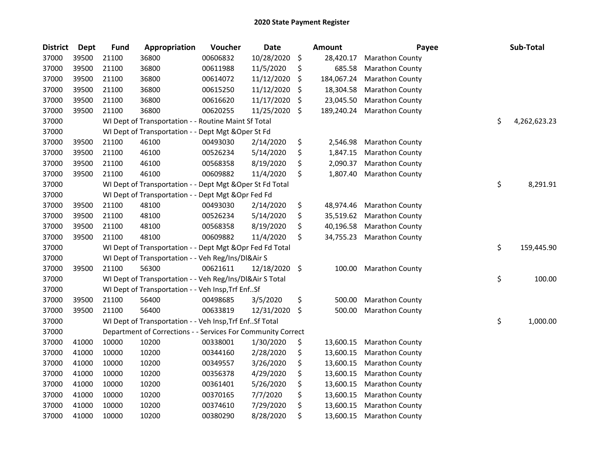| <b>District</b> | <b>Dept</b> | <b>Fund</b> | Appropriation                                                | Voucher  | Date       | <b>Amount</b>    | Payee           | Sub-Total          |
|-----------------|-------------|-------------|--------------------------------------------------------------|----------|------------|------------------|-----------------|--------------------|
| 37000           | 39500       | 21100       | 36800                                                        | 00606832 | 10/28/2020 | \$<br>28,420.17  | Marathon County |                    |
| 37000           | 39500       | 21100       | 36800                                                        | 00611988 | 11/5/2020  | \$<br>685.58     | Marathon County |                    |
| 37000           | 39500       | 21100       | 36800                                                        | 00614072 | 11/12/2020 | \$<br>184,067.24 | Marathon County |                    |
| 37000           | 39500       | 21100       | 36800                                                        | 00615250 | 11/12/2020 | \$<br>18,304.58  | Marathon County |                    |
| 37000           | 39500       | 21100       | 36800                                                        | 00616620 | 11/17/2020 | \$<br>23,045.50  | Marathon County |                    |
| 37000           | 39500       | 21100       | 36800                                                        | 00620255 | 11/25/2020 | \$<br>189,240.24 | Marathon County |                    |
| 37000           |             |             | WI Dept of Transportation - - Routine Maint Sf Total         |          |            |                  |                 | \$<br>4,262,623.23 |
| 37000           |             |             | WI Dept of Transportation - - Dept Mgt & Oper St Fd          |          |            |                  |                 |                    |
| 37000           | 39500       | 21100       | 46100                                                        | 00493030 | 2/14/2020  | \$<br>2,546.98   | Marathon County |                    |
| 37000           | 39500       | 21100       | 46100                                                        | 00526234 | 5/14/2020  | \$<br>1,847.15   | Marathon County |                    |
| 37000           | 39500       | 21100       | 46100                                                        | 00568358 | 8/19/2020  | \$<br>2,090.37   | Marathon County |                    |
| 37000           | 39500       | 21100       | 46100                                                        | 00609882 | 11/4/2020  | \$<br>1,807.40   | Marathon County |                    |
| 37000           |             |             | WI Dept of Transportation - - Dept Mgt & Oper St Fd Total    |          |            |                  |                 | \$<br>8,291.91     |
| 37000           |             |             | WI Dept of Transportation - - Dept Mgt & Opr Fed Fd          |          |            |                  |                 |                    |
| 37000           | 39500       | 21100       | 48100                                                        | 00493030 | 2/14/2020  | \$<br>48,974.46  | Marathon County |                    |
| 37000           | 39500       | 21100       | 48100                                                        | 00526234 | 5/14/2020  | \$<br>35,519.62  | Marathon County |                    |
| 37000           | 39500       | 21100       | 48100                                                        | 00568358 | 8/19/2020  | \$<br>40,196.58  | Marathon County |                    |
| 37000           | 39500       | 21100       | 48100                                                        | 00609882 | 11/4/2020  | \$<br>34,755.23  | Marathon County |                    |
| 37000           |             |             | WI Dept of Transportation - - Dept Mgt & Opr Fed Fd Total    |          |            |                  |                 | \$<br>159,445.90   |
| 37000           |             |             | WI Dept of Transportation - - Veh Reg/Ins/DI&Air S           |          |            |                  |                 |                    |
| 37000           | 39500       | 21100       | 56300                                                        | 00621611 | 12/18/2020 | \$<br>100.00     | Marathon County |                    |
| 37000           |             |             | WI Dept of Transportation - - Veh Reg/Ins/DI&Air S Total     |          |            |                  |                 | \$<br>100.00       |
| 37000           |             |             | WI Dept of Transportation - - Veh Insp, Trf EnfSf            |          |            |                  |                 |                    |
| 37000           | 39500       | 21100       | 56400                                                        | 00498685 | 3/5/2020   | \$<br>500.00     | Marathon County |                    |
| 37000           | 39500       | 21100       | 56400                                                        | 00633819 | 12/31/2020 | \$<br>500.00     | Marathon County |                    |
| 37000           |             |             | WI Dept of Transportation - - Veh Insp, Trf EnfSf Total      |          |            |                  |                 | \$<br>1,000.00     |
| 37000           |             |             | Department of Corrections - - Services For Community Correct |          |            |                  |                 |                    |
| 37000           | 41000       | 10000       | 10200                                                        | 00338001 | 1/30/2020  | \$<br>13,600.15  | Marathon County |                    |
| 37000           | 41000       | 10000       | 10200                                                        | 00344160 | 2/28/2020  | \$<br>13,600.15  | Marathon County |                    |
| 37000           | 41000       | 10000       | 10200                                                        | 00349557 | 3/26/2020  | \$<br>13,600.15  | Marathon County |                    |
| 37000           | 41000       | 10000       | 10200                                                        | 00356378 | 4/29/2020  | \$<br>13,600.15  | Marathon County |                    |
| 37000           | 41000       | 10000       | 10200                                                        | 00361401 | 5/26/2020  | \$<br>13,600.15  | Marathon County |                    |
| 37000           | 41000       | 10000       | 10200                                                        | 00370165 | 7/7/2020   | \$<br>13,600.15  | Marathon County |                    |
| 37000           | 41000       | 10000       | 10200                                                        | 00374610 | 7/29/2020  | \$<br>13,600.15  | Marathon County |                    |
| 37000           | 41000       | 10000       | 10200                                                        | 00380290 | 8/28/2020  | \$<br>13,600.15  | Marathon County |                    |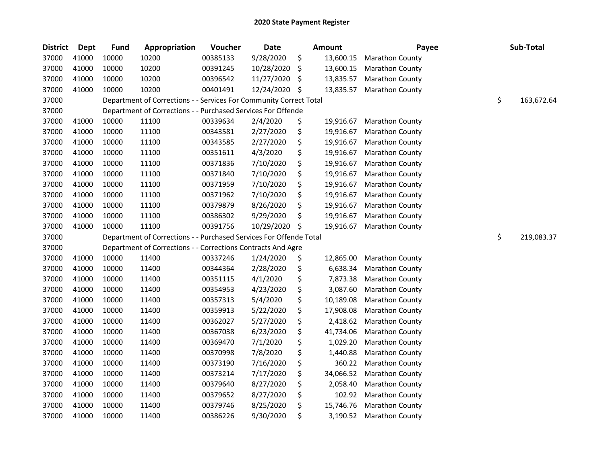| <b>District</b> | Dept  | <b>Fund</b> | Appropriation                                                      | Voucher  | <b>Date</b> | <b>Amount</b>   | Payee                  | Sub-Total        |
|-----------------|-------|-------------|--------------------------------------------------------------------|----------|-------------|-----------------|------------------------|------------------|
| 37000           | 41000 | 10000       | 10200                                                              | 00385133 | 9/28/2020   | \$<br>13,600.15 | Marathon County        |                  |
| 37000           | 41000 | 10000       | 10200                                                              | 00391245 | 10/28/2020  | \$<br>13,600.15 | <b>Marathon County</b> |                  |
| 37000           | 41000 | 10000       | 10200                                                              | 00396542 | 11/27/2020  | \$<br>13,835.57 | <b>Marathon County</b> |                  |
| 37000           | 41000 | 10000       | 10200                                                              | 00401491 | 12/24/2020  | \$<br>13,835.57 | <b>Marathon County</b> |                  |
| 37000           |       |             | Department of Corrections - - Services For Community Correct Total |          |             |                 |                        | \$<br>163,672.64 |
| 37000           |       |             | Department of Corrections - - Purchased Services For Offende       |          |             |                 |                        |                  |
| 37000           | 41000 | 10000       | 11100                                                              | 00339634 | 2/4/2020    | \$<br>19,916.67 | Marathon County        |                  |
| 37000           | 41000 | 10000       | 11100                                                              | 00343581 | 2/27/2020   | \$<br>19,916.67 | Marathon County        |                  |
| 37000           | 41000 | 10000       | 11100                                                              | 00343585 | 2/27/2020   | \$<br>19,916.67 | <b>Marathon County</b> |                  |
| 37000           | 41000 | 10000       | 11100                                                              | 00351611 | 4/3/2020    | \$<br>19,916.67 | <b>Marathon County</b> |                  |
| 37000           | 41000 | 10000       | 11100                                                              | 00371836 | 7/10/2020   | \$<br>19,916.67 | Marathon County        |                  |
| 37000           | 41000 | 10000       | 11100                                                              | 00371840 | 7/10/2020   | \$<br>19,916.67 | Marathon County        |                  |
| 37000           | 41000 | 10000       | 11100                                                              | 00371959 | 7/10/2020   | \$<br>19,916.67 | Marathon County        |                  |
| 37000           | 41000 | 10000       | 11100                                                              | 00371962 | 7/10/2020   | \$<br>19,916.67 | Marathon County        |                  |
| 37000           | 41000 | 10000       | 11100                                                              | 00379879 | 8/26/2020   | \$<br>19,916.67 | Marathon County        |                  |
| 37000           | 41000 | 10000       | 11100                                                              | 00386302 | 9/29/2020   | \$<br>19,916.67 | Marathon County        |                  |
| 37000           | 41000 | 10000       | 11100                                                              | 00391756 | 10/29/2020  | \$<br>19,916.67 | Marathon County        |                  |
| 37000           |       |             | Department of Corrections - - Purchased Services For Offende Total |          |             |                 |                        | \$<br>219,083.37 |
| 37000           |       |             | Department of Corrections - - Corrections Contracts And Agre       |          |             |                 |                        |                  |
| 37000           | 41000 | 10000       | 11400                                                              | 00337246 | 1/24/2020   | \$<br>12,865.00 | Marathon County        |                  |
| 37000           | 41000 | 10000       | 11400                                                              | 00344364 | 2/28/2020   | \$<br>6,638.34  | Marathon County        |                  |
| 37000           | 41000 | 10000       | 11400                                                              | 00351115 | 4/1/2020    | \$<br>7,873.38  | Marathon County        |                  |
| 37000           | 41000 | 10000       | 11400                                                              | 00354953 | 4/23/2020   | \$<br>3,087.60  | Marathon County        |                  |
| 37000           | 41000 | 10000       | 11400                                                              | 00357313 | 5/4/2020    | \$<br>10,189.08 | Marathon County        |                  |
| 37000           | 41000 | 10000       | 11400                                                              | 00359913 | 5/22/2020   | \$<br>17,908.08 | Marathon County        |                  |
| 37000           | 41000 | 10000       | 11400                                                              | 00362027 | 5/27/2020   | \$<br>2,418.62  | Marathon County        |                  |
| 37000           | 41000 | 10000       | 11400                                                              | 00367038 | 6/23/2020   | \$<br>41,734.06 | Marathon County        |                  |
| 37000           | 41000 | 10000       | 11400                                                              | 00369470 | 7/1/2020    | \$<br>1,029.20  | Marathon County        |                  |
| 37000           | 41000 | 10000       | 11400                                                              | 00370998 | 7/8/2020    | \$<br>1,440.88  | Marathon County        |                  |
| 37000           | 41000 | 10000       | 11400                                                              | 00373190 | 7/16/2020   | \$<br>360.22    | <b>Marathon County</b> |                  |
| 37000           | 41000 | 10000       | 11400                                                              | 00373214 | 7/17/2020   | \$<br>34,066.52 | Marathon County        |                  |
| 37000           | 41000 | 10000       | 11400                                                              | 00379640 | 8/27/2020   | \$<br>2,058.40  | Marathon County        |                  |
| 37000           | 41000 | 10000       | 11400                                                              | 00379652 | 8/27/2020   | \$<br>102.92    | Marathon County        |                  |
| 37000           | 41000 | 10000       | 11400                                                              | 00379746 | 8/25/2020   | \$<br>15,746.76 | Marathon County        |                  |
| 37000           | 41000 | 10000       | 11400                                                              | 00386226 | 9/30/2020   | \$<br>3,190.52  | Marathon County        |                  |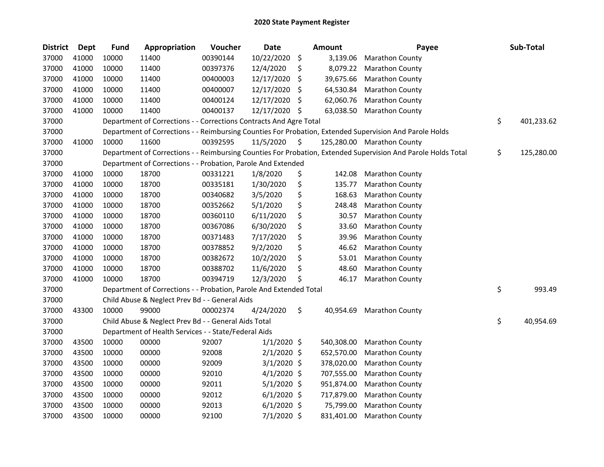| <b>District</b> | Dept  | <b>Fund</b> | Appropriation                                                      | Voucher  | <b>Date</b>   | <b>Amount</b>   | Payee                                                                                                         | Sub-Total        |
|-----------------|-------|-------------|--------------------------------------------------------------------|----------|---------------|-----------------|---------------------------------------------------------------------------------------------------------------|------------------|
| 37000           | 41000 | 10000       | 11400                                                              | 00390144 | 10/22/2020    | \$<br>3,139.06  | <b>Marathon County</b>                                                                                        |                  |
| 37000           | 41000 | 10000       | 11400                                                              | 00397376 | 12/4/2020     | \$<br>8,079.22  | <b>Marathon County</b>                                                                                        |                  |
| 37000           | 41000 | 10000       | 11400                                                              | 00400003 | 12/17/2020    | \$<br>39,675.66 | <b>Marathon County</b>                                                                                        |                  |
| 37000           | 41000 | 10000       | 11400                                                              | 00400007 | 12/17/2020    | \$<br>64,530.84 | <b>Marathon County</b>                                                                                        |                  |
| 37000           | 41000 | 10000       | 11400                                                              | 00400124 | 12/17/2020    | \$<br>62,060.76 | <b>Marathon County</b>                                                                                        |                  |
| 37000           | 41000 | 10000       | 11400                                                              | 00400137 | 12/17/2020    | \$<br>63,038.50 | <b>Marathon County</b>                                                                                        |                  |
| 37000           |       |             | Department of Corrections - - Corrections Contracts And Agre Total |          |               |                 |                                                                                                               | \$<br>401,233.62 |
| 37000           |       |             |                                                                    |          |               |                 | Department of Corrections - - Reimbursing Counties For Probation, Extended Supervision And Parole Holds       |                  |
| 37000           | 41000 | 10000       | 11600                                                              | 00392595 | 11/5/2020     | \$              | 125,280.00 Marathon County                                                                                    |                  |
| 37000           |       |             |                                                                    |          |               |                 | Department of Corrections - - Reimbursing Counties For Probation, Extended Supervision And Parole Holds Total | \$<br>125,280.00 |
| 37000           |       |             | Department of Corrections - - Probation, Parole And Extended       |          |               |                 |                                                                                                               |                  |
| 37000           | 41000 | 10000       | 18700                                                              | 00331221 | 1/8/2020      | \$<br>142.08    | <b>Marathon County</b>                                                                                        |                  |
| 37000           | 41000 | 10000       | 18700                                                              | 00335181 | 1/30/2020     | \$<br>135.77    | Marathon County                                                                                               |                  |
| 37000           | 41000 | 10000       | 18700                                                              | 00340682 | 3/5/2020      | \$<br>168.63    | <b>Marathon County</b>                                                                                        |                  |
| 37000           | 41000 | 10000       | 18700                                                              | 00352662 | 5/1/2020      | \$<br>248.48    | <b>Marathon County</b>                                                                                        |                  |
| 37000           | 41000 | 10000       | 18700                                                              | 00360110 | 6/11/2020     | \$<br>30.57     | Marathon County                                                                                               |                  |
| 37000           | 41000 | 10000       | 18700                                                              | 00367086 | 6/30/2020     | \$<br>33.60     | <b>Marathon County</b>                                                                                        |                  |
| 37000           | 41000 | 10000       | 18700                                                              | 00371483 | 7/17/2020     | \$<br>39.96     | <b>Marathon County</b>                                                                                        |                  |
| 37000           | 41000 | 10000       | 18700                                                              | 00378852 | 9/2/2020      | \$<br>46.62     | Marathon County                                                                                               |                  |
| 37000           | 41000 | 10000       | 18700                                                              | 00382672 | 10/2/2020     | \$<br>53.01     | <b>Marathon County</b>                                                                                        |                  |
| 37000           | 41000 | 10000       | 18700                                                              | 00388702 | 11/6/2020     | \$<br>48.60     | Marathon County                                                                                               |                  |
| 37000           | 41000 | 10000       | 18700                                                              | 00394719 | 12/3/2020     | \$<br>46.17     | <b>Marathon County</b>                                                                                        |                  |
| 37000           |       |             | Department of Corrections - - Probation, Parole And Extended Total |          |               |                 |                                                                                                               | \$<br>993.49     |
| 37000           |       |             | Child Abuse & Neglect Prev Bd - - General Aids                     |          |               |                 |                                                                                                               |                  |
| 37000           | 43300 | 10000       | 99000                                                              | 00002374 | 4/24/2020     | \$<br>40,954.69 | Marathon County                                                                                               |                  |
| 37000           |       |             | Child Abuse & Neglect Prev Bd - - General Aids Total               |          |               |                 |                                                                                                               | \$<br>40,954.69  |
| 37000           |       |             | Department of Health Services - - State/Federal Aids               |          |               |                 |                                                                                                               |                  |
| 37000           | 43500 | 10000       | 00000                                                              | 92007    | $1/1/2020$ \$ | 540,308.00      | <b>Marathon County</b>                                                                                        |                  |
| 37000           | 43500 | 10000       | 00000                                                              | 92008    | $2/1/2020$ \$ | 652,570.00      | Marathon County                                                                                               |                  |
| 37000           | 43500 | 10000       | 00000                                                              | 92009    | $3/1/2020$ \$ | 378,020.00      | <b>Marathon County</b>                                                                                        |                  |
| 37000           | 43500 | 10000       | 00000                                                              | 92010    | $4/1/2020$ \$ | 707,555.00      | <b>Marathon County</b>                                                                                        |                  |
| 37000           | 43500 | 10000       | 00000                                                              | 92011    | $5/1/2020$ \$ | 951,874.00      | <b>Marathon County</b>                                                                                        |                  |
| 37000           | 43500 | 10000       | 00000                                                              | 92012    | $6/1/2020$ \$ | 717,879.00      | Marathon County                                                                                               |                  |
| 37000           | 43500 | 10000       | 00000                                                              | 92013    | $6/1/2020$ \$ | 75,799.00       | Marathon County                                                                                               |                  |
| 37000           | 43500 | 10000       | 00000                                                              | 92100    | $7/1/2020$ \$ | 831,401.00      | <b>Marathon County</b>                                                                                        |                  |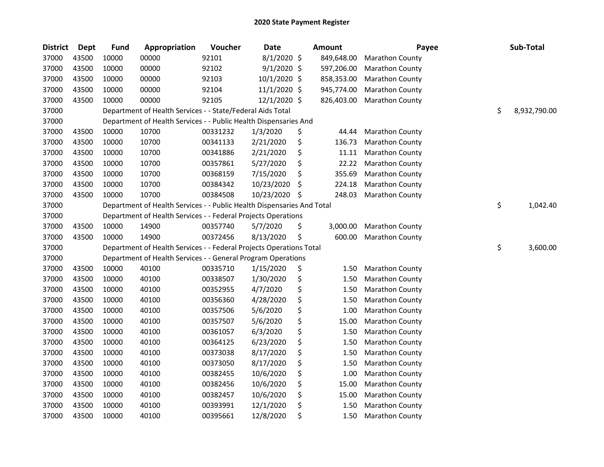| <b>District</b> | Dept  | <b>Fund</b> | Appropriation                                                          | Voucher  | <b>Date</b>   |         | <b>Amount</b> | Payee                  | Sub-Total          |
|-----------------|-------|-------------|------------------------------------------------------------------------|----------|---------------|---------|---------------|------------------------|--------------------|
| 37000           | 43500 | 10000       | 00000                                                                  | 92101    | $8/1/2020$ \$ |         | 849,648.00    | Marathon County        |                    |
| 37000           | 43500 | 10000       | 00000                                                                  | 92102    | $9/1/2020$ \$ |         | 597,206.00    | Marathon County        |                    |
| 37000           | 43500 | 10000       | 00000                                                                  | 92103    | 10/1/2020 \$  |         | 858,353.00    | Marathon County        |                    |
| 37000           | 43500 | 10000       | 00000                                                                  | 92104    | 11/1/2020 \$  |         | 945,774.00    | Marathon County        |                    |
| 37000           | 43500 | 10000       | 00000                                                                  | 92105    | 12/1/2020 \$  |         | 826,403.00    | Marathon County        |                    |
| 37000           |       |             | Department of Health Services - - State/Federal Aids Total             |          |               |         |               |                        | \$<br>8,932,790.00 |
| 37000           |       |             | Department of Health Services - - Public Health Dispensaries And       |          |               |         |               |                        |                    |
| 37000           | 43500 | 10000       | 10700                                                                  | 00331232 | 1/3/2020      | \$      | 44.44         | <b>Marathon County</b> |                    |
| 37000           | 43500 | 10000       | 10700                                                                  | 00341133 | 2/21/2020     | \$      | 136.73        | <b>Marathon County</b> |                    |
| 37000           | 43500 | 10000       | 10700                                                                  | 00341886 | 2/21/2020     | \$      | 11.11         | Marathon County        |                    |
| 37000           | 43500 | 10000       | 10700                                                                  | 00357861 | 5/27/2020     | \$      | 22.22         | <b>Marathon County</b> |                    |
| 37000           | 43500 | 10000       | 10700                                                                  | 00368159 | 7/15/2020     | \$      | 355.69        | Marathon County        |                    |
| 37000           | 43500 | 10000       | 10700                                                                  | 00384342 | 10/23/2020    | $\zeta$ | 224.18        | <b>Marathon County</b> |                    |
| 37000           | 43500 | 10000       | 10700                                                                  | 00384508 | 10/23/2020    | \$      | 248.03        | <b>Marathon County</b> |                    |
| 37000           |       |             | Department of Health Services - - Public Health Dispensaries And Total |          |               |         |               |                        | \$<br>1,042.40     |
| 37000           |       |             | Department of Health Services - - Federal Projects Operations          |          |               |         |               |                        |                    |
| 37000           | 43500 | 10000       | 14900                                                                  | 00357740 | 5/7/2020      | \$      | 3,000.00      | Marathon County        |                    |
| 37000           | 43500 | 10000       | 14900                                                                  | 00372456 | 8/13/2020     | \$      | 600.00        | <b>Marathon County</b> |                    |
| 37000           |       |             | Department of Health Services - - Federal Projects Operations Total    |          |               |         |               |                        | \$<br>3,600.00     |
| 37000           |       |             | Department of Health Services - - General Program Operations           |          |               |         |               |                        |                    |
| 37000           | 43500 | 10000       | 40100                                                                  | 00335710 | 1/15/2020     | \$      | 1.50          | Marathon County        |                    |
| 37000           | 43500 | 10000       | 40100                                                                  | 00338507 | 1/30/2020     | \$      | 1.50          | Marathon County        |                    |
| 37000           | 43500 | 10000       | 40100                                                                  | 00352955 | 4/7/2020      | \$      | 1.50          | Marathon County        |                    |
| 37000           | 43500 | 10000       | 40100                                                                  | 00356360 | 4/28/2020     | \$      | 1.50          | Marathon County        |                    |
| 37000           | 43500 | 10000       | 40100                                                                  | 00357506 | 5/6/2020      | \$      | 1.00          | Marathon County        |                    |
| 37000           | 43500 | 10000       | 40100                                                                  | 00357507 | 5/6/2020      | \$      | 15.00         | <b>Marathon County</b> |                    |
| 37000           | 43500 | 10000       | 40100                                                                  | 00361057 | 6/3/2020      | \$      | 1.50          | Marathon County        |                    |
| 37000           | 43500 | 10000       | 40100                                                                  | 00364125 | 6/23/2020     | \$      | 1.50          | Marathon County        |                    |
| 37000           | 43500 | 10000       | 40100                                                                  | 00373038 | 8/17/2020     | \$      | 1.50          | Marathon County        |                    |
| 37000           | 43500 | 10000       | 40100                                                                  | 00373050 | 8/17/2020     | \$      | 1.50          | Marathon County        |                    |
| 37000           | 43500 | 10000       | 40100                                                                  | 00382455 | 10/6/2020     | \$      | 1.00          | Marathon County        |                    |
| 37000           | 43500 | 10000       | 40100                                                                  | 00382456 | 10/6/2020     | \$      | 15.00         | Marathon County        |                    |
| 37000           | 43500 | 10000       | 40100                                                                  | 00382457 | 10/6/2020     | \$      | 15.00         | Marathon County        |                    |
| 37000           | 43500 | 10000       | 40100                                                                  | 00393991 | 12/1/2020     | \$      | 1.50          | Marathon County        |                    |
| 37000           | 43500 | 10000       | 40100                                                                  | 00395661 | 12/8/2020     | \$      | 1.50          | <b>Marathon County</b> |                    |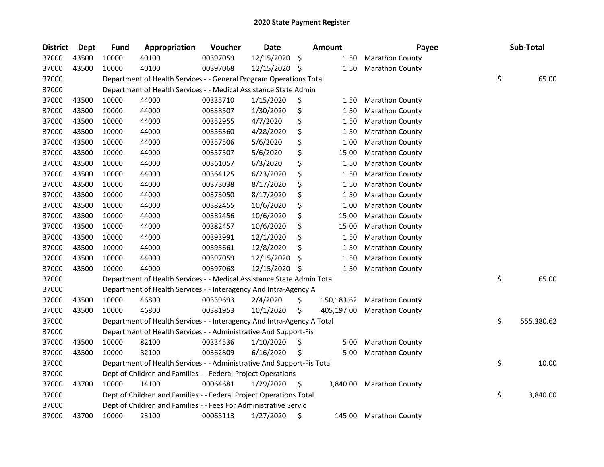| <b>District</b> | <b>Dept</b> | <b>Fund</b> | Appropriation                                                          | Voucher  | Date       |     | <b>Amount</b> | Payee                    | Sub-Total        |
|-----------------|-------------|-------------|------------------------------------------------------------------------|----------|------------|-----|---------------|--------------------------|------------------|
| 37000           | 43500       | 10000       | 40100                                                                  | 00397059 | 12/15/2020 | \$  | 1.50          | <b>Marathon County</b>   |                  |
| 37000           | 43500       | 10000       | 40100                                                                  | 00397068 | 12/15/2020 | \$  | 1.50          | <b>Marathon County</b>   |                  |
| 37000           |             |             | Department of Health Services - - General Program Operations Total     |          |            |     |               |                          | \$<br>65.00      |
| 37000           |             |             | Department of Health Services - - Medical Assistance State Admin       |          |            |     |               |                          |                  |
| 37000           | 43500       | 10000       | 44000                                                                  | 00335710 | 1/15/2020  | \$  | 1.50          | <b>Marathon County</b>   |                  |
| 37000           | 43500       | 10000       | 44000                                                                  | 00338507 | 1/30/2020  | \$  | 1.50          | <b>Marathon County</b>   |                  |
| 37000           | 43500       | 10000       | 44000                                                                  | 00352955 | 4/7/2020   | \$  | 1.50          | <b>Marathon County</b>   |                  |
| 37000           | 43500       | 10000       | 44000                                                                  | 00356360 | 4/28/2020  | \$  | 1.50          | <b>Marathon County</b>   |                  |
| 37000           | 43500       | 10000       | 44000                                                                  | 00357506 | 5/6/2020   | \$  | 1.00          | <b>Marathon County</b>   |                  |
| 37000           | 43500       | 10000       | 44000                                                                  | 00357507 | 5/6/2020   | \$  | 15.00         | <b>Marathon County</b>   |                  |
| 37000           | 43500       | 10000       | 44000                                                                  | 00361057 | 6/3/2020   | \$  | 1.50          | <b>Marathon County</b>   |                  |
| 37000           | 43500       | 10000       | 44000                                                                  | 00364125 | 6/23/2020  | \$  | 1.50          | <b>Marathon County</b>   |                  |
| 37000           | 43500       | 10000       | 44000                                                                  | 00373038 | 8/17/2020  | \$  | 1.50          | Marathon County          |                  |
| 37000           | 43500       | 10000       | 44000                                                                  | 00373050 | 8/17/2020  | \$  | 1.50          | <b>Marathon County</b>   |                  |
| 37000           | 43500       | 10000       | 44000                                                                  | 00382455 | 10/6/2020  | \$  | 1.00          | <b>Marathon County</b>   |                  |
| 37000           | 43500       | 10000       | 44000                                                                  | 00382456 | 10/6/2020  | \$  | 15.00         | <b>Marathon County</b>   |                  |
| 37000           | 43500       | 10000       | 44000                                                                  | 00382457 | 10/6/2020  | \$  | 15.00         | Marathon County          |                  |
| 37000           | 43500       | 10000       | 44000                                                                  | 00393991 | 12/1/2020  | \$  | 1.50          | Marathon County          |                  |
| 37000           | 43500       | 10000       | 44000                                                                  | 00395661 | 12/8/2020  | \$  | 1.50          | <b>Marathon County</b>   |                  |
| 37000           | 43500       | 10000       | 44000                                                                  | 00397059 | 12/15/2020 | \$, | 1.50          | Marathon County          |                  |
| 37000           | 43500       | 10000       | 44000                                                                  | 00397068 | 12/15/2020 | \$  | 1.50          | <b>Marathon County</b>   |                  |
| 37000           |             |             | Department of Health Services - - Medical Assistance State Admin Total |          |            |     |               |                          | \$<br>65.00      |
| 37000           |             |             | Department of Health Services - - Interagency And Intra-Agency A       |          |            |     |               |                          |                  |
| 37000           | 43500       | 10000       | 46800                                                                  | 00339693 | 2/4/2020   | \$  | 150,183.62    | <b>Marathon County</b>   |                  |
| 37000           | 43500       | 10000       | 46800                                                                  | 00381953 | 10/1/2020  | \$  | 405,197.00    | <b>Marathon County</b>   |                  |
| 37000           |             |             | Department of Health Services - - Interagency And Intra-Agency A Total |          |            |     |               |                          | \$<br>555,380.62 |
| 37000           |             |             | Department of Health Services - - Administrative And Support-Fis       |          |            |     |               |                          |                  |
| 37000           | 43500       | 10000       | 82100                                                                  | 00334536 | 1/10/2020  | \$  | 5.00          | <b>Marathon County</b>   |                  |
| 37000           | 43500       | 10000       | 82100                                                                  | 00362809 | 6/16/2020  | \$  | 5.00          | <b>Marathon County</b>   |                  |
| 37000           |             |             | Department of Health Services - - Administrative And Support-Fis Total |          |            |     |               |                          | \$<br>10.00      |
| 37000           |             |             | Dept of Children and Families - - Federal Project Operations           |          |            |     |               |                          |                  |
| 37000           | 43700       | 10000       | 14100                                                                  | 00064681 | 1/29/2020  | \$  |               | 3,840.00 Marathon County |                  |
| 37000           |             |             | Dept of Children and Families - - Federal Project Operations Total     |          |            |     |               |                          | \$<br>3,840.00   |
| 37000           |             |             | Dept of Children and Families - - Fees For Administrative Servic       |          |            |     |               |                          |                  |
| 37000           | 43700       | 10000       | 23100                                                                  | 00065113 | 1/27/2020  | \$  | 145.00        | <b>Marathon County</b>   |                  |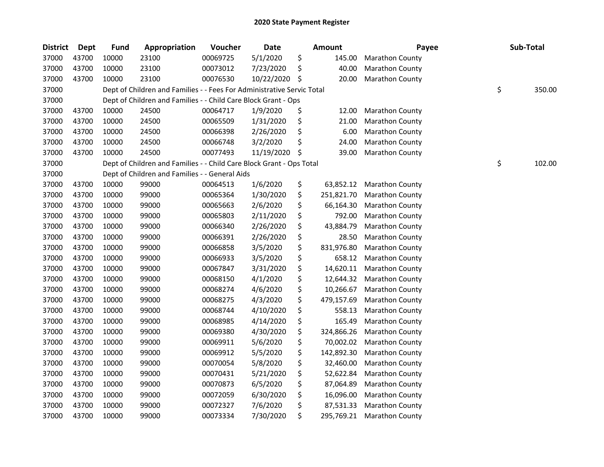| <b>District</b> | Dept  | <b>Fund</b> | Appropriation                                                          | Voucher  | <b>Date</b> | <b>Amount</b>    | Payee                  | Sub-Total    |
|-----------------|-------|-------------|------------------------------------------------------------------------|----------|-------------|------------------|------------------------|--------------|
| 37000           | 43700 | 10000       | 23100                                                                  | 00069725 | 5/1/2020    | \$<br>145.00     | <b>Marathon County</b> |              |
| 37000           | 43700 | 10000       | 23100                                                                  | 00073012 | 7/23/2020   | \$<br>40.00      | Marathon County        |              |
| 37000           | 43700 | 10000       | 23100                                                                  | 00076530 | 10/22/2020  | \$<br>20.00      | Marathon County        |              |
| 37000           |       |             | Dept of Children and Families - - Fees For Administrative Servic Total |          |             |                  |                        | \$<br>350.00 |
| 37000           |       |             | Dept of Children and Families - - Child Care Block Grant - Ops         |          |             |                  |                        |              |
| 37000           | 43700 | 10000       | 24500                                                                  | 00064717 | 1/9/2020    | \$<br>12.00      | <b>Marathon County</b> |              |
| 37000           | 43700 | 10000       | 24500                                                                  | 00065509 | 1/31/2020   | \$<br>21.00      | Marathon County        |              |
| 37000           | 43700 | 10000       | 24500                                                                  | 00066398 | 2/26/2020   | \$<br>6.00       | Marathon County        |              |
| 37000           | 43700 | 10000       | 24500                                                                  | 00066748 | 3/2/2020    | \$<br>24.00      | Marathon County        |              |
| 37000           | 43700 | 10000       | 24500                                                                  | 00077493 | 11/19/2020  | \$<br>39.00      | Marathon County        |              |
| 37000           |       |             | Dept of Children and Families - - Child Care Block Grant - Ops Total   |          |             |                  |                        | \$<br>102.00 |
| 37000           |       |             | Dept of Children and Families - - General Aids                         |          |             |                  |                        |              |
| 37000           | 43700 | 10000       | 99000                                                                  | 00064513 | 1/6/2020    | \$<br>63,852.12  | <b>Marathon County</b> |              |
| 37000           | 43700 | 10000       | 99000                                                                  | 00065364 | 1/30/2020   | \$<br>251,821.70 | <b>Marathon County</b> |              |
| 37000           | 43700 | 10000       | 99000                                                                  | 00065663 | 2/6/2020    | \$<br>66,164.30  | <b>Marathon County</b> |              |
| 37000           | 43700 | 10000       | 99000                                                                  | 00065803 | 2/11/2020   | \$<br>792.00     | Marathon County        |              |
| 37000           | 43700 | 10000       | 99000                                                                  | 00066340 | 2/26/2020   | \$<br>43,884.79  | Marathon County        |              |
| 37000           | 43700 | 10000       | 99000                                                                  | 00066391 | 2/26/2020   | \$<br>28.50      | Marathon County        |              |
| 37000           | 43700 | 10000       | 99000                                                                  | 00066858 | 3/5/2020    | \$<br>831,976.80 | Marathon County        |              |
| 37000           | 43700 | 10000       | 99000                                                                  | 00066933 | 3/5/2020    | \$<br>658.12     | Marathon County        |              |
| 37000           | 43700 | 10000       | 99000                                                                  | 00067847 | 3/31/2020   | \$<br>14,620.11  | <b>Marathon County</b> |              |
| 37000           | 43700 | 10000       | 99000                                                                  | 00068150 | 4/1/2020    | \$<br>12,644.32  | Marathon County        |              |
| 37000           | 43700 | 10000       | 99000                                                                  | 00068274 | 4/6/2020    | \$<br>10,266.67  | <b>Marathon County</b> |              |
| 37000           | 43700 | 10000       | 99000                                                                  | 00068275 | 4/3/2020    | \$<br>479,157.69 | Marathon County        |              |
| 37000           | 43700 | 10000       | 99000                                                                  | 00068744 | 4/10/2020   | \$<br>558.13     | Marathon County        |              |
| 37000           | 43700 | 10000       | 99000                                                                  | 00068985 | 4/14/2020   | \$<br>165.49     | Marathon County        |              |
| 37000           | 43700 | 10000       | 99000                                                                  | 00069380 | 4/30/2020   | \$<br>324,866.26 | Marathon County        |              |
| 37000           | 43700 | 10000       | 99000                                                                  | 00069911 | 5/6/2020    | \$<br>70,002.02  | <b>Marathon County</b> |              |
| 37000           | 43700 | 10000       | 99000                                                                  | 00069912 | 5/5/2020    | \$<br>142,892.30 | Marathon County        |              |
| 37000           | 43700 | 10000       | 99000                                                                  | 00070054 | 5/8/2020    | \$<br>32,460.00  | <b>Marathon County</b> |              |
| 37000           | 43700 | 10000       | 99000                                                                  | 00070431 | 5/21/2020   | \$<br>52,622.84  | Marathon County        |              |
| 37000           | 43700 | 10000       | 99000                                                                  | 00070873 | 6/5/2020    | \$<br>87,064.89  | <b>Marathon County</b> |              |
| 37000           | 43700 | 10000       | 99000                                                                  | 00072059 | 6/30/2020   | \$<br>16,096.00  | Marathon County        |              |
| 37000           | 43700 | 10000       | 99000                                                                  | 00072327 | 7/6/2020    | \$<br>87,531.33  | <b>Marathon County</b> |              |
| 37000           | 43700 | 10000       | 99000                                                                  | 00073334 | 7/30/2020   | \$<br>295,769.21 | <b>Marathon County</b> |              |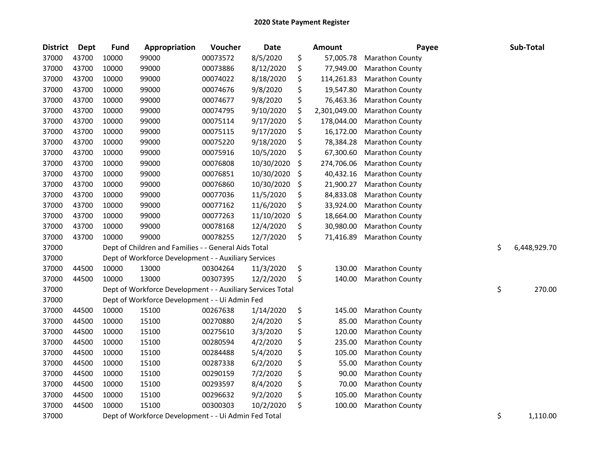| <b>District</b> | Dept  | <b>Fund</b> | Appropriation                                              | Voucher  | <b>Date</b> | <b>Amount</b>      | Payee                  | Sub-Total          |
|-----------------|-------|-------------|------------------------------------------------------------|----------|-------------|--------------------|------------------------|--------------------|
| 37000           | 43700 | 10000       | 99000                                                      | 00073572 | 8/5/2020    | \$<br>57,005.78    | Marathon County        |                    |
| 37000           | 43700 | 10000       | 99000                                                      | 00073886 | 8/12/2020   | \$<br>77,949.00    | Marathon County        |                    |
| 37000           | 43700 | 10000       | 99000                                                      | 00074022 | 8/18/2020   | \$<br>114,261.83   | Marathon County        |                    |
| 37000           | 43700 | 10000       | 99000                                                      | 00074676 | 9/8/2020    | \$<br>19,547.80    | Marathon County        |                    |
| 37000           | 43700 | 10000       | 99000                                                      | 00074677 | 9/8/2020    | \$<br>76,463.36    | Marathon County        |                    |
| 37000           | 43700 | 10000       | 99000                                                      | 00074795 | 9/10/2020   | \$<br>2,301,049.00 | Marathon County        |                    |
| 37000           | 43700 | 10000       | 99000                                                      | 00075114 | 9/17/2020   | \$<br>178,044.00   | Marathon County        |                    |
| 37000           | 43700 | 10000       | 99000                                                      | 00075115 | 9/17/2020   | \$<br>16,172.00    | Marathon County        |                    |
| 37000           | 43700 | 10000       | 99000                                                      | 00075220 | 9/18/2020   | \$<br>78,384.28    | Marathon County        |                    |
| 37000           | 43700 | 10000       | 99000                                                      | 00075916 | 10/5/2020   | \$<br>67,300.60    | Marathon County        |                    |
| 37000           | 43700 | 10000       | 99000                                                      | 00076808 | 10/30/2020  | \$<br>274,706.06   | <b>Marathon County</b> |                    |
| 37000           | 43700 | 10000       | 99000                                                      | 00076851 | 10/30/2020  | \$<br>40,432.16    | <b>Marathon County</b> |                    |
| 37000           | 43700 | 10000       | 99000                                                      | 00076860 | 10/30/2020  | \$<br>21,900.27    | Marathon County        |                    |
| 37000           | 43700 | 10000       | 99000                                                      | 00077036 | 11/5/2020   | \$<br>84,833.08    | Marathon County        |                    |
| 37000           | 43700 | 10000       | 99000                                                      | 00077162 | 11/6/2020   | \$<br>33,924.00    | Marathon County        |                    |
| 37000           | 43700 | 10000       | 99000                                                      | 00077263 | 11/10/2020  | \$<br>18,664.00    | Marathon County        |                    |
| 37000           | 43700 | 10000       | 99000                                                      | 00078168 | 12/4/2020   | \$<br>30,980.00    | Marathon County        |                    |
| 37000           | 43700 | 10000       | 99000                                                      | 00078255 | 12/7/2020   | \$<br>71,416.89    | Marathon County        |                    |
| 37000           |       |             | Dept of Children and Families - - General Aids Total       |          |             |                    |                        | \$<br>6,448,929.70 |
| 37000           |       |             | Dept of Workforce Development - - Auxiliary Services       |          |             |                    |                        |                    |
| 37000           | 44500 | 10000       | 13000                                                      | 00304264 | 11/3/2020   | \$<br>130.00       | Marathon County        |                    |
| 37000           | 44500 | 10000       | 13000                                                      | 00307395 | 12/2/2020   | \$<br>140.00       | Marathon County        |                    |
| 37000           |       |             | Dept of Workforce Development - - Auxiliary Services Total |          |             |                    |                        | \$<br>270.00       |
| 37000           |       |             | Dept of Workforce Development - - Ui Admin Fed             |          |             |                    |                        |                    |
| 37000           | 44500 | 10000       | 15100                                                      | 00267638 | 1/14/2020   | \$<br>145.00       | <b>Marathon County</b> |                    |
| 37000           | 44500 | 10000       | 15100                                                      | 00270880 | 2/4/2020    | \$<br>85.00        | Marathon County        |                    |
| 37000           | 44500 | 10000       | 15100                                                      | 00275610 | 3/3/2020    | \$<br>120.00       | Marathon County        |                    |
| 37000           | 44500 | 10000       | 15100                                                      | 00280594 | 4/2/2020    | \$<br>235.00       | Marathon County        |                    |
| 37000           | 44500 | 10000       | 15100                                                      | 00284488 | 5/4/2020    | \$<br>105.00       | Marathon County        |                    |
| 37000           | 44500 | 10000       | 15100                                                      | 00287338 | 6/2/2020    | \$<br>55.00        | Marathon County        |                    |
| 37000           | 44500 | 10000       | 15100                                                      | 00290159 | 7/2/2020    | \$<br>90.00        | Marathon County        |                    |
| 37000           | 44500 | 10000       | 15100                                                      | 00293597 | 8/4/2020    | \$<br>70.00        | Marathon County        |                    |
| 37000           | 44500 | 10000       | 15100                                                      | 00296632 | 9/2/2020    | \$<br>105.00       | Marathon County        |                    |
| 37000           | 44500 | 10000       | 15100                                                      | 00300303 | 10/2/2020   | \$<br>100.00       | <b>Marathon County</b> |                    |
| 37000           |       |             | Dept of Workforce Development - - Ui Admin Fed Total       |          |             |                    |                        | \$<br>1,110.00     |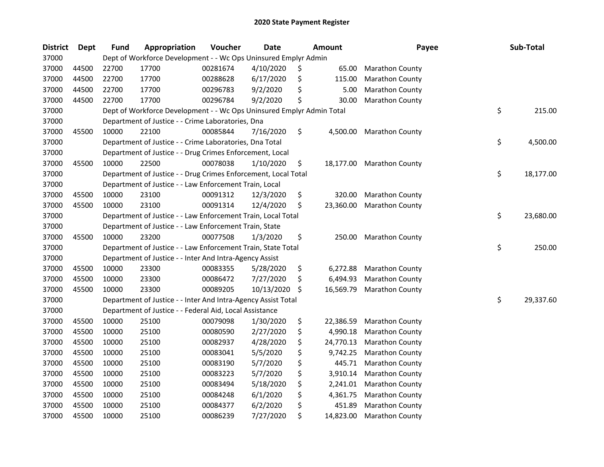| <b>District</b> | Dept  | Fund  | Appropriation                                                         | Voucher  | <b>Date</b> | Amount          | Payee                  | Sub-Total       |
|-----------------|-------|-------|-----------------------------------------------------------------------|----------|-------------|-----------------|------------------------|-----------------|
| 37000           |       |       | Dept of Workforce Development - - Wc Ops Uninsured Emplyr Admin       |          |             |                 |                        |                 |
| 37000           | 44500 | 22700 | 17700                                                                 | 00281674 | 4/10/2020   | \$<br>65.00     | <b>Marathon County</b> |                 |
| 37000           | 44500 | 22700 | 17700                                                                 | 00288628 | 6/17/2020   | \$<br>115.00    | <b>Marathon County</b> |                 |
| 37000           | 44500 | 22700 | 17700                                                                 | 00296783 | 9/2/2020    | \$<br>5.00      | Marathon County        |                 |
| 37000           | 44500 | 22700 | 17700                                                                 | 00296784 | 9/2/2020    | \$<br>30.00     | Marathon County        |                 |
| 37000           |       |       | Dept of Workforce Development - - Wc Ops Uninsured Emplyr Admin Total |          |             |                 |                        | \$<br>215.00    |
| 37000           |       |       | Department of Justice - - Crime Laboratories, Dna                     |          |             |                 |                        |                 |
| 37000           | 45500 | 10000 | 22100                                                                 | 00085844 | 7/16/2020   | \$<br>4,500.00  | <b>Marathon County</b> |                 |
| 37000           |       |       | Department of Justice - - Crime Laboratories, Dna Total               |          |             |                 |                        | \$<br>4,500.00  |
| 37000           |       |       | Department of Justice - - Drug Crimes Enforcement, Local              |          |             |                 |                        |                 |
| 37000           | 45500 | 10000 | 22500                                                                 | 00078038 | 1/10/2020   | \$<br>18,177.00 | <b>Marathon County</b> |                 |
| 37000           |       |       | Department of Justice - - Drug Crimes Enforcement, Local Total        |          |             |                 |                        | \$<br>18,177.00 |
| 37000           |       |       | Department of Justice - - Law Enforcement Train, Local                |          |             |                 |                        |                 |
| 37000           | 45500 | 10000 | 23100                                                                 | 00091312 | 12/3/2020   | \$<br>320.00    | <b>Marathon County</b> |                 |
| 37000           | 45500 | 10000 | 23100                                                                 | 00091314 | 12/4/2020   | \$<br>23,360.00 | <b>Marathon County</b> |                 |
| 37000           |       |       | Department of Justice - - Law Enforcement Train, Local Total          |          |             |                 |                        | \$<br>23,680.00 |
| 37000           |       |       | Department of Justice - - Law Enforcement Train, State                |          |             |                 |                        |                 |
| 37000           | 45500 | 10000 | 23200                                                                 | 00077508 | 1/3/2020    | \$<br>250.00    | <b>Marathon County</b> |                 |
| 37000           |       |       | Department of Justice - - Law Enforcement Train, State Total          |          |             |                 |                        | \$<br>250.00    |
| 37000           |       |       | Department of Justice - - Inter And Intra-Agency Assist               |          |             |                 |                        |                 |
| 37000           | 45500 | 10000 | 23300                                                                 | 00083355 | 5/28/2020   | \$<br>6,272.88  | <b>Marathon County</b> |                 |
| 37000           | 45500 | 10000 | 23300                                                                 | 00086472 | 7/27/2020   | \$<br>6,494.93  | Marathon County        |                 |
| 37000           | 45500 | 10000 | 23300                                                                 | 00089205 | 10/13/2020  | \$<br>16,569.79 | <b>Marathon County</b> |                 |
| 37000           |       |       | Department of Justice - - Inter And Intra-Agency Assist Total         |          |             |                 |                        | \$<br>29,337.60 |
| 37000           |       |       | Department of Justice - - Federal Aid, Local Assistance               |          |             |                 |                        |                 |
| 37000           | 45500 | 10000 | 25100                                                                 | 00079098 | 1/30/2020   | \$<br>22,386.59 | <b>Marathon County</b> |                 |
| 37000           | 45500 | 10000 | 25100                                                                 | 00080590 | 2/27/2020   | \$<br>4,990.18  | Marathon County        |                 |
| 37000           | 45500 | 10000 | 25100                                                                 | 00082937 | 4/28/2020   | \$<br>24,770.13 | Marathon County        |                 |
| 37000           | 45500 | 10000 | 25100                                                                 | 00083041 | 5/5/2020    | \$<br>9,742.25  | Marathon County        |                 |
| 37000           | 45500 | 10000 | 25100                                                                 | 00083190 | 5/7/2020    | \$<br>445.71    | <b>Marathon County</b> |                 |
| 37000           | 45500 | 10000 | 25100                                                                 | 00083223 | 5/7/2020    | \$<br>3,910.14  | Marathon County        |                 |
| 37000           | 45500 | 10000 | 25100                                                                 | 00083494 | 5/18/2020   | \$<br>2,241.01  | <b>Marathon County</b> |                 |
| 37000           | 45500 | 10000 | 25100                                                                 | 00084248 | 6/1/2020    | \$<br>4,361.75  | Marathon County        |                 |
| 37000           | 45500 | 10000 | 25100                                                                 | 00084377 | 6/2/2020    | \$<br>451.89    | <b>Marathon County</b> |                 |
| 37000           | 45500 | 10000 | 25100                                                                 | 00086239 | 7/27/2020   | \$<br>14,823.00 | <b>Marathon County</b> |                 |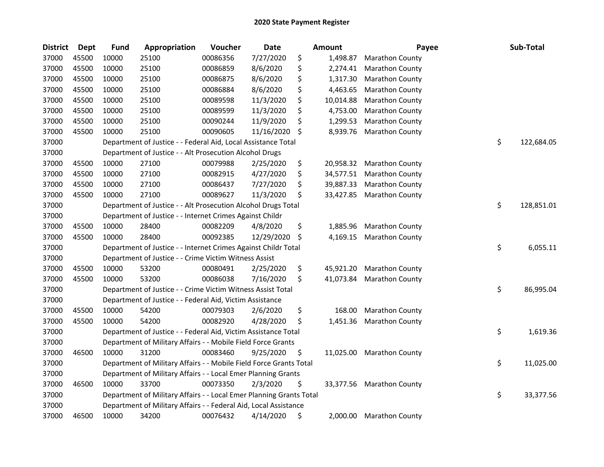| <b>District</b> | Dept  | Fund  | Appropriation                                                       | Voucher  | <b>Date</b> | <b>Amount</b>   | Payee                     | Sub-Total        |
|-----------------|-------|-------|---------------------------------------------------------------------|----------|-------------|-----------------|---------------------------|------------------|
| 37000           | 45500 | 10000 | 25100                                                               | 00086356 | 7/27/2020   | \$<br>1,498.87  | Marathon County           |                  |
| 37000           | 45500 | 10000 | 25100                                                               | 00086859 | 8/6/2020    | \$<br>2,274.41  | <b>Marathon County</b>    |                  |
| 37000           | 45500 | 10000 | 25100                                                               | 00086875 | 8/6/2020    | \$<br>1,317.30  | <b>Marathon County</b>    |                  |
| 37000           | 45500 | 10000 | 25100                                                               | 00086884 | 8/6/2020    | \$<br>4,463.65  | <b>Marathon County</b>    |                  |
| 37000           | 45500 | 10000 | 25100                                                               | 00089598 | 11/3/2020   | \$<br>10,014.88 | Marathon County           |                  |
| 37000           | 45500 | 10000 | 25100                                                               | 00089599 | 11/3/2020   | \$<br>4,753.00  | Marathon County           |                  |
| 37000           | 45500 | 10000 | 25100                                                               | 00090244 | 11/9/2020   | \$<br>1,299.53  | Marathon County           |                  |
| 37000           | 45500 | 10000 | 25100                                                               | 00090605 | 11/16/2020  | \$<br>8,939.76  | Marathon County           |                  |
| 37000           |       |       | Department of Justice - - Federal Aid, Local Assistance Total       |          |             |                 |                           | \$<br>122,684.05 |
| 37000           |       |       | Department of Justice - - Alt Prosecution Alcohol Drugs             |          |             |                 |                           |                  |
| 37000           | 45500 | 10000 | 27100                                                               | 00079988 | 2/25/2020   | \$<br>20,958.32 | <b>Marathon County</b>    |                  |
| 37000           | 45500 | 10000 | 27100                                                               | 00082915 | 4/27/2020   | \$<br>34,577.51 | <b>Marathon County</b>    |                  |
| 37000           | 45500 | 10000 | 27100                                                               | 00086437 | 7/27/2020   | \$<br>39,887.33 | Marathon County           |                  |
| 37000           | 45500 | 10000 | 27100                                                               | 00089627 | 11/3/2020   | \$<br>33,427.85 | <b>Marathon County</b>    |                  |
| 37000           |       |       | Department of Justice - - Alt Prosecution Alcohol Drugs Total       |          |             |                 |                           | \$<br>128,851.01 |
| 37000           |       |       | Department of Justice - - Internet Crimes Against Childr            |          |             |                 |                           |                  |
| 37000           | 45500 | 10000 | 28400                                                               | 00082209 | 4/8/2020    | \$<br>1,885.96  | <b>Marathon County</b>    |                  |
| 37000           | 45500 | 10000 | 28400                                                               | 00092385 | 12/29/2020  | \$<br>4,169.15  | <b>Marathon County</b>    |                  |
| 37000           |       |       | Department of Justice - - Internet Crimes Against Childr Total      |          |             |                 |                           | \$<br>6,055.11   |
| 37000           |       |       | Department of Justice - - Crime Victim Witness Assist               |          |             |                 |                           |                  |
| 37000           | 45500 | 10000 | 53200                                                               | 00080491 | 2/25/2020   | \$<br>45,921.20 | <b>Marathon County</b>    |                  |
| 37000           | 45500 | 10000 | 53200                                                               | 00086038 | 7/16/2020   | \$<br>41,073.84 | Marathon County           |                  |
| 37000           |       |       | Department of Justice - - Crime Victim Witness Assist Total         |          |             |                 |                           | \$<br>86,995.04  |
| 37000           |       |       | Department of Justice - - Federal Aid, Victim Assistance            |          |             |                 |                           |                  |
| 37000           | 45500 | 10000 | 54200                                                               | 00079303 | 2/6/2020    | \$<br>168.00    | Marathon County           |                  |
| 37000           | 45500 | 10000 | 54200                                                               | 00082920 | 4/28/2020   | \$<br>1,451.36  | <b>Marathon County</b>    |                  |
| 37000           |       |       | Department of Justice - - Federal Aid, Victim Assistance Total      |          |             |                 |                           | \$<br>1,619.36   |
| 37000           |       |       | Department of Military Affairs - - Mobile Field Force Grants        |          |             |                 |                           |                  |
| 37000           | 46500 | 10000 | 31200                                                               | 00083460 | 9/25/2020   | \$<br>11,025.00 | <b>Marathon County</b>    |                  |
| 37000           |       |       | Department of Military Affairs - - Mobile Field Force Grants Total  |          |             |                 |                           | \$<br>11,025.00  |
| 37000           |       |       | Department of Military Affairs - - Local Emer Planning Grants       |          |             |                 |                           |                  |
| 37000           | 46500 | 10000 | 33700                                                               | 00073350 | 2/3/2020    | \$              | 33,377.56 Marathon County |                  |
| 37000           |       |       | Department of Military Affairs - - Local Emer Planning Grants Total |          |             |                 |                           | \$<br>33,377.56  |
| 37000           |       |       | Department of Military Affairs - - Federal Aid, Local Assistance    |          |             |                 |                           |                  |
| 37000           | 46500 | 10000 | 34200                                                               | 00076432 | 4/14/2020   | \$<br>2,000.00  | <b>Marathon County</b>    |                  |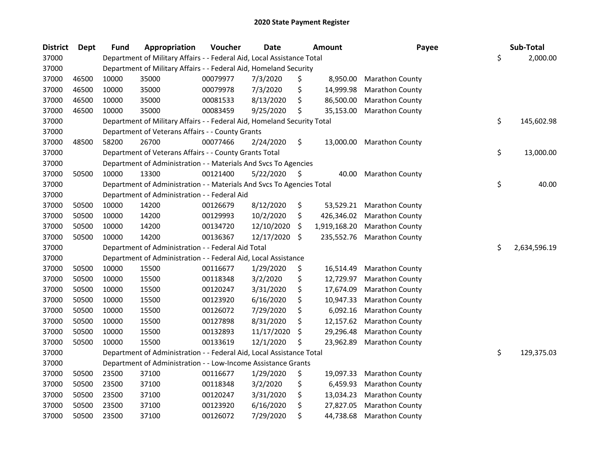| <b>District</b> | Dept  | <b>Fund</b> | Appropriation                                                           | Voucher  | <b>Date</b> |     | Amount       | Payee                  | Sub-Total          |
|-----------------|-------|-------------|-------------------------------------------------------------------------|----------|-------------|-----|--------------|------------------------|--------------------|
| 37000           |       |             | Department of Military Affairs - - Federal Aid, Local Assistance Total  |          |             |     |              |                        | \$<br>2,000.00     |
| 37000           |       |             | Department of Military Affairs - - Federal Aid, Homeland Security       |          |             |     |              |                        |                    |
| 37000           | 46500 | 10000       | 35000                                                                   | 00079977 | 7/3/2020    | \$  | 8,950.00     | <b>Marathon County</b> |                    |
| 37000           | 46500 | 10000       | 35000                                                                   | 00079978 | 7/3/2020    | \$  | 14,999.98    | Marathon County        |                    |
| 37000           | 46500 | 10000       | 35000                                                                   | 00081533 | 8/13/2020   | \$  | 86,500.00    | <b>Marathon County</b> |                    |
| 37000           | 46500 | 10000       | 35000                                                                   | 00083459 | 9/25/2020   | \$  | 35,153.00    | <b>Marathon County</b> |                    |
| 37000           |       |             | Department of Military Affairs - - Federal Aid, Homeland Security Total |          |             |     |              |                        | \$<br>145,602.98   |
| 37000           |       |             | Department of Veterans Affairs - - County Grants                        |          |             |     |              |                        |                    |
| 37000           | 48500 | 58200       | 26700                                                                   | 00077466 | 2/24/2020   | \$  | 13,000.00    | <b>Marathon County</b> |                    |
| 37000           |       |             | Department of Veterans Affairs - - County Grants Total                  |          |             |     |              |                        | \$<br>13,000.00    |
| 37000           |       |             | Department of Administration - - Materials And Svcs To Agencies         |          |             |     |              |                        |                    |
| 37000           | 50500 | 10000       | 13300                                                                   | 00121400 | 5/22/2020   | \$, | 40.00        | <b>Marathon County</b> |                    |
| 37000           |       |             | Department of Administration - - Materials And Svcs To Agencies Total   |          |             |     |              |                        | \$<br>40.00        |
| 37000           |       |             | Department of Administration - - Federal Aid                            |          |             |     |              |                        |                    |
| 37000           | 50500 | 10000       | 14200                                                                   | 00126679 | 8/12/2020   | \$  | 53,529.21    | <b>Marathon County</b> |                    |
| 37000           | 50500 | 10000       | 14200                                                                   | 00129993 | 10/2/2020   | \$  | 426,346.02   | <b>Marathon County</b> |                    |
| 37000           | 50500 | 10000       | 14200                                                                   | 00134720 | 12/10/2020  | \$, | 1,919,168.20 | <b>Marathon County</b> |                    |
| 37000           | 50500 | 10000       | 14200                                                                   | 00136367 | 12/17/2020  | \$  | 235,552.76   | <b>Marathon County</b> |                    |
| 37000           |       |             | Department of Administration - - Federal Aid Total                      |          |             |     |              |                        | \$<br>2,634,596.19 |
| 37000           |       |             | Department of Administration - - Federal Aid, Local Assistance          |          |             |     |              |                        |                    |
| 37000           | 50500 | 10000       | 15500                                                                   | 00116677 | 1/29/2020   | \$  | 16,514.49    | <b>Marathon County</b> |                    |
| 37000           | 50500 | 10000       | 15500                                                                   | 00118348 | 3/2/2020    | \$  | 12,729.97    | Marathon County        |                    |
| 37000           | 50500 | 10000       | 15500                                                                   | 00120247 | 3/31/2020   | \$  | 17,674.09    | Marathon County        |                    |
| 37000           | 50500 | 10000       | 15500                                                                   | 00123920 | 6/16/2020   | \$  | 10,947.33    | <b>Marathon County</b> |                    |
| 37000           | 50500 | 10000       | 15500                                                                   | 00126072 | 7/29/2020   | \$  | 6,092.16     | <b>Marathon County</b> |                    |
| 37000           | 50500 | 10000       | 15500                                                                   | 00127898 | 8/31/2020   | \$  | 12,157.62    | <b>Marathon County</b> |                    |
| 37000           | 50500 | 10000       | 15500                                                                   | 00132893 | 11/17/2020  | \$  | 29,296.48    | <b>Marathon County</b> |                    |
| 37000           | 50500 | 10000       | 15500                                                                   | 00133619 | 12/1/2020   | Ś   | 23,962.89    | Marathon County        |                    |
| 37000           |       |             | Department of Administration - - Federal Aid, Local Assistance Total    |          |             |     |              |                        | \$<br>129,375.03   |
| 37000           |       |             | Department of Administration - - Low-Income Assistance Grants           |          |             |     |              |                        |                    |
| 37000           | 50500 | 23500       | 37100                                                                   | 00116677 | 1/29/2020   | \$  | 19,097.33    | <b>Marathon County</b> |                    |
| 37000           | 50500 | 23500       | 37100                                                                   | 00118348 | 3/2/2020    | \$  | 6,459.93     | <b>Marathon County</b> |                    |
| 37000           | 50500 | 23500       | 37100                                                                   | 00120247 | 3/31/2020   | \$  | 13,034.23    | <b>Marathon County</b> |                    |
| 37000           | 50500 | 23500       | 37100                                                                   | 00123920 | 6/16/2020   | \$  | 27,827.05    | <b>Marathon County</b> |                    |
| 37000           | 50500 | 23500       | 37100                                                                   | 00126072 | 7/29/2020   | \$  | 44,738.68    | <b>Marathon County</b> |                    |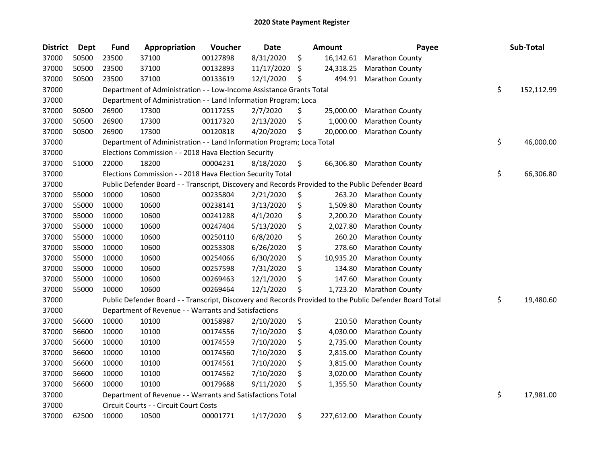| <b>District</b> | Dept  | <b>Fund</b> | Appropriation                                                                                     | Voucher  | Date       | Amount           | Payee                                                                                                   | Sub-Total        |
|-----------------|-------|-------------|---------------------------------------------------------------------------------------------------|----------|------------|------------------|---------------------------------------------------------------------------------------------------------|------------------|
| 37000           | 50500 | 23500       | 37100                                                                                             | 00127898 | 8/31/2020  | \$<br>16,142.61  | <b>Marathon County</b>                                                                                  |                  |
| 37000           | 50500 | 23500       | 37100                                                                                             | 00132893 | 11/17/2020 | \$<br>24,318.25  | <b>Marathon County</b>                                                                                  |                  |
| 37000           | 50500 | 23500       | 37100                                                                                             | 00133619 | 12/1/2020  | \$<br>494.91     | <b>Marathon County</b>                                                                                  |                  |
| 37000           |       |             | Department of Administration - - Low-Income Assistance Grants Total                               |          |            |                  |                                                                                                         | \$<br>152,112.99 |
| 37000           |       |             | Department of Administration - - Land Information Program; Loca                                   |          |            |                  |                                                                                                         |                  |
| 37000           | 50500 | 26900       | 17300                                                                                             | 00117255 | 2/7/2020   | \$<br>25,000.00  | <b>Marathon County</b>                                                                                  |                  |
| 37000           | 50500 | 26900       | 17300                                                                                             | 00117320 | 2/13/2020  | \$<br>1,000.00   | <b>Marathon County</b>                                                                                  |                  |
| 37000           | 50500 | 26900       | 17300                                                                                             | 00120818 | 4/20/2020  | \$<br>20,000.00  | <b>Marathon County</b>                                                                                  |                  |
| 37000           |       |             | Department of Administration - - Land Information Program; Loca Total                             |          |            |                  |                                                                                                         | \$<br>46,000.00  |
| 37000           |       |             | Elections Commission - - 2018 Hava Election Security                                              |          |            |                  |                                                                                                         |                  |
| 37000           | 51000 | 22000       | 18200                                                                                             | 00004231 | 8/18/2020  | \$<br>66,306.80  | <b>Marathon County</b>                                                                                  |                  |
| 37000           |       |             | Elections Commission - - 2018 Hava Election Security Total                                        |          |            |                  |                                                                                                         | \$<br>66,306.80  |
| 37000           |       |             | Public Defender Board - - Transcript, Discovery and Records Provided to the Public Defender Board |          |            |                  |                                                                                                         |                  |
| 37000           | 55000 | 10000       | 10600                                                                                             | 00235804 | 2/21/2020  | \$<br>263.20     | <b>Marathon County</b>                                                                                  |                  |
| 37000           | 55000 | 10000       | 10600                                                                                             | 00238141 | 3/13/2020  | \$<br>1,509.80   | <b>Marathon County</b>                                                                                  |                  |
| 37000           | 55000 | 10000       | 10600                                                                                             | 00241288 | 4/1/2020   | \$<br>2,200.20   | Marathon County                                                                                         |                  |
| 37000           | 55000 | 10000       | 10600                                                                                             | 00247404 | 5/13/2020  | \$<br>2,027.80   | <b>Marathon County</b>                                                                                  |                  |
| 37000           | 55000 | 10000       | 10600                                                                                             | 00250110 | 6/8/2020   | \$<br>260.20     | <b>Marathon County</b>                                                                                  |                  |
| 37000           | 55000 | 10000       | 10600                                                                                             | 00253308 | 6/26/2020  | \$<br>278.60     | <b>Marathon County</b>                                                                                  |                  |
| 37000           | 55000 | 10000       | 10600                                                                                             | 00254066 | 6/30/2020  | \$<br>10,935.20  | <b>Marathon County</b>                                                                                  |                  |
| 37000           | 55000 | 10000       | 10600                                                                                             | 00257598 | 7/31/2020  | \$<br>134.80     | <b>Marathon County</b>                                                                                  |                  |
| 37000           | 55000 | 10000       | 10600                                                                                             | 00269463 | 12/1/2020  | \$<br>147.60     | Marathon County                                                                                         |                  |
| 37000           | 55000 | 10000       | 10600                                                                                             | 00269464 | 12/1/2020  | \$<br>1,723.20   | <b>Marathon County</b>                                                                                  |                  |
| 37000           |       |             |                                                                                                   |          |            |                  | Public Defender Board - - Transcript, Discovery and Records Provided to the Public Defender Board Total | \$<br>19,480.60  |
| 37000           |       |             | Department of Revenue - - Warrants and Satisfactions                                              |          |            |                  |                                                                                                         |                  |
| 37000           | 56600 | 10000       | 10100                                                                                             | 00158987 | 2/10/2020  | \$<br>210.50     | <b>Marathon County</b>                                                                                  |                  |
| 37000           | 56600 | 10000       | 10100                                                                                             | 00174556 | 7/10/2020  | \$<br>4,030.00   | <b>Marathon County</b>                                                                                  |                  |
| 37000           | 56600 | 10000       | 10100                                                                                             | 00174559 | 7/10/2020  | \$<br>2,735.00   | <b>Marathon County</b>                                                                                  |                  |
| 37000           | 56600 | 10000       | 10100                                                                                             | 00174560 | 7/10/2020  | \$<br>2,815.00   | <b>Marathon County</b>                                                                                  |                  |
| 37000           | 56600 | 10000       | 10100                                                                                             | 00174561 | 7/10/2020  | \$<br>3,815.00   | Marathon County                                                                                         |                  |
| 37000           | 56600 | 10000       | 10100                                                                                             | 00174562 | 7/10/2020  | \$<br>3,020.00   | <b>Marathon County</b>                                                                                  |                  |
| 37000           | 56600 | 10000       | 10100                                                                                             | 00179688 | 9/11/2020  | \$<br>1,355.50   | <b>Marathon County</b>                                                                                  |                  |
| 37000           |       |             | Department of Revenue - - Warrants and Satisfactions Total                                        |          |            |                  |                                                                                                         | \$<br>17,981.00  |
| 37000           |       |             | Circuit Courts - - Circuit Court Costs                                                            |          |            |                  |                                                                                                         |                  |
| 37000           | 62500 | 10000       | 10500                                                                                             | 00001771 | 1/17/2020  | \$<br>227,612.00 | <b>Marathon County</b>                                                                                  |                  |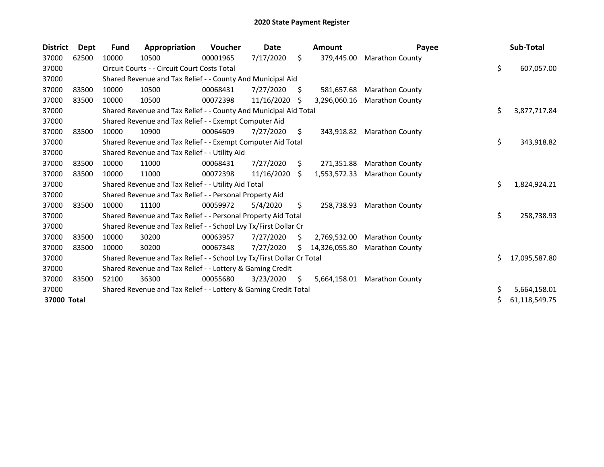| <b>District</b> | Dept  | Fund  | Appropriation                                                         | <b>Voucher</b> | Date       |     | Amount        | Payee                  |    | Sub-Total     |
|-----------------|-------|-------|-----------------------------------------------------------------------|----------------|------------|-----|---------------|------------------------|----|---------------|
| 37000           | 62500 | 10000 | 10500                                                                 | 00001965       | 7/17/2020  | \$  | 379,445.00    | <b>Marathon County</b> |    |               |
| 37000           |       |       | Circuit Courts - - Circuit Court Costs Total                          |                |            |     |               |                        | \$ | 607,057.00    |
| 37000           |       |       | Shared Revenue and Tax Relief - - County And Municipal Aid            |                |            |     |               |                        |    |               |
| 37000           | 83500 | 10000 | 10500                                                                 | 00068431       | 7/27/2020  | \$. | 581,657.68    | <b>Marathon County</b> |    |               |
| 37000           | 83500 | 10000 | 10500                                                                 | 00072398       | 11/16/2020 | S   | 3,296,060.16  | <b>Marathon County</b> |    |               |
| 37000           |       |       | Shared Revenue and Tax Relief - - County And Municipal Aid Total      |                |            |     |               |                        | \$ | 3,877,717.84  |
| 37000           |       |       | Shared Revenue and Tax Relief - - Exempt Computer Aid                 |                |            |     |               |                        |    |               |
| 37000           | 83500 | 10000 | 10900                                                                 | 00064609       | 7/27/2020  | \$  | 343,918.82    | <b>Marathon County</b> |    |               |
| 37000           |       |       | Shared Revenue and Tax Relief - - Exempt Computer Aid Total           |                |            |     |               |                        | \$ | 343,918.82    |
| 37000           |       |       | Shared Revenue and Tax Relief - - Utility Aid                         |                |            |     |               |                        |    |               |
| 37000           | 83500 | 10000 | 11000                                                                 | 00068431       | 7/27/2020  | S.  | 271,351.88    | <b>Marathon County</b> |    |               |
| 37000           | 83500 | 10000 | 11000                                                                 | 00072398       | 11/16/2020 | Ŝ.  | 1,553,572.33  | <b>Marathon County</b> |    |               |
| 37000           |       |       | Shared Revenue and Tax Relief - - Utility Aid Total                   |                |            |     |               |                        | \$ | 1,824,924.21  |
| 37000           |       |       | Shared Revenue and Tax Relief - - Personal Property Aid               |                |            |     |               |                        |    |               |
| 37000           | 83500 | 10000 | 11100                                                                 | 00059972       | 5/4/2020   | \$  | 258,738.93    | <b>Marathon County</b> |    |               |
| 37000           |       |       | Shared Revenue and Tax Relief - - Personal Property Aid Total         |                |            |     |               |                        | \$ | 258,738.93    |
| 37000           |       |       | Shared Revenue and Tax Relief - - School Lvy Tx/First Dollar Cr       |                |            |     |               |                        |    |               |
| 37000           | 83500 | 10000 | 30200                                                                 | 00063957       | 7/27/2020  | S   | 2,769,532.00  | <b>Marathon County</b> |    |               |
| 37000           | 83500 | 10000 | 30200                                                                 | 00067348       | 7/27/2020  | S.  | 14,326,055.80 | <b>Marathon County</b> |    |               |
| 37000           |       |       | Shared Revenue and Tax Relief - - School Lvy Tx/First Dollar Cr Total |                |            |     |               |                        | Ś. | 17,095,587.80 |
| 37000           |       |       | Shared Revenue and Tax Relief - - Lottery & Gaming Credit             |                |            |     |               |                        |    |               |
| 37000           | 83500 | 52100 | 36300                                                                 | 00055680       | 3/23/2020  | S   | 5,664,158.01  | <b>Marathon County</b> |    |               |
| 37000           |       |       | Shared Revenue and Tax Relief - - Lottery & Gaming Credit Total       |                |            |     |               |                        | \$ | 5,664,158.01  |
| 37000 Total     |       |       |                                                                       |                |            |     |               |                        | \$ | 61,118,549.75 |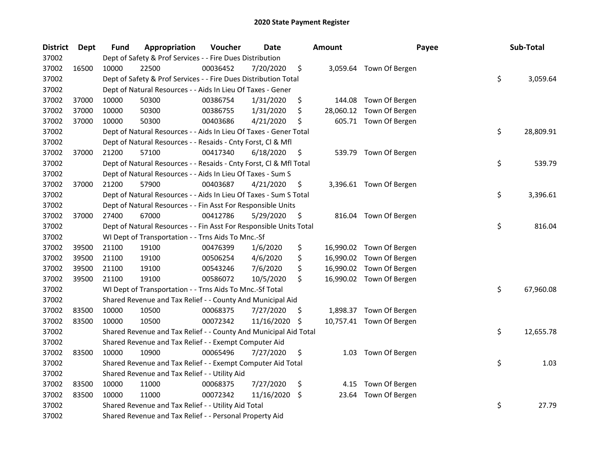| <b>District</b> | Dept  | Fund  | Appropriation                                                      | Voucher  | <b>Date</b> |     | <b>Amount</b> | Payee                    | Sub-Total       |
|-----------------|-------|-------|--------------------------------------------------------------------|----------|-------------|-----|---------------|--------------------------|-----------------|
| 37002           |       |       | Dept of Safety & Prof Services - - Fire Dues Distribution          |          |             |     |               |                          |                 |
| 37002           | 16500 | 10000 | 22500                                                              | 00036452 | 7/20/2020   | \$  |               | 3,059.64 Town Of Bergen  |                 |
| 37002           |       |       | Dept of Safety & Prof Services - - Fire Dues Distribution Total    |          |             |     |               |                          | \$<br>3,059.64  |
| 37002           |       |       | Dept of Natural Resources - - Aids In Lieu Of Taxes - Gener        |          |             |     |               |                          |                 |
| 37002           | 37000 | 10000 | 50300                                                              | 00386754 | 1/31/2020   | \$  | 144.08        | Town Of Bergen           |                 |
| 37002           | 37000 | 10000 | 50300                                                              | 00386755 | 1/31/2020   | \$  | 28,060.12     | Town Of Bergen           |                 |
| 37002           | 37000 | 10000 | 50300                                                              | 00403686 | 4/21/2020   | \$  |               | 605.71 Town Of Bergen    |                 |
| 37002           |       |       | Dept of Natural Resources - - Aids In Lieu Of Taxes - Gener Total  |          |             |     |               |                          | \$<br>28,809.91 |
| 37002           |       |       | Dept of Natural Resources - - Resaids - Cnty Forst, Cl & Mfl       |          |             |     |               |                          |                 |
| 37002           | 37000 | 21200 | 57100                                                              | 00417340 | 6/18/2020   | \$, |               | 539.79 Town Of Bergen    |                 |
| 37002           |       |       | Dept of Natural Resources - - Resaids - Cnty Forst, Cl & Mfl Total |          |             |     |               |                          | \$<br>539.79    |
| 37002           |       |       | Dept of Natural Resources - - Aids In Lieu Of Taxes - Sum S        |          |             |     |               |                          |                 |
| 37002           | 37000 | 21200 | 57900                                                              | 00403687 | 4/21/2020   | \$, |               | 3,396.61 Town Of Bergen  |                 |
| 37002           |       |       | Dept of Natural Resources - - Aids In Lieu Of Taxes - Sum S Total  |          |             |     |               |                          | \$<br>3,396.61  |
| 37002           |       |       | Dept of Natural Resources - - Fin Asst For Responsible Units       |          |             |     |               |                          |                 |
| 37002           | 37000 | 27400 | 67000                                                              | 00412786 | 5/29/2020   | \$  |               | 816.04 Town Of Bergen    |                 |
| 37002           |       |       | Dept of Natural Resources - - Fin Asst For Responsible Units Total |          |             |     |               |                          | \$<br>816.04    |
| 37002           |       |       | WI Dept of Transportation - - Trns Aids To Mnc.-Sf                 |          |             |     |               |                          |                 |
| 37002           | 39500 | 21100 | 19100                                                              | 00476399 | 1/6/2020    | \$  |               | 16,990.02 Town Of Bergen |                 |
| 37002           | 39500 | 21100 | 19100                                                              | 00506254 | 4/6/2020    | \$  |               | 16,990.02 Town Of Bergen |                 |
| 37002           | 39500 | 21100 | 19100                                                              | 00543246 | 7/6/2020    | \$  |               | 16,990.02 Town Of Bergen |                 |
| 37002           | 39500 | 21100 | 19100                                                              | 00586072 | 10/5/2020   | \$  |               | 16,990.02 Town Of Bergen |                 |
| 37002           |       |       | WI Dept of Transportation - - Trns Aids To Mnc.-Sf Total           |          |             |     |               |                          | \$<br>67,960.08 |
| 37002           |       |       | Shared Revenue and Tax Relief - - County And Municipal Aid         |          |             |     |               |                          |                 |
| 37002           | 83500 | 10000 | 10500                                                              | 00068375 | 7/27/2020   | -\$ |               | 1,898.37 Town Of Bergen  |                 |
| 37002           | 83500 | 10000 | 10500                                                              | 00072342 | 11/16/2020  | \$  |               | 10,757.41 Town Of Bergen |                 |
| 37002           |       |       | Shared Revenue and Tax Relief - - County And Municipal Aid Total   |          |             |     |               |                          | \$<br>12,655.78 |
| 37002           |       |       | Shared Revenue and Tax Relief - - Exempt Computer Aid              |          |             |     |               |                          |                 |
| 37002           | 83500 | 10000 | 10900                                                              | 00065496 | 7/27/2020   | \$  |               | 1.03 Town Of Bergen      |                 |
| 37002           |       |       | Shared Revenue and Tax Relief - - Exempt Computer Aid Total        |          |             |     |               |                          | \$<br>1.03      |
| 37002           |       |       | Shared Revenue and Tax Relief - - Utility Aid                      |          |             |     |               |                          |                 |
| 37002           | 83500 | 10000 | 11000                                                              | 00068375 | 7/27/2020   | \$  | 4.15          | Town Of Bergen           |                 |
| 37002           | 83500 | 10000 | 11000                                                              | 00072342 | 11/16/2020  | -\$ | 23.64         | Town Of Bergen           |                 |
| 37002           |       |       | Shared Revenue and Tax Relief - - Utility Aid Total                |          |             |     |               |                          | \$<br>27.79     |
| 37002           |       |       | Shared Revenue and Tax Relief - - Personal Property Aid            |          |             |     |               |                          |                 |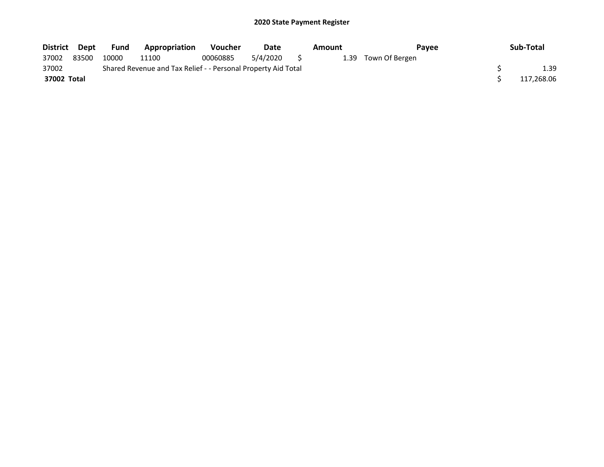| District Dept |       | Fund  | Appropriation                                                 | <b>Voucher</b> | Date        | Amount | Payee               | Sub-Total  |
|---------------|-------|-------|---------------------------------------------------------------|----------------|-------------|--------|---------------------|------------|
| 37002         | 83500 | 10000 | 11100                                                         | 00060885       | 5/4/2020 \$ |        | 1.39 Town Of Bergen |            |
| 37002         |       |       | Shared Revenue and Tax Relief - - Personal Property Aid Total |                |             |        |                     | 1.39       |
| 37002 Total   |       |       |                                                               |                |             |        |                     | 117,268.06 |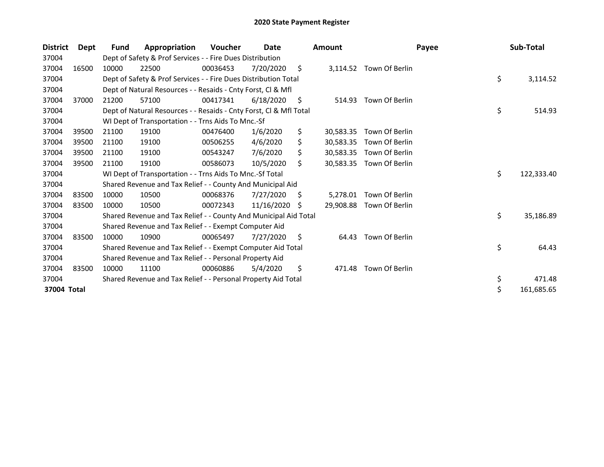| <b>District</b> | Dept  | Fund  | Appropriation                                                      | Voucher  | Date       |     | <b>Amount</b> | Payee                    | Sub-Total        |
|-----------------|-------|-------|--------------------------------------------------------------------|----------|------------|-----|---------------|--------------------------|------------------|
| 37004           |       |       | Dept of Safety & Prof Services - - Fire Dues Distribution          |          |            |     |               |                          |                  |
| 37004           | 16500 | 10000 | 22500                                                              | 00036453 | 7/20/2020  | \$  | 3,114.52      | Town Of Berlin           |                  |
| 37004           |       |       | Dept of Safety & Prof Services - - Fire Dues Distribution Total    |          |            |     |               |                          | \$<br>3,114.52   |
| 37004           |       |       | Dept of Natural Resources - - Resaids - Cnty Forst, CI & Mfl       |          |            |     |               |                          |                  |
| 37004           | 37000 | 21200 | 57100                                                              | 00417341 | 6/18/2020  | \$. | 514.93        | Town Of Berlin           |                  |
| 37004           |       |       | Dept of Natural Resources - - Resaids - Cnty Forst, CI & Mfl Total |          |            |     |               |                          | \$<br>514.93     |
| 37004           |       |       | WI Dept of Transportation - - Trns Aids To Mnc.-Sf                 |          |            |     |               |                          |                  |
| 37004           | 39500 | 21100 | 19100                                                              | 00476400 | 1/6/2020   | \$  | 30,583.35     | Town Of Berlin           |                  |
| 37004           | 39500 | 21100 | 19100                                                              | 00506255 | 4/6/2020   |     | 30,583.35     | Town Of Berlin           |                  |
| 37004           | 39500 | 21100 | 19100                                                              | 00543247 | 7/6/2020   | \$  |               | 30,583.35 Town Of Berlin |                  |
| 37004           | 39500 | 21100 | 19100                                                              | 00586073 | 10/5/2020  | Ś.  | 30,583.35     | Town Of Berlin           |                  |
| 37004           |       |       | WI Dept of Transportation - - Trns Aids To Mnc.-Sf Total           |          |            |     |               |                          | \$<br>122,333.40 |
| 37004           |       |       | Shared Revenue and Tax Relief - - County And Municipal Aid         |          |            |     |               |                          |                  |
| 37004           | 83500 | 10000 | 10500                                                              | 00068376 | 7/27/2020  | S   | 5,278.01      | Town Of Berlin           |                  |
| 37004           | 83500 | 10000 | 10500                                                              | 00072343 | 11/16/2020 | S   | 29,908.88     | Town Of Berlin           |                  |
| 37004           |       |       | Shared Revenue and Tax Relief - - County And Municipal Aid Total   |          |            |     |               |                          | \$<br>35,186.89  |
| 37004           |       |       | Shared Revenue and Tax Relief - - Exempt Computer Aid              |          |            |     |               |                          |                  |
| 37004           | 83500 | 10000 | 10900                                                              | 00065497 | 7/27/2020  | S   | 64.43         | Town Of Berlin           |                  |
| 37004           |       |       | Shared Revenue and Tax Relief - - Exempt Computer Aid Total        |          |            |     |               |                          | \$<br>64.43      |
| 37004           |       |       | Shared Revenue and Tax Relief - - Personal Property Aid            |          |            |     |               |                          |                  |
| 37004           | 83500 | 10000 | 11100                                                              | 00060886 | 5/4/2020   | \$  | 471.48        | Town Of Berlin           |                  |
| 37004           |       |       | Shared Revenue and Tax Relief - - Personal Property Aid Total      |          |            |     |               |                          | \$<br>471.48     |
| 37004 Total     |       |       |                                                                    |          |            |     |               |                          | \$<br>161,685.65 |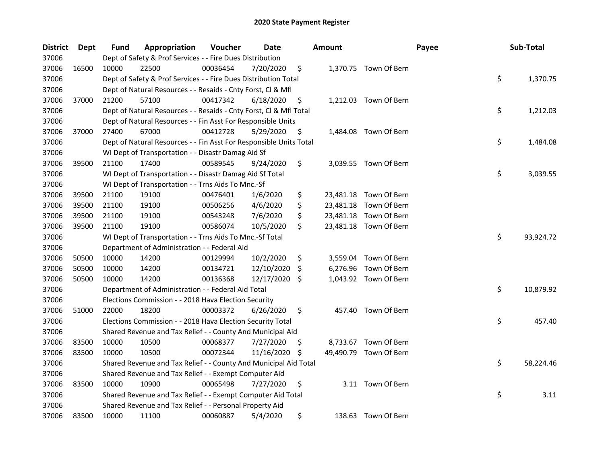| <b>District</b> | Dept  | <b>Fund</b> | Appropriation                                                      | Voucher  | Date          |    | <b>Amount</b> |                        | Payee | Sub-Total       |
|-----------------|-------|-------------|--------------------------------------------------------------------|----------|---------------|----|---------------|------------------------|-------|-----------------|
| 37006           |       |             | Dept of Safety & Prof Services - - Fire Dues Distribution          |          |               |    |               |                        |       |                 |
| 37006           | 16500 | 10000       | 22500                                                              | 00036454 | 7/20/2020     | \$ |               | 1,370.75 Town Of Bern  |       |                 |
| 37006           |       |             | Dept of Safety & Prof Services - - Fire Dues Distribution Total    |          |               |    |               |                        |       | \$<br>1,370.75  |
| 37006           |       |             | Dept of Natural Resources - - Resaids - Cnty Forst, Cl & Mfl       |          |               |    |               |                        |       |                 |
| 37006           | 37000 | 21200       | 57100                                                              | 00417342 | 6/18/2020     | \$ |               | 1,212.03 Town Of Bern  |       |                 |
| 37006           |       |             | Dept of Natural Resources - - Resaids - Cnty Forst, Cl & Mfl Total |          |               |    |               |                        |       | \$<br>1,212.03  |
| 37006           |       |             | Dept of Natural Resources - - Fin Asst For Responsible Units       |          |               |    |               |                        |       |                 |
| 37006           | 37000 | 27400       | 67000                                                              | 00412728 | 5/29/2020     | \$ |               | 1,484.08 Town Of Bern  |       |                 |
| 37006           |       |             | Dept of Natural Resources - - Fin Asst For Responsible Units Total |          |               |    |               |                        |       | \$<br>1,484.08  |
| 37006           |       |             | WI Dept of Transportation - - Disastr Damag Aid Sf                 |          |               |    |               |                        |       |                 |
| 37006           | 39500 | 21100       | 17400                                                              | 00589545 | 9/24/2020     | \$ |               | 3,039.55 Town Of Bern  |       |                 |
| 37006           |       |             | WI Dept of Transportation - - Disastr Damag Aid Sf Total           |          |               |    |               |                        |       | \$<br>3,039.55  |
| 37006           |       |             | WI Dept of Transportation - - Trns Aids To Mnc.-Sf                 |          |               |    |               |                        |       |                 |
| 37006           | 39500 | 21100       | 19100                                                              | 00476401 | 1/6/2020      | \$ |               | 23,481.18 Town Of Bern |       |                 |
| 37006           | 39500 | 21100       | 19100                                                              | 00506256 | 4/6/2020      | \$ |               | 23,481.18 Town Of Bern |       |                 |
| 37006           | 39500 | 21100       | 19100                                                              | 00543248 | 7/6/2020      | \$ |               | 23,481.18 Town Of Bern |       |                 |
| 37006           | 39500 | 21100       | 19100                                                              | 00586074 | 10/5/2020     | \$ |               | 23,481.18 Town Of Bern |       |                 |
| 37006           |       |             | WI Dept of Transportation - - Trns Aids To Mnc.-Sf Total           |          |               |    |               |                        |       | \$<br>93,924.72 |
| 37006           |       |             | Department of Administration - - Federal Aid                       |          |               |    |               |                        |       |                 |
| 37006           | 50500 | 10000       | 14200                                                              | 00129994 | 10/2/2020     | \$ |               | 3,559.04 Town Of Bern  |       |                 |
| 37006           | 50500 | 10000       | 14200                                                              | 00134721 | 12/10/2020    | S  |               | 6,276.96 Town Of Bern  |       |                 |
| 37006           | 50500 | 10000       | 14200                                                              | 00136368 | 12/17/2020 \$ |    |               | 1,043.92 Town Of Bern  |       |                 |
| 37006           |       |             | Department of Administration - - Federal Aid Total                 |          |               |    |               |                        |       | \$<br>10,879.92 |
| 37006           |       |             | Elections Commission - - 2018 Hava Election Security               |          |               |    |               |                        |       |                 |
| 37006           | 51000 | 22000       | 18200                                                              | 00003372 | 6/26/2020     | \$ |               | 457.40 Town Of Bern    |       |                 |
| 37006           |       |             | Elections Commission - - 2018 Hava Election Security Total         |          |               |    |               |                        |       | \$<br>457.40    |
| 37006           |       |             | Shared Revenue and Tax Relief - - County And Municipal Aid         |          |               |    |               |                        |       |                 |
| 37006           | 83500 | 10000       | 10500                                                              | 00068377 | 7/27/2020     | \$ |               | 8,733.67 Town Of Bern  |       |                 |
| 37006           | 83500 | 10000       | 10500                                                              | 00072344 | 11/16/2020    | S  |               | 49,490.79 Town Of Bern |       |                 |
| 37006           |       |             | Shared Revenue and Tax Relief - - County And Municipal Aid Total   |          |               |    |               |                        |       | \$<br>58,224.46 |
| 37006           |       |             | Shared Revenue and Tax Relief - - Exempt Computer Aid              |          |               |    |               |                        |       |                 |
| 37006           | 83500 | 10000       | 10900                                                              | 00065498 | 7/27/2020     | \$ |               | 3.11 Town Of Bern      |       |                 |
| 37006           |       |             | Shared Revenue and Tax Relief - - Exempt Computer Aid Total        |          |               |    |               |                        |       | \$<br>3.11      |
| 37006           |       |             | Shared Revenue and Tax Relief - - Personal Property Aid            |          |               |    |               |                        |       |                 |
| 37006           | 83500 | 10000       | 11100                                                              | 00060887 | 5/4/2020      | \$ |               | 138.63 Town Of Bern    |       |                 |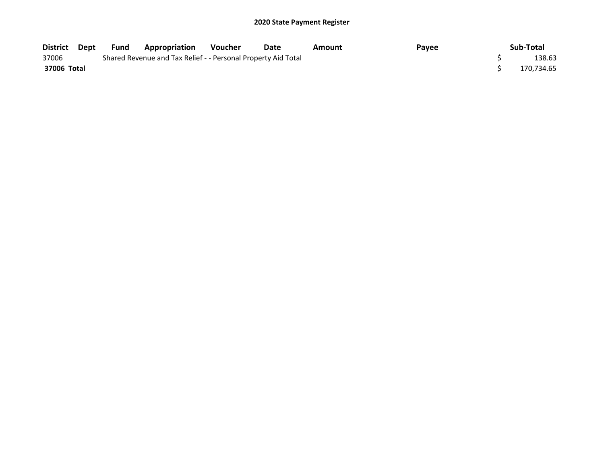| District Dept | Fund | Appropriation                                                 | <b>Voucher</b> | Date | Amount | Payee | Sub-Total  |
|---------------|------|---------------------------------------------------------------|----------------|------|--------|-------|------------|
| 37006         |      | Shared Revenue and Tax Relief - - Personal Property Aid Total |                |      |        |       | 138.63     |
| 37006 Total   |      |                                                               |                |      |        |       | 170.734.65 |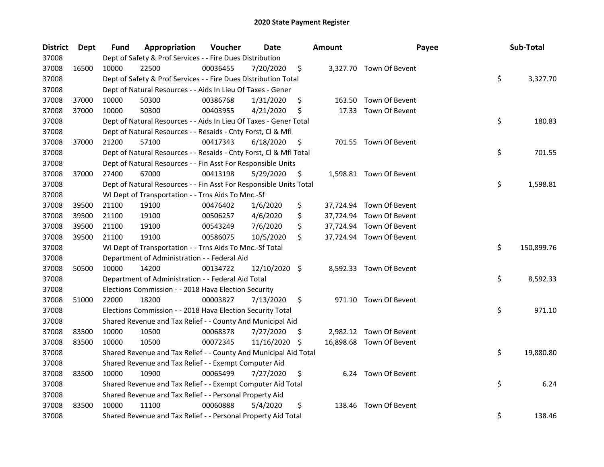| <b>District</b> | <b>Dept</b> | Fund  | Appropriation                                                      | Voucher  | <b>Date</b>   |     | <b>Amount</b> | Payee                    | Sub-Total        |
|-----------------|-------------|-------|--------------------------------------------------------------------|----------|---------------|-----|---------------|--------------------------|------------------|
| 37008           |             |       | Dept of Safety & Prof Services - - Fire Dues Distribution          |          |               |     |               |                          |                  |
| 37008           | 16500       | 10000 | 22500                                                              | 00036455 | 7/20/2020     | \$  |               | 3,327.70 Town Of Bevent  |                  |
| 37008           |             |       | Dept of Safety & Prof Services - - Fire Dues Distribution Total    |          |               |     |               |                          | \$<br>3,327.70   |
| 37008           |             |       | Dept of Natural Resources - - Aids In Lieu Of Taxes - Gener        |          |               |     |               |                          |                  |
| 37008           | 37000       | 10000 | 50300                                                              | 00386768 | 1/31/2020     | \$  |               | 163.50 Town Of Bevent    |                  |
| 37008           | 37000       | 10000 | 50300                                                              | 00403955 | 4/21/2020     | \$  |               | 17.33 Town Of Bevent     |                  |
| 37008           |             |       | Dept of Natural Resources - - Aids In Lieu Of Taxes - Gener Total  |          |               |     |               |                          | \$<br>180.83     |
| 37008           |             |       | Dept of Natural Resources - - Resaids - Cnty Forst, Cl & Mfl       |          |               |     |               |                          |                  |
| 37008           | 37000       | 21200 | 57100                                                              | 00417343 | 6/18/2020     | \$  |               | 701.55 Town Of Bevent    |                  |
| 37008           |             |       | Dept of Natural Resources - - Resaids - Cnty Forst, Cl & Mfl Total |          |               |     |               |                          | \$<br>701.55     |
| 37008           |             |       | Dept of Natural Resources - - Fin Asst For Responsible Units       |          |               |     |               |                          |                  |
| 37008           | 37000       | 27400 | 67000                                                              | 00413198 | 5/29/2020     | \$. |               | 1,598.81 Town Of Bevent  |                  |
| 37008           |             |       | Dept of Natural Resources - - Fin Asst For Responsible Units Total |          |               |     |               |                          | \$<br>1,598.81   |
| 37008           |             |       | WI Dept of Transportation - - Trns Aids To Mnc.-Sf                 |          |               |     |               |                          |                  |
| 37008           | 39500       | 21100 | 19100                                                              | 00476402 | 1/6/2020      | \$  |               | 37,724.94 Town Of Bevent |                  |
| 37008           | 39500       | 21100 | 19100                                                              | 00506257 | 4/6/2020      | \$  |               | 37,724.94 Town Of Bevent |                  |
| 37008           | 39500       | 21100 | 19100                                                              | 00543249 | 7/6/2020      | \$  |               | 37,724.94 Town Of Bevent |                  |
| 37008           | 39500       | 21100 | 19100                                                              | 00586075 | 10/5/2020     | \$  |               | 37,724.94 Town Of Bevent |                  |
| 37008           |             |       | WI Dept of Transportation - - Trns Aids To Mnc.-Sf Total           |          |               |     |               |                          | \$<br>150,899.76 |
| 37008           |             |       | Department of Administration - - Federal Aid                       |          |               |     |               |                          |                  |
| 37008           | 50500       | 10000 | 14200                                                              | 00134722 | 12/10/2020 \$ |     |               | 8,592.33 Town Of Bevent  |                  |
| 37008           |             |       | Department of Administration - - Federal Aid Total                 |          |               |     |               |                          | \$<br>8,592.33   |
| 37008           |             |       | Elections Commission - - 2018 Hava Election Security               |          |               |     |               |                          |                  |
| 37008           | 51000       | 22000 | 18200                                                              | 00003827 | 7/13/2020     | \$  |               | 971.10 Town Of Bevent    |                  |
| 37008           |             |       | Elections Commission - - 2018 Hava Election Security Total         |          |               |     |               |                          | \$<br>971.10     |
| 37008           |             |       | Shared Revenue and Tax Relief - - County And Municipal Aid         |          |               |     |               |                          |                  |
| 37008           | 83500       | 10000 | 10500                                                              | 00068378 | 7/27/2020     | \$. |               | 2,982.12 Town Of Bevent  |                  |
| 37008           | 83500       | 10000 | 10500                                                              | 00072345 | 11/16/2020    | \$, |               | 16,898.68 Town Of Bevent |                  |
| 37008           |             |       | Shared Revenue and Tax Relief - - County And Municipal Aid Total   |          |               |     |               |                          | \$<br>19,880.80  |
| 37008           |             |       | Shared Revenue and Tax Relief - - Exempt Computer Aid              |          |               |     |               |                          |                  |
| 37008           | 83500       | 10000 | 10900                                                              | 00065499 | 7/27/2020     | \$  |               | 6.24 Town Of Bevent      |                  |
| 37008           |             |       | Shared Revenue and Tax Relief - - Exempt Computer Aid Total        |          |               |     |               |                          | \$<br>6.24       |
| 37008           |             |       | Shared Revenue and Tax Relief - - Personal Property Aid            |          |               |     |               |                          |                  |
| 37008           | 83500       | 10000 | 11100                                                              | 00060888 | 5/4/2020      | \$  | 138.46        | Town Of Bevent           |                  |
| 37008           |             |       | Shared Revenue and Tax Relief - - Personal Property Aid Total      |          |               |     |               |                          | \$<br>138.46     |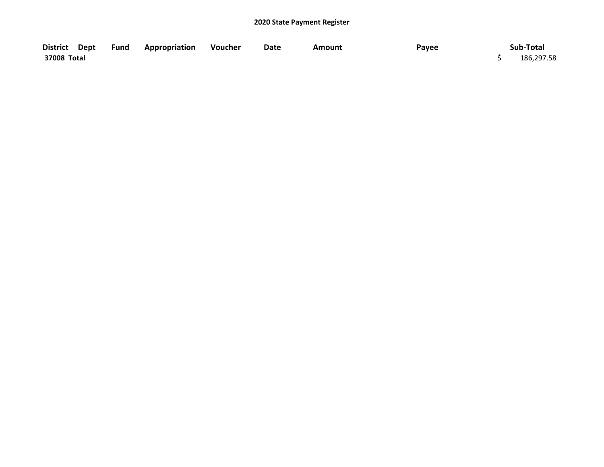| District Dept | Fund | <b>Appropriation</b> | Voucher | Date | Amount | Payee | Sub-Total  |
|---------------|------|----------------------|---------|------|--------|-------|------------|
| 37008 Total   |      |                      |         |      |        |       | 186,297.58 |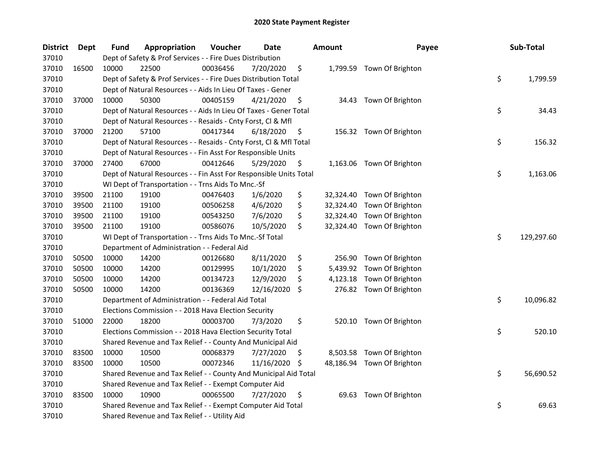| <b>District</b> | Dept  | Fund  | Appropriation                                                      | Voucher  | <b>Date</b> |     | <b>Amount</b> | Payee                      | Sub-Total        |
|-----------------|-------|-------|--------------------------------------------------------------------|----------|-------------|-----|---------------|----------------------------|------------------|
| 37010           |       |       | Dept of Safety & Prof Services - - Fire Dues Distribution          |          |             |     |               |                            |                  |
| 37010           | 16500 | 10000 | 22500                                                              | 00036456 | 7/20/2020   | \$  |               | 1,799.59 Town Of Brighton  |                  |
| 37010           |       |       | Dept of Safety & Prof Services - - Fire Dues Distribution Total    |          |             |     |               |                            | \$<br>1,799.59   |
| 37010           |       |       | Dept of Natural Resources - - Aids In Lieu Of Taxes - Gener        |          |             |     |               |                            |                  |
| 37010           | 37000 | 10000 | 50300                                                              | 00405159 | 4/21/2020   | \$  |               | 34.43 Town Of Brighton     |                  |
| 37010           |       |       | Dept of Natural Resources - - Aids In Lieu Of Taxes - Gener Total  |          |             |     |               |                            | \$<br>34.43      |
| 37010           |       |       | Dept of Natural Resources - - Resaids - Cnty Forst, Cl & Mfl       |          |             |     |               |                            |                  |
| 37010           | 37000 | 21200 | 57100                                                              | 00417344 | 6/18/2020   | \$  |               | 156.32 Town Of Brighton    |                  |
| 37010           |       |       | Dept of Natural Resources - - Resaids - Cnty Forst, CI & Mfl Total |          |             |     |               |                            | \$<br>156.32     |
| 37010           |       |       | Dept of Natural Resources - - Fin Asst For Responsible Units       |          |             |     |               |                            |                  |
| 37010           | 37000 | 27400 | 67000                                                              | 00412646 | 5/29/2020   | \$  |               | 1,163.06 Town Of Brighton  |                  |
| 37010           |       |       | Dept of Natural Resources - - Fin Asst For Responsible Units Total |          |             |     |               |                            | \$<br>1,163.06   |
| 37010           |       |       | WI Dept of Transportation - - Trns Aids To Mnc.-Sf                 |          |             |     |               |                            |                  |
| 37010           | 39500 | 21100 | 19100                                                              | 00476403 | 1/6/2020    | \$  | 32,324.40     | Town Of Brighton           |                  |
| 37010           | 39500 | 21100 | 19100                                                              | 00506258 | 4/6/2020    | \$  | 32,324.40     | Town Of Brighton           |                  |
| 37010           | 39500 | 21100 | 19100                                                              | 00543250 | 7/6/2020    | \$  | 32,324.40     | Town Of Brighton           |                  |
| 37010           | 39500 | 21100 | 19100                                                              | 00586076 | 10/5/2020   | \$  | 32,324.40     | Town Of Brighton           |                  |
| 37010           |       |       | WI Dept of Transportation - - Trns Aids To Mnc.-Sf Total           |          |             |     |               |                            | \$<br>129,297.60 |
| 37010           |       |       | Department of Administration - - Federal Aid                       |          |             |     |               |                            |                  |
| 37010           | 50500 | 10000 | 14200                                                              | 00126680 | 8/11/2020   | \$  | 256.90        | Town Of Brighton           |                  |
| 37010           | 50500 | 10000 | 14200                                                              | 00129995 | 10/1/2020   | \$  | 5,439.92      | Town Of Brighton           |                  |
| 37010           | 50500 | 10000 | 14200                                                              | 00134723 | 12/9/2020   | \$  | 4,123.18      | Town Of Brighton           |                  |
| 37010           | 50500 | 10000 | 14200                                                              | 00136369 | 12/16/2020  | \$  |               | 276.82 Town Of Brighton    |                  |
| 37010           |       |       | Department of Administration - - Federal Aid Total                 |          |             |     |               |                            | \$<br>10,096.82  |
| 37010           |       |       | Elections Commission - - 2018 Hava Election Security               |          |             |     |               |                            |                  |
| 37010           | 51000 | 22000 | 18200                                                              | 00003700 | 7/3/2020    | \$  |               | 520.10 Town Of Brighton    |                  |
| 37010           |       |       | Elections Commission - - 2018 Hava Election Security Total         |          |             |     |               |                            | \$<br>520.10     |
| 37010           |       |       | Shared Revenue and Tax Relief - - County And Municipal Aid         |          |             |     |               |                            |                  |
| 37010           | 83500 | 10000 | 10500                                                              | 00068379 | 7/27/2020   | \$  |               | 8,503.58 Town Of Brighton  |                  |
| 37010           | 83500 | 10000 | 10500                                                              | 00072346 | 11/16/2020  | \$. |               | 48,186.94 Town Of Brighton |                  |
| 37010           |       |       | Shared Revenue and Tax Relief - - County And Municipal Aid Total   |          |             |     |               |                            | \$<br>56,690.52  |
| 37010           |       |       | Shared Revenue and Tax Relief - - Exempt Computer Aid              |          |             |     |               |                            |                  |
| 37010           | 83500 | 10000 | 10900                                                              | 00065500 | 7/27/2020   | \$  | 69.63         | Town Of Brighton           |                  |
| 37010           |       |       | Shared Revenue and Tax Relief - - Exempt Computer Aid Total        |          |             |     |               |                            | \$<br>69.63      |
| 37010           |       |       | Shared Revenue and Tax Relief - - Utility Aid                      |          |             |     |               |                            |                  |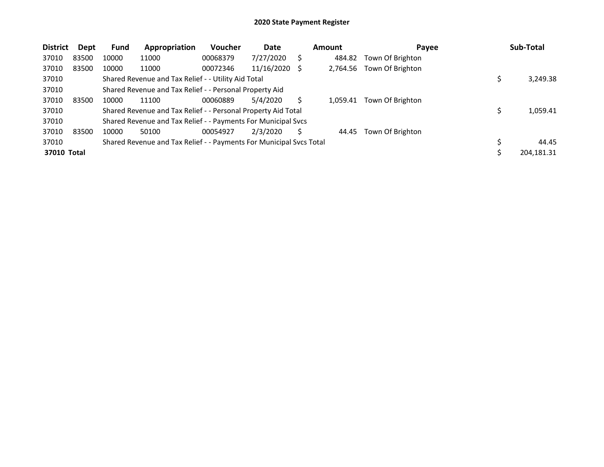| <b>District</b> | Dept  | <b>Fund</b> | Appropriation                                                       | <b>Voucher</b> | Date       |      | <b>Amount</b> | Payee            | Sub-Total   |
|-----------------|-------|-------------|---------------------------------------------------------------------|----------------|------------|------|---------------|------------------|-------------|
| 37010           | 83500 | 10000       | 11000                                                               | 00068379       | 7/27/2020  | S    | 484.82        | Town Of Brighton |             |
| 37010           | 83500 | 10000       | 11000                                                               | 00072346       | 11/16/2020 | - \$ | 2,764.56      | Town Of Brighton |             |
| 37010           |       |             | Shared Revenue and Tax Relief - - Utility Aid Total                 |                |            |      |               |                  | 3,249.38    |
| 37010           |       |             | Shared Revenue and Tax Relief - - Personal Property Aid             |                |            |      |               |                  |             |
| 37010           | 83500 | 10000       | 11100                                                               | 00060889       | 5/4/2020   | S    | 1.059.41      | Town Of Brighton |             |
| 37010           |       |             | Shared Revenue and Tax Relief - - Personal Property Aid Total       |                |            |      |               |                  | 1,059.41    |
| 37010           |       |             | Shared Revenue and Tax Relief - - Payments For Municipal Svcs       |                |            |      |               |                  |             |
| 37010           | 83500 | 10000       | 50100                                                               | 00054927       | 2/3/2020   | S    | 44.45         | Town Of Brighton |             |
| 37010           |       |             | Shared Revenue and Tax Relief - - Payments For Municipal Svcs Total |                |            |      |               |                  | \$<br>44.45 |
| 37010 Total     |       |             |                                                                     |                |            |      |               |                  | 204,181.31  |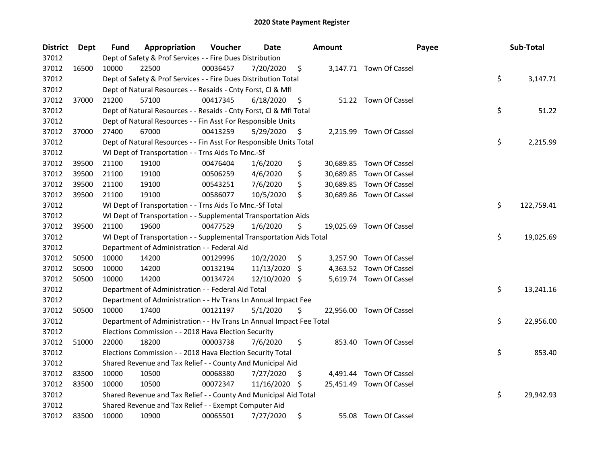| <b>District</b> | Dept  | Fund  | Appropriation                                                        | Voucher  | Date          |     | <b>Amount</b> | Payee                    | Sub-Total        |
|-----------------|-------|-------|----------------------------------------------------------------------|----------|---------------|-----|---------------|--------------------------|------------------|
| 37012           |       |       | Dept of Safety & Prof Services - - Fire Dues Distribution            |          |               |     |               |                          |                  |
| 37012           | 16500 | 10000 | 22500                                                                | 00036457 | 7/20/2020     | \$  |               | 3,147.71 Town Of Cassel  |                  |
| 37012           |       |       | Dept of Safety & Prof Services - - Fire Dues Distribution Total      |          |               |     |               |                          | \$<br>3,147.71   |
| 37012           |       |       | Dept of Natural Resources - - Resaids - Cnty Forst, Cl & Mfl         |          |               |     |               |                          |                  |
| 37012           | 37000 | 21200 | 57100                                                                | 00417345 | 6/18/2020     | \$  |               | 51.22 Town Of Cassel     |                  |
| 37012           |       |       | Dept of Natural Resources - - Resaids - Cnty Forst, Cl & Mfl Total   |          |               |     |               |                          | \$<br>51.22      |
| 37012           |       |       | Dept of Natural Resources - - Fin Asst For Responsible Units         |          |               |     |               |                          |                  |
| 37012           | 37000 | 27400 | 67000                                                                | 00413259 | 5/29/2020     | \$  |               | 2,215.99 Town Of Cassel  |                  |
| 37012           |       |       | Dept of Natural Resources - - Fin Asst For Responsible Units Total   |          |               |     |               |                          | \$<br>2,215.99   |
| 37012           |       |       | WI Dept of Transportation - - Trns Aids To Mnc.-Sf                   |          |               |     |               |                          |                  |
| 37012           | 39500 | 21100 | 19100                                                                | 00476404 | 1/6/2020      | \$  |               | 30,689.85 Town Of Cassel |                  |
| 37012           | 39500 | 21100 | 19100                                                                | 00506259 | 4/6/2020      | \$  |               | 30,689.85 Town Of Cassel |                  |
| 37012           | 39500 | 21100 | 19100                                                                | 00543251 | 7/6/2020      | \$  |               | 30,689.85 Town Of Cassel |                  |
| 37012           | 39500 | 21100 | 19100                                                                | 00586077 | 10/5/2020     | \$  |               | 30,689.86 Town Of Cassel |                  |
| 37012           |       |       | WI Dept of Transportation - - Trns Aids To Mnc.-Sf Total             |          |               |     |               |                          | \$<br>122,759.41 |
| 37012           |       |       | WI Dept of Transportation - - Supplemental Transportation Aids       |          |               |     |               |                          |                  |
| 37012           | 39500 | 21100 | 19600                                                                | 00477529 | 1/6/2020      | \$  |               | 19,025.69 Town Of Cassel |                  |
| 37012           |       |       | WI Dept of Transportation - - Supplemental Transportation Aids Total |          |               |     |               |                          | \$<br>19,025.69  |
| 37012           |       |       | Department of Administration - - Federal Aid                         |          |               |     |               |                          |                  |
| 37012           | 50500 | 10000 | 14200                                                                | 00129996 | 10/2/2020     | \$  |               | 3,257.90 Town Of Cassel  |                  |
| 37012           | 50500 | 10000 | 14200                                                                | 00132194 | 11/13/2020    | -\$ |               | 4,363.52 Town Of Cassel  |                  |
| 37012           | 50500 | 10000 | 14200                                                                | 00134724 | 12/10/2020 \$ |     |               | 5,619.74 Town Of Cassel  |                  |
| 37012           |       |       | Department of Administration - - Federal Aid Total                   |          |               |     |               |                          | \$<br>13,241.16  |
| 37012           |       |       | Department of Administration - - Hv Trans Ln Annual Impact Fee       |          |               |     |               |                          |                  |
| 37012           | 50500 | 10000 | 17400                                                                | 00121197 | 5/1/2020      | \$  |               | 22,956.00 Town Of Cassel |                  |
| 37012           |       |       | Department of Administration - - Hv Trans Ln Annual Impact Fee Total |          |               |     |               |                          | \$<br>22,956.00  |
| 37012           |       |       | Elections Commission - - 2018 Hava Election Security                 |          |               |     |               |                          |                  |
| 37012           | 51000 | 22000 | 18200                                                                | 00003738 | 7/6/2020      | \$  |               | 853.40 Town Of Cassel    |                  |
| 37012           |       |       | Elections Commission - - 2018 Hava Election Security Total           |          |               |     |               |                          | \$<br>853.40     |
| 37012           |       |       | Shared Revenue and Tax Relief - - County And Municipal Aid           |          |               |     |               |                          |                  |
| 37012           | 83500 | 10000 | 10500                                                                | 00068380 | 7/27/2020     | \$. |               | 4,491.44 Town Of Cassel  |                  |
| 37012           | 83500 | 10000 | 10500                                                                | 00072347 | 11/16/2020    | -S  |               | 25,451.49 Town Of Cassel |                  |
| 37012           |       |       | Shared Revenue and Tax Relief - - County And Municipal Aid Total     |          |               |     |               |                          | \$<br>29,942.93  |
| 37012           |       |       | Shared Revenue and Tax Relief - - Exempt Computer Aid                |          |               |     |               |                          |                  |
| 37012           | 83500 | 10000 | 10900                                                                | 00065501 | 7/27/2020     | \$  |               | 55.08 Town Of Cassel     |                  |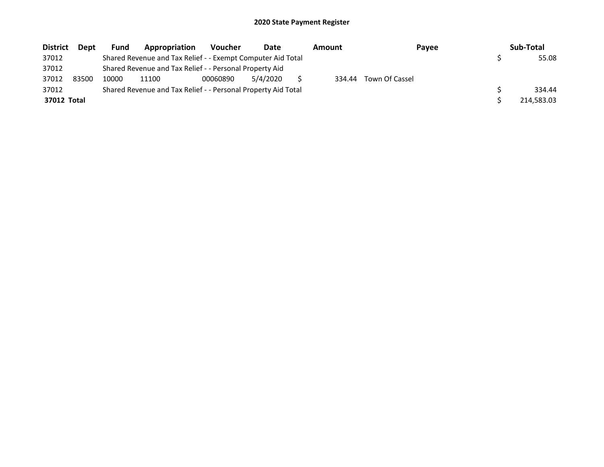| <b>District</b> | <b>Dept</b> | <b>Fund</b> | Appropriation                                                 | <b>Voucher</b> | Date     | Amount | Payee          | Sub-Total  |
|-----------------|-------------|-------------|---------------------------------------------------------------|----------------|----------|--------|----------------|------------|
| 37012           |             |             | Shared Revenue and Tax Relief - - Exempt Computer Aid Total   |                |          |        |                | 55.08      |
| 37012           |             |             | Shared Revenue and Tax Relief - - Personal Property Aid       |                |          |        |                |            |
| 37012           | 83500       | 10000       | 11100                                                         | 00060890       | 5/4/2020 | 334.44 | Town Of Cassel |            |
| 37012           |             |             | Shared Revenue and Tax Relief - - Personal Property Aid Total |                |          |        |                | 334.44     |
| 37012 Total     |             |             |                                                               |                |          |        |                | 214,583.03 |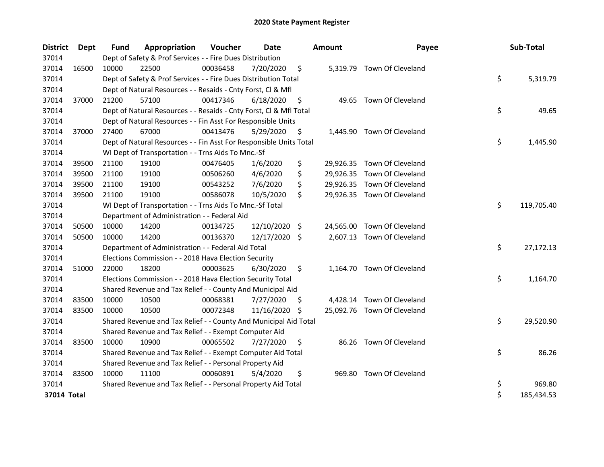| <b>District</b> | <b>Dept</b> | Fund  | Appropriation                                                      | Voucher  | <b>Date</b>   |     | Amount    | Payee                       | Sub-Total        |
|-----------------|-------------|-------|--------------------------------------------------------------------|----------|---------------|-----|-----------|-----------------------------|------------------|
| 37014           |             |       | Dept of Safety & Prof Services - - Fire Dues Distribution          |          |               |     |           |                             |                  |
| 37014           | 16500       | 10000 | 22500                                                              | 00036458 | 7/20/2020     | \$  |           | 5,319.79 Town Of Cleveland  |                  |
| 37014           |             |       | Dept of Safety & Prof Services - - Fire Dues Distribution Total    |          |               |     |           |                             | \$<br>5,319.79   |
| 37014           |             |       | Dept of Natural Resources - - Resaids - Cnty Forst, CI & Mfl       |          |               |     |           |                             |                  |
| 37014           | 37000       | 21200 | 57100                                                              | 00417346 | 6/18/2020     | \$  |           | 49.65 Town Of Cleveland     |                  |
| 37014           |             |       | Dept of Natural Resources - - Resaids - Cnty Forst, Cl & Mfl Total |          |               |     |           |                             | \$<br>49.65      |
| 37014           |             |       | Dept of Natural Resources - - Fin Asst For Responsible Units       |          |               |     |           |                             |                  |
| 37014           | 37000       | 27400 | 67000                                                              | 00413476 | 5/29/2020     | \$  |           | 1,445.90 Town Of Cleveland  |                  |
| 37014           |             |       | Dept of Natural Resources - - Fin Asst For Responsible Units Total |          |               |     |           |                             | \$<br>1,445.90   |
| 37014           |             |       | WI Dept of Transportation - - Trns Aids To Mnc.-Sf                 |          |               |     |           |                             |                  |
| 37014           | 39500       | 21100 | 19100                                                              | 00476405 | 1/6/2020      | \$  |           | 29,926.35 Town Of Cleveland |                  |
| 37014           | 39500       | 21100 | 19100                                                              | 00506260 | 4/6/2020      | \$  |           | 29,926.35 Town Of Cleveland |                  |
| 37014           | 39500       | 21100 | 19100                                                              | 00543252 | 7/6/2020      | \$  |           | 29,926.35 Town Of Cleveland |                  |
| 37014           | 39500       | 21100 | 19100                                                              | 00586078 | 10/5/2020     | \$  |           | 29,926.35 Town Of Cleveland |                  |
| 37014           |             |       | WI Dept of Transportation - - Trns Aids To Mnc.-Sf Total           |          |               |     |           |                             | \$<br>119,705.40 |
| 37014           |             |       | Department of Administration - - Federal Aid                       |          |               |     |           |                             |                  |
| 37014           | 50500       | 10000 | 14200                                                              | 00134725 | 12/10/2020    | \$  | 24,565.00 | Town Of Cleveland           |                  |
| 37014           | 50500       | 10000 | 14200                                                              | 00136370 | 12/17/2020 \$ |     |           | 2,607.13 Town Of Cleveland  |                  |
| 37014           |             |       | Department of Administration - - Federal Aid Total                 |          |               |     |           |                             | \$<br>27,172.13  |
| 37014           |             |       | Elections Commission - - 2018 Hava Election Security               |          |               |     |           |                             |                  |
| 37014           | 51000       | 22000 | 18200                                                              | 00003625 | 6/30/2020     | \$  |           | 1,164.70 Town Of Cleveland  |                  |
| 37014           |             |       | Elections Commission - - 2018 Hava Election Security Total         |          |               |     |           |                             | \$<br>1,164.70   |
| 37014           |             |       | Shared Revenue and Tax Relief - - County And Municipal Aid         |          |               |     |           |                             |                  |
| 37014           | 83500       | 10000 | 10500                                                              | 00068381 | 7/27/2020     | \$. |           | 4,428.14 Town Of Cleveland  |                  |
| 37014           | 83500       | 10000 | 10500                                                              | 00072348 | 11/16/2020    | S   |           | 25,092.76 Town Of Cleveland |                  |
| 37014           |             |       | Shared Revenue and Tax Relief - - County And Municipal Aid Total   |          |               |     |           |                             | \$<br>29,520.90  |
| 37014           |             |       | Shared Revenue and Tax Relief - - Exempt Computer Aid              |          |               |     |           |                             |                  |
| 37014           | 83500       | 10000 | 10900                                                              | 00065502 | 7/27/2020     | \$  | 86.26     | Town Of Cleveland           |                  |
| 37014           |             |       | Shared Revenue and Tax Relief - - Exempt Computer Aid Total        |          |               |     |           |                             | \$<br>86.26      |
| 37014           |             |       | Shared Revenue and Tax Relief - - Personal Property Aid            |          |               |     |           |                             |                  |
| 37014           | 83500       | 10000 | 11100                                                              | 00060891 | 5/4/2020      | \$  | 969.80    | Town Of Cleveland           |                  |
| 37014           |             |       | Shared Revenue and Tax Relief - - Personal Property Aid Total      |          |               |     |           |                             | \$<br>969.80     |
| 37014 Total     |             |       |                                                                    |          |               |     |           |                             | \$<br>185,434.53 |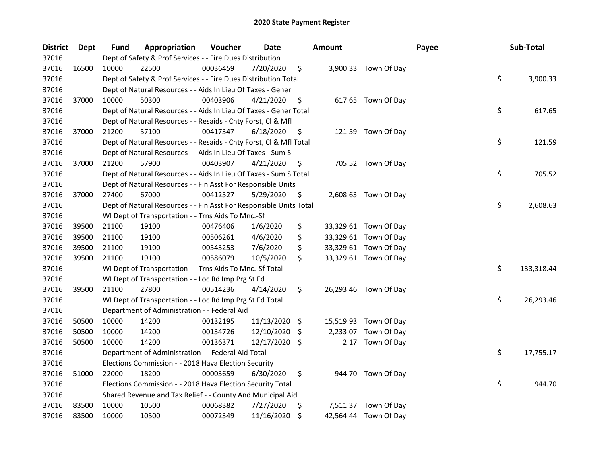| <b>District</b> | <b>Dept</b> | Fund  | Appropriation                                                      | Voucher  | Date       |     | <b>Amount</b> |                       | Payee | Sub-Total        |
|-----------------|-------------|-------|--------------------------------------------------------------------|----------|------------|-----|---------------|-----------------------|-------|------------------|
| 37016           |             |       | Dept of Safety & Prof Services - - Fire Dues Distribution          |          |            |     |               |                       |       |                  |
| 37016           | 16500       | 10000 | 22500                                                              | 00036459 | 7/20/2020  | \$  |               | 3,900.33 Town Of Day  |       |                  |
| 37016           |             |       | Dept of Safety & Prof Services - - Fire Dues Distribution Total    |          |            |     |               |                       |       | \$<br>3,900.33   |
| 37016           |             |       | Dept of Natural Resources - - Aids In Lieu Of Taxes - Gener        |          |            |     |               |                       |       |                  |
| 37016           | 37000       | 10000 | 50300                                                              | 00403906 | 4/21/2020  | \$  |               | 617.65 Town Of Day    |       |                  |
| 37016           |             |       | Dept of Natural Resources - - Aids In Lieu Of Taxes - Gener Total  |          |            |     |               |                       |       | \$<br>617.65     |
| 37016           |             |       | Dept of Natural Resources - - Resaids - Cnty Forst, Cl & Mfl       |          |            |     |               |                       |       |                  |
| 37016           | 37000       | 21200 | 57100                                                              | 00417347 | 6/18/2020  | \$  |               | 121.59 Town Of Day    |       |                  |
| 37016           |             |       | Dept of Natural Resources - - Resaids - Cnty Forst, Cl & Mfl Total |          |            |     |               |                       |       | \$<br>121.59     |
| 37016           |             |       | Dept of Natural Resources - - Aids In Lieu Of Taxes - Sum S        |          |            |     |               |                       |       |                  |
| 37016           | 37000       | 21200 | 57900                                                              | 00403907 | 4/21/2020  | \$  |               | 705.52 Town Of Day    |       |                  |
| 37016           |             |       | Dept of Natural Resources - - Aids In Lieu Of Taxes - Sum S Total  |          |            |     |               |                       |       | \$<br>705.52     |
| 37016           |             |       | Dept of Natural Resources - - Fin Asst For Responsible Units       |          |            |     |               |                       |       |                  |
| 37016           | 37000       | 27400 | 67000                                                              | 00412527 | 5/29/2020  | \$  |               | 2,608.63 Town Of Day  |       |                  |
| 37016           |             |       | Dept of Natural Resources - - Fin Asst For Responsible Units Total |          |            |     |               |                       |       | \$<br>2,608.63   |
| 37016           |             |       | WI Dept of Transportation - - Trns Aids To Mnc.-Sf                 |          |            |     |               |                       |       |                  |
| 37016           | 39500       | 21100 | 19100                                                              | 00476406 | 1/6/2020   | \$  |               | 33,329.61 Town Of Day |       |                  |
| 37016           | 39500       | 21100 | 19100                                                              | 00506261 | 4/6/2020   | \$  |               | 33,329.61 Town Of Day |       |                  |
| 37016           | 39500       | 21100 | 19100                                                              | 00543253 | 7/6/2020   | \$  |               | 33,329.61 Town Of Day |       |                  |
| 37016           | 39500       | 21100 | 19100                                                              | 00586079 | 10/5/2020  | \$  |               | 33,329.61 Town Of Day |       |                  |
| 37016           |             |       | WI Dept of Transportation - - Trns Aids To Mnc.-Sf Total           |          |            |     |               |                       |       | \$<br>133,318.44 |
| 37016           |             |       | WI Dept of Transportation - - Loc Rd Imp Prg St Fd                 |          |            |     |               |                       |       |                  |
| 37016           | 39500       | 21100 | 27800                                                              | 00514236 | 4/14/2020  | \$  |               | 26,293.46 Town Of Day |       |                  |
| 37016           |             |       | WI Dept of Transportation - - Loc Rd Imp Prg St Fd Total           |          |            |     |               |                       |       | \$<br>26,293.46  |
| 37016           |             |       | Department of Administration - - Federal Aid                       |          |            |     |               |                       |       |                  |
| 37016           | 50500       | 10000 | 14200                                                              | 00132195 | 11/13/2020 | \$  |               | 15,519.93 Town Of Day |       |                  |
| 37016           | 50500       | 10000 | 14200                                                              | 00134726 | 12/10/2020 | \$. | 2,233.07      | Town Of Day           |       |                  |
| 37016           | 50500       | 10000 | 14200                                                              | 00136371 | 12/17/2020 | \$  | 2.17          | Town Of Day           |       |                  |
| 37016           |             |       | Department of Administration - - Federal Aid Total                 |          |            |     |               |                       |       | \$<br>17,755.17  |
| 37016           |             |       | Elections Commission - - 2018 Hava Election Security               |          |            |     |               |                       |       |                  |
| 37016           | 51000       | 22000 | 18200                                                              | 00003659 | 6/30/2020  | \$  |               | 944.70 Town Of Day    |       |                  |
| 37016           |             |       | Elections Commission - - 2018 Hava Election Security Total         |          |            |     |               |                       |       | \$<br>944.70     |
| 37016           |             |       | Shared Revenue and Tax Relief - - County And Municipal Aid         |          |            |     |               |                       |       |                  |
| 37016           | 83500       | 10000 | 10500                                                              | 00068382 | 7/27/2020  | \$  |               | 7,511.37 Town Of Day  |       |                  |
| 37016           | 83500       | 10000 | 10500                                                              | 00072349 | 11/16/2020 | \$  |               | 42,564.44 Town Of Day |       |                  |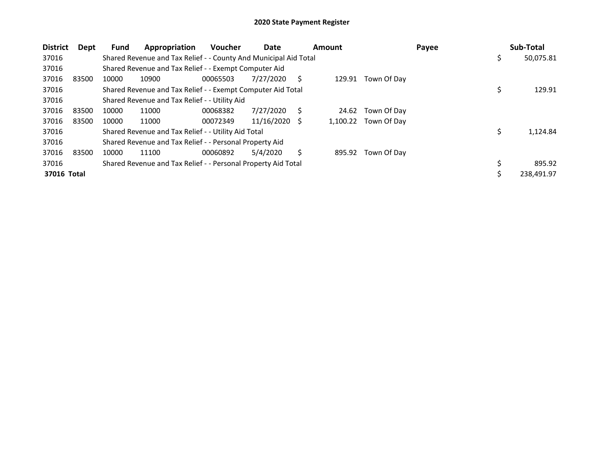| <b>District</b> | <b>Dept</b> | <b>Fund</b> | Appropriation                                                    | <b>Voucher</b> | Date       |    | <b>Amount</b> |             | Payee |     | Sub-Total  |
|-----------------|-------------|-------------|------------------------------------------------------------------|----------------|------------|----|---------------|-------------|-------|-----|------------|
| 37016           |             |             | Shared Revenue and Tax Relief - - County And Municipal Aid Total |                |            |    |               |             |       | Ş   | 50,075.81  |
| 37016           |             |             | Shared Revenue and Tax Relief - - Exempt Computer Aid            |                |            |    |               |             |       |     |            |
| 37016           | 83500       | 10000       | 10900                                                            | 00065503       | 7/27/2020  | S  | 129.91        | Town Of Day |       |     |            |
| 37016           |             |             | Shared Revenue and Tax Relief - - Exempt Computer Aid Total      |                |            |    |               |             |       | \$  | 129.91     |
| 37016           |             |             | Shared Revenue and Tax Relief - - Utility Aid                    |                |            |    |               |             |       |     |            |
| 37016           | 83500       | 10000       | 11000                                                            | 00068382       | 7/27/2020  | S  | 24.62         | Town Of Day |       |     |            |
| 37016           | 83500       | 10000       | 11000                                                            | 00072349       | 11/16/2020 | -S | 1,100.22      | Town Of Day |       |     |            |
| 37016           |             |             | Shared Revenue and Tax Relief - - Utility Aid Total              |                |            |    |               |             |       | \$. | 1,124.84   |
| 37016           |             |             | Shared Revenue and Tax Relief - - Personal Property Aid          |                |            |    |               |             |       |     |            |
| 37016           | 83500       | 10000       | 11100                                                            | 00060892       | 5/4/2020   | Ś  | 895.92        | Town Of Day |       |     |            |
| 37016           |             |             | Shared Revenue and Tax Relief - - Personal Property Aid Total    |                |            |    |               |             |       | S   | 895.92     |
| 37016 Total     |             |             |                                                                  |                |            |    |               |             |       | S   | 238,491.97 |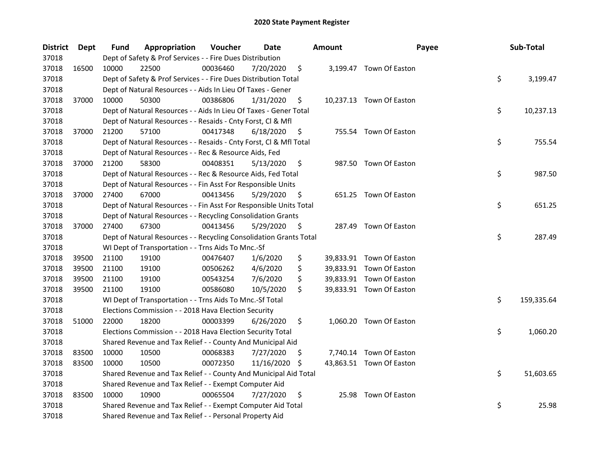| <b>District</b> | <b>Dept</b> | Fund  | Appropriation                                                      | Voucher  | <b>Date</b> |     | <b>Amount</b> | Payee                    | Sub-Total        |
|-----------------|-------------|-------|--------------------------------------------------------------------|----------|-------------|-----|---------------|--------------------------|------------------|
| 37018           |             |       | Dept of Safety & Prof Services - - Fire Dues Distribution          |          |             |     |               |                          |                  |
| 37018           | 16500       | 10000 | 22500                                                              | 00036460 | 7/20/2020   | \$  |               | 3,199.47 Town Of Easton  |                  |
| 37018           |             |       | Dept of Safety & Prof Services - - Fire Dues Distribution Total    |          |             |     |               |                          | \$<br>3,199.47   |
| 37018           |             |       | Dept of Natural Resources - - Aids In Lieu Of Taxes - Gener        |          |             |     |               |                          |                  |
| 37018           | 37000       | 10000 | 50300                                                              | 00386806 | 1/31/2020   | \$  |               | 10,237.13 Town Of Easton |                  |
| 37018           |             |       | Dept of Natural Resources - - Aids In Lieu Of Taxes - Gener Total  |          |             |     |               |                          | \$<br>10,237.13  |
| 37018           |             |       | Dept of Natural Resources - - Resaids - Cnty Forst, Cl & Mfl       |          |             |     |               |                          |                  |
| 37018           | 37000       | 21200 | 57100                                                              | 00417348 | 6/18/2020   | \$  |               | 755.54 Town Of Easton    |                  |
| 37018           |             |       | Dept of Natural Resources - - Resaids - Cnty Forst, Cl & Mfl Total |          |             |     |               |                          | \$<br>755.54     |
| 37018           |             |       | Dept of Natural Resources - - Rec & Resource Aids, Fed             |          |             |     |               |                          |                  |
| 37018           | 37000       | 21200 | 58300                                                              | 00408351 | 5/13/2020   | \$  |               | 987.50 Town Of Easton    |                  |
| 37018           |             |       | Dept of Natural Resources - - Rec & Resource Aids, Fed Total       |          |             |     |               |                          | \$<br>987.50     |
| 37018           |             |       | Dept of Natural Resources - - Fin Asst For Responsible Units       |          |             |     |               |                          |                  |
| 37018           | 37000       | 27400 | 67000                                                              | 00413456 | 5/29/2020   | \$. |               | 651.25 Town Of Easton    |                  |
| 37018           |             |       | Dept of Natural Resources - - Fin Asst For Responsible Units Total |          |             |     |               |                          | \$<br>651.25     |
| 37018           |             |       | Dept of Natural Resources - - Recycling Consolidation Grants       |          |             |     |               |                          |                  |
| 37018           | 37000       | 27400 | 67300                                                              | 00413456 | 5/29/2020   | \$  |               | 287.49 Town Of Easton    |                  |
| 37018           |             |       | Dept of Natural Resources - - Recycling Consolidation Grants Total |          |             |     |               |                          | \$<br>287.49     |
| 37018           |             |       | WI Dept of Transportation - - Trns Aids To Mnc.-Sf                 |          |             |     |               |                          |                  |
| 37018           | 39500       | 21100 | 19100                                                              | 00476407 | 1/6/2020    | \$  |               | 39,833.91 Town Of Easton |                  |
| 37018           | 39500       | 21100 | 19100                                                              | 00506262 | 4/6/2020    | \$  |               | 39,833.91 Town Of Easton |                  |
| 37018           | 39500       | 21100 | 19100                                                              | 00543254 | 7/6/2020    | \$  |               | 39,833.91 Town Of Easton |                  |
| 37018           | 39500       | 21100 | 19100                                                              | 00586080 | 10/5/2020   | \$  |               | 39,833.91 Town Of Easton |                  |
| 37018           |             |       | WI Dept of Transportation - - Trns Aids To Mnc.-Sf Total           |          |             |     |               |                          | \$<br>159,335.64 |
| 37018           |             |       | Elections Commission - - 2018 Hava Election Security               |          |             |     |               |                          |                  |
| 37018           | 51000       | 22000 | 18200                                                              | 00003399 | 6/26/2020   | \$  |               | 1,060.20 Town Of Easton  |                  |
| 37018           |             |       | Elections Commission - - 2018 Hava Election Security Total         |          |             |     |               |                          | \$<br>1,060.20   |
| 37018           |             |       | Shared Revenue and Tax Relief - - County And Municipal Aid         |          |             |     |               |                          |                  |
| 37018           | 83500       | 10000 | 10500                                                              | 00068383 | 7/27/2020   | S   |               | 7,740.14 Town Of Easton  |                  |
| 37018           | 83500       | 10000 | 10500                                                              | 00072350 | 11/16/2020  | \$. |               | 43,863.51 Town Of Easton |                  |
| 37018           |             |       | Shared Revenue and Tax Relief - - County And Municipal Aid Total   |          |             |     |               |                          | \$<br>51,603.65  |
| 37018           |             |       | Shared Revenue and Tax Relief - - Exempt Computer Aid              |          |             |     |               |                          |                  |
| 37018           | 83500       | 10000 | 10900                                                              | 00065504 | 7/27/2020   | \$  |               | 25.98 Town Of Easton     |                  |
| 37018           |             |       | Shared Revenue and Tax Relief - - Exempt Computer Aid Total        |          |             |     |               |                          | \$<br>25.98      |
| 37018           |             |       | Shared Revenue and Tax Relief - - Personal Property Aid            |          |             |     |               |                          |                  |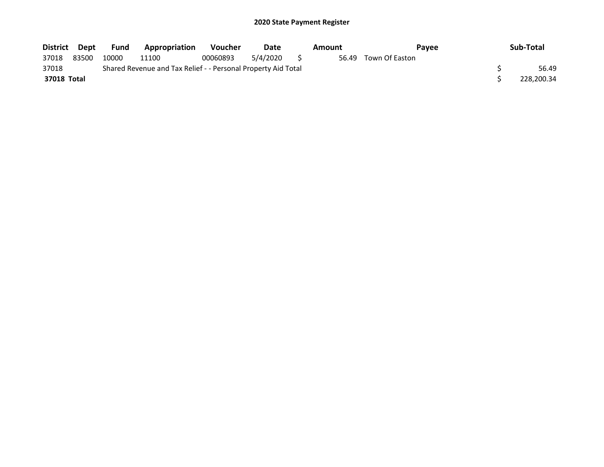| District Dept |       | Fund  | <b>Appropriation</b>                                          | <b>Voucher</b> | Date        | Amount | <b>Pavee</b>         | Sub-Total  |
|---------------|-------|-------|---------------------------------------------------------------|----------------|-------------|--------|----------------------|------------|
| 37018         | 83500 | 10000 | 11100                                                         | 00060893       | 5/4/2020 \$ |        | 56.49 Town Of Easton |            |
| 37018         |       |       | Shared Revenue and Tax Relief - - Personal Property Aid Total |                |             |        |                      | 56.49      |
| 37018 Total   |       |       |                                                               |                |             |        |                      | 228,200.34 |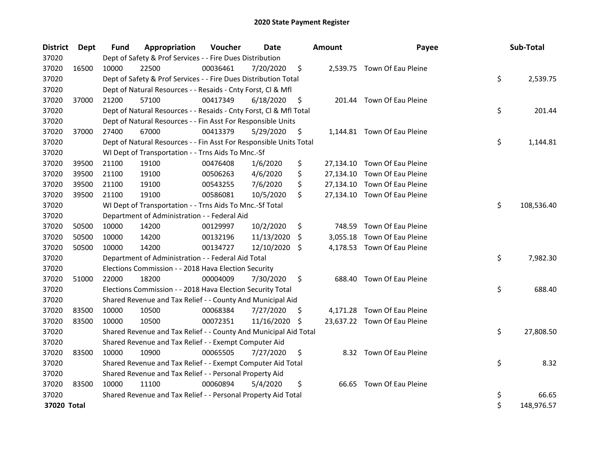| <b>District</b> | Dept  | Fund  | Appropriation                                                      | Voucher  | <b>Date</b> |     | <b>Amount</b> | Payee                        | Sub-Total        |
|-----------------|-------|-------|--------------------------------------------------------------------|----------|-------------|-----|---------------|------------------------------|------------------|
| 37020           |       |       | Dept of Safety & Prof Services - - Fire Dues Distribution          |          |             |     |               |                              |                  |
| 37020           | 16500 | 10000 | 22500                                                              | 00036461 | 7/20/2020   | \$  |               | 2,539.75 Town Of Eau Pleine  |                  |
| 37020           |       |       | Dept of Safety & Prof Services - - Fire Dues Distribution Total    |          |             |     |               |                              | \$<br>2,539.75   |
| 37020           |       |       | Dept of Natural Resources - - Resaids - Cnty Forst, Cl & Mfl       |          |             |     |               |                              |                  |
| 37020           | 37000 | 21200 | 57100                                                              | 00417349 | 6/18/2020   | \$  |               | 201.44 Town Of Eau Pleine    |                  |
| 37020           |       |       | Dept of Natural Resources - - Resaids - Cnty Forst, Cl & Mfl Total |          |             |     |               |                              | \$<br>201.44     |
| 37020           |       |       | Dept of Natural Resources - - Fin Asst For Responsible Units       |          |             |     |               |                              |                  |
| 37020           | 37000 | 27400 | 67000                                                              | 00413379 | 5/29/2020   | \$  |               | 1,144.81 Town Of Eau Pleine  |                  |
| 37020           |       |       | Dept of Natural Resources - - Fin Asst For Responsible Units Total |          |             |     |               |                              | \$<br>1,144.81   |
| 37020           |       |       | WI Dept of Transportation - - Trns Aids To Mnc.-Sf                 |          |             |     |               |                              |                  |
| 37020           | 39500 | 21100 | 19100                                                              | 00476408 | 1/6/2020    | \$  |               | 27,134.10 Town Of Eau Pleine |                  |
| 37020           | 39500 | 21100 | 19100                                                              | 00506263 | 4/6/2020    | \$  |               | 27,134.10 Town Of Eau Pleine |                  |
| 37020           | 39500 | 21100 | 19100                                                              | 00543255 | 7/6/2020    | \$  |               | 27,134.10 Town Of Eau Pleine |                  |
| 37020           | 39500 | 21100 | 19100                                                              | 00586081 | 10/5/2020   | \$  |               | 27,134.10 Town Of Eau Pleine |                  |
| 37020           |       |       | WI Dept of Transportation - - Trns Aids To Mnc.-Sf Total           |          |             |     |               |                              | \$<br>108,536.40 |
| 37020           |       |       | Department of Administration - - Federal Aid                       |          |             |     |               |                              |                  |
| 37020           | 50500 | 10000 | 14200                                                              | 00129997 | 10/2/2020   | \$  | 748.59        | Town Of Eau Pleine           |                  |
| 37020           | 50500 | 10000 | 14200                                                              | 00132196 | 11/13/2020  | S.  | 3,055.18      | Town Of Eau Pleine           |                  |
| 37020           | 50500 | 10000 | 14200                                                              | 00134727 | 12/10/2020  | Ŝ.  |               | 4,178.53 Town Of Eau Pleine  |                  |
| 37020           |       |       | Department of Administration - - Federal Aid Total                 |          |             |     |               |                              | \$<br>7,982.30   |
| 37020           |       |       | Elections Commission - - 2018 Hava Election Security               |          |             |     |               |                              |                  |
| 37020           | 51000 | 22000 | 18200                                                              | 00004009 | 7/30/2020   | \$  | 688.40        | Town Of Eau Pleine           |                  |
| 37020           |       |       | Elections Commission - - 2018 Hava Election Security Total         |          |             |     |               |                              | \$<br>688.40     |
| 37020           |       |       | Shared Revenue and Tax Relief - - County And Municipal Aid         |          |             |     |               |                              |                  |
| 37020           | 83500 | 10000 | 10500                                                              | 00068384 | 7/27/2020   | \$  |               | 4,171.28 Town Of Eau Pleine  |                  |
| 37020           | 83500 | 10000 | 10500                                                              | 00072351 | 11/16/2020  | -\$ |               | 23,637.22 Town Of Eau Pleine |                  |
| 37020           |       |       | Shared Revenue and Tax Relief - - County And Municipal Aid Total   |          |             |     |               |                              | \$<br>27,808.50  |
| 37020           |       |       | Shared Revenue and Tax Relief - - Exempt Computer Aid              |          |             |     |               |                              |                  |
| 37020           | 83500 | 10000 | 10900                                                              | 00065505 | 7/27/2020   | \$  |               | 8.32 Town Of Eau Pleine      |                  |
| 37020           |       |       | Shared Revenue and Tax Relief - - Exempt Computer Aid Total        |          |             |     |               |                              | \$<br>8.32       |
| 37020           |       |       | Shared Revenue and Tax Relief - - Personal Property Aid            |          |             |     |               |                              |                  |
| 37020           | 83500 | 10000 | 11100                                                              | 00060894 | 5/4/2020    | \$  | 66.65         | Town Of Eau Pleine           |                  |
| 37020           |       |       | Shared Revenue and Tax Relief - - Personal Property Aid Total      |          |             |     |               |                              | \$<br>66.65      |
| 37020 Total     |       |       |                                                                    |          |             |     |               |                              | \$<br>148,976.57 |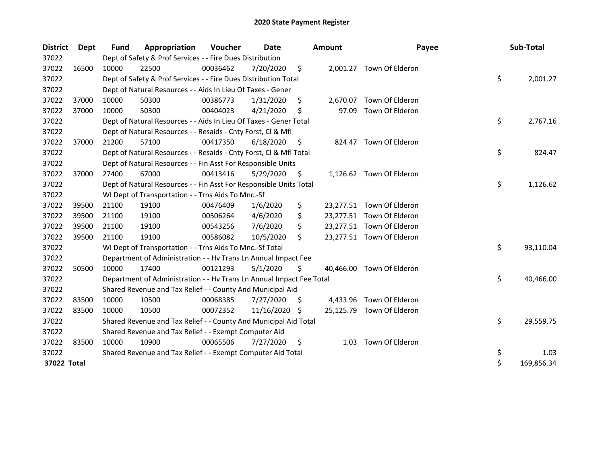| <b>District</b> | Dept  | <b>Fund</b> | Appropriation                                                        | Voucher  | Date       |     | <b>Amount</b> | Payee                     | Sub-Total        |
|-----------------|-------|-------------|----------------------------------------------------------------------|----------|------------|-----|---------------|---------------------------|------------------|
| 37022           |       |             | Dept of Safety & Prof Services - - Fire Dues Distribution            |          |            |     |               |                           |                  |
| 37022           | 16500 | 10000       | 22500                                                                | 00036462 | 7/20/2020  | \$  | 2,001.27      | Town Of Elderon           |                  |
| 37022           |       |             | Dept of Safety & Prof Services - - Fire Dues Distribution Total      |          |            |     |               |                           | \$<br>2,001.27   |
| 37022           |       |             | Dept of Natural Resources - - Aids In Lieu Of Taxes - Gener          |          |            |     |               |                           |                  |
| 37022           | 37000 | 10000       | 50300                                                                | 00386773 | 1/31/2020  | \$  | 2,670.07      | Town Of Elderon           |                  |
| 37022           | 37000 | 10000       | 50300                                                                | 00404023 | 4/21/2020  | S   | 97.09         | Town Of Elderon           |                  |
| 37022           |       |             | Dept of Natural Resources - - Aids In Lieu Of Taxes - Gener Total    |          |            |     |               |                           | \$<br>2,767.16   |
| 37022           |       |             | Dept of Natural Resources - - Resaids - Cnty Forst, Cl & Mfl         |          |            |     |               |                           |                  |
| 37022           | 37000 | 21200       | 57100                                                                | 00417350 | 6/18/2020  | \$, |               | 824.47 Town Of Elderon    |                  |
| 37022           |       |             | Dept of Natural Resources - - Resaids - Cnty Forst, Cl & Mfl Total   |          |            |     |               |                           | \$<br>824.47     |
| 37022           |       |             | Dept of Natural Resources - - Fin Asst For Responsible Units         |          |            |     |               |                           |                  |
| 37022           | 37000 | 27400       | 67000                                                                | 00413416 | 5/29/2020  | \$. |               | 1,126.62 Town Of Elderon  |                  |
| 37022           |       |             | Dept of Natural Resources - - Fin Asst For Responsible Units Total   |          |            |     |               |                           | \$<br>1,126.62   |
| 37022           |       |             | WI Dept of Transportation - - Trns Aids To Mnc.-Sf                   |          |            |     |               |                           |                  |
| 37022           | 39500 | 21100       | 19100                                                                | 00476409 | 1/6/2020   | \$  |               | 23,277.51 Town Of Elderon |                  |
| 37022           | 39500 | 21100       | 19100                                                                | 00506264 | 4/6/2020   | \$  |               | 23,277.51 Town Of Elderon |                  |
| 37022           | 39500 | 21100       | 19100                                                                | 00543256 | 7/6/2020   | \$. |               | 23,277.51 Town Of Elderon |                  |
| 37022           | 39500 | 21100       | 19100                                                                | 00586082 | 10/5/2020  | \$  |               | 23,277.51 Town Of Elderon |                  |
| 37022           |       |             | WI Dept of Transportation - - Trns Aids To Mnc.-Sf Total             |          |            |     |               |                           | \$<br>93,110.04  |
| 37022           |       |             | Department of Administration - - Hv Trans Ln Annual Impact Fee       |          |            |     |               |                           |                  |
| 37022           | 50500 | 10000       | 17400                                                                | 00121293 | 5/1/2020   | \$  |               | 40,466.00 Town Of Elderon |                  |
| 37022           |       |             | Department of Administration - - Hv Trans Ln Annual Impact Fee Total |          |            |     |               |                           | \$<br>40,466.00  |
| 37022           |       |             | Shared Revenue and Tax Relief - - County And Municipal Aid           |          |            |     |               |                           |                  |
| 37022           | 83500 | 10000       | 10500                                                                | 00068385 | 7/27/2020  | S.  |               | 4,433.96 Town Of Elderon  |                  |
| 37022           | 83500 | 10000       | 10500                                                                | 00072352 | 11/16/2020 | -S  |               | 25,125.79 Town Of Elderon |                  |
| 37022           |       |             | Shared Revenue and Tax Relief - - County And Municipal Aid Total     |          |            |     |               |                           | \$<br>29,559.75  |
| 37022           |       |             | Shared Revenue and Tax Relief - - Exempt Computer Aid                |          |            |     |               |                           |                  |
| 37022           | 83500 | 10000       | 10900                                                                | 00065506 | 7/27/2020  | \$  | 1.03          | Town Of Elderon           |                  |
| 37022           |       |             | Shared Revenue and Tax Relief - - Exempt Computer Aid Total          |          |            |     |               |                           | \$<br>1.03       |
| 37022 Total     |       |             |                                                                      |          |            |     |               |                           | \$<br>169,856.34 |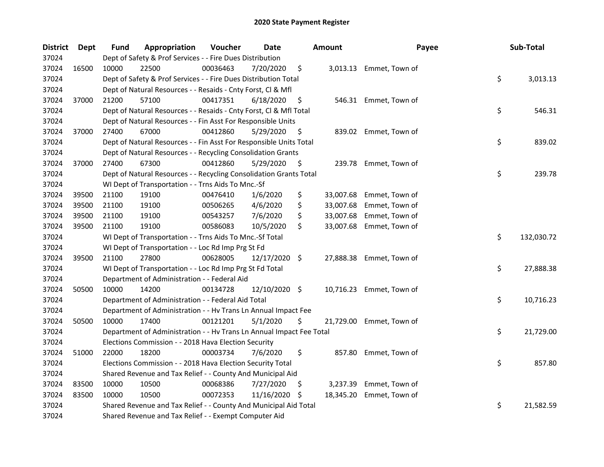| <b>District</b> | Dept  | <b>Fund</b> | Appropriation                                                        | Voucher  | <b>Date</b>   |     | <b>Amount</b> | Payee                    | Sub-Total        |
|-----------------|-------|-------------|----------------------------------------------------------------------|----------|---------------|-----|---------------|--------------------------|------------------|
| 37024           |       |             | Dept of Safety & Prof Services - - Fire Dues Distribution            |          |               |     |               |                          |                  |
| 37024           | 16500 | 10000       | 22500                                                                | 00036463 | 7/20/2020     | \$  |               | 3,013.13 Emmet, Town of  |                  |
| 37024           |       |             | Dept of Safety & Prof Services - - Fire Dues Distribution Total      |          |               |     |               |                          | \$<br>3,013.13   |
| 37024           |       |             | Dept of Natural Resources - - Resaids - Cnty Forst, Cl & Mfl         |          |               |     |               |                          |                  |
| 37024           | 37000 | 21200       | 57100                                                                | 00417351 | 6/18/2020     | \$  |               | 546.31 Emmet, Town of    |                  |
| 37024           |       |             | Dept of Natural Resources - - Resaids - Cnty Forst, Cl & Mfl Total   |          |               |     |               |                          | \$<br>546.31     |
| 37024           |       |             | Dept of Natural Resources - - Fin Asst For Responsible Units         |          |               |     |               |                          |                  |
| 37024           | 37000 | 27400       | 67000                                                                | 00412860 | 5/29/2020     | \$  |               | 839.02 Emmet, Town of    |                  |
| 37024           |       |             | Dept of Natural Resources - - Fin Asst For Responsible Units Total   |          |               |     |               |                          | \$<br>839.02     |
| 37024           |       |             | Dept of Natural Resources - - Recycling Consolidation Grants         |          |               |     |               |                          |                  |
| 37024           | 37000 | 27400       | 67300                                                                | 00412860 | 5/29/2020     | \$  |               | 239.78 Emmet, Town of    |                  |
| 37024           |       |             | Dept of Natural Resources - - Recycling Consolidation Grants Total   |          |               |     |               |                          | \$<br>239.78     |
| 37024           |       |             | WI Dept of Transportation - - Trns Aids To Mnc.-Sf                   |          |               |     |               |                          |                  |
| 37024           | 39500 | 21100       | 19100                                                                | 00476410 | 1/6/2020      | \$  | 33,007.68     | Emmet, Town of           |                  |
| 37024           | 39500 | 21100       | 19100                                                                | 00506265 | 4/6/2020      | \$  | 33,007.68     | Emmet, Town of           |                  |
| 37024           | 39500 | 21100       | 19100                                                                | 00543257 | 7/6/2020      | \$  | 33,007.68     | Emmet, Town of           |                  |
| 37024           | 39500 | 21100       | 19100                                                                | 00586083 | 10/5/2020     | \$  | 33,007.68     | Emmet, Town of           |                  |
| 37024           |       |             | WI Dept of Transportation - - Trns Aids To Mnc.-Sf Total             |          |               |     |               |                          | \$<br>132,030.72 |
| 37024           |       |             | WI Dept of Transportation - - Loc Rd Imp Prg St Fd                   |          |               |     |               |                          |                  |
| 37024           | 39500 | 21100       | 27800                                                                | 00628005 | 12/17/2020 \$ |     | 27,888.38     | Emmet, Town of           |                  |
| 37024           |       |             | WI Dept of Transportation - - Loc Rd Imp Prg St Fd Total             |          |               |     |               |                          | \$<br>27,888.38  |
| 37024           |       |             | Department of Administration - - Federal Aid                         |          |               |     |               |                          |                  |
| 37024           | 50500 | 10000       | 14200                                                                | 00134728 | 12/10/2020 \$ |     |               | 10,716.23 Emmet, Town of |                  |
| 37024           |       |             | Department of Administration - - Federal Aid Total                   |          |               |     |               |                          | \$<br>10,716.23  |
| 37024           |       |             | Department of Administration - - Hv Trans Ln Annual Impact Fee       |          |               |     |               |                          |                  |
| 37024           | 50500 | 10000       | 17400                                                                | 00121201 | 5/1/2020      | \$  |               | 21,729.00 Emmet, Town of |                  |
| 37024           |       |             | Department of Administration - - Hv Trans Ln Annual Impact Fee Total |          |               |     |               |                          | \$<br>21,729.00  |
| 37024           |       |             | Elections Commission - - 2018 Hava Election Security                 |          |               |     |               |                          |                  |
| 37024           | 51000 | 22000       | 18200                                                                | 00003734 | 7/6/2020      | \$  | 857.80        | Emmet, Town of           |                  |
| 37024           |       |             | Elections Commission - - 2018 Hava Election Security Total           |          |               |     |               |                          | \$<br>857.80     |
| 37024           |       |             | Shared Revenue and Tax Relief - - County And Municipal Aid           |          |               |     |               |                          |                  |
| 37024           | 83500 | 10000       | 10500                                                                | 00068386 | 7/27/2020     | Ş   | 3,237.39      | Emmet, Town of           |                  |
| 37024           | 83500 | 10000       | 10500                                                                | 00072353 | 11/16/2020    | \$. | 18,345.20     | Emmet, Town of           |                  |
| 37024           |       |             | Shared Revenue and Tax Relief - - County And Municipal Aid Total     |          |               |     |               |                          | \$<br>21,582.59  |
| 37024           |       |             | Shared Revenue and Tax Relief - - Exempt Computer Aid                |          |               |     |               |                          |                  |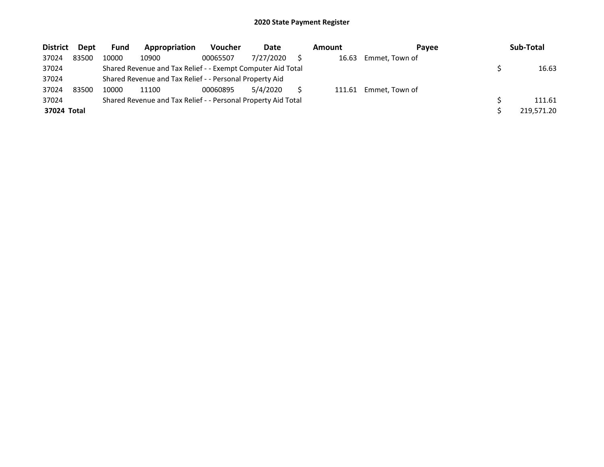| <b>District</b> | <b>Dept</b> | Fund  | Appropriation                                                 | <b>Voucher</b> | Date      | Amount | Pavee          | Sub-Total  |
|-----------------|-------------|-------|---------------------------------------------------------------|----------------|-----------|--------|----------------|------------|
| 37024           | 83500       | 10000 | 10900                                                         | 00065507       | 7/27/2020 | 16.63  | Emmet, Town of |            |
| 37024           |             |       | Shared Revenue and Tax Relief - - Exempt Computer Aid Total   |                |           |        |                | 16.63      |
| 37024           |             |       | Shared Revenue and Tax Relief - - Personal Property Aid       |                |           |        |                |            |
| 37024           | 83500       | 10000 | 11100                                                         | 00060895       | 5/4/2020  | 111.61 | Emmet, Town of |            |
| 37024           |             |       | Shared Revenue and Tax Relief - - Personal Property Aid Total |                |           |        |                | 111.61     |
| 37024 Total     |             |       |                                                               |                |           |        |                | 219,571.20 |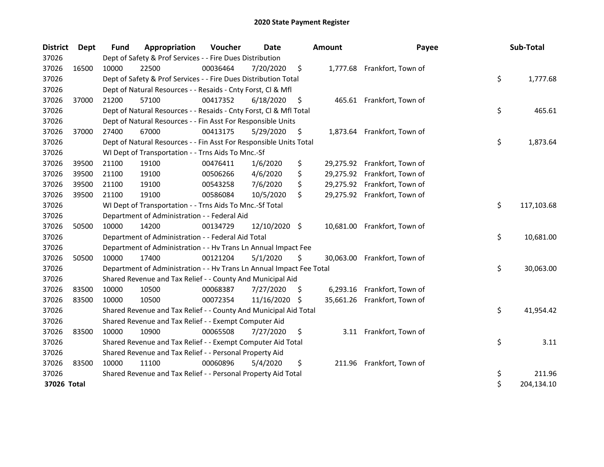| <b>District</b> | Dept  | <b>Fund</b> | Appropriation                                                        | Voucher  | Date          |     | <b>Amount</b> | Payee                        | Sub-Total        |
|-----------------|-------|-------------|----------------------------------------------------------------------|----------|---------------|-----|---------------|------------------------------|------------------|
| 37026           |       |             | Dept of Safety & Prof Services - - Fire Dues Distribution            |          |               |     |               |                              |                  |
| 37026           | 16500 | 10000       | 22500                                                                | 00036464 | 7/20/2020     | \$  |               | 1,777.68 Frankfort, Town of  |                  |
| 37026           |       |             | Dept of Safety & Prof Services - - Fire Dues Distribution Total      |          |               |     |               |                              | \$<br>1,777.68   |
| 37026           |       |             | Dept of Natural Resources - - Resaids - Cnty Forst, Cl & Mfl         |          |               |     |               |                              |                  |
| 37026           | 37000 | 21200       | 57100                                                                | 00417352 | 6/18/2020     | \$  |               | 465.61 Frankfort, Town of    |                  |
| 37026           |       |             | Dept of Natural Resources - - Resaids - Cnty Forst, CI & Mfl Total   |          |               |     |               |                              | \$<br>465.61     |
| 37026           |       |             | Dept of Natural Resources - - Fin Asst For Responsible Units         |          |               |     |               |                              |                  |
| 37026           | 37000 | 27400       | 67000                                                                | 00413175 | 5/29/2020     | \$  | 1,873.64      | Frankfort, Town of           |                  |
| 37026           |       |             | Dept of Natural Resources - - Fin Asst For Responsible Units Total   |          |               |     |               |                              | \$<br>1,873.64   |
| 37026           |       |             | WI Dept of Transportation - - Trns Aids To Mnc.-Sf                   |          |               |     |               |                              |                  |
| 37026           | 39500 | 21100       | 19100                                                                | 00476411 | 1/6/2020      | \$  |               | 29,275.92 Frankfort, Town of |                  |
| 37026           | 39500 | 21100       | 19100                                                                | 00506266 | 4/6/2020      | \$  |               | 29,275.92 Frankfort, Town of |                  |
| 37026           | 39500 | 21100       | 19100                                                                | 00543258 | 7/6/2020      | \$  |               | 29,275.92 Frankfort, Town of |                  |
| 37026           | 39500 | 21100       | 19100                                                                | 00586084 | 10/5/2020     | \$  |               | 29,275.92 Frankfort, Town of |                  |
| 37026           |       |             | WI Dept of Transportation - - Trns Aids To Mnc.-Sf Total             |          |               |     |               |                              | \$<br>117,103.68 |
| 37026           |       |             | Department of Administration - - Federal Aid                         |          |               |     |               |                              |                  |
| 37026           | 50500 | 10000       | 14200                                                                | 00134729 | 12/10/2020 \$ |     |               | 10,681.00 Frankfort, Town of |                  |
| 37026           |       |             | Department of Administration - - Federal Aid Total                   |          |               |     |               |                              | \$<br>10,681.00  |
| 37026           |       |             | Department of Administration - - Hv Trans Ln Annual Impact Fee       |          |               |     |               |                              |                  |
| 37026           | 50500 | 10000       | 17400                                                                | 00121204 | 5/1/2020      | \$  |               | 30,063.00 Frankfort, Town of |                  |
| 37026           |       |             | Department of Administration - - Hv Trans Ln Annual Impact Fee Total |          |               |     |               |                              | \$<br>30,063.00  |
| 37026           |       |             | Shared Revenue and Tax Relief - - County And Municipal Aid           |          |               |     |               |                              |                  |
| 37026           | 83500 | 10000       | 10500                                                                | 00068387 | 7/27/2020     | \$. | 6,293.16      | Frankfort, Town of           |                  |
| 37026           | 83500 | 10000       | 10500                                                                | 00072354 | 11/16/2020    | S.  |               | 35,661.26 Frankfort, Town of |                  |
| 37026           |       |             | Shared Revenue and Tax Relief - - County And Municipal Aid Total     |          |               |     |               |                              | \$<br>41,954.42  |
| 37026           |       |             | Shared Revenue and Tax Relief - - Exempt Computer Aid                |          |               |     |               |                              |                  |
| 37026           | 83500 | 10000       | 10900                                                                | 00065508 | 7/27/2020     | \$  |               | 3.11 Frankfort, Town of      |                  |
| 37026           |       |             | Shared Revenue and Tax Relief - - Exempt Computer Aid Total          |          |               |     |               |                              | \$<br>3.11       |
| 37026           |       |             | Shared Revenue and Tax Relief - - Personal Property Aid              |          |               |     |               |                              |                  |
| 37026           | 83500 | 10000       | 11100                                                                | 00060896 | 5/4/2020      | \$  | 211.96        | Frankfort, Town of           |                  |
| 37026           |       |             | Shared Revenue and Tax Relief - - Personal Property Aid Total        |          |               |     |               |                              | \$<br>211.96     |
| 37026 Total     |       |             |                                                                      |          |               |     |               |                              | \$<br>204,134.10 |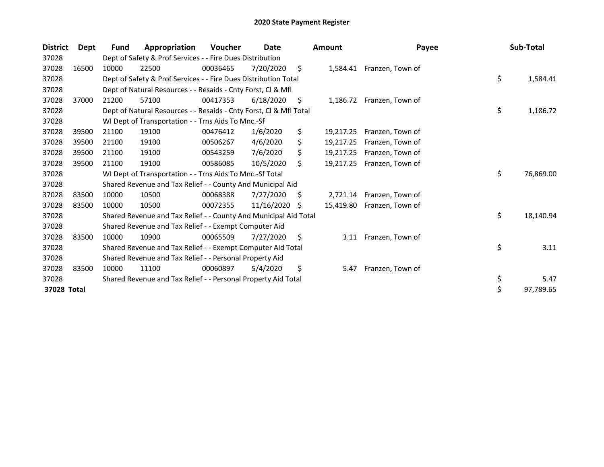| <b>District</b> | Dept  | Fund  | Appropriation                                                      | Voucher  | Date       |    | <b>Amount</b> | Payee                     | Sub-Total       |
|-----------------|-------|-------|--------------------------------------------------------------------|----------|------------|----|---------------|---------------------------|-----------------|
| 37028           |       |       | Dept of Safety & Prof Services - - Fire Dues Distribution          |          |            |    |               |                           |                 |
| 37028           | 16500 | 10000 | 22500                                                              | 00036465 | 7/20/2020  | \$ |               | 1,584.41 Franzen, Town of |                 |
| 37028           |       |       | Dept of Safety & Prof Services - - Fire Dues Distribution Total    |          |            |    |               |                           | \$<br>1,584.41  |
| 37028           |       |       | Dept of Natural Resources - - Resaids - Cnty Forst, CI & Mfl       |          |            |    |               |                           |                 |
| 37028           | 37000 | 21200 | 57100                                                              | 00417353 | 6/18/2020  | S  |               | 1,186.72 Franzen, Town of |                 |
| 37028           |       |       | Dept of Natural Resources - - Resaids - Cnty Forst, CI & Mfl Total |          |            |    |               |                           | \$<br>1,186.72  |
| 37028           |       |       | WI Dept of Transportation - - Trns Aids To Mnc.-Sf                 |          |            |    |               |                           |                 |
| 37028           | 39500 | 21100 | 19100                                                              | 00476412 | 1/6/2020   | \$ | 19,217.25     | Franzen, Town of          |                 |
| 37028           | 39500 | 21100 | 19100                                                              | 00506267 | 4/6/2020   | \$ | 19,217.25     | Franzen, Town of          |                 |
| 37028           | 39500 | 21100 | 19100                                                              | 00543259 | 7/6/2020   | \$ | 19,217.25     | Franzen, Town of          |                 |
| 37028           | 39500 | 21100 | 19100                                                              | 00586085 | 10/5/2020  | \$ | 19.217.25     | Franzen, Town of          |                 |
| 37028           |       |       | WI Dept of Transportation - - Trns Aids To Mnc.-Sf Total           |          |            |    |               |                           | \$<br>76,869.00 |
| 37028           |       |       | Shared Revenue and Tax Relief - - County And Municipal Aid         |          |            |    |               |                           |                 |
| 37028           | 83500 | 10000 | 10500                                                              | 00068388 | 7/27/2020  | S  |               | 2,721.14 Franzen, Town of |                 |
| 37028           | 83500 | 10000 | 10500                                                              | 00072355 | 11/16/2020 | S  | 15,419.80     | Franzen, Town of          |                 |
| 37028           |       |       | Shared Revenue and Tax Relief - - County And Municipal Aid Total   |          |            |    |               |                           | \$<br>18,140.94 |
| 37028           |       |       | Shared Revenue and Tax Relief - - Exempt Computer Aid              |          |            |    |               |                           |                 |
| 37028           | 83500 | 10000 | 10900                                                              | 00065509 | 7/27/2020  | \$ | 3.11          | Franzen, Town of          |                 |
| 37028           |       |       | Shared Revenue and Tax Relief - - Exempt Computer Aid Total        |          |            |    |               |                           | \$<br>3.11      |
| 37028           |       |       | Shared Revenue and Tax Relief - - Personal Property Aid            |          |            |    |               |                           |                 |
| 37028           | 83500 | 10000 | 11100                                                              | 00060897 | 5/4/2020   | \$ | 5.47          | Franzen, Town of          |                 |
| 37028           |       |       | Shared Revenue and Tax Relief - - Personal Property Aid Total      |          |            |    |               |                           | \$<br>5.47      |
| 37028 Total     |       |       |                                                                    |          |            |    |               |                           | \$<br>97,789.65 |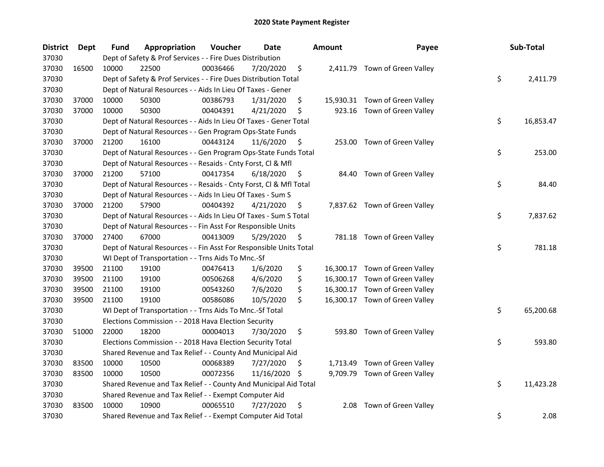| <b>District</b> | <b>Dept</b> | Fund  | Appropriation                                                      | Voucher  | Date       |     | <b>Amount</b> | Payee                          | Sub-Total       |
|-----------------|-------------|-------|--------------------------------------------------------------------|----------|------------|-----|---------------|--------------------------------|-----------------|
| 37030           |             |       | Dept of Safety & Prof Services - - Fire Dues Distribution          |          |            |     |               |                                |                 |
| 37030           | 16500       | 10000 | 22500                                                              | 00036466 | 7/20/2020  | \$  |               | 2,411.79 Town of Green Valley  |                 |
| 37030           |             |       | Dept of Safety & Prof Services - - Fire Dues Distribution Total    |          |            |     |               |                                | \$<br>2,411.79  |
| 37030           |             |       | Dept of Natural Resources - - Aids In Lieu Of Taxes - Gener        |          |            |     |               |                                |                 |
| 37030           | 37000       | 10000 | 50300                                                              | 00386793 | 1/31/2020  | \$  |               | 15,930.31 Town of Green Valley |                 |
| 37030           | 37000       | 10000 | 50300                                                              | 00404391 | 4/21/2020  | \$  |               | 923.16 Town of Green Valley    |                 |
| 37030           |             |       | Dept of Natural Resources - - Aids In Lieu Of Taxes - Gener Total  |          |            |     |               |                                | \$<br>16,853.47 |
| 37030           |             |       | Dept of Natural Resources - - Gen Program Ops-State Funds          |          |            |     |               |                                |                 |
| 37030           | 37000       | 21200 | 16100                                                              | 00443124 | 11/6/2020  | \$  |               | 253.00 Town of Green Valley    |                 |
| 37030           |             |       | Dept of Natural Resources - - Gen Program Ops-State Funds Total    |          |            |     |               |                                | \$<br>253.00    |
| 37030           |             |       | Dept of Natural Resources - - Resaids - Cnty Forst, Cl & Mfl       |          |            |     |               |                                |                 |
| 37030           | 37000       | 21200 | 57100                                                              | 00417354 | 6/18/2020  | \$  | 84.40         | Town of Green Valley           |                 |
| 37030           |             |       | Dept of Natural Resources - - Resaids - Cnty Forst, Cl & Mfl Total |          |            |     |               |                                | \$<br>84.40     |
| 37030           |             |       | Dept of Natural Resources - - Aids In Lieu Of Taxes - Sum S        |          |            |     |               |                                |                 |
| 37030           | 37000       | 21200 | 57900                                                              | 00404392 | 4/21/2020  | \$  |               | 7,837.62 Town of Green Valley  |                 |
| 37030           |             |       | Dept of Natural Resources - - Aids In Lieu Of Taxes - Sum S Total  |          |            |     |               |                                | \$<br>7,837.62  |
| 37030           |             |       | Dept of Natural Resources - - Fin Asst For Responsible Units       |          |            |     |               |                                |                 |
| 37030           | 37000       | 27400 | 67000                                                              | 00413009 | 5/29/2020  | \$  |               | 781.18 Town of Green Valley    |                 |
| 37030           |             |       | Dept of Natural Resources - - Fin Asst For Responsible Units Total |          |            |     |               |                                | \$<br>781.18    |
| 37030           |             |       | WI Dept of Transportation - - Trns Aids To Mnc.-Sf                 |          |            |     |               |                                |                 |
| 37030           | 39500       | 21100 | 19100                                                              | 00476413 | 1/6/2020   | \$  |               | 16,300.17 Town of Green Valley |                 |
| 37030           | 39500       | 21100 | 19100                                                              | 00506268 | 4/6/2020   | \$  |               | 16,300.17 Town of Green Valley |                 |
| 37030           | 39500       | 21100 | 19100                                                              | 00543260 | 7/6/2020   | \$  |               | 16,300.17 Town of Green Valley |                 |
| 37030           | 39500       | 21100 | 19100                                                              | 00586086 | 10/5/2020  | \$  |               | 16,300.17 Town of Green Valley |                 |
| 37030           |             |       | WI Dept of Transportation - - Trns Aids To Mnc.-Sf Total           |          |            |     |               |                                | \$<br>65,200.68 |
| 37030           |             |       | Elections Commission - - 2018 Hava Election Security               |          |            |     |               |                                |                 |
| 37030           | 51000       | 22000 | 18200                                                              | 00004013 | 7/30/2020  | \$  |               | 593.80 Town of Green Valley    |                 |
| 37030           |             |       | Elections Commission - - 2018 Hava Election Security Total         |          |            |     |               |                                | \$<br>593.80    |
| 37030           |             |       | Shared Revenue and Tax Relief - - County And Municipal Aid         |          |            |     |               |                                |                 |
| 37030           | 83500       | 10000 | 10500                                                              | 00068389 | 7/27/2020  | \$  |               | 1,713.49 Town of Green Valley  |                 |
| 37030           | 83500       | 10000 | 10500                                                              | 00072356 | 11/16/2020 | \$. |               | 9,709.79 Town of Green Valley  |                 |
| 37030           |             |       | Shared Revenue and Tax Relief - - County And Municipal Aid Total   |          |            |     |               |                                | \$<br>11,423.28 |
| 37030           |             |       | Shared Revenue and Tax Relief - - Exempt Computer Aid              |          |            |     |               |                                |                 |
| 37030           | 83500       | 10000 | 10900                                                              | 00065510 | 7/27/2020  | \$  | 2.08          | Town of Green Valley           |                 |
| 37030           |             |       | Shared Revenue and Tax Relief - - Exempt Computer Aid Total        |          |            |     |               |                                | \$<br>2.08      |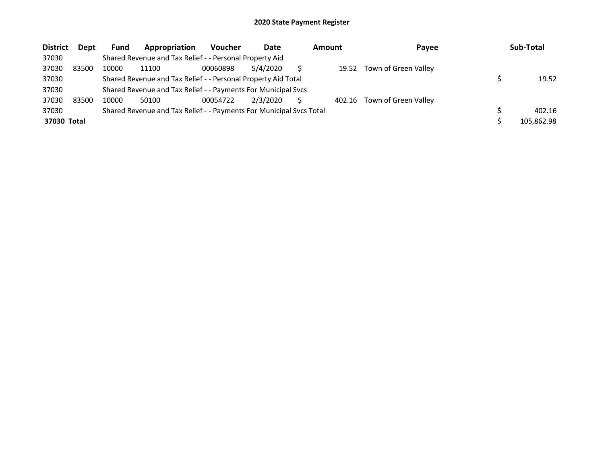| <b>District</b> | <b>Dept</b> | Fund  | Appropriation                                                       | Voucher  | Date     | Amount | Payee                       | Sub-Total  |
|-----------------|-------------|-------|---------------------------------------------------------------------|----------|----------|--------|-----------------------------|------------|
| 37030           |             |       | Shared Revenue and Tax Relief - - Personal Property Aid             |          |          |        |                             |            |
| 37030           | 83500       | 10000 | 11100                                                               | 00060898 | 5/4/2020 | 19.52  | Town of Green Valley        |            |
| 37030           |             |       | Shared Revenue and Tax Relief - - Personal Property Aid Total       |          |          |        |                             | 19.52      |
| 37030           |             |       | Shared Revenue and Tax Relief - - Payments For Municipal Svcs       |          |          |        |                             |            |
| 37030           | 83500       | 10000 | 50100                                                               | 00054722 | 2/3/2020 |        | 402.16 Town of Green Valley |            |
| 37030           |             |       | Shared Revenue and Tax Relief - - Payments For Municipal Svcs Total |          |          |        |                             | 402.16     |
| 37030 Total     |             |       |                                                                     |          |          |        |                             | 105,862.98 |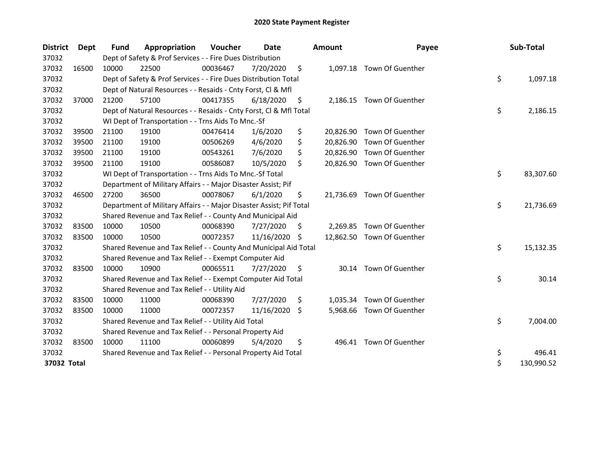| <b>District</b> | Dept  | <b>Fund</b> | Appropriation                                                       | Voucher  | Date       |     | <b>Amount</b> | Payee                      | Sub-Total        |
|-----------------|-------|-------------|---------------------------------------------------------------------|----------|------------|-----|---------------|----------------------------|------------------|
| 37032           |       |             | Dept of Safety & Prof Services - - Fire Dues Distribution           |          |            |     |               |                            |                  |
| 37032           | 16500 | 10000       | 22500                                                               | 00036467 | 7/20/2020  | \$  |               | 1,097.18 Town Of Guenther  |                  |
| 37032           |       |             | Dept of Safety & Prof Services - - Fire Dues Distribution Total     |          |            |     |               |                            | \$<br>1,097.18   |
| 37032           |       |             | Dept of Natural Resources - - Resaids - Cnty Forst, Cl & Mfl        |          |            |     |               |                            |                  |
| 37032           | 37000 | 21200       | 57100                                                               | 00417355 | 6/18/2020  | \$. | 2,186.15      | Town Of Guenther           |                  |
| 37032           |       |             | Dept of Natural Resources - - Resaids - Cnty Forst, Cl & Mfl Total  |          |            |     |               |                            | \$<br>2,186.15   |
| 37032           |       |             | WI Dept of Transportation - - Trns Aids To Mnc.-Sf                  |          |            |     |               |                            |                  |
| 37032           | 39500 | 21100       | 19100                                                               | 00476414 | 1/6/2020   | \$  | 20,826.90     | Town Of Guenther           |                  |
| 37032           | 39500 | 21100       | 19100                                                               | 00506269 | 4/6/2020   | \$  | 20,826.90     | Town Of Guenther           |                  |
| 37032           | 39500 | 21100       | 19100                                                               | 00543261 | 7/6/2020   | \$  | 20,826.90     | Town Of Guenther           |                  |
| 37032           | 39500 | 21100       | 19100                                                               | 00586087 | 10/5/2020  | \$  | 20,826.90     | Town Of Guenther           |                  |
| 37032           |       |             | WI Dept of Transportation - - Trns Aids To Mnc.-Sf Total            |          |            |     |               |                            | \$<br>83,307.60  |
| 37032           |       |             | Department of Military Affairs - - Major Disaster Assist; Pif       |          |            |     |               |                            |                  |
| 37032           | 46500 | 27200       | 36500                                                               | 00078067 | 6/1/2020   | \$  |               | 21,736.69 Town Of Guenther |                  |
| 37032           |       |             | Department of Military Affairs - - Major Disaster Assist; Pif Total |          |            |     |               |                            | \$<br>21,736.69  |
| 37032           |       |             | Shared Revenue and Tax Relief - - County And Municipal Aid          |          |            |     |               |                            |                  |
| 37032           | 83500 | 10000       | 10500                                                               | 00068390 | 7/27/2020  | \$. | 2,269.85      | Town Of Guenther           |                  |
| 37032           | 83500 | 10000       | 10500                                                               | 00072357 | 11/16/2020 | \$. | 12,862.50     | Town Of Guenther           |                  |
| 37032           |       |             | Shared Revenue and Tax Relief - - County And Municipal Aid Total    |          |            |     |               |                            | \$<br>15,132.35  |
| 37032           |       |             | Shared Revenue and Tax Relief - - Exempt Computer Aid               |          |            |     |               |                            |                  |
| 37032           | 83500 | 10000       | 10900                                                               | 00065511 | 7/27/2020  | \$  |               | 30.14 Town Of Guenther     |                  |
| 37032           |       |             | Shared Revenue and Tax Relief - - Exempt Computer Aid Total         |          |            |     |               |                            | \$<br>30.14      |
| 37032           |       |             | Shared Revenue and Tax Relief - - Utility Aid                       |          |            |     |               |                            |                  |
| 37032           | 83500 | 10000       | 11000                                                               | 00068390 | 7/27/2020  | \$  | 1,035.34      | Town Of Guenther           |                  |
| 37032           | 83500 | 10000       | 11000                                                               | 00072357 | 11/16/2020 | \$  | 5,968.66      | Town Of Guenther           |                  |
| 37032           |       |             | Shared Revenue and Tax Relief - - Utility Aid Total                 |          |            |     |               |                            | \$<br>7,004.00   |
| 37032           |       |             | Shared Revenue and Tax Relief - - Personal Property Aid             |          |            |     |               |                            |                  |
| 37032           | 83500 | 10000       | 11100                                                               | 00060899 | 5/4/2020   | \$  | 496.41        | Town Of Guenther           |                  |
| 37032           |       |             | Shared Revenue and Tax Relief - - Personal Property Aid Total       |          |            |     |               |                            | \$<br>496.41     |
| 37032 Total     |       |             |                                                                     |          |            |     |               |                            | \$<br>130,990.52 |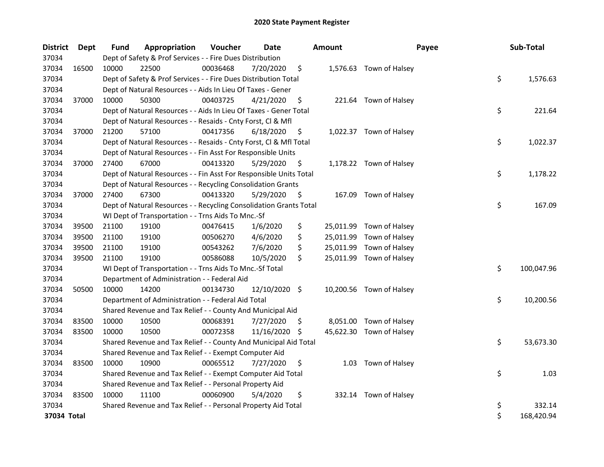| <b>District</b> | Dept  | Fund  | Appropriation                                                      | Voucher  | Date          |     | <b>Amount</b> | Payee                    | Sub-Total        |
|-----------------|-------|-------|--------------------------------------------------------------------|----------|---------------|-----|---------------|--------------------------|------------------|
| 37034           |       |       | Dept of Safety & Prof Services - - Fire Dues Distribution          |          |               |     |               |                          |                  |
| 37034           | 16500 | 10000 | 22500                                                              | 00036468 | 7/20/2020     | \$  |               | 1,576.63 Town of Halsey  |                  |
| 37034           |       |       | Dept of Safety & Prof Services - - Fire Dues Distribution Total    |          |               |     |               |                          | \$<br>1,576.63   |
| 37034           |       |       | Dept of Natural Resources - - Aids In Lieu Of Taxes - Gener        |          |               |     |               |                          |                  |
| 37034           | 37000 | 10000 | 50300                                                              | 00403725 | 4/21/2020     | \$  |               | 221.64 Town of Halsey    |                  |
| 37034           |       |       | Dept of Natural Resources - - Aids In Lieu Of Taxes - Gener Total  |          |               |     |               |                          | \$<br>221.64     |
| 37034           |       |       | Dept of Natural Resources - - Resaids - Cnty Forst, Cl & Mfl       |          |               |     |               |                          |                  |
| 37034           | 37000 | 21200 | 57100                                                              | 00417356 | 6/18/2020     | \$  |               | 1,022.37 Town of Halsey  |                  |
| 37034           |       |       | Dept of Natural Resources - - Resaids - Cnty Forst, Cl & Mfl Total |          |               |     |               |                          | \$<br>1,022.37   |
| 37034           |       |       | Dept of Natural Resources - - Fin Asst For Responsible Units       |          |               |     |               |                          |                  |
| 37034           | 37000 | 27400 | 67000                                                              | 00413320 | 5/29/2020     | \$, |               | 1,178.22 Town of Halsey  |                  |
| 37034           |       |       | Dept of Natural Resources - - Fin Asst For Responsible Units Total |          |               |     |               |                          | \$<br>1,178.22   |
| 37034           |       |       | Dept of Natural Resources - - Recycling Consolidation Grants       |          |               |     |               |                          |                  |
| 37034           | 37000 | 27400 | 67300                                                              | 00413320 | 5/29/2020     | \$, |               | 167.09 Town of Halsey    |                  |
| 37034           |       |       | Dept of Natural Resources - - Recycling Consolidation Grants Total |          |               |     |               |                          | \$<br>167.09     |
| 37034           |       |       | WI Dept of Transportation - - Trns Aids To Mnc.-Sf                 |          |               |     |               |                          |                  |
| 37034           | 39500 | 21100 | 19100                                                              | 00476415 | 1/6/2020      | \$  |               | 25,011.99 Town of Halsey |                  |
| 37034           | 39500 | 21100 | 19100                                                              | 00506270 | 4/6/2020      | \$  |               | 25,011.99 Town of Halsey |                  |
| 37034           | 39500 | 21100 | 19100                                                              | 00543262 | 7/6/2020      | \$  |               | 25,011.99 Town of Halsey |                  |
| 37034           | 39500 | 21100 | 19100                                                              | 00586088 | 10/5/2020     | \$  |               | 25,011.99 Town of Halsey |                  |
| 37034           |       |       | WI Dept of Transportation - - Trns Aids To Mnc.-Sf Total           |          |               |     |               |                          | \$<br>100,047.96 |
| 37034           |       |       | Department of Administration - - Federal Aid                       |          |               |     |               |                          |                  |
| 37034           | 50500 | 10000 | 14200                                                              | 00134730 | 12/10/2020 \$ |     |               | 10,200.56 Town of Halsey |                  |
| 37034           |       |       | Department of Administration - - Federal Aid Total                 |          |               |     |               |                          | \$<br>10,200.56  |
| 37034           |       |       | Shared Revenue and Tax Relief - - County And Municipal Aid         |          |               |     |               |                          |                  |
| 37034           | 83500 | 10000 | 10500                                                              | 00068391 | 7/27/2020     | S   |               | 8,051.00 Town of Halsey  |                  |
| 37034           | 83500 | 10000 | 10500                                                              | 00072358 | 11/16/2020 \$ |     |               | 45,622.30 Town of Halsey |                  |
| 37034           |       |       | Shared Revenue and Tax Relief - - County And Municipal Aid Total   |          |               |     |               |                          | \$<br>53,673.30  |
| 37034           |       |       | Shared Revenue and Tax Relief - - Exempt Computer Aid              |          |               |     |               |                          |                  |
| 37034           | 83500 | 10000 | 10900                                                              | 00065512 | 7/27/2020     | \$  |               | 1.03 Town of Halsey      |                  |
| 37034           |       |       | Shared Revenue and Tax Relief - - Exempt Computer Aid Total        |          |               |     |               |                          | \$<br>1.03       |
| 37034           |       |       | Shared Revenue and Tax Relief - - Personal Property Aid            |          |               |     |               |                          |                  |
| 37034           | 83500 | 10000 | 11100                                                              | 00060900 | 5/4/2020      | \$  |               | 332.14 Town of Halsey    |                  |
| 37034           |       |       | Shared Revenue and Tax Relief - - Personal Property Aid Total      |          |               |     |               |                          | \$<br>332.14     |
| 37034 Total     |       |       |                                                                    |          |               |     |               |                          | \$<br>168,420.94 |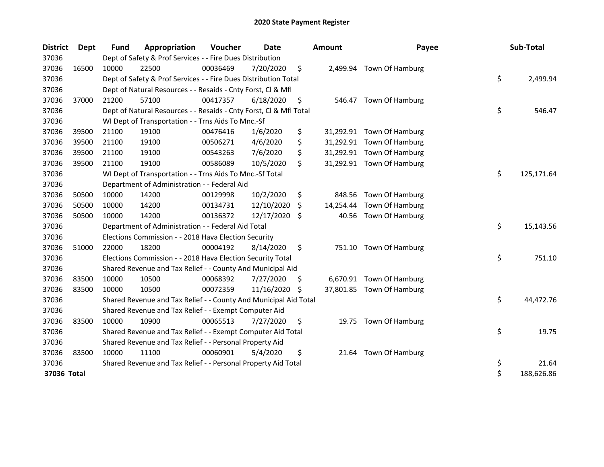| <b>District</b> | Dept  | <b>Fund</b> | Appropriation                                                      | Voucher  | <b>Date</b>   | <b>Amount</b>   | Payee                     | Sub-Total        |
|-----------------|-------|-------------|--------------------------------------------------------------------|----------|---------------|-----------------|---------------------------|------------------|
| 37036           |       |             | Dept of Safety & Prof Services - - Fire Dues Distribution          |          |               |                 |                           |                  |
| 37036           | 16500 | 10000       | 22500                                                              | 00036469 | 7/20/2020     | \$              | 2,499.94 Town Of Hamburg  |                  |
| 37036           |       |             | Dept of Safety & Prof Services - - Fire Dues Distribution Total    |          |               |                 |                           | \$<br>2,499.94   |
| 37036           |       |             | Dept of Natural Resources - - Resaids - Cnty Forst, Cl & Mfl       |          |               |                 |                           |                  |
| 37036           | 37000 | 21200       | 57100                                                              | 00417357 | 6/18/2020     | \$              | 546.47 Town Of Hamburg    |                  |
| 37036           |       |             | Dept of Natural Resources - - Resaids - Cnty Forst, Cl & Mfl Total |          |               |                 |                           | \$<br>546.47     |
| 37036           |       |             | WI Dept of Transportation - - Trns Aids To Mnc.-Sf                 |          |               |                 |                           |                  |
| 37036           | 39500 | 21100       | 19100                                                              | 00476416 | 1/6/2020      | \$              | 31,292.91 Town Of Hamburg |                  |
| 37036           | 39500 | 21100       | 19100                                                              | 00506271 | 4/6/2020      | \$              | 31,292.91 Town Of Hamburg |                  |
| 37036           | 39500 | 21100       | 19100                                                              | 00543263 | 7/6/2020      | \$              | 31,292.91 Town Of Hamburg |                  |
| 37036           | 39500 | 21100       | 19100                                                              | 00586089 | 10/5/2020     | \$              | 31,292.91 Town Of Hamburg |                  |
| 37036           |       |             | WI Dept of Transportation - - Trns Aids To Mnc.-Sf Total           |          |               |                 |                           | \$<br>125,171.64 |
| 37036           |       |             | Department of Administration - - Federal Aid                       |          |               |                 |                           |                  |
| 37036           | 50500 | 10000       | 14200                                                              | 00129998 | 10/2/2020     | \$<br>848.56    | Town Of Hamburg           |                  |
| 37036           | 50500 | 10000       | 14200                                                              | 00134731 | 12/10/2020    | \$<br>14,254.44 | Town Of Hamburg           |                  |
| 37036           | 50500 | 10000       | 14200                                                              | 00136372 | 12/17/2020    | \$<br>40.56     | Town Of Hamburg           |                  |
| 37036           |       |             | Department of Administration - - Federal Aid Total                 |          |               |                 |                           | \$<br>15,143.56  |
| 37036           |       |             | Elections Commission - - 2018 Hava Election Security               |          |               |                 |                           |                  |
| 37036           | 51000 | 22000       | 18200                                                              | 00004192 | 8/14/2020     | \$              | 751.10 Town Of Hamburg    |                  |
| 37036           |       |             | Elections Commission - - 2018 Hava Election Security Total         |          |               |                 |                           | \$<br>751.10     |
| 37036           |       |             | Shared Revenue and Tax Relief - - County And Municipal Aid         |          |               |                 |                           |                  |
| 37036           | 83500 | 10000       | 10500                                                              | 00068392 | 7/27/2020     | \$              | 6,670.91 Town Of Hamburg  |                  |
| 37036           | 83500 | 10000       | 10500                                                              | 00072359 | 11/16/2020 \$ |                 | 37,801.85 Town Of Hamburg |                  |
| 37036           |       |             | Shared Revenue and Tax Relief - - County And Municipal Aid Total   |          |               |                 |                           | \$<br>44,472.76  |
| 37036           |       |             | Shared Revenue and Tax Relief - - Exempt Computer Aid              |          |               |                 |                           |                  |
| 37036           | 83500 | 10000       | 10900                                                              | 00065513 | 7/27/2020     | \$              | 19.75 Town Of Hamburg     |                  |
| 37036           |       |             | Shared Revenue and Tax Relief - - Exempt Computer Aid Total        |          |               |                 |                           | \$<br>19.75      |
| 37036           |       |             | Shared Revenue and Tax Relief - - Personal Property Aid            |          |               |                 |                           |                  |
| 37036           | 83500 | 10000       | 11100                                                              | 00060901 | 5/4/2020      | \$              | 21.64 Town Of Hamburg     |                  |
| 37036           |       |             | Shared Revenue and Tax Relief - - Personal Property Aid Total      |          |               |                 |                           | \$<br>21.64      |
| 37036 Total     |       |             |                                                                    |          |               |                 |                           | \$<br>188,626.86 |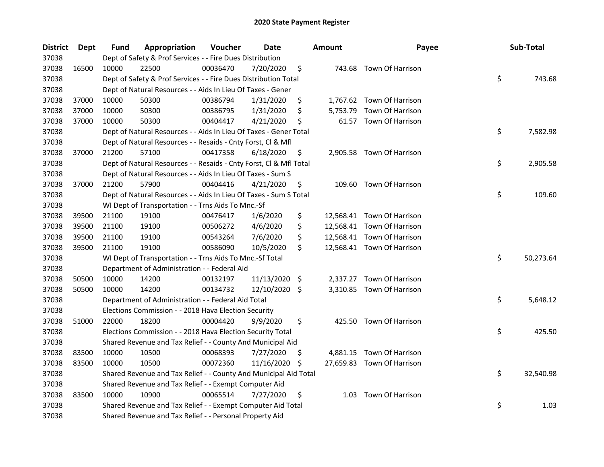| <b>District</b> | <b>Dept</b> | Fund  | Appropriation                                                      | Voucher  | <b>Date</b>   |      | <b>Amount</b> | Payee                      | Sub-Total       |
|-----------------|-------------|-------|--------------------------------------------------------------------|----------|---------------|------|---------------|----------------------------|-----------------|
| 37038           |             |       | Dept of Safety & Prof Services - - Fire Dues Distribution          |          |               |      |               |                            |                 |
| 37038           | 16500       | 10000 | 22500                                                              | 00036470 | 7/20/2020     | \$   |               | 743.68 Town Of Harrison    |                 |
| 37038           |             |       | Dept of Safety & Prof Services - - Fire Dues Distribution Total    |          |               |      |               |                            | \$<br>743.68    |
| 37038           |             |       | Dept of Natural Resources - - Aids In Lieu Of Taxes - Gener        |          |               |      |               |                            |                 |
| 37038           | 37000       | 10000 | 50300                                                              | 00386794 | 1/31/2020     | \$   |               | 1,767.62 Town Of Harrison  |                 |
| 37038           | 37000       | 10000 | 50300                                                              | 00386795 | 1/31/2020     | \$   | 5,753.79      | Town Of Harrison           |                 |
| 37038           | 37000       | 10000 | 50300                                                              | 00404417 | 4/21/2020     | \$   |               | 61.57 Town Of Harrison     |                 |
| 37038           |             |       | Dept of Natural Resources - - Aids In Lieu Of Taxes - Gener Total  |          |               |      |               |                            | \$<br>7,582.98  |
| 37038           |             |       | Dept of Natural Resources - - Resaids - Cnty Forst, Cl & Mfl       |          |               |      |               |                            |                 |
| 37038           | 37000       | 21200 | 57100                                                              | 00417358 | 6/18/2020     | \$,  |               | 2,905.58 Town Of Harrison  |                 |
| 37038           |             |       | Dept of Natural Resources - - Resaids - Cnty Forst, Cl & Mfl Total |          |               |      |               |                            | \$<br>2,905.58  |
| 37038           |             |       | Dept of Natural Resources - - Aids In Lieu Of Taxes - Sum S        |          |               |      |               |                            |                 |
| 37038           | 37000       | 21200 | 57900                                                              | 00404416 | 4/21/2020     | \$   | 109.60        | Town Of Harrison           |                 |
| 37038           |             |       | Dept of Natural Resources - - Aids In Lieu Of Taxes - Sum S Total  |          |               |      |               |                            | \$<br>109.60    |
| 37038           |             |       | WI Dept of Transportation - - Trns Aids To Mnc.-Sf                 |          |               |      |               |                            |                 |
| 37038           | 39500       | 21100 | 19100                                                              | 00476417 | 1/6/2020      | \$   |               | 12,568.41 Town Of Harrison |                 |
| 37038           | 39500       | 21100 | 19100                                                              | 00506272 | 4/6/2020      | \$   |               | 12,568.41 Town Of Harrison |                 |
| 37038           | 39500       | 21100 | 19100                                                              | 00543264 | 7/6/2020      | \$   |               | 12,568.41 Town Of Harrison |                 |
| 37038           | 39500       | 21100 | 19100                                                              | 00586090 | 10/5/2020     | \$   |               | 12,568.41 Town Of Harrison |                 |
| 37038           |             |       | WI Dept of Transportation - - Trns Aids To Mnc.-Sf Total           |          |               |      |               |                            | \$<br>50,273.64 |
| 37038           |             |       | Department of Administration - - Federal Aid                       |          |               |      |               |                            |                 |
| 37038           | 50500       | 10000 | 14200                                                              | 00132197 | 11/13/2020    | - \$ |               | 2,337.27 Town Of Harrison  |                 |
| 37038           | 50500       | 10000 | 14200                                                              | 00134732 | 12/10/2020 \$ |      |               | 3,310.85 Town Of Harrison  |                 |
| 37038           |             |       | Department of Administration - - Federal Aid Total                 |          |               |      |               |                            | \$<br>5,648.12  |
| 37038           |             |       | Elections Commission - - 2018 Hava Election Security               |          |               |      |               |                            |                 |
| 37038           | 51000       | 22000 | 18200                                                              | 00004420 | 9/9/2020      | \$   |               | 425.50 Town Of Harrison    |                 |
| 37038           |             |       | Elections Commission - - 2018 Hava Election Security Total         |          |               |      |               |                            | \$<br>425.50    |
| 37038           |             |       | Shared Revenue and Tax Relief - - County And Municipal Aid         |          |               |      |               |                            |                 |
| 37038           | 83500       | 10000 | 10500                                                              | 00068393 | 7/27/2020     | Ş    |               | 4,881.15 Town Of Harrison  |                 |
| 37038           | 83500       | 10000 | 10500                                                              | 00072360 | 11/16/2020    | \$.  |               | 27,659.83 Town Of Harrison |                 |
| 37038           |             |       | Shared Revenue and Tax Relief - - County And Municipal Aid Total   |          |               |      |               |                            | \$<br>32,540.98 |
| 37038           |             |       | Shared Revenue and Tax Relief - - Exempt Computer Aid              |          |               |      |               |                            |                 |
| 37038           | 83500       | 10000 | 10900                                                              | 00065514 | 7/27/2020     | \$   | 1.03          | Town Of Harrison           |                 |
| 37038           |             |       | Shared Revenue and Tax Relief - - Exempt Computer Aid Total        |          |               |      |               |                            | \$<br>1.03      |
| 37038           |             |       | Shared Revenue and Tax Relief - - Personal Property Aid            |          |               |      |               |                            |                 |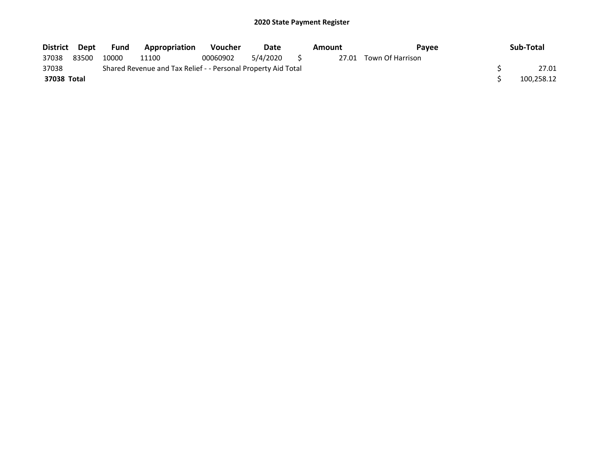| District Dept |       | Fund  | <b>Appropriation</b>                                          | <b>Voucher</b> | Date        | Amount | <b>Pavee</b>           | Sub-Total  |
|---------------|-------|-------|---------------------------------------------------------------|----------------|-------------|--------|------------------------|------------|
| 37038         | 83500 | 10000 | 11100                                                         | 00060902       | 5/4/2020 \$ |        | 27.01 Town Of Harrison |            |
| 37038         |       |       | Shared Revenue and Tax Relief - - Personal Property Aid Total |                |             |        |                        | 27.01      |
| 37038 Total   |       |       |                                                               |                |             |        |                        | 100,258.12 |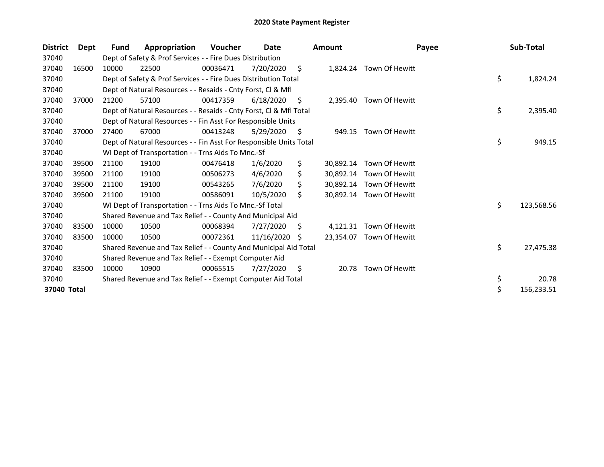| <b>District</b> | Dept  | Fund  | Appropriation                                                      | Voucher  | Date       |    | <b>Amount</b> | Payee                    | Sub-Total        |
|-----------------|-------|-------|--------------------------------------------------------------------|----------|------------|----|---------------|--------------------------|------------------|
| 37040           |       |       | Dept of Safety & Prof Services - - Fire Dues Distribution          |          |            |    |               |                          |                  |
| 37040           | 16500 | 10000 | 22500                                                              | 00036471 | 7/20/2020  | \$ |               | 1,824.24 Town Of Hewitt  |                  |
| 37040           |       |       | Dept of Safety & Prof Services - - Fire Dues Distribution Total    |          |            |    |               |                          | \$<br>1,824.24   |
| 37040           |       |       | Dept of Natural Resources - - Resaids - Cnty Forst, CI & Mfl       |          |            |    |               |                          |                  |
| 37040           | 37000 | 21200 | 57100                                                              | 00417359 | 6/18/2020  | S  | 2,395.40      | Town Of Hewitt           |                  |
| 37040           |       |       | Dept of Natural Resources - - Resaids - Cnty Forst, Cl & Mfl Total |          |            |    |               |                          | \$<br>2,395.40   |
| 37040           |       |       | Dept of Natural Resources - - Fin Asst For Responsible Units       |          |            |    |               |                          |                  |
| 37040           | 37000 | 27400 | 67000                                                              | 00413248 | 5/29/2020  | S  | 949.15        | Town Of Hewitt           |                  |
| 37040           |       |       | Dept of Natural Resources - - Fin Asst For Responsible Units Total |          |            |    |               |                          | \$<br>949.15     |
| 37040           |       |       | WI Dept of Transportation - - Trns Aids To Mnc.-Sf                 |          |            |    |               |                          |                  |
| 37040           | 39500 | 21100 | 19100                                                              | 00476418 | 1/6/2020   | \$ | 30,892.14     | Town Of Hewitt           |                  |
| 37040           | 39500 | 21100 | 19100                                                              | 00506273 | 4/6/2020   | \$ |               | 30,892.14 Town Of Hewitt |                  |
| 37040           | 39500 | 21100 | 19100                                                              | 00543265 | 7/6/2020   | Ś. |               | 30,892.14 Town Of Hewitt |                  |
| 37040           | 39500 | 21100 | 19100                                                              | 00586091 | 10/5/2020  | Ś. |               | 30,892.14 Town Of Hewitt |                  |
| 37040           |       |       | WI Dept of Transportation - - Trns Aids To Mnc.-Sf Total           |          |            |    |               |                          | \$<br>123,568.56 |
| 37040           |       |       | Shared Revenue and Tax Relief - - County And Municipal Aid         |          |            |    |               |                          |                  |
| 37040           | 83500 | 10000 | 10500                                                              | 00068394 | 7/27/2020  | \$ | 4,121.31      | Town Of Hewitt           |                  |
| 37040           | 83500 | 10000 | 10500                                                              | 00072361 | 11/16/2020 | S  | 23,354.07     | Town Of Hewitt           |                  |
| 37040           |       |       | Shared Revenue and Tax Relief - - County And Municipal Aid Total   |          |            |    |               |                          | \$<br>27,475.38  |
| 37040           |       |       | Shared Revenue and Tax Relief - - Exempt Computer Aid              |          |            |    |               |                          |                  |
| 37040           | 83500 | 10000 | 10900                                                              | 00065515 | 7/27/2020  | \$ | 20.78         | Town Of Hewitt           |                  |
| 37040           |       |       | Shared Revenue and Tax Relief - - Exempt Computer Aid Total        |          |            |    |               |                          | \$<br>20.78      |
| 37040 Total     |       |       |                                                                    |          |            |    |               |                          | \$<br>156,233.51 |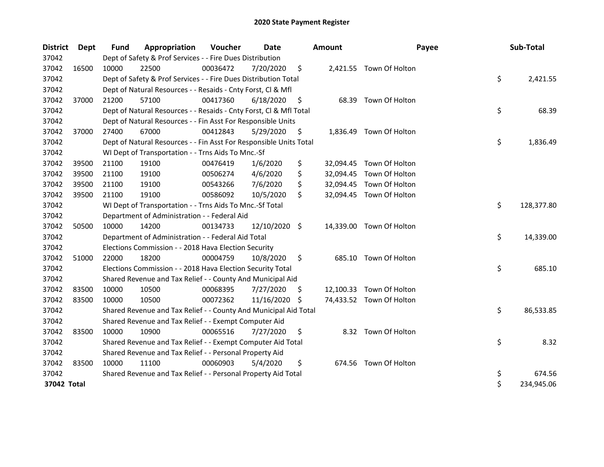| <b>District</b> | Dept  | Fund  | Appropriation                                                      | Voucher  | Date          |     | <b>Amount</b> | Payee                    | Sub-Total        |
|-----------------|-------|-------|--------------------------------------------------------------------|----------|---------------|-----|---------------|--------------------------|------------------|
| 37042           |       |       | Dept of Safety & Prof Services - - Fire Dues Distribution          |          |               |     |               |                          |                  |
| 37042           | 16500 | 10000 | 22500                                                              | 00036472 | 7/20/2020     | \$  |               | 2,421.55 Town Of Holton  |                  |
| 37042           |       |       | Dept of Safety & Prof Services - - Fire Dues Distribution Total    |          |               |     |               |                          | \$<br>2,421.55   |
| 37042           |       |       | Dept of Natural Resources - - Resaids - Cnty Forst, CI & Mfl       |          |               |     |               |                          |                  |
| 37042           | 37000 | 21200 | 57100                                                              | 00417360 | 6/18/2020     | \$. | 68.39         | Town Of Holton           |                  |
| 37042           |       |       | Dept of Natural Resources - - Resaids - Cnty Forst, CI & Mfl Total |          |               |     |               |                          | \$<br>68.39      |
| 37042           |       |       | Dept of Natural Resources - - Fin Asst For Responsible Units       |          |               |     |               |                          |                  |
| 37042           | 37000 | 27400 | 67000                                                              | 00412843 | 5/29/2020     | \$  | 1,836.49      | Town Of Holton           |                  |
| 37042           |       |       | Dept of Natural Resources - - Fin Asst For Responsible Units Total |          |               |     |               |                          | \$<br>1,836.49   |
| 37042           |       |       | WI Dept of Transportation - - Trns Aids To Mnc.-Sf                 |          |               |     |               |                          |                  |
| 37042           | 39500 | 21100 | 19100                                                              | 00476419 | 1/6/2020      | \$  |               | 32,094.45 Town Of Holton |                  |
| 37042           | 39500 | 21100 | 19100                                                              | 00506274 | 4/6/2020      | \$  |               | 32,094.45 Town Of Holton |                  |
| 37042           | 39500 | 21100 | 19100                                                              | 00543266 | 7/6/2020      | \$  |               | 32,094.45 Town Of Holton |                  |
| 37042           | 39500 | 21100 | 19100                                                              | 00586092 | 10/5/2020     | \$  |               | 32,094.45 Town Of Holton |                  |
| 37042           |       |       | WI Dept of Transportation - - Trns Aids To Mnc.-Sf Total           |          |               |     |               |                          | \$<br>128,377.80 |
| 37042           |       |       | Department of Administration - - Federal Aid                       |          |               |     |               |                          |                  |
| 37042           | 50500 | 10000 | 14200                                                              | 00134733 | 12/10/2020 \$ |     |               | 14,339.00 Town Of Holton |                  |
| 37042           |       |       | Department of Administration - - Federal Aid Total                 |          |               |     |               |                          | \$<br>14,339.00  |
| 37042           |       |       | Elections Commission - - 2018 Hava Election Security               |          |               |     |               |                          |                  |
| 37042           | 51000 | 22000 | 18200                                                              | 00004759 | 10/8/2020     | \$  |               | 685.10 Town Of Holton    |                  |
| 37042           |       |       | Elections Commission - - 2018 Hava Election Security Total         |          |               |     |               |                          | \$<br>685.10     |
| 37042           |       |       | Shared Revenue and Tax Relief - - County And Municipal Aid         |          |               |     |               |                          |                  |
| 37042           | 83500 | 10000 | 10500                                                              | 00068395 | 7/27/2020     | \$. |               | 12,100.33 Town Of Holton |                  |
| 37042           | 83500 | 10000 | 10500                                                              | 00072362 | 11/16/2020    | -\$ |               | 74,433.52 Town Of Holton |                  |
| 37042           |       |       | Shared Revenue and Tax Relief - - County And Municipal Aid Total   |          |               |     |               |                          | \$<br>86,533.85  |
| 37042           |       |       | Shared Revenue and Tax Relief - - Exempt Computer Aid              |          |               |     |               |                          |                  |
| 37042           | 83500 | 10000 | 10900                                                              | 00065516 | 7/27/2020     | \$  |               | 8.32 Town Of Holton      |                  |
| 37042           |       |       | Shared Revenue and Tax Relief - - Exempt Computer Aid Total        |          |               |     |               |                          | \$<br>8.32       |
| 37042           |       |       | Shared Revenue and Tax Relief - - Personal Property Aid            |          |               |     |               |                          |                  |
| 37042           | 83500 | 10000 | 11100                                                              | 00060903 | 5/4/2020      | \$  |               | 674.56 Town Of Holton    |                  |
| 37042           |       |       | Shared Revenue and Tax Relief - - Personal Property Aid Total      |          |               |     |               |                          | \$<br>674.56     |
| 37042 Total     |       |       |                                                                    |          |               |     |               |                          | \$<br>234,945.06 |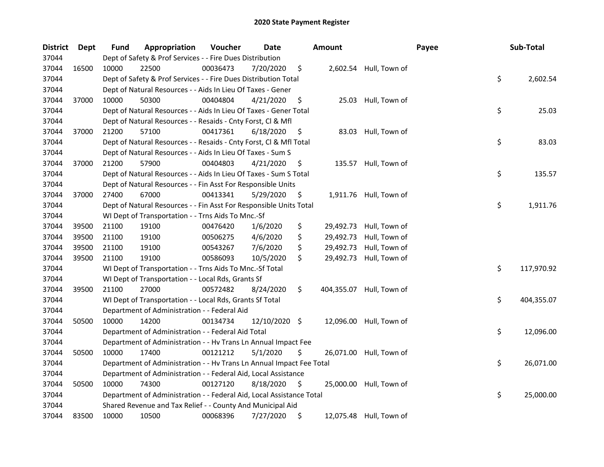| <b>District</b> | Dept  | Fund  | Appropriation                                                        | Voucher  | Date          |    | <b>Amount</b> |                         | Payee | Sub-Total        |
|-----------------|-------|-------|----------------------------------------------------------------------|----------|---------------|----|---------------|-------------------------|-------|------------------|
| 37044           |       |       | Dept of Safety & Prof Services - - Fire Dues Distribution            |          |               |    |               |                         |       |                  |
| 37044           | 16500 | 10000 | 22500                                                                | 00036473 | 7/20/2020     | \$ |               | 2,602.54 Hull, Town of  |       |                  |
| 37044           |       |       | Dept of Safety & Prof Services - - Fire Dues Distribution Total      |          |               |    |               |                         |       | \$<br>2,602.54   |
| 37044           |       |       | Dept of Natural Resources - - Aids In Lieu Of Taxes - Gener          |          |               |    |               |                         |       |                  |
| 37044           | 37000 | 10000 | 50300                                                                | 00404804 | 4/21/2020     | \$ | 25.03         | Hull, Town of           |       |                  |
| 37044           |       |       | Dept of Natural Resources - - Aids In Lieu Of Taxes - Gener Total    |          |               |    |               |                         |       | \$<br>25.03      |
| 37044           |       |       | Dept of Natural Resources - - Resaids - Cnty Forst, Cl & Mfl         |          |               |    |               |                         |       |                  |
| 37044           | 37000 | 21200 | 57100                                                                | 00417361 | 6/18/2020     | \$ | 83.03         | Hull, Town of           |       |                  |
| 37044           |       |       | Dept of Natural Resources - - Resaids - Cnty Forst, Cl & Mfl Total   |          |               |    |               |                         |       | \$<br>83.03      |
| 37044           |       |       | Dept of Natural Resources - - Aids In Lieu Of Taxes - Sum S          |          |               |    |               |                         |       |                  |
| 37044           | 37000 | 21200 | 57900                                                                | 00404803 | 4/21/2020     | \$ | 135.57        | Hull, Town of           |       |                  |
| 37044           |       |       | Dept of Natural Resources - - Aids In Lieu Of Taxes - Sum S Total    |          |               |    |               |                         |       | \$<br>135.57     |
| 37044           |       |       | Dept of Natural Resources - - Fin Asst For Responsible Units         |          |               |    |               |                         |       |                  |
| 37044           | 37000 | 27400 | 67000                                                                | 00413341 | 5/29/2020     | Ş  |               | 1,911.76 Hull, Town of  |       |                  |
| 37044           |       |       | Dept of Natural Resources - - Fin Asst For Responsible Units Total   |          |               |    |               |                         |       | \$<br>1,911.76   |
| 37044           |       |       | WI Dept of Transportation - - Trns Aids To Mnc.-Sf                   |          |               |    |               |                         |       |                  |
| 37044           | 39500 | 21100 | 19100                                                                | 00476420 | 1/6/2020      | \$ | 29,492.73     | Hull, Town of           |       |                  |
| 37044           | 39500 | 21100 | 19100                                                                | 00506275 | 4/6/2020      | \$ | 29,492.73     | Hull, Town of           |       |                  |
| 37044           | 39500 | 21100 | 19100                                                                | 00543267 | 7/6/2020      | \$ | 29,492.73     | Hull, Town of           |       |                  |
| 37044           | 39500 | 21100 | 19100                                                                | 00586093 | 10/5/2020     | \$ | 29,492.73     | Hull, Town of           |       |                  |
| 37044           |       |       | WI Dept of Transportation - - Trns Aids To Mnc.-Sf Total             |          |               |    |               |                         |       | \$<br>117,970.92 |
| 37044           |       |       | WI Dept of Transportation - - Local Rds, Grants Sf                   |          |               |    |               |                         |       |                  |
| 37044           | 39500 | 21100 | 27000                                                                | 00572482 | 8/24/2020     | \$ | 404,355.07    | Hull, Town of           |       |                  |
| 37044           |       |       | WI Dept of Transportation - - Local Rds, Grants Sf Total             |          |               |    |               |                         |       | \$<br>404,355.07 |
| 37044           |       |       | Department of Administration - - Federal Aid                         |          |               |    |               |                         |       |                  |
| 37044           | 50500 | 10000 | 14200                                                                | 00134734 | 12/10/2020 \$ |    | 12,096.00     | Hull, Town of           |       |                  |
| 37044           |       |       | Department of Administration - - Federal Aid Total                   |          |               |    |               |                         |       | \$<br>12,096.00  |
| 37044           |       |       | Department of Administration - - Hv Trans Ln Annual Impact Fee       |          |               |    |               |                         |       |                  |
| 37044           | 50500 | 10000 | 17400                                                                | 00121212 | 5/1/2020      | \$ | 26,071.00     | Hull, Town of           |       |                  |
| 37044           |       |       | Department of Administration - - Hv Trans Ln Annual Impact Fee Total |          |               |    |               |                         |       | \$<br>26,071.00  |
| 37044           |       |       | Department of Administration - - Federal Aid, Local Assistance       |          |               |    |               |                         |       |                  |
| 37044           | 50500 | 10000 | 74300                                                                | 00127120 | 8/18/2020     | \$ | 25,000.00     | Hull, Town of           |       |                  |
| 37044           |       |       | Department of Administration - - Federal Aid, Local Assistance Total |          |               |    |               |                         |       | \$<br>25,000.00  |
| 37044           |       |       | Shared Revenue and Tax Relief - - County And Municipal Aid           |          |               |    |               |                         |       |                  |
| 37044           | 83500 | 10000 | 10500                                                                | 00068396 | 7/27/2020     | \$ |               | 12,075.48 Hull, Town of |       |                  |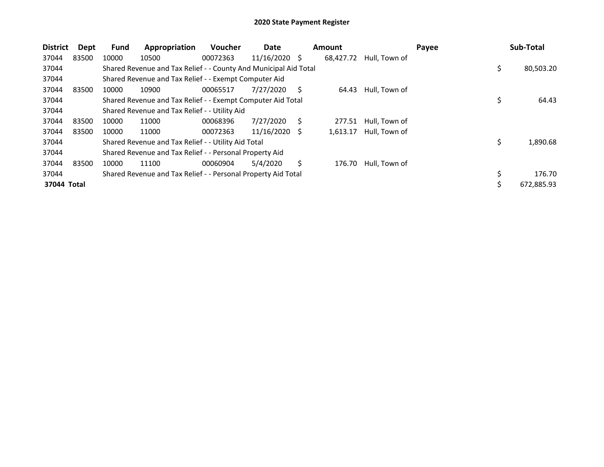| <b>District</b> | Dept  | <b>Fund</b> | Appropriation                                                    | <b>Voucher</b> | Date          |   | <b>Amount</b> |               | Payee | Sub-Total        |
|-----------------|-------|-------------|------------------------------------------------------------------|----------------|---------------|---|---------------|---------------|-------|------------------|
| 37044           | 83500 | 10000       | 10500                                                            | 00072363       | 11/16/2020 \$ |   | 68,427.72     | Hull, Town of |       |                  |
| 37044           |       |             | Shared Revenue and Tax Relief - - County And Municipal Aid Total |                |               |   |               |               |       | \$<br>80,503.20  |
| 37044           |       |             | Shared Revenue and Tax Relief - - Exempt Computer Aid            |                |               |   |               |               |       |                  |
| 37044           | 83500 | 10000       | 10900                                                            | 00065517       | 7/27/2020     | S | 64.43         | Hull, Town of |       |                  |
| 37044           |       |             | Shared Revenue and Tax Relief - - Exempt Computer Aid Total      |                |               |   |               |               |       | \$<br>64.43      |
| 37044           |       |             | Shared Revenue and Tax Relief - - Utility Aid                    |                |               |   |               |               |       |                  |
| 37044           | 83500 | 10000       | 11000                                                            | 00068396       | 7/27/2020     | S | 277.51        | Hull, Town of |       |                  |
| 37044           | 83500 | 10000       | 11000                                                            | 00072363       | 11/16/2020    | S | 1,613.17      | Hull, Town of |       |                  |
| 37044           |       |             | Shared Revenue and Tax Relief - - Utility Aid Total              |                |               |   |               |               |       | \$<br>1,890.68   |
| 37044           |       |             | Shared Revenue and Tax Relief - - Personal Property Aid          |                |               |   |               |               |       |                  |
| 37044           | 83500 | 10000       | 11100                                                            | 00060904       | 5/4/2020      | Ś | 176.70        | Hull, Town of |       |                  |
| 37044           |       |             | Shared Revenue and Tax Relief - - Personal Property Aid Total    |                |               |   |               |               |       | \$<br>176.70     |
| 37044 Total     |       |             |                                                                  |                |               |   |               |               |       | \$<br>672,885.93 |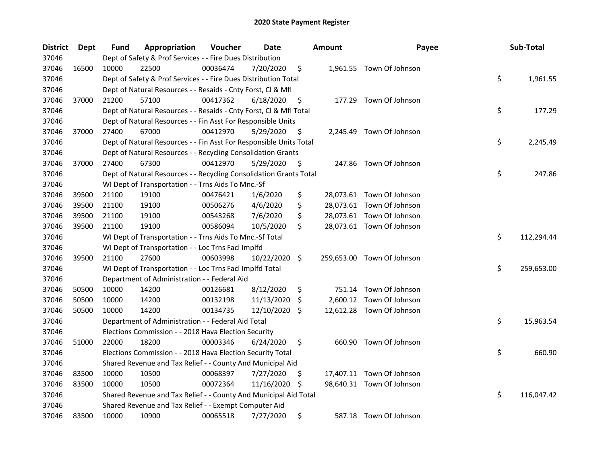| District | Dept  | Fund  | Appropriation                                                      | Voucher  | Date       |     | <b>Amount</b> | Payee                      | Sub-Total        |
|----------|-------|-------|--------------------------------------------------------------------|----------|------------|-----|---------------|----------------------------|------------------|
| 37046    |       |       | Dept of Safety & Prof Services - - Fire Dues Distribution          |          |            |     |               |                            |                  |
| 37046    | 16500 | 10000 | 22500                                                              | 00036474 | 7/20/2020  | \$  |               | 1,961.55 Town Of Johnson   |                  |
| 37046    |       |       | Dept of Safety & Prof Services - - Fire Dues Distribution Total    |          |            |     |               |                            | \$<br>1,961.55   |
| 37046    |       |       | Dept of Natural Resources - - Resaids - Cnty Forst, Cl & Mfl       |          |            |     |               |                            |                  |
| 37046    | 37000 | 21200 | 57100                                                              | 00417362 | 6/18/2020  | \$  |               | 177.29 Town Of Johnson     |                  |
| 37046    |       |       | Dept of Natural Resources - - Resaids - Cnty Forst, Cl & Mfl Total |          |            |     |               |                            | \$<br>177.29     |
| 37046    |       |       | Dept of Natural Resources - - Fin Asst For Responsible Units       |          |            |     |               |                            |                  |
| 37046    | 37000 | 27400 | 67000                                                              | 00412970 | 5/29/2020  | \$  |               | 2,245.49 Town Of Johnson   |                  |
| 37046    |       |       | Dept of Natural Resources - - Fin Asst For Responsible Units Total |          |            |     |               |                            | \$<br>2,245.49   |
| 37046    |       |       | Dept of Natural Resources - - Recycling Consolidation Grants       |          |            |     |               |                            |                  |
| 37046    | 37000 | 27400 | 67300                                                              | 00412970 | 5/29/2020  | -\$ |               | 247.86 Town Of Johnson     |                  |
| 37046    |       |       | Dept of Natural Resources - - Recycling Consolidation Grants Total |          |            |     |               |                            | \$<br>247.86     |
| 37046    |       |       | WI Dept of Transportation - - Trns Aids To Mnc.-Sf                 |          |            |     |               |                            |                  |
| 37046    | 39500 | 21100 | 19100                                                              | 00476421 | 1/6/2020   | \$  |               | 28,073.61 Town Of Johnson  |                  |
| 37046    | 39500 | 21100 | 19100                                                              | 00506276 | 4/6/2020   | \$  |               | 28,073.61 Town Of Johnson  |                  |
| 37046    | 39500 | 21100 | 19100                                                              | 00543268 | 7/6/2020   | \$  |               | 28,073.61 Town Of Johnson  |                  |
| 37046    | 39500 | 21100 | 19100                                                              | 00586094 | 10/5/2020  | \$  |               | 28,073.61 Town Of Johnson  |                  |
| 37046    |       |       | WI Dept of Transportation - - Trns Aids To Mnc.-Sf Total           |          |            |     |               |                            | \$<br>112,294.44 |
| 37046    |       |       | WI Dept of Transportation - - Loc Trns Facl Implfd                 |          |            |     |               |                            |                  |
| 37046    | 39500 | 21100 | 27600                                                              | 00603998 | 10/22/2020 | \$  |               | 259,653.00 Town Of Johnson |                  |
| 37046    |       |       | WI Dept of Transportation - - Loc Trns Facl Implfd Total           |          |            |     |               |                            | \$<br>259,653.00 |
| 37046    |       |       | Department of Administration - - Federal Aid                       |          |            |     |               |                            |                  |
| 37046    | 50500 | 10000 | 14200                                                              | 00126681 | 8/12/2020  | \$  |               | 751.14 Town Of Johnson     |                  |
| 37046    | 50500 | 10000 | 14200                                                              | 00132198 | 11/13/2020 | \$, | 2,600.12      | Town Of Johnson            |                  |
| 37046    | 50500 | 10000 | 14200                                                              | 00134735 | 12/10/2020 | \$  |               | 12,612.28 Town Of Johnson  |                  |
| 37046    |       |       | Department of Administration - - Federal Aid Total                 |          |            |     |               |                            | \$<br>15,963.54  |
| 37046    |       |       | Elections Commission - - 2018 Hava Election Security               |          |            |     |               |                            |                  |
| 37046    | 51000 | 22000 | 18200                                                              | 00003346 | 6/24/2020  | \$  |               | 660.90 Town Of Johnson     |                  |
| 37046    |       |       | Elections Commission - - 2018 Hava Election Security Total         |          |            |     |               |                            | \$<br>660.90     |
| 37046    |       |       | Shared Revenue and Tax Relief - - County And Municipal Aid         |          |            |     |               |                            |                  |
| 37046    | 83500 | 10000 | 10500                                                              | 00068397 | 7/27/2020  | \$  |               | 17,407.11 Town Of Johnson  |                  |
| 37046    | 83500 | 10000 | 10500                                                              | 00072364 | 11/16/2020 | \$  |               | 98,640.31 Town Of Johnson  |                  |
| 37046    |       |       | Shared Revenue and Tax Relief - - County And Municipal Aid Total   |          |            |     |               |                            | \$<br>116,047.42 |
| 37046    |       |       | Shared Revenue and Tax Relief - - Exempt Computer Aid              |          |            |     |               |                            |                  |
| 37046    | 83500 | 10000 | 10900                                                              | 00065518 | 7/27/2020  | \$  |               | 587.18 Town Of Johnson     |                  |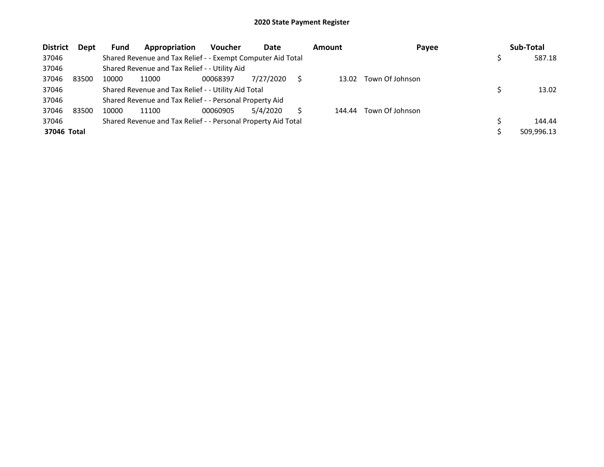| <b>District</b> | Dept  | <b>Fund</b> | Appropriation                                                 | <b>Voucher</b> | Date      | <b>Amount</b> | Payee           | Sub-Total  |
|-----------------|-------|-------------|---------------------------------------------------------------|----------------|-----------|---------------|-----------------|------------|
| 37046           |       |             | Shared Revenue and Tax Relief - - Exempt Computer Aid Total   |                |           |               |                 | 587.18     |
| 37046           |       |             | Shared Revenue and Tax Relief - - Utility Aid                 |                |           |               |                 |            |
| 37046           | 83500 | 10000       | 11000                                                         | 00068397       | 7/27/2020 | 13.02         | Town Of Johnson |            |
| 37046           |       |             | Shared Revenue and Tax Relief - - Utility Aid Total           |                |           |               |                 | 13.02      |
| 37046           |       |             | Shared Revenue and Tax Relief - - Personal Property Aid       |                |           |               |                 |            |
| 37046           | 83500 | 10000       | 11100                                                         | 00060905       | 5/4/2020  | 144.44        | Town Of Johnson |            |
| 37046           |       |             | Shared Revenue and Tax Relief - - Personal Property Aid Total |                |           |               |                 | 144.44     |
| 37046 Total     |       |             |                                                               |                |           |               |                 | 509,996.13 |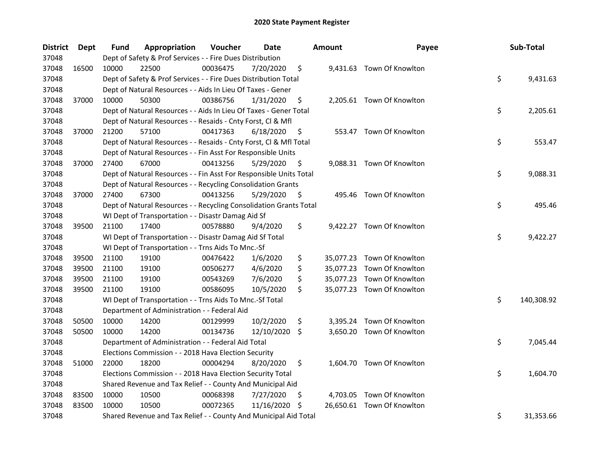| <b>District</b> | <b>Dept</b> | Fund  | Appropriation                                                      | Voucher  | Date       |     | <b>Amount</b> | Payee                      | Sub-Total        |
|-----------------|-------------|-------|--------------------------------------------------------------------|----------|------------|-----|---------------|----------------------------|------------------|
| 37048           |             |       | Dept of Safety & Prof Services - - Fire Dues Distribution          |          |            |     |               |                            |                  |
| 37048           | 16500       | 10000 | 22500                                                              | 00036475 | 7/20/2020  | \$  |               | 9,431.63 Town Of Knowlton  |                  |
| 37048           |             |       | Dept of Safety & Prof Services - - Fire Dues Distribution Total    |          |            |     |               |                            | \$<br>9,431.63   |
| 37048           |             |       | Dept of Natural Resources - - Aids In Lieu Of Taxes - Gener        |          |            |     |               |                            |                  |
| 37048           | 37000       | 10000 | 50300                                                              | 00386756 | 1/31/2020  | \$  |               | 2,205.61 Town Of Knowlton  |                  |
| 37048           |             |       | Dept of Natural Resources - - Aids In Lieu Of Taxes - Gener Total  |          |            |     |               |                            | \$<br>2,205.61   |
| 37048           |             |       | Dept of Natural Resources - - Resaids - Cnty Forst, Cl & Mfl       |          |            |     |               |                            |                  |
| 37048           | 37000       | 21200 | 57100                                                              | 00417363 | 6/18/2020  | \$  |               | 553.47 Town Of Knowlton    |                  |
| 37048           |             |       | Dept of Natural Resources - - Resaids - Cnty Forst, Cl & Mfl Total |          |            |     |               |                            | \$<br>553.47     |
| 37048           |             |       | Dept of Natural Resources - - Fin Asst For Responsible Units       |          |            |     |               |                            |                  |
| 37048           | 37000       | 27400 | 67000                                                              | 00413256 | 5/29/2020  | \$  |               | 9,088.31 Town Of Knowlton  |                  |
| 37048           |             |       | Dept of Natural Resources - - Fin Asst For Responsible Units Total |          |            |     |               |                            | \$<br>9,088.31   |
| 37048           |             |       | Dept of Natural Resources - - Recycling Consolidation Grants       |          |            |     |               |                            |                  |
| 37048           | 37000       | 27400 | 67300                                                              | 00413256 | 5/29/2020  | \$, |               | 495.46 Town Of Knowlton    |                  |
| 37048           |             |       | Dept of Natural Resources - - Recycling Consolidation Grants Total |          |            |     |               |                            | \$<br>495.46     |
| 37048           |             |       | WI Dept of Transportation - - Disastr Damag Aid Sf                 |          |            |     |               |                            |                  |
| 37048           | 39500       | 21100 | 17400                                                              | 00578880 | 9/4/2020   | \$  |               | 9,422.27 Town Of Knowlton  |                  |
| 37048           |             |       | WI Dept of Transportation - - Disastr Damag Aid Sf Total           |          |            |     |               |                            | \$<br>9,422.27   |
| 37048           |             |       | WI Dept of Transportation - - Trns Aids To Mnc.-Sf                 |          |            |     |               |                            |                  |
| 37048           | 39500       | 21100 | 19100                                                              | 00476422 | 1/6/2020   | \$  |               | 35,077.23 Town Of Knowlton |                  |
| 37048           | 39500       | 21100 | 19100                                                              | 00506277 | 4/6/2020   | \$  |               | 35,077.23 Town Of Knowlton |                  |
| 37048           | 39500       | 21100 | 19100                                                              | 00543269 | 7/6/2020   | \$  |               | 35,077.23 Town Of Knowlton |                  |
| 37048           | 39500       | 21100 | 19100                                                              | 00586095 | 10/5/2020  | \$  |               | 35,077.23 Town Of Knowlton |                  |
| 37048           |             |       | WI Dept of Transportation - - Trns Aids To Mnc.-Sf Total           |          |            |     |               |                            | \$<br>140,308.92 |
| 37048           |             |       | Department of Administration - - Federal Aid                       |          |            |     |               |                            |                  |
| 37048           | 50500       | 10000 | 14200                                                              | 00129999 | 10/2/2020  | \$  |               | 3,395.24 Town Of Knowlton  |                  |
| 37048           | 50500       | 10000 | 14200                                                              | 00134736 | 12/10/2020 | \$  |               | 3,650.20 Town Of Knowlton  |                  |
| 37048           |             |       | Department of Administration - - Federal Aid Total                 |          |            |     |               |                            | \$<br>7,045.44   |
| 37048           |             |       | Elections Commission - - 2018 Hava Election Security               |          |            |     |               |                            |                  |
| 37048           | 51000       | 22000 | 18200                                                              | 00004294 | 8/20/2020  | \$  |               | 1,604.70 Town Of Knowlton  |                  |
| 37048           |             |       | Elections Commission - - 2018 Hava Election Security Total         |          |            |     |               |                            | \$<br>1,604.70   |
| 37048           |             |       | Shared Revenue and Tax Relief - - County And Municipal Aid         |          |            |     |               |                            |                  |
| 37048           | 83500       | 10000 | 10500                                                              | 00068398 | 7/27/2020  | \$  |               | 4,703.05 Town Of Knowlton  |                  |
| 37048           | 83500       | 10000 | 10500                                                              | 00072365 | 11/16/2020 | S   |               | 26,650.61 Town Of Knowlton |                  |
| 37048           |             |       | Shared Revenue and Tax Relief - - County And Municipal Aid Total   |          |            |     |               |                            | \$<br>31,353.66  |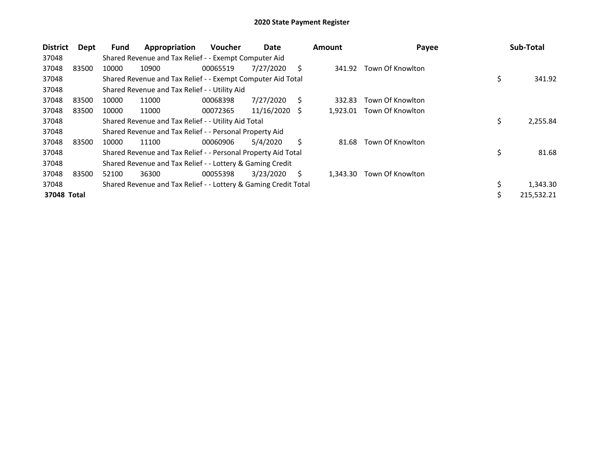| <b>District</b> | Dept  | <b>Fund</b> | Appropriation                                                   | <b>Voucher</b> | Date       |    | <b>Amount</b> | Payee            | Sub-Total        |
|-----------------|-------|-------------|-----------------------------------------------------------------|----------------|------------|----|---------------|------------------|------------------|
| 37048           |       |             | Shared Revenue and Tax Relief - - Exempt Computer Aid           |                |            |    |               |                  |                  |
| 37048           | 83500 | 10000       | 10900                                                           | 00065519       | 7/27/2020  | S  | 341.92        | Town Of Knowlton |                  |
| 37048           |       |             | Shared Revenue and Tax Relief - - Exempt Computer Aid Total     |                |            |    |               |                  | \$<br>341.92     |
| 37048           |       |             | Shared Revenue and Tax Relief - - Utility Aid                   |                |            |    |               |                  |                  |
| 37048           | 83500 | 10000       | 11000                                                           | 00068398       | 7/27/2020  | S. | 332.83        | Town Of Knowlton |                  |
| 37048           | 83500 | 10000       | 11000                                                           | 00072365       | 11/16/2020 | -S | 1,923.01      | Town Of Knowlton |                  |
| 37048           |       |             | Shared Revenue and Tax Relief - - Utility Aid Total             |                |            |    |               |                  | \$<br>2,255.84   |
| 37048           |       |             | Shared Revenue and Tax Relief - - Personal Property Aid         |                |            |    |               |                  |                  |
| 37048           | 83500 | 10000       | 11100                                                           | 00060906       | 5/4/2020   | Ś. | 81.68         | Town Of Knowlton |                  |
| 37048           |       |             | Shared Revenue and Tax Relief - - Personal Property Aid Total   |                |            |    |               |                  | \$<br>81.68      |
| 37048           |       |             | Shared Revenue and Tax Relief - - Lottery & Gaming Credit       |                |            |    |               |                  |                  |
| 37048           | 83500 | 52100       | 36300                                                           | 00055398       | 3/23/2020  | S  | 1.343.30      | Town Of Knowlton |                  |
| 37048           |       |             | Shared Revenue and Tax Relief - - Lottery & Gaming Credit Total |                |            |    |               |                  | \$<br>1,343.30   |
| 37048 Total     |       |             |                                                                 |                |            |    |               |                  | \$<br>215,532.21 |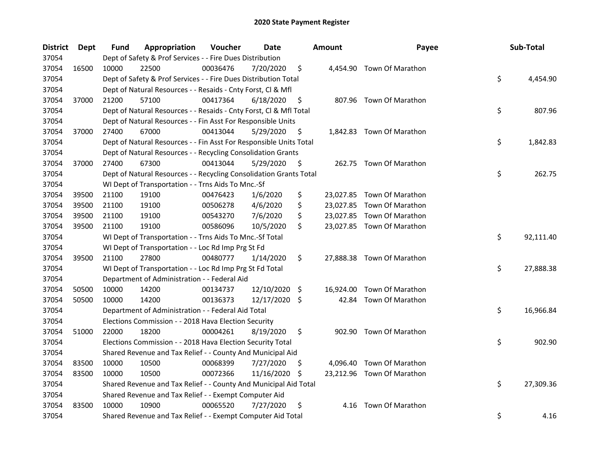| <b>District</b> | Dept  | Fund  | Appropriation                                                      | Voucher  | Date          |     | <b>Amount</b> | Payee                      | Sub-Total       |
|-----------------|-------|-------|--------------------------------------------------------------------|----------|---------------|-----|---------------|----------------------------|-----------------|
| 37054           |       |       | Dept of Safety & Prof Services - - Fire Dues Distribution          |          |               |     |               |                            |                 |
| 37054           | 16500 | 10000 | 22500                                                              | 00036476 | 7/20/2020     | \$  |               | 4,454.90 Town Of Marathon  |                 |
| 37054           |       |       | Dept of Safety & Prof Services - - Fire Dues Distribution Total    |          |               |     |               |                            | \$<br>4,454.90  |
| 37054           |       |       | Dept of Natural Resources - - Resaids - Cnty Forst, Cl & Mfl       |          |               |     |               |                            |                 |
| 37054           | 37000 | 21200 | 57100                                                              | 00417364 | 6/18/2020     | \$  |               | 807.96 Town Of Marathon    |                 |
| 37054           |       |       | Dept of Natural Resources - - Resaids - Cnty Forst, Cl & Mfl Total |          |               |     |               |                            | \$<br>807.96    |
| 37054           |       |       | Dept of Natural Resources - - Fin Asst For Responsible Units       |          |               |     |               |                            |                 |
| 37054           | 37000 | 27400 | 67000                                                              | 00413044 | 5/29/2020     | \$  |               | 1,842.83 Town Of Marathon  |                 |
| 37054           |       |       | Dept of Natural Resources - - Fin Asst For Responsible Units Total |          |               |     |               |                            | \$<br>1,842.83  |
| 37054           |       |       | Dept of Natural Resources - - Recycling Consolidation Grants       |          |               |     |               |                            |                 |
| 37054           | 37000 | 27400 | 67300                                                              | 00413044 | 5/29/2020     | \$. |               | 262.75 Town Of Marathon    |                 |
| 37054           |       |       | Dept of Natural Resources - - Recycling Consolidation Grants Total |          |               |     |               |                            | \$<br>262.75    |
| 37054           |       |       | WI Dept of Transportation - - Trns Aids To Mnc.-Sf                 |          |               |     |               |                            |                 |
| 37054           | 39500 | 21100 | 19100                                                              | 00476423 | 1/6/2020      | \$  |               | 23,027.85 Town Of Marathon |                 |
| 37054           | 39500 | 21100 | 19100                                                              | 00506278 | 4/6/2020      | \$  |               | 23,027.85 Town Of Marathon |                 |
| 37054           | 39500 | 21100 | 19100                                                              | 00543270 | 7/6/2020      | \$  |               | 23,027.85 Town Of Marathon |                 |
| 37054           | 39500 | 21100 | 19100                                                              | 00586096 | 10/5/2020     | \$  |               | 23,027.85 Town Of Marathon |                 |
| 37054           |       |       | WI Dept of Transportation - - Trns Aids To Mnc.-Sf Total           |          |               |     |               |                            | \$<br>92,111.40 |
| 37054           |       |       | WI Dept of Transportation - - Loc Rd Imp Prg St Fd                 |          |               |     |               |                            |                 |
| 37054           | 39500 | 21100 | 27800                                                              | 00480777 | 1/14/2020     | \$  |               | 27,888.38 Town Of Marathon |                 |
| 37054           |       |       | WI Dept of Transportation - - Loc Rd Imp Prg St Fd Total           |          |               |     |               |                            | \$<br>27,888.38 |
| 37054           |       |       | Department of Administration - - Federal Aid                       |          |               |     |               |                            |                 |
| 37054           | 50500 | 10000 | 14200                                                              | 00134737 | 12/10/2020 \$ |     |               | 16,924.00 Town Of Marathon |                 |
| 37054           | 50500 | 10000 | 14200                                                              | 00136373 | 12/17/2020 \$ |     |               | 42.84 Town Of Marathon     |                 |
| 37054           |       |       | Department of Administration - - Federal Aid Total                 |          |               |     |               |                            | \$<br>16,966.84 |
| 37054           |       |       | Elections Commission - - 2018 Hava Election Security               |          |               |     |               |                            |                 |
| 37054           | 51000 | 22000 | 18200                                                              | 00004261 | 8/19/2020     | \$  |               | 902.90 Town Of Marathon    |                 |
| 37054           |       |       | Elections Commission - - 2018 Hava Election Security Total         |          |               |     |               |                            | \$<br>902.90    |
| 37054           |       |       | Shared Revenue and Tax Relief - - County And Municipal Aid         |          |               |     |               |                            |                 |
| 37054           | 83500 | 10000 | 10500                                                              | 00068399 | 7/27/2020     | \$  |               | 4,096.40 Town Of Marathon  |                 |
| 37054           | 83500 | 10000 | 10500                                                              | 00072366 | 11/16/2020    | \$. |               | 23,212.96 Town Of Marathon |                 |
| 37054           |       |       | Shared Revenue and Tax Relief - - County And Municipal Aid Total   |          |               |     |               |                            | \$<br>27,309.36 |
| 37054           |       |       | Shared Revenue and Tax Relief - - Exempt Computer Aid              |          |               |     |               |                            |                 |
| 37054           | 83500 | 10000 | 10900                                                              | 00065520 | 7/27/2020     | \$  | 4.16          | Town Of Marathon           |                 |
| 37054           |       |       | Shared Revenue and Tax Relief - - Exempt Computer Aid Total        |          |               |     |               |                            | \$<br>4.16      |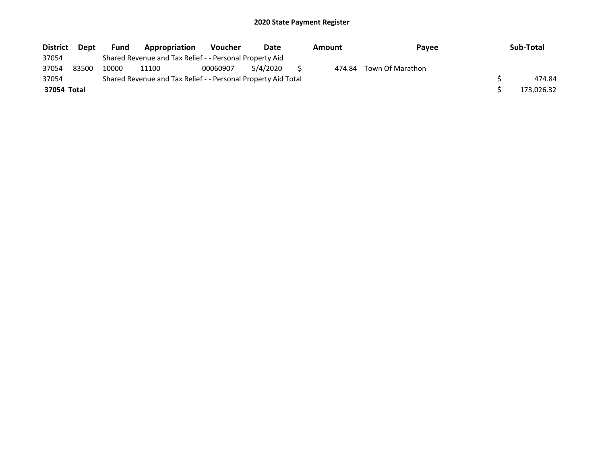| <b>District</b> | <b>Dept</b> | <b>Fund</b> | Appropriation                                                 | <b>Voucher</b> | Date     | Amount | Payee            | Sub-Total  |
|-----------------|-------------|-------------|---------------------------------------------------------------|----------------|----------|--------|------------------|------------|
| 37054           |             |             | Shared Revenue and Tax Relief - - Personal Property Aid       |                |          |        |                  |            |
| 37054           | 83500       | 10000       | 11100                                                         | 00060907       | 5/4/2020 | 474.84 | Town Of Marathon |            |
| 37054           |             |             | Shared Revenue and Tax Relief - - Personal Property Aid Total |                |          |        |                  | 474.84     |
| 37054 Total     |             |             |                                                               |                |          |        |                  | 173,026.32 |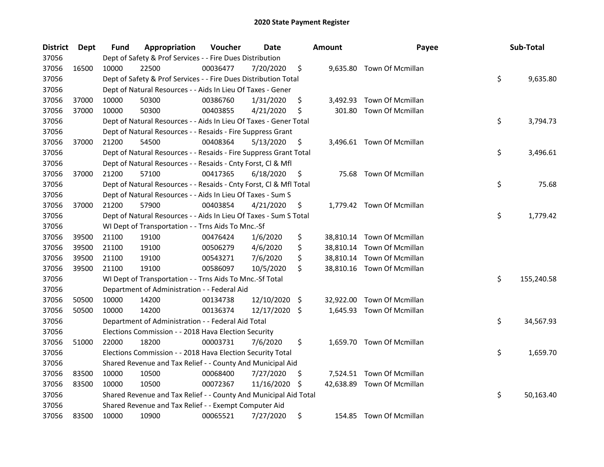| <b>District</b> | Dept  | Fund  | Appropriation                                                      | Voucher  | Date          |     | <b>Amount</b> | Payee                      | Sub-Total        |
|-----------------|-------|-------|--------------------------------------------------------------------|----------|---------------|-----|---------------|----------------------------|------------------|
| 37056           |       |       | Dept of Safety & Prof Services - - Fire Dues Distribution          |          |               |     |               |                            |                  |
| 37056           | 16500 | 10000 | 22500                                                              | 00036477 | 7/20/2020     | \$  |               | 9,635.80 Town Of Mcmillan  |                  |
| 37056           |       |       | Dept of Safety & Prof Services - - Fire Dues Distribution Total    |          |               |     |               |                            | \$<br>9,635.80   |
| 37056           |       |       | Dept of Natural Resources - - Aids In Lieu Of Taxes - Gener        |          |               |     |               |                            |                  |
| 37056           | 37000 | 10000 | 50300                                                              | 00386760 | 1/31/2020     | \$  |               | 3,492.93 Town Of Mcmillan  |                  |
| 37056           | 37000 | 10000 | 50300                                                              | 00403855 | 4/21/2020     | \$  | 301.80        | Town Of Mcmillan           |                  |
| 37056           |       |       | Dept of Natural Resources - - Aids In Lieu Of Taxes - Gener Total  |          |               |     |               |                            | \$<br>3,794.73   |
| 37056           |       |       | Dept of Natural Resources - - Resaids - Fire Suppress Grant        |          |               |     |               |                            |                  |
| 37056           | 37000 | 21200 | 54500                                                              | 00408364 | 5/13/2020     | \$  |               | 3,496.61 Town Of Mcmillan  |                  |
| 37056           |       |       | Dept of Natural Resources - - Resaids - Fire Suppress Grant Total  |          |               |     |               |                            | \$<br>3,496.61   |
| 37056           |       |       | Dept of Natural Resources - - Resaids - Cnty Forst, Cl & Mfl       |          |               |     |               |                            |                  |
| 37056           | 37000 | 21200 | 57100                                                              | 00417365 | 6/18/2020     | \$. | 75.68         | Town Of Mcmillan           |                  |
| 37056           |       |       | Dept of Natural Resources - - Resaids - Cnty Forst, CI & Mfl Total |          |               |     |               |                            | \$<br>75.68      |
| 37056           |       |       | Dept of Natural Resources - - Aids In Lieu Of Taxes - Sum S        |          |               |     |               |                            |                  |
| 37056           | 37000 | 21200 | 57900                                                              | 00403854 | 4/21/2020     | \$  |               | 1,779.42 Town Of Mcmillan  |                  |
| 37056           |       |       | Dept of Natural Resources - - Aids In Lieu Of Taxes - Sum S Total  |          |               |     |               |                            | \$<br>1,779.42   |
| 37056           |       |       | WI Dept of Transportation - - Trns Aids To Mnc.-Sf                 |          |               |     |               |                            |                  |
| 37056           | 39500 | 21100 | 19100                                                              | 00476424 | 1/6/2020      | \$  |               | 38,810.14 Town Of Mcmillan |                  |
| 37056           | 39500 | 21100 | 19100                                                              | 00506279 | 4/6/2020      | \$  |               | 38,810.14 Town Of Mcmillan |                  |
| 37056           | 39500 | 21100 | 19100                                                              | 00543271 | 7/6/2020      | \$  |               | 38,810.14 Town Of Mcmillan |                  |
| 37056           | 39500 | 21100 | 19100                                                              | 00586097 | 10/5/2020     | \$  |               | 38,810.16 Town Of Mcmillan |                  |
| 37056           |       |       | WI Dept of Transportation - - Trns Aids To Mnc.-Sf Total           |          |               |     |               |                            | \$<br>155,240.58 |
| 37056           |       |       | Department of Administration - - Federal Aid                       |          |               |     |               |                            |                  |
| 37056           | 50500 | 10000 | 14200                                                              | 00134738 | 12/10/2020    | -\$ | 32,922.00     | Town Of Mcmillan           |                  |
| 37056           | 50500 | 10000 | 14200                                                              | 00136374 | 12/17/2020 \$ |     |               | 1,645.93 Town Of Mcmillan  |                  |
| 37056           |       |       | Department of Administration - - Federal Aid Total                 |          |               |     |               |                            | \$<br>34,567.93  |
| 37056           |       |       | Elections Commission - - 2018 Hava Election Security               |          |               |     |               |                            |                  |
| 37056           | 51000 | 22000 | 18200                                                              | 00003731 | 7/6/2020      | \$  |               | 1,659.70 Town Of Mcmillan  |                  |
| 37056           |       |       | Elections Commission - - 2018 Hava Election Security Total         |          |               |     |               |                            | \$<br>1,659.70   |
| 37056           |       |       | Shared Revenue and Tax Relief - - County And Municipal Aid         |          |               |     |               |                            |                  |
| 37056           | 83500 | 10000 | 10500                                                              | 00068400 | 7/27/2020     | \$  |               | 7,524.51 Town Of Mcmillan  |                  |
| 37056           | 83500 | 10000 | 10500                                                              | 00072367 | 11/16/2020    | \$  |               | 42,638.89 Town Of Mcmillan |                  |
| 37056           |       |       | Shared Revenue and Tax Relief - - County And Municipal Aid Total   |          |               |     |               |                            | \$<br>50,163.40  |
| 37056           |       |       | Shared Revenue and Tax Relief - - Exempt Computer Aid              |          |               |     |               |                            |                  |
| 37056           | 83500 | 10000 | 10900                                                              | 00065521 | 7/27/2020     | \$  |               | 154.85 Town Of Mcmillan    |                  |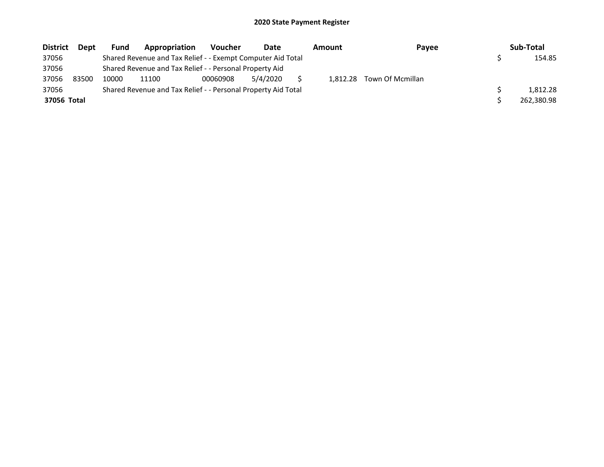| <b>District</b> | Dept  | <b>Fund</b> | Appropriation                                                 | <b>Voucher</b> | Date     | Amount   | Payee            | Sub-Total  |
|-----------------|-------|-------------|---------------------------------------------------------------|----------------|----------|----------|------------------|------------|
| 37056           |       |             | Shared Revenue and Tax Relief - - Exempt Computer Aid Total   |                |          |          |                  | 154.85     |
| 37056           |       |             | Shared Revenue and Tax Relief - - Personal Property Aid       |                |          |          |                  |            |
| 37056           | 83500 | 10000       | 11100                                                         | 00060908       | 5/4/2020 | 1.812.28 | Town Of Mcmillan |            |
| 37056           |       |             | Shared Revenue and Tax Relief - - Personal Property Aid Total |                |          |          |                  | 1.812.28   |
| 37056 Total     |       |             |                                                               |                |          |          |                  | 262,380.98 |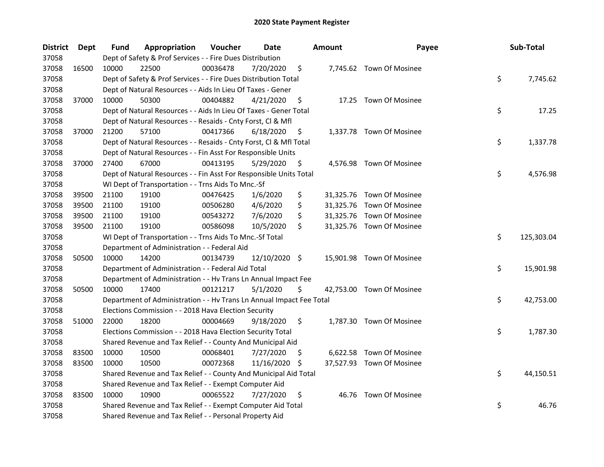| <b>District</b> | Dept  | Fund  | Appropriation                                                        | Voucher  | <b>Date</b>   |     | <b>Amount</b> | Payee                     | Sub-Total        |
|-----------------|-------|-------|----------------------------------------------------------------------|----------|---------------|-----|---------------|---------------------------|------------------|
| 37058           |       |       | Dept of Safety & Prof Services - - Fire Dues Distribution            |          |               |     |               |                           |                  |
| 37058           | 16500 | 10000 | 22500                                                                | 00036478 | 7/20/2020     | \$  |               | 7,745.62 Town Of Mosinee  |                  |
| 37058           |       |       | Dept of Safety & Prof Services - - Fire Dues Distribution Total      |          |               |     |               |                           | \$<br>7,745.62   |
| 37058           |       |       | Dept of Natural Resources - - Aids In Lieu Of Taxes - Gener          |          |               |     |               |                           |                  |
| 37058           | 37000 | 10000 | 50300                                                                | 00404882 | 4/21/2020     | \$  |               | 17.25 Town Of Mosinee     |                  |
| 37058           |       |       | Dept of Natural Resources - - Aids In Lieu Of Taxes - Gener Total    |          |               |     |               |                           | \$<br>17.25      |
| 37058           |       |       | Dept of Natural Resources - - Resaids - Cnty Forst, Cl & Mfl         |          |               |     |               |                           |                  |
| 37058           | 37000 | 21200 | 57100                                                                | 00417366 | 6/18/2020     | \$  |               | 1,337.78 Town Of Mosinee  |                  |
| 37058           |       |       | Dept of Natural Resources - - Resaids - Cnty Forst, Cl & Mfl Total   |          |               |     |               |                           | \$<br>1,337.78   |
| 37058           |       |       | Dept of Natural Resources - - Fin Asst For Responsible Units         |          |               |     |               |                           |                  |
| 37058           | 37000 | 27400 | 67000                                                                | 00413195 | 5/29/2020     | \$  |               | 4,576.98 Town Of Mosinee  |                  |
| 37058           |       |       | Dept of Natural Resources - - Fin Asst For Responsible Units Total   |          |               |     |               |                           | \$<br>4,576.98   |
| 37058           |       |       | WI Dept of Transportation - - Trns Aids To Mnc.-Sf                   |          |               |     |               |                           |                  |
| 37058           | 39500 | 21100 | 19100                                                                | 00476425 | 1/6/2020      | \$  |               | 31,325.76 Town Of Mosinee |                  |
| 37058           | 39500 | 21100 | 19100                                                                | 00506280 | 4/6/2020      | \$  |               | 31,325.76 Town Of Mosinee |                  |
| 37058           | 39500 | 21100 | 19100                                                                | 00543272 | 7/6/2020      | \$  |               | 31,325.76 Town Of Mosinee |                  |
| 37058           | 39500 | 21100 | 19100                                                                | 00586098 | 10/5/2020     | \$  |               | 31,325.76 Town Of Mosinee |                  |
| 37058           |       |       | WI Dept of Transportation - - Trns Aids To Mnc.-Sf Total             |          |               |     |               |                           | \$<br>125,303.04 |
| 37058           |       |       | Department of Administration - - Federal Aid                         |          |               |     |               |                           |                  |
| 37058           | 50500 | 10000 | 14200                                                                | 00134739 | 12/10/2020 \$ |     |               | 15,901.98 Town Of Mosinee |                  |
| 37058           |       |       | Department of Administration - - Federal Aid Total                   |          |               |     |               |                           | \$<br>15,901.98  |
| 37058           |       |       | Department of Administration - - Hv Trans Ln Annual Impact Fee       |          |               |     |               |                           |                  |
| 37058           | 50500 | 10000 | 17400                                                                | 00121217 | 5/1/2020      | \$  |               | 42,753.00 Town Of Mosinee |                  |
| 37058           |       |       | Department of Administration - - Hv Trans Ln Annual Impact Fee Total |          |               |     |               |                           | \$<br>42,753.00  |
| 37058           |       |       | Elections Commission - - 2018 Hava Election Security                 |          |               |     |               |                           |                  |
| 37058           | 51000 | 22000 | 18200                                                                | 00004669 | 9/18/2020     | \$  |               | 1,787.30 Town Of Mosinee  |                  |
| 37058           |       |       | Elections Commission - - 2018 Hava Election Security Total           |          |               |     |               |                           | \$<br>1,787.30   |
| 37058           |       |       | Shared Revenue and Tax Relief - - County And Municipal Aid           |          |               |     |               |                           |                  |
| 37058           | 83500 | 10000 | 10500                                                                | 00068401 | 7/27/2020     | S   |               | 6,622.58 Town Of Mosinee  |                  |
| 37058           | 83500 | 10000 | 10500                                                                | 00072368 | 11/16/2020    | \$. |               | 37,527.93 Town Of Mosinee |                  |
| 37058           |       |       | Shared Revenue and Tax Relief - - County And Municipal Aid Total     |          |               |     |               |                           | \$<br>44,150.51  |
| 37058           |       |       | Shared Revenue and Tax Relief - - Exempt Computer Aid                |          |               |     |               |                           |                  |
| 37058           | 83500 | 10000 | 10900                                                                | 00065522 | 7/27/2020     | \$  |               | 46.76 Town Of Mosinee     |                  |
| 37058           |       |       | Shared Revenue and Tax Relief - - Exempt Computer Aid Total          |          |               |     |               |                           | \$<br>46.76      |
| 37058           |       |       | Shared Revenue and Tax Relief - - Personal Property Aid              |          |               |     |               |                           |                  |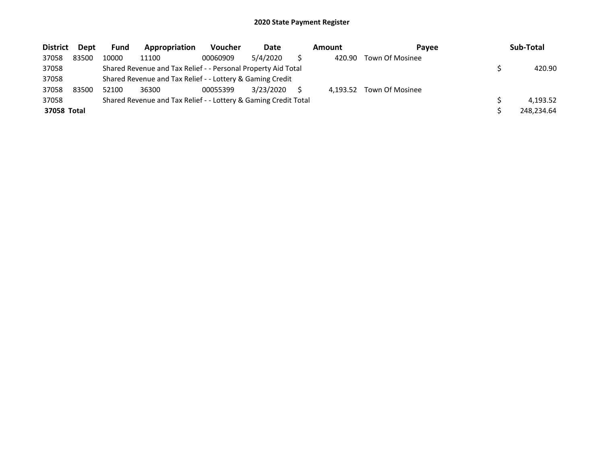| <b>District</b> | Dept  | <b>Fund</b> | Appropriation                                                   | <b>Voucher</b> | Date      | Amount<br><b>Pavee</b> |          | Sub-Total              |            |
|-----------------|-------|-------------|-----------------------------------------------------------------|----------------|-----------|------------------------|----------|------------------------|------------|
| 37058           | 83500 | 10000       | 11100                                                           | 00060909       | 5/4/2020  |                        | 420.90   | <b>Town Of Mosinee</b> |            |
| 37058           |       |             | Shared Revenue and Tax Relief - - Personal Property Aid Total   |                |           |                        |          |                        | 420.90     |
| 37058           |       |             | Shared Revenue and Tax Relief - - Lottery & Gaming Credit       |                |           |                        |          |                        |            |
| 37058           | 83500 | 52100       | 36300                                                           | 00055399       | 3/23/2020 |                        | 4.193.52 | Town Of Mosinee        |            |
| 37058           |       |             | Shared Revenue and Tax Relief - - Lottery & Gaming Credit Total |                |           |                        |          |                        | 4.193.52   |
| 37058 Total     |       |             |                                                                 |                |           |                        |          |                        | 248,234.64 |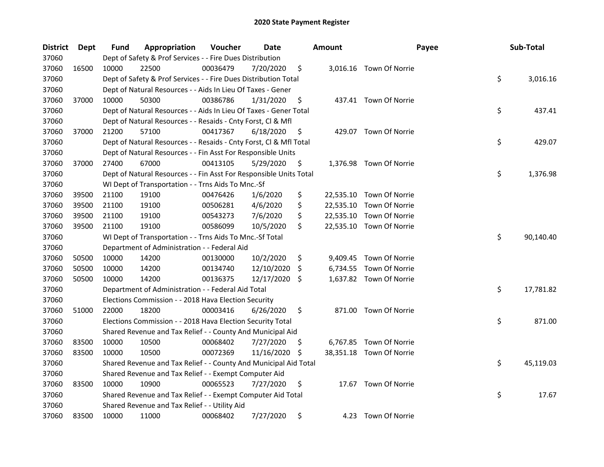| <b>District</b> | <b>Dept</b> | Fund  | Appropriation                                                      | Voucher  | Date          |     | <b>Amount</b> | Payee                    | Sub-Total       |
|-----------------|-------------|-------|--------------------------------------------------------------------|----------|---------------|-----|---------------|--------------------------|-----------------|
| 37060           |             |       | Dept of Safety & Prof Services - - Fire Dues Distribution          |          |               |     |               |                          |                 |
| 37060           | 16500       | 10000 | 22500                                                              | 00036479 | 7/20/2020     | \$  |               | 3,016.16 Town Of Norrie  |                 |
| 37060           |             |       | Dept of Safety & Prof Services - - Fire Dues Distribution Total    |          |               |     |               |                          | \$<br>3,016.16  |
| 37060           |             |       | Dept of Natural Resources - - Aids In Lieu Of Taxes - Gener        |          |               |     |               |                          |                 |
| 37060           | 37000       | 10000 | 50300                                                              | 00386786 | 1/31/2020     | \$  |               | 437.41 Town Of Norrie    |                 |
| 37060           |             |       | Dept of Natural Resources - - Aids In Lieu Of Taxes - Gener Total  |          |               |     |               |                          | \$<br>437.41    |
| 37060           |             |       | Dept of Natural Resources - - Resaids - Cnty Forst, Cl & Mfl       |          |               |     |               |                          |                 |
| 37060           | 37000       | 21200 | 57100                                                              | 00417367 | 6/18/2020     | \$  |               | 429.07 Town Of Norrie    |                 |
| 37060           |             |       | Dept of Natural Resources - - Resaids - Cnty Forst, Cl & Mfl Total |          |               |     |               |                          | \$<br>429.07    |
| 37060           |             |       | Dept of Natural Resources - - Fin Asst For Responsible Units       |          |               |     |               |                          |                 |
| 37060           | 37000       | 27400 | 67000                                                              | 00413105 | 5/29/2020     | \$  |               | 1,376.98 Town Of Norrie  |                 |
| 37060           |             |       | Dept of Natural Resources - - Fin Asst For Responsible Units Total |          |               |     |               |                          | \$<br>1,376.98  |
| 37060           |             |       | WI Dept of Transportation - - Trns Aids To Mnc.-Sf                 |          |               |     |               |                          |                 |
| 37060           | 39500       | 21100 | 19100                                                              | 00476426 | 1/6/2020      | \$  |               | 22,535.10 Town Of Norrie |                 |
| 37060           | 39500       | 21100 | 19100                                                              | 00506281 | 4/6/2020      | \$  |               | 22,535.10 Town Of Norrie |                 |
| 37060           | 39500       | 21100 | 19100                                                              | 00543273 | 7/6/2020      | \$  |               | 22,535.10 Town Of Norrie |                 |
| 37060           | 39500       | 21100 | 19100                                                              | 00586099 | 10/5/2020     | \$  |               | 22,535.10 Town Of Norrie |                 |
| 37060           |             |       | WI Dept of Transportation - - Trns Aids To Mnc.-Sf Total           |          |               |     |               |                          | \$<br>90,140.40 |
| 37060           |             |       | Department of Administration - - Federal Aid                       |          |               |     |               |                          |                 |
| 37060           | 50500       | 10000 | 14200                                                              | 00130000 | 10/2/2020     | \$  | 9,409.45      | Town Of Norrie           |                 |
| 37060           | 50500       | 10000 | 14200                                                              | 00134740 | 12/10/2020    | \$. | 6,734.55      | Town Of Norrie           |                 |
| 37060           | 50500       | 10000 | 14200                                                              | 00136375 | 12/17/2020 \$ |     |               | 1,637.82 Town Of Norrie  |                 |
| 37060           |             |       | Department of Administration - - Federal Aid Total                 |          |               |     |               |                          | \$<br>17,781.82 |
| 37060           |             |       | Elections Commission - - 2018 Hava Election Security               |          |               |     |               |                          |                 |
| 37060           | 51000       | 22000 | 18200                                                              | 00003416 | 6/26/2020     | \$  |               | 871.00 Town Of Norrie    |                 |
| 37060           |             |       | Elections Commission - - 2018 Hava Election Security Total         |          |               |     |               |                          | \$<br>871.00    |
| 37060           |             |       | Shared Revenue and Tax Relief - - County And Municipal Aid         |          |               |     |               |                          |                 |
| 37060           | 83500       | 10000 | 10500                                                              | 00068402 | 7/27/2020     | \$. |               | 6,767.85 Town Of Norrie  |                 |
| 37060           | 83500       | 10000 | 10500                                                              | 00072369 | 11/16/2020    | \$. |               | 38,351.18 Town Of Norrie |                 |
| 37060           |             |       | Shared Revenue and Tax Relief - - County And Municipal Aid Total   |          |               |     |               |                          | \$<br>45,119.03 |
| 37060           |             |       | Shared Revenue and Tax Relief - - Exempt Computer Aid              |          |               |     |               |                          |                 |
| 37060           | 83500       | 10000 | 10900                                                              | 00065523 | 7/27/2020     | \$  |               | 17.67 Town Of Norrie     |                 |
| 37060           |             |       | Shared Revenue and Tax Relief - - Exempt Computer Aid Total        |          |               |     |               |                          | \$<br>17.67     |
| 37060           |             |       | Shared Revenue and Tax Relief - - Utility Aid                      |          |               |     |               |                          |                 |
| 37060           | 83500       | 10000 | 11000                                                              | 00068402 | 7/27/2020     | \$  |               | 4.23 Town Of Norrie      |                 |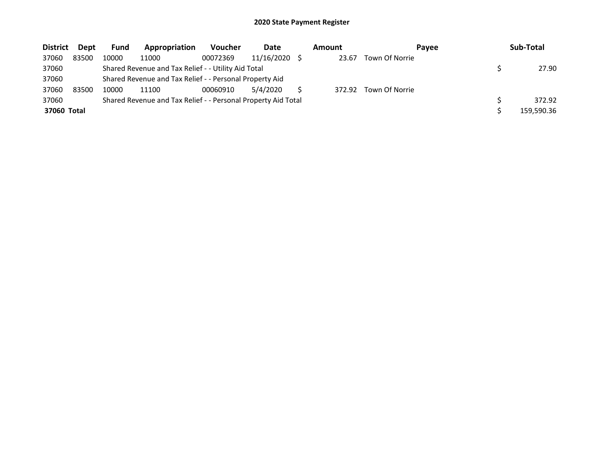| <b>District</b> | <b>Dept</b> | <b>Fund</b> | Appropriation                                                 | <b>Voucher</b> | Date       | Amount | Pavee          | Sub-Total  |
|-----------------|-------------|-------------|---------------------------------------------------------------|----------------|------------|--------|----------------|------------|
| 37060           | 83500       | 10000       | 11000                                                         | 00072369       | 11/16/2020 | 23.67  | Town Of Norrie |            |
| 37060           |             |             | Shared Revenue and Tax Relief - - Utility Aid Total           |                |            |        |                | 27.90      |
| 37060           |             |             | Shared Revenue and Tax Relief - - Personal Property Aid       |                |            |        |                |            |
| 37060           | 83500       | 10000       | 11100                                                         | 00060910       | 5/4/2020   | 372.92 | Town Of Norrie |            |
| 37060           |             |             | Shared Revenue and Tax Relief - - Personal Property Aid Total |                |            |        |                | 372.92     |
| 37060 Total     |             |             |                                                               |                |            |        |                | 159,590.36 |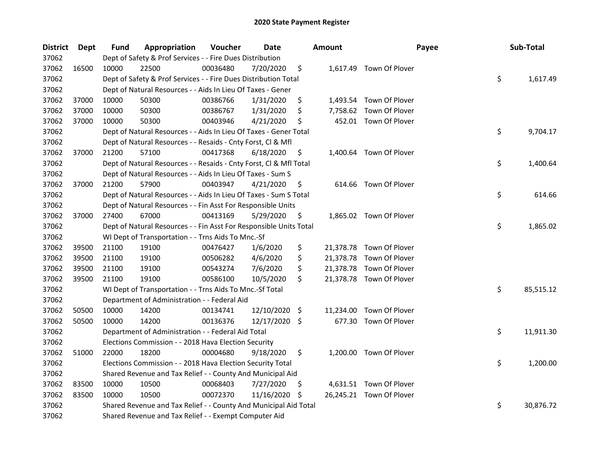| <b>District</b> | Dept  | Fund  | Appropriation                                                      | Voucher  | <b>Date</b>   |     | <b>Amount</b> | Payee                    | Sub-Total       |
|-----------------|-------|-------|--------------------------------------------------------------------|----------|---------------|-----|---------------|--------------------------|-----------------|
| 37062           |       |       | Dept of Safety & Prof Services - - Fire Dues Distribution          |          |               |     |               |                          |                 |
| 37062           | 16500 | 10000 | 22500                                                              | 00036480 | 7/20/2020     | \$  |               | 1,617.49 Town Of Plover  |                 |
| 37062           |       |       | Dept of Safety & Prof Services - - Fire Dues Distribution Total    |          |               |     |               |                          | \$<br>1,617.49  |
| 37062           |       |       | Dept of Natural Resources - - Aids In Lieu Of Taxes - Gener        |          |               |     |               |                          |                 |
| 37062           | 37000 | 10000 | 50300                                                              | 00386766 | 1/31/2020     | \$  |               | 1,493.54 Town Of Plover  |                 |
| 37062           | 37000 | 10000 | 50300                                                              | 00386767 | 1/31/2020     | \$  | 7,758.62      | Town Of Plover           |                 |
| 37062           | 37000 | 10000 | 50300                                                              | 00403946 | 4/21/2020     | \$  |               | 452.01 Town Of Plover    |                 |
| 37062           |       |       | Dept of Natural Resources - - Aids In Lieu Of Taxes - Gener Total  |          |               |     |               |                          | \$<br>9,704.17  |
| 37062           |       |       | Dept of Natural Resources - - Resaids - Cnty Forst, Cl & Mfl       |          |               |     |               |                          |                 |
| 37062           | 37000 | 21200 | 57100                                                              | 00417368 | 6/18/2020     | \$  |               | 1,400.64 Town Of Plover  |                 |
| 37062           |       |       | Dept of Natural Resources - - Resaids - Cnty Forst, Cl & Mfl Total |          |               |     |               |                          | \$<br>1,400.64  |
| 37062           |       |       | Dept of Natural Resources - - Aids In Lieu Of Taxes - Sum S        |          |               |     |               |                          |                 |
| 37062           | 37000 | 21200 | 57900                                                              | 00403947 | 4/21/2020     | \$  |               | 614.66 Town Of Plover    |                 |
| 37062           |       |       | Dept of Natural Resources - - Aids In Lieu Of Taxes - Sum S Total  |          |               |     |               |                          | \$<br>614.66    |
| 37062           |       |       | Dept of Natural Resources - - Fin Asst For Responsible Units       |          |               |     |               |                          |                 |
| 37062           | 37000 | 27400 | 67000                                                              | 00413169 | 5/29/2020     | \$  |               | 1,865.02 Town Of Plover  |                 |
| 37062           |       |       | Dept of Natural Resources - - Fin Asst For Responsible Units Total |          |               |     |               |                          | \$<br>1,865.02  |
| 37062           |       |       | WI Dept of Transportation - - Trns Aids To Mnc.-Sf                 |          |               |     |               |                          |                 |
| 37062           | 39500 | 21100 | 19100                                                              | 00476427 | 1/6/2020      | \$  |               | 21,378.78 Town Of Plover |                 |
| 37062           | 39500 | 21100 | 19100                                                              | 00506282 | 4/6/2020      | \$  | 21,378.78     | Town Of Plover           |                 |
| 37062           | 39500 | 21100 | 19100                                                              | 00543274 | 7/6/2020      | \$  | 21,378.78     | Town Of Plover           |                 |
| 37062           | 39500 | 21100 | 19100                                                              | 00586100 | 10/5/2020     | \$  |               | 21,378.78 Town Of Plover |                 |
| 37062           |       |       | WI Dept of Transportation - - Trns Aids To Mnc.-Sf Total           |          |               |     |               |                          | \$<br>85,515.12 |
| 37062           |       |       | Department of Administration - - Federal Aid                       |          |               |     |               |                          |                 |
| 37062           | 50500 | 10000 | 14200                                                              | 00134741 | 12/10/2020    | -\$ | 11,234.00     | Town Of Plover           |                 |
| 37062           | 50500 | 10000 | 14200                                                              | 00136376 | 12/17/2020 \$ |     | 677.30        | Town Of Plover           |                 |
| 37062           |       |       | Department of Administration - - Federal Aid Total                 |          |               |     |               |                          | \$<br>11,911.30 |
| 37062           |       |       | Elections Commission - - 2018 Hava Election Security               |          |               |     |               |                          |                 |
| 37062           | 51000 | 22000 | 18200                                                              | 00004680 | 9/18/2020     | \$  |               | 1,200.00 Town Of Plover  |                 |
| 37062           |       |       | Elections Commission - - 2018 Hava Election Security Total         |          |               |     |               |                          | \$<br>1,200.00  |
| 37062           |       |       | Shared Revenue and Tax Relief - - County And Municipal Aid         |          |               |     |               |                          |                 |
| 37062           | 83500 | 10000 | 10500                                                              | 00068403 | 7/27/2020     | Ş   |               | 4,631.51 Town Of Plover  |                 |
| 37062           | 83500 | 10000 | 10500                                                              | 00072370 | 11/16/2020    | \$  |               | 26,245.21 Town Of Plover |                 |
| 37062           |       |       | Shared Revenue and Tax Relief - - County And Municipal Aid Total   |          |               |     |               |                          | \$<br>30,876.72 |
| 37062           |       |       | Shared Revenue and Tax Relief - - Exempt Computer Aid              |          |               |     |               |                          |                 |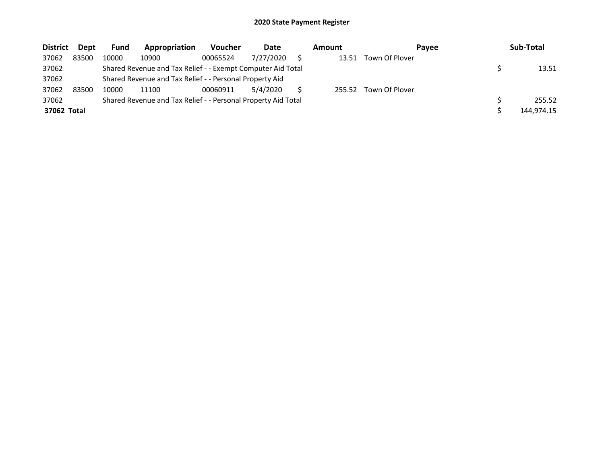| <b>District</b> | Dept  | <b>Fund</b> | Appropriation                                                 | <b>Voucher</b> | Date      | Amount | Payee          | Sub-Total  |
|-----------------|-------|-------------|---------------------------------------------------------------|----------------|-----------|--------|----------------|------------|
| 37062           | 83500 | 10000       | 10900                                                         | 00065524       | 7/27/2020 | 13.51  | Town Of Plover |            |
| 37062           |       |             | Shared Revenue and Tax Relief - - Exempt Computer Aid Total   |                |           |        |                | 13.51      |
| 37062           |       |             | Shared Revenue and Tax Relief - - Personal Property Aid       |                |           |        |                |            |
| 37062           | 83500 | 10000       | 11100                                                         | 00060911       | 5/4/2020  | 255.52 | Town Of Plover |            |
| 37062           |       |             | Shared Revenue and Tax Relief - - Personal Property Aid Total |                |           |        |                | 255.52     |
| 37062 Total     |       |             |                                                               |                |           |        |                | 144.974.15 |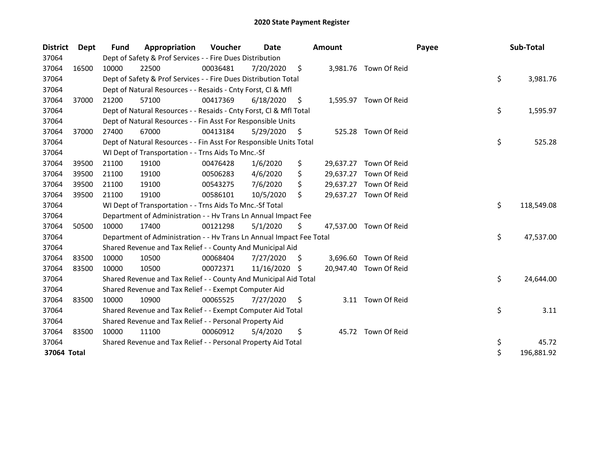| <b>District</b> | Dept  | Fund  | Appropriation                                                        | <b>Voucher</b> | Date       |     | <b>Amount</b> |                        | Payee | Sub-Total        |
|-----------------|-------|-------|----------------------------------------------------------------------|----------------|------------|-----|---------------|------------------------|-------|------------------|
| 37064           |       |       | Dept of Safety & Prof Services - - Fire Dues Distribution            |                |            |     |               |                        |       |                  |
| 37064           | 16500 | 10000 | 22500                                                                | 00036481       | 7/20/2020  | \$. |               | 3,981.76 Town Of Reid  |       |                  |
| 37064           |       |       | Dept of Safety & Prof Services - - Fire Dues Distribution Total      |                |            |     |               |                        |       | \$<br>3,981.76   |
| 37064           |       |       | Dept of Natural Resources - - Resaids - Cnty Forst, Cl & Mfl         |                |            |     |               |                        |       |                  |
| 37064           | 37000 | 21200 | 57100                                                                | 00417369       | 6/18/2020  | -\$ |               | 1,595.97 Town Of Reid  |       |                  |
| 37064           |       |       | Dept of Natural Resources - - Resaids - Cnty Forst, CI & Mfl Total   |                |            |     |               |                        |       | \$<br>1,595.97   |
| 37064           |       |       | Dept of Natural Resources - - Fin Asst For Responsible Units         |                |            |     |               |                        |       |                  |
| 37064           | 37000 | 27400 | 67000                                                                | 00413184       | 5/29/2020  | S   | 525.28        | Town Of Reid           |       |                  |
| 37064           |       |       | Dept of Natural Resources - - Fin Asst For Responsible Units Total   |                |            |     |               |                        |       | \$<br>525.28     |
| 37064           |       |       | WI Dept of Transportation - - Trns Aids To Mnc.-Sf                   |                |            |     |               |                        |       |                  |
| 37064           | 39500 | 21100 | 19100                                                                | 00476428       | 1/6/2020   | \$  | 29,637.27     | Town Of Reid           |       |                  |
| 37064           | 39500 | 21100 | 19100                                                                | 00506283       | 4/6/2020   | \$  | 29,637.27     | Town Of Reid           |       |                  |
| 37064           | 39500 | 21100 | 19100                                                                | 00543275       | 7/6/2020   | \$  | 29,637.27     | Town Of Reid           |       |                  |
| 37064           | 39500 | 21100 | 19100                                                                | 00586101       | 10/5/2020  | \$  | 29,637.27     | Town Of Reid           |       |                  |
| 37064           |       |       | WI Dept of Transportation - - Trns Aids To Mnc.-Sf Total             |                |            |     |               |                        |       | \$<br>118,549.08 |
| 37064           |       |       | Department of Administration - - Hv Trans Ln Annual Impact Fee       |                |            |     |               |                        |       |                  |
| 37064           | 50500 | 10000 | 17400                                                                | 00121298       | 5/1/2020   | \$  |               | 47,537.00 Town Of Reid |       |                  |
| 37064           |       |       | Department of Administration - - Hv Trans Ln Annual Impact Fee Total |                |            |     |               |                        |       | \$<br>47,537.00  |
| 37064           |       |       | Shared Revenue and Tax Relief - - County And Municipal Aid           |                |            |     |               |                        |       |                  |
| 37064           | 83500 | 10000 | 10500                                                                | 00068404       | 7/27/2020  | S.  |               | 3,696.60 Town Of Reid  |       |                  |
| 37064           | 83500 | 10000 | 10500                                                                | 00072371       | 11/16/2020 | -S  |               | 20,947.40 Town Of Reid |       |                  |
| 37064           |       |       | Shared Revenue and Tax Relief - - County And Municipal Aid Total     |                |            |     |               |                        |       | \$<br>24,644.00  |
| 37064           |       |       | Shared Revenue and Tax Relief - - Exempt Computer Aid                |                |            |     |               |                        |       |                  |
| 37064           | 83500 | 10000 | 10900                                                                | 00065525       | 7/27/2020  | S.  |               | 3.11 Town Of Reid      |       |                  |
| 37064           |       |       | Shared Revenue and Tax Relief - - Exempt Computer Aid Total          |                |            |     |               |                        |       | \$<br>3.11       |
| 37064           |       |       | Shared Revenue and Tax Relief - - Personal Property Aid              |                |            |     |               |                        |       |                  |
| 37064           | 83500 | 10000 | 11100                                                                | 00060912       | 5/4/2020   | \$  |               | 45.72 Town Of Reid     |       |                  |
| 37064           |       |       | Shared Revenue and Tax Relief - - Personal Property Aid Total        |                |            |     |               |                        |       | \$<br>45.72      |
| 37064 Total     |       |       |                                                                      |                |            |     |               |                        |       | \$<br>196,881.92 |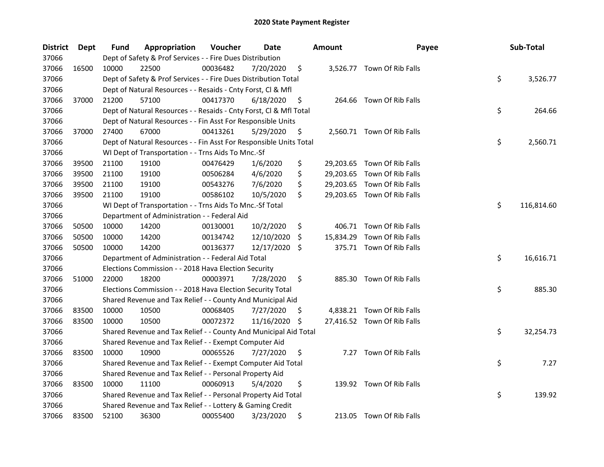| <b>District</b> | <b>Dept</b> | Fund  | Appropriation                                                      | Voucher  | Date       |     | <b>Amount</b> | Payee                       | Sub-Total        |
|-----------------|-------------|-------|--------------------------------------------------------------------|----------|------------|-----|---------------|-----------------------------|------------------|
| 37066           |             |       | Dept of Safety & Prof Services - - Fire Dues Distribution          |          |            |     |               |                             |                  |
| 37066           | 16500       | 10000 | 22500                                                              | 00036482 | 7/20/2020  | \$  |               | 3,526.77 Town Of Rib Falls  |                  |
| 37066           |             |       | Dept of Safety & Prof Services - - Fire Dues Distribution Total    |          |            |     |               |                             | \$<br>3,526.77   |
| 37066           |             |       | Dept of Natural Resources - - Resaids - Cnty Forst, Cl & Mfl       |          |            |     |               |                             |                  |
| 37066           | 37000       | 21200 | 57100                                                              | 00417370 | 6/18/2020  | \$  |               | 264.66 Town Of Rib Falls    |                  |
| 37066           |             |       | Dept of Natural Resources - - Resaids - Cnty Forst, Cl & Mfl Total |          |            |     |               |                             | \$<br>264.66     |
| 37066           |             |       | Dept of Natural Resources - - Fin Asst For Responsible Units       |          |            |     |               |                             |                  |
| 37066           | 37000       | 27400 | 67000                                                              | 00413261 | 5/29/2020  | \$  |               | 2,560.71 Town Of Rib Falls  |                  |
| 37066           |             |       | Dept of Natural Resources - - Fin Asst For Responsible Units Total |          |            |     |               |                             | \$<br>2,560.71   |
| 37066           |             |       | WI Dept of Transportation - - Trns Aids To Mnc.-Sf                 |          |            |     |               |                             |                  |
| 37066           | 39500       | 21100 | 19100                                                              | 00476429 | 1/6/2020   | \$  |               | 29,203.65 Town Of Rib Falls |                  |
| 37066           | 39500       | 21100 | 19100                                                              | 00506284 | 4/6/2020   | \$  |               | 29,203.65 Town Of Rib Falls |                  |
| 37066           | 39500       | 21100 | 19100                                                              | 00543276 | 7/6/2020   | \$  | 29,203.65     | Town Of Rib Falls           |                  |
| 37066           | 39500       | 21100 | 19100                                                              | 00586102 | 10/5/2020  | \$  |               | 29,203.65 Town Of Rib Falls |                  |
| 37066           |             |       | WI Dept of Transportation - - Trns Aids To Mnc.-Sf Total           |          |            |     |               |                             | \$<br>116,814.60 |
| 37066           |             |       | Department of Administration - - Federal Aid                       |          |            |     |               |                             |                  |
| 37066           | 50500       | 10000 | 14200                                                              | 00130001 | 10/2/2020  | \$  | 406.71        | Town Of Rib Falls           |                  |
| 37066           | 50500       | 10000 | 14200                                                              | 00134742 | 12/10/2020 | \$. | 15,834.29     | Town Of Rib Falls           |                  |
| 37066           | 50500       | 10000 | 14200                                                              | 00136377 | 12/17/2020 | \$  |               | 375.71 Town Of Rib Falls    |                  |
| 37066           |             |       | Department of Administration - - Federal Aid Total                 |          |            |     |               |                             | \$<br>16,616.71  |
| 37066           |             |       | Elections Commission - - 2018 Hava Election Security               |          |            |     |               |                             |                  |
| 37066           | 51000       | 22000 | 18200                                                              | 00003971 | 7/28/2020  | \$  |               | 885.30 Town Of Rib Falls    |                  |
| 37066           |             |       | Elections Commission - - 2018 Hava Election Security Total         |          |            |     |               |                             | \$<br>885.30     |
| 37066           |             |       | Shared Revenue and Tax Relief - - County And Municipal Aid         |          |            |     |               |                             |                  |
| 37066           | 83500       | 10000 | 10500                                                              | 00068405 | 7/27/2020  | \$. |               | 4,838.21 Town Of Rib Falls  |                  |
| 37066           | 83500       | 10000 | 10500                                                              | 00072372 | 11/16/2020 | \$, |               | 27,416.52 Town Of Rib Falls |                  |
| 37066           |             |       | Shared Revenue and Tax Relief - - County And Municipal Aid Total   |          |            |     |               |                             | \$<br>32,254.73  |
| 37066           |             |       | Shared Revenue and Tax Relief - - Exempt Computer Aid              |          |            |     |               |                             |                  |
| 37066           | 83500       | 10000 | 10900                                                              | 00065526 | 7/27/2020  | \$  |               | 7.27 Town Of Rib Falls      |                  |
| 37066           |             |       | Shared Revenue and Tax Relief - - Exempt Computer Aid Total        |          |            |     |               |                             | \$<br>7.27       |
| 37066           |             |       | Shared Revenue and Tax Relief - - Personal Property Aid            |          |            |     |               |                             |                  |
| 37066           | 83500       | 10000 | 11100                                                              | 00060913 | 5/4/2020   | \$  |               | 139.92 Town Of Rib Falls    |                  |
| 37066           |             |       | Shared Revenue and Tax Relief - - Personal Property Aid Total      |          |            |     |               |                             | \$<br>139.92     |
| 37066           |             |       | Shared Revenue and Tax Relief - - Lottery & Gaming Credit          |          |            |     |               |                             |                  |
| 37066           | 83500       | 52100 | 36300                                                              | 00055400 | 3/23/2020  | \$  |               | 213.05 Town Of Rib Falls    |                  |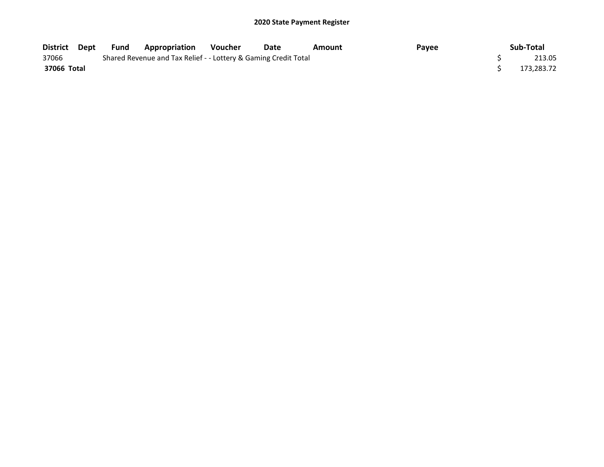| District Dept | Fund | Appropriation                                                   | <b>Voucher</b> | Date | Amount | Payee | Sub-Total  |
|---------------|------|-----------------------------------------------------------------|----------------|------|--------|-------|------------|
| 37066         |      | Shared Revenue and Tax Relief - - Lottery & Gaming Credit Total |                |      |        |       | 213.05     |
| 37066 Total   |      |                                                                 |                |      |        |       | 173.283.72 |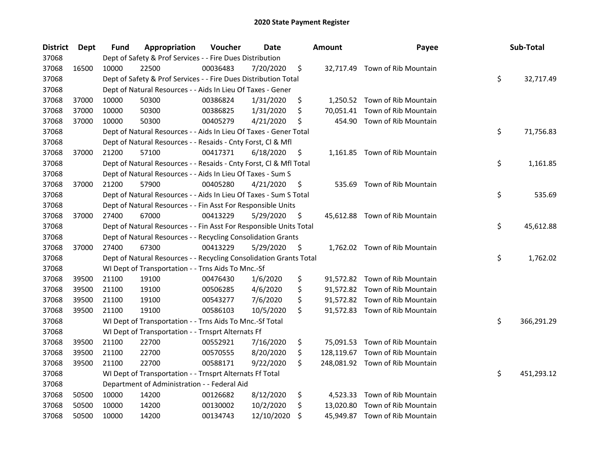| <b>District</b> | <b>Dept</b> | Fund  | Appropriation                                                      | Voucher  | Date       | <b>Amount</b>   | Payee                           | Sub-Total        |
|-----------------|-------------|-------|--------------------------------------------------------------------|----------|------------|-----------------|---------------------------------|------------------|
| 37068           |             |       | Dept of Safety & Prof Services - - Fire Dues Distribution          |          |            |                 |                                 |                  |
| 37068           | 16500       | 10000 | 22500                                                              | 00036483 | 7/20/2020  | \$              | 32,717.49 Town of Rib Mountain  |                  |
| 37068           |             |       | Dept of Safety & Prof Services - - Fire Dues Distribution Total    |          |            |                 |                                 | \$<br>32,717.49  |
| 37068           |             |       | Dept of Natural Resources - - Aids In Lieu Of Taxes - Gener        |          |            |                 |                                 |                  |
| 37068           | 37000       | 10000 | 50300                                                              | 00386824 | 1/31/2020  | \$              | 1,250.52 Town of Rib Mountain   |                  |
| 37068           | 37000       | 10000 | 50300                                                              | 00386825 | 1/31/2020  | \$<br>70,051.41 | Town of Rib Mountain            |                  |
| 37068           | 37000       | 10000 | 50300                                                              | 00405279 | 4/21/2020  | \$<br>454.90    | Town of Rib Mountain            |                  |
| 37068           |             |       | Dept of Natural Resources - - Aids In Lieu Of Taxes - Gener Total  |          |            |                 |                                 | \$<br>71,756.83  |
| 37068           |             |       | Dept of Natural Resources - - Resaids - Cnty Forst, Cl & Mfl       |          |            |                 |                                 |                  |
| 37068           | 37000       | 21200 | 57100                                                              | 00417371 | 6/18/2020  | \$              | 1,161.85 Town of Rib Mountain   |                  |
| 37068           |             |       | Dept of Natural Resources - - Resaids - Cnty Forst, Cl & Mfl Total |          |            |                 |                                 | \$<br>1,161.85   |
| 37068           |             |       | Dept of Natural Resources - - Aids In Lieu Of Taxes - Sum S        |          |            |                 |                                 |                  |
| 37068           | 37000       | 21200 | 57900                                                              | 00405280 | 4/21/2020  | \$<br>535.69    | Town of Rib Mountain            |                  |
| 37068           |             |       | Dept of Natural Resources - - Aids In Lieu Of Taxes - Sum S Total  |          |            |                 |                                 | \$<br>535.69     |
| 37068           |             |       | Dept of Natural Resources - - Fin Asst For Responsible Units       |          |            |                 |                                 |                  |
| 37068           | 37000       | 27400 | 67000                                                              | 00413229 | 5/29/2020  | \$              | 45,612.88 Town of Rib Mountain  |                  |
| 37068           |             |       | Dept of Natural Resources - - Fin Asst For Responsible Units Total |          |            |                 |                                 | \$<br>45,612.88  |
| 37068           |             |       | Dept of Natural Resources - - Recycling Consolidation Grants       |          |            |                 |                                 |                  |
| 37068           | 37000       | 27400 | 67300                                                              | 00413229 | 5/29/2020  | \$              | 1,762.02 Town of Rib Mountain   |                  |
| 37068           |             |       | Dept of Natural Resources - - Recycling Consolidation Grants Total |          |            |                 |                                 | \$<br>1,762.02   |
| 37068           |             |       | WI Dept of Transportation - - Trns Aids To Mnc.-Sf                 |          |            |                 |                                 |                  |
| 37068           | 39500       | 21100 | 19100                                                              | 00476430 | 1/6/2020   | \$              | 91,572.82 Town of Rib Mountain  |                  |
| 37068           | 39500       | 21100 | 19100                                                              | 00506285 | 4/6/2020   | \$              | 91,572.82 Town of Rib Mountain  |                  |
| 37068           | 39500       | 21100 | 19100                                                              | 00543277 | 7/6/2020   | \$              | 91,572.82 Town of Rib Mountain  |                  |
| 37068           | 39500       | 21100 | 19100                                                              | 00586103 | 10/5/2020  | \$              | 91,572.83 Town of Rib Mountain  |                  |
| 37068           |             |       | WI Dept of Transportation - - Trns Aids To Mnc.-Sf Total           |          |            |                 |                                 | \$<br>366,291.29 |
| 37068           |             |       | WI Dept of Transportation - - Trnsprt Alternats Ff                 |          |            |                 |                                 |                  |
| 37068           | 39500       | 21100 | 22700                                                              | 00552921 | 7/16/2020  | \$              | 75,091.53 Town of Rib Mountain  |                  |
| 37068           | 39500       | 21100 | 22700                                                              | 00570555 | 8/20/2020  | \$              | 128,119.67 Town of Rib Mountain |                  |
| 37068           | 39500       | 21100 | 22700                                                              | 00588171 | 9/22/2020  | \$              | 248,081.92 Town of Rib Mountain |                  |
| 37068           |             |       | WI Dept of Transportation - - Trnsprt Alternats Ff Total           |          |            |                 |                                 | \$<br>451,293.12 |
| 37068           |             |       | Department of Administration - - Federal Aid                       |          |            |                 |                                 |                  |
| 37068           | 50500       | 10000 | 14200                                                              | 00126682 | 8/12/2020  | \$              | 4,523.33 Town of Rib Mountain   |                  |
| 37068           | 50500       | 10000 | 14200                                                              | 00130002 | 10/2/2020  | \$<br>13,020.80 | Town of Rib Mountain            |                  |
| 37068           | 50500       | 10000 | 14200                                                              | 00134743 | 12/10/2020 | \$              | 45,949.87 Town of Rib Mountain  |                  |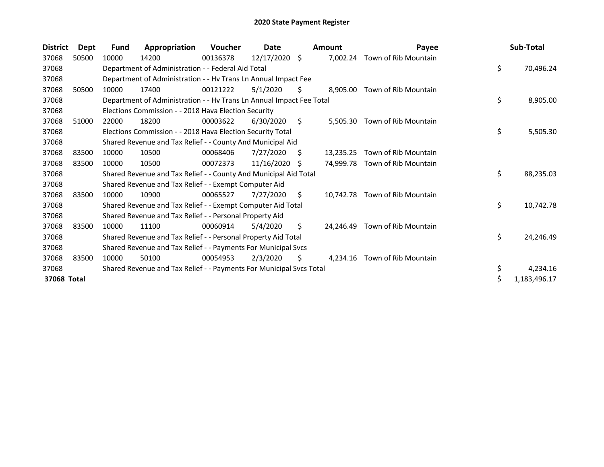| District    | <b>Dept</b> | <b>Fund</b> | Appropriation                                                        | Voucher  | Date            |    | <b>Amount</b> | Payee                          | Sub-Total          |
|-------------|-------------|-------------|----------------------------------------------------------------------|----------|-----------------|----|---------------|--------------------------------|--------------------|
| 37068       | 50500       | 10000       | 14200                                                                | 00136378 | $12/17/2020$ \$ |    | 7,002.24      | Town of Rib Mountain           |                    |
| 37068       |             |             | Department of Administration - - Federal Aid Total                   |          |                 |    |               |                                | \$<br>70,496.24    |
| 37068       |             |             | Department of Administration - - Hv Trans Ln Annual Impact Fee       |          |                 |    |               |                                |                    |
| 37068       | 50500       | 10000       | 17400                                                                | 00121222 | 5/1/2020        | S. | 8,905.00      | Town of Rib Mountain           |                    |
| 37068       |             |             | Department of Administration - - Hv Trans Ln Annual Impact Fee Total |          |                 |    |               |                                | \$<br>8,905.00     |
| 37068       |             |             | Elections Commission - - 2018 Hava Election Security                 |          |                 |    |               |                                |                    |
| 37068       | 51000       | 22000       | 18200                                                                | 00003622 | 6/30/2020       | S. | 5,505.30      | Town of Rib Mountain           |                    |
| 37068       |             |             | Elections Commission - - 2018 Hava Election Security Total           |          |                 |    |               |                                | \$<br>5,505.30     |
| 37068       |             |             | Shared Revenue and Tax Relief - - County And Municipal Aid           |          |                 |    |               |                                |                    |
| 37068       | 83500       | 10000       | 10500                                                                | 00068406 | 7/27/2020       | S  | 13,235.25     | Town of Rib Mountain           |                    |
| 37068       | 83500       | 10000       | 10500                                                                | 00072373 | 11/16/2020      | -S |               | 74,999.78 Town of Rib Mountain |                    |
| 37068       |             |             | Shared Revenue and Tax Relief - - County And Municipal Aid Total     |          |                 |    |               |                                | \$<br>88,235.03    |
| 37068       |             |             | Shared Revenue and Tax Relief - - Exempt Computer Aid                |          |                 |    |               |                                |                    |
| 37068       | 83500       | 10000       | 10900                                                                | 00065527 | 7/27/2020       | Ŝ. |               | 10,742.78 Town of Rib Mountain |                    |
| 37068       |             |             | Shared Revenue and Tax Relief - - Exempt Computer Aid Total          |          |                 |    |               |                                | \$<br>10,742.78    |
| 37068       |             |             | Shared Revenue and Tax Relief - - Personal Property Aid              |          |                 |    |               |                                |                    |
| 37068       | 83500       | 10000       | 11100                                                                | 00060914 | 5/4/2020        | Ŝ. | 24.246.49     | Town of Rib Mountain           |                    |
| 37068       |             |             | Shared Revenue and Tax Relief - - Personal Property Aid Total        |          |                 |    |               |                                | \$<br>24,246.49    |
| 37068       |             |             | Shared Revenue and Tax Relief - - Payments For Municipal Svcs        |          |                 |    |               |                                |                    |
| 37068       | 83500       | 10000       | 50100                                                                | 00054953 | 2/3/2020        | \$ | 4,234.16      | Town of Rib Mountain           |                    |
| 37068       |             |             | Shared Revenue and Tax Relief - - Payments For Municipal Svcs Total  |          |                 |    |               |                                | \$<br>4,234.16     |
| 37068 Total |             |             |                                                                      |          |                 |    |               |                                | \$<br>1,183,496.17 |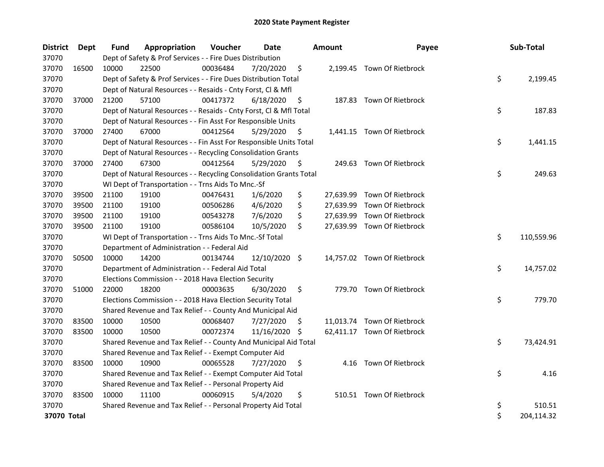| <b>District</b> | Dept  | Fund  | Appropriation                                                      | Voucher  | <b>Date</b>   |     | <b>Amount</b> | Payee                       | Sub-Total        |
|-----------------|-------|-------|--------------------------------------------------------------------|----------|---------------|-----|---------------|-----------------------------|------------------|
| 37070           |       |       | Dept of Safety & Prof Services - - Fire Dues Distribution          |          |               |     |               |                             |                  |
| 37070           | 16500 | 10000 | 22500                                                              | 00036484 | 7/20/2020     | \$  |               | 2,199.45 Town Of Rietbrock  |                  |
| 37070           |       |       | Dept of Safety & Prof Services - - Fire Dues Distribution Total    |          |               |     |               |                             | \$<br>2,199.45   |
| 37070           |       |       | Dept of Natural Resources - - Resaids - Cnty Forst, Cl & Mfl       |          |               |     |               |                             |                  |
| 37070           | 37000 | 21200 | 57100                                                              | 00417372 | 6/18/2020     | \$  |               | 187.83 Town Of Rietbrock    |                  |
| 37070           |       |       | Dept of Natural Resources - - Resaids - Cnty Forst, CI & Mfl Total |          |               |     |               |                             | \$<br>187.83     |
| 37070           |       |       | Dept of Natural Resources - - Fin Asst For Responsible Units       |          |               |     |               |                             |                  |
| 37070           | 37000 | 27400 | 67000                                                              | 00412564 | 5/29/2020     | \$  |               | 1,441.15 Town Of Rietbrock  |                  |
| 37070           |       |       | Dept of Natural Resources - - Fin Asst For Responsible Units Total |          |               |     |               |                             | \$<br>1,441.15   |
| 37070           |       |       | Dept of Natural Resources - - Recycling Consolidation Grants       |          |               |     |               |                             |                  |
| 37070           | 37000 | 27400 | 67300                                                              | 00412564 | 5/29/2020     | \$. |               | 249.63 Town Of Rietbrock    |                  |
| 37070           |       |       | Dept of Natural Resources - - Recycling Consolidation Grants Total |          |               |     |               |                             | \$<br>249.63     |
| 37070           |       |       | WI Dept of Transportation - - Trns Aids To Mnc.-Sf                 |          |               |     |               |                             |                  |
| 37070           | 39500 | 21100 | 19100                                                              | 00476431 | 1/6/2020      | \$  | 27,639.99     | Town Of Rietbrock           |                  |
| 37070           | 39500 | 21100 | 19100                                                              | 00506286 | 4/6/2020      | \$  | 27,639.99     | Town Of Rietbrock           |                  |
| 37070           | 39500 | 21100 | 19100                                                              | 00543278 | 7/6/2020      | \$  |               | 27,639.99 Town Of Rietbrock |                  |
| 37070           | 39500 | 21100 | 19100                                                              | 00586104 | 10/5/2020     | \$  |               | 27,639.99 Town Of Rietbrock |                  |
| 37070           |       |       | WI Dept of Transportation - - Trns Aids To Mnc.-Sf Total           |          |               |     |               |                             | \$<br>110,559.96 |
| 37070           |       |       | Department of Administration - - Federal Aid                       |          |               |     |               |                             |                  |
| 37070           | 50500 | 10000 | 14200                                                              | 00134744 | 12/10/2020    | \$  |               | 14,757.02 Town Of Rietbrock |                  |
| 37070           |       |       | Department of Administration - - Federal Aid Total                 |          |               |     |               |                             | \$<br>14,757.02  |
| 37070           |       |       | Elections Commission - - 2018 Hava Election Security               |          |               |     |               |                             |                  |
| 37070           | 51000 | 22000 | 18200                                                              | 00003635 | 6/30/2020     | \$  |               | 779.70 Town Of Rietbrock    |                  |
| 37070           |       |       | Elections Commission - - 2018 Hava Election Security Total         |          |               |     |               |                             | \$<br>779.70     |
| 37070           |       |       | Shared Revenue and Tax Relief - - County And Municipal Aid         |          |               |     |               |                             |                  |
| 37070           | 83500 | 10000 | 10500                                                              | 00068407 | 7/27/2020     | \$. |               | 11,013.74 Town Of Rietbrock |                  |
| 37070           | 83500 | 10000 | 10500                                                              | 00072374 | 11/16/2020 \$ |     |               | 62,411.17 Town Of Rietbrock |                  |
| 37070           |       |       | Shared Revenue and Tax Relief - - County And Municipal Aid Total   |          |               |     |               |                             | \$<br>73,424.91  |
| 37070           |       |       | Shared Revenue and Tax Relief - - Exempt Computer Aid              |          |               |     |               |                             |                  |
| 37070           | 83500 | 10000 | 10900                                                              | 00065528 | 7/27/2020     | \$  |               | 4.16 Town Of Rietbrock      |                  |
| 37070           |       |       | Shared Revenue and Tax Relief - - Exempt Computer Aid Total        |          |               |     |               |                             | \$<br>4.16       |
| 37070           |       |       | Shared Revenue and Tax Relief - - Personal Property Aid            |          |               |     |               |                             |                  |
| 37070           | 83500 | 10000 | 11100                                                              | 00060915 | 5/4/2020      | \$  |               | 510.51 Town Of Rietbrock    |                  |
| 37070           |       |       | Shared Revenue and Tax Relief - - Personal Property Aid Total      |          |               |     |               |                             | \$<br>510.51     |
| 37070 Total     |       |       |                                                                    |          |               |     |               |                             | \$<br>204,114.32 |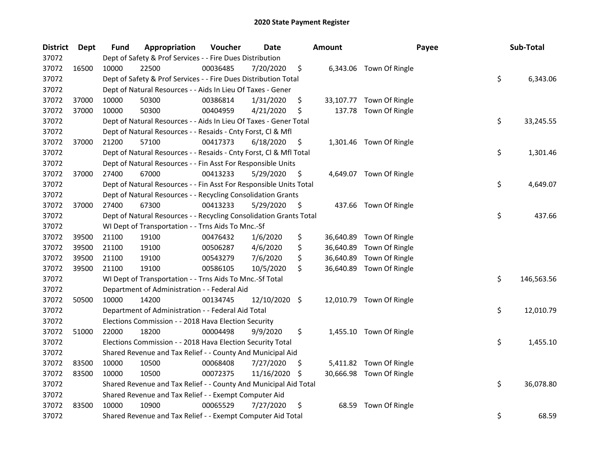| <b>District</b> | Dept  | Fund  | Appropriation                                                      | Voucher  | <b>Date</b>   |     | <b>Amount</b> | Payee                    | Sub-Total        |
|-----------------|-------|-------|--------------------------------------------------------------------|----------|---------------|-----|---------------|--------------------------|------------------|
| 37072           |       |       | Dept of Safety & Prof Services - - Fire Dues Distribution          |          |               |     |               |                          |                  |
| 37072           | 16500 | 10000 | 22500                                                              | 00036485 | 7/20/2020     | \$  |               | 6,343.06 Town Of Ringle  |                  |
| 37072           |       |       | Dept of Safety & Prof Services - - Fire Dues Distribution Total    |          |               |     |               |                          | \$<br>6,343.06   |
| 37072           |       |       | Dept of Natural Resources - - Aids In Lieu Of Taxes - Gener        |          |               |     |               |                          |                  |
| 37072           | 37000 | 10000 | 50300                                                              | 00386814 | 1/31/2020     | \$  |               | 33,107.77 Town Of Ringle |                  |
| 37072           | 37000 | 10000 | 50300                                                              | 00404959 | 4/21/2020     | \$  | 137.78        | Town Of Ringle           |                  |
| 37072           |       |       | Dept of Natural Resources - - Aids In Lieu Of Taxes - Gener Total  |          |               |     |               |                          | \$<br>33,245.55  |
| 37072           |       |       | Dept of Natural Resources - - Resaids - Cnty Forst, Cl & Mfl       |          |               |     |               |                          |                  |
| 37072           | 37000 | 21200 | 57100                                                              | 00417373 | 6/18/2020     | \$  |               | 1,301.46 Town Of Ringle  |                  |
| 37072           |       |       | Dept of Natural Resources - - Resaids - Cnty Forst, Cl & Mfl Total |          |               |     |               |                          | \$<br>1,301.46   |
| 37072           |       |       | Dept of Natural Resources - - Fin Asst For Responsible Units       |          |               |     |               |                          |                  |
| 37072           | 37000 | 27400 | 67000                                                              | 00413233 | 5/29/2020     | \$  |               | 4,649.07 Town Of Ringle  |                  |
| 37072           |       |       | Dept of Natural Resources - - Fin Asst For Responsible Units Total |          |               |     |               |                          | \$<br>4,649.07   |
| 37072           |       |       | Dept of Natural Resources - - Recycling Consolidation Grants       |          |               |     |               |                          |                  |
| 37072           | 37000 | 27400 | 67300                                                              | 00413233 | 5/29/2020     | \$. |               | 437.66 Town Of Ringle    |                  |
| 37072           |       |       | Dept of Natural Resources - - Recycling Consolidation Grants Total |          |               |     |               |                          | \$<br>437.66     |
| 37072           |       |       | WI Dept of Transportation - - Trns Aids To Mnc.-Sf                 |          |               |     |               |                          |                  |
| 37072           | 39500 | 21100 | 19100                                                              | 00476432 | 1/6/2020      | \$  | 36,640.89     | Town Of Ringle           |                  |
| 37072           | 39500 | 21100 | 19100                                                              | 00506287 | 4/6/2020      | \$  | 36,640.89     | Town Of Ringle           |                  |
| 37072           | 39500 | 21100 | 19100                                                              | 00543279 | 7/6/2020      | \$  | 36,640.89     | Town Of Ringle           |                  |
| 37072           | 39500 | 21100 | 19100                                                              | 00586105 | 10/5/2020     | \$  | 36,640.89     | Town Of Ringle           |                  |
| 37072           |       |       | WI Dept of Transportation - - Trns Aids To Mnc.-Sf Total           |          |               |     |               |                          | \$<br>146,563.56 |
| 37072           |       |       | Department of Administration - - Federal Aid                       |          |               |     |               |                          |                  |
| 37072           | 50500 | 10000 | 14200                                                              | 00134745 | 12/10/2020 \$ |     |               | 12,010.79 Town Of Ringle |                  |
| 37072           |       |       | Department of Administration - - Federal Aid Total                 |          |               |     |               |                          | \$<br>12,010.79  |
| 37072           |       |       | Elections Commission - - 2018 Hava Election Security               |          |               |     |               |                          |                  |
| 37072           | 51000 | 22000 | 18200                                                              | 00004498 | 9/9/2020      | \$  |               | 1,455.10 Town Of Ringle  |                  |
| 37072           |       |       | Elections Commission - - 2018 Hava Election Security Total         |          |               |     |               |                          | \$<br>1,455.10   |
| 37072           |       |       | Shared Revenue and Tax Relief - - County And Municipal Aid         |          |               |     |               |                          |                  |
| 37072           | 83500 | 10000 | 10500                                                              | 00068408 | 7/27/2020     | \$  |               | 5,411.82 Town Of Ringle  |                  |
| 37072           | 83500 | 10000 | 10500                                                              | 00072375 | 11/16/2020    | -\$ |               | 30,666.98 Town Of Ringle |                  |
| 37072           |       |       | Shared Revenue and Tax Relief - - County And Municipal Aid Total   |          |               |     |               |                          | \$<br>36,078.80  |
| 37072           |       |       | Shared Revenue and Tax Relief - - Exempt Computer Aid              |          |               |     |               |                          |                  |
| 37072           | 83500 | 10000 | 10900                                                              | 00065529 | 7/27/2020     | \$  | 68.59         | Town Of Ringle           |                  |
| 37072           |       |       | Shared Revenue and Tax Relief - - Exempt Computer Aid Total        |          |               |     |               |                          | \$<br>68.59      |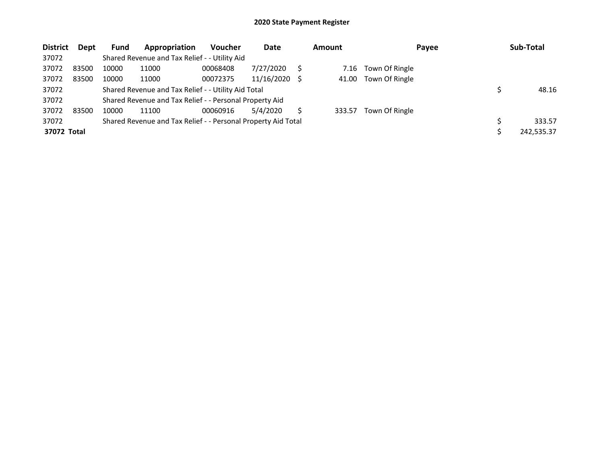| <b>District</b> | <b>Dept</b> | <b>Fund</b> | Appropriation                                                 | <b>Voucher</b> | Date       |     | <b>Amount</b> | Payee          | Sub-Total  |
|-----------------|-------------|-------------|---------------------------------------------------------------|----------------|------------|-----|---------------|----------------|------------|
| 37072           |             |             | Shared Revenue and Tax Relief - - Utility Aid                 |                |            |     |               |                |            |
| 37072           | 83500       | 10000       | 11000                                                         | 00068408       | 7/27/2020  |     | 7.16          | Town Of Ringle |            |
| 37072           | 83500       | 10000       | 11000                                                         | 00072375       | 11/16/2020 | - S | 41.00         | Town Of Ringle |            |
| 37072           |             |             | Shared Revenue and Tax Relief - - Utility Aid Total           |                |            |     |               |                | 48.16      |
| 37072           |             |             | Shared Revenue and Tax Relief - - Personal Property Aid       |                |            |     |               |                |            |
| 37072           | 83500       | 10000       | 11100                                                         | 00060916       | 5/4/2020   |     | 333.57        | Town Of Ringle |            |
| 37072           |             |             | Shared Revenue and Tax Relief - - Personal Property Aid Total |                |            |     |               |                | 333.57     |
| 37072 Total     |             |             |                                                               |                |            |     |               |                | 242,535.37 |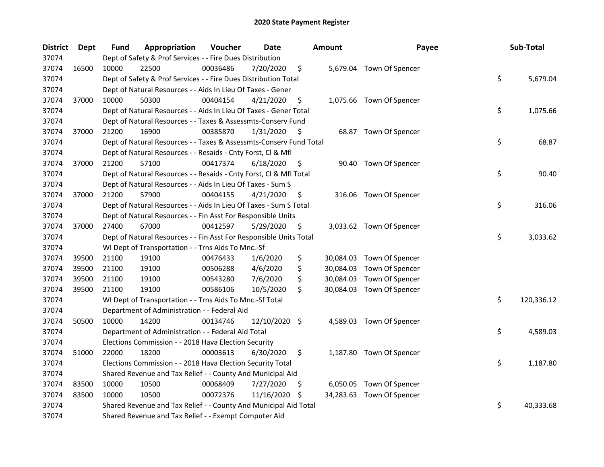| <b>District</b> | <b>Dept</b> | Fund  | Appropriation                                                      | Voucher  | <b>Date</b>   |     | <b>Amount</b> | Payee                     | Sub-Total        |
|-----------------|-------------|-------|--------------------------------------------------------------------|----------|---------------|-----|---------------|---------------------------|------------------|
| 37074           |             |       | Dept of Safety & Prof Services - - Fire Dues Distribution          |          |               |     |               |                           |                  |
| 37074           | 16500       | 10000 | 22500                                                              | 00036486 | 7/20/2020     | \$  |               | 5,679.04 Town Of Spencer  |                  |
| 37074           |             |       | Dept of Safety & Prof Services - - Fire Dues Distribution Total    |          |               |     |               |                           | \$<br>5,679.04   |
| 37074           |             |       | Dept of Natural Resources - - Aids In Lieu Of Taxes - Gener        |          |               |     |               |                           |                  |
| 37074           | 37000       | 10000 | 50300                                                              | 00404154 | 4/21/2020     | \$  |               | 1,075.66 Town Of Spencer  |                  |
| 37074           |             |       | Dept of Natural Resources - - Aids In Lieu Of Taxes - Gener Total  |          |               |     |               |                           | \$<br>1,075.66   |
| 37074           |             |       | Dept of Natural Resources - - Taxes & Assessmts-Conserv Fund       |          |               |     |               |                           |                  |
| 37074           | 37000       | 21200 | 16900                                                              | 00385870 | 1/31/2020     | \$  |               | 68.87 Town Of Spencer     |                  |
| 37074           |             |       | Dept of Natural Resources - - Taxes & Assessmts-Conserv Fund Total |          |               |     |               |                           | \$<br>68.87      |
| 37074           |             |       | Dept of Natural Resources - - Resaids - Cnty Forst, Cl & Mfl       |          |               |     |               |                           |                  |
| 37074           | 37000       | 21200 | 57100                                                              | 00417374 | 6/18/2020     | \$  |               | 90.40 Town Of Spencer     |                  |
| 37074           |             |       | Dept of Natural Resources - - Resaids - Cnty Forst, Cl & Mfl Total |          |               |     |               |                           | \$<br>90.40      |
| 37074           |             |       | Dept of Natural Resources - - Aids In Lieu Of Taxes - Sum S        |          |               |     |               |                           |                  |
| 37074           | 37000       | 21200 | 57900                                                              | 00404155 | 4/21/2020     | \$, |               | 316.06 Town Of Spencer    |                  |
| 37074           |             |       | Dept of Natural Resources - - Aids In Lieu Of Taxes - Sum S Total  |          |               |     |               |                           | \$<br>316.06     |
| 37074           |             |       | Dept of Natural Resources - - Fin Asst For Responsible Units       |          |               |     |               |                           |                  |
| 37074           | 37000       | 27400 | 67000                                                              | 00412597 | 5/29/2020     | \$  |               | 3,033.62 Town Of Spencer  |                  |
| 37074           |             |       | Dept of Natural Resources - - Fin Asst For Responsible Units Total |          |               |     |               |                           | \$<br>3,033.62   |
| 37074           |             |       | WI Dept of Transportation - - Trns Aids To Mnc.-Sf                 |          |               |     |               |                           |                  |
| 37074           | 39500       | 21100 | 19100                                                              | 00476433 | 1/6/2020      | \$  |               | 30,084.03 Town Of Spencer |                  |
| 37074           | 39500       | 21100 | 19100                                                              | 00506288 | 4/6/2020      | \$  | 30,084.03     | Town Of Spencer           |                  |
| 37074           | 39500       | 21100 | 19100                                                              | 00543280 | 7/6/2020      | \$  |               | 30,084.03 Town Of Spencer |                  |
| 37074           | 39500       | 21100 | 19100                                                              | 00586106 | 10/5/2020     | \$  |               | 30,084.03 Town Of Spencer |                  |
| 37074           |             |       | WI Dept of Transportation - - Trns Aids To Mnc.-Sf Total           |          |               |     |               |                           | \$<br>120,336.12 |
| 37074           |             |       | Department of Administration - - Federal Aid                       |          |               |     |               |                           |                  |
| 37074           | 50500       | 10000 | 14200                                                              | 00134746 | 12/10/2020 \$ |     |               | 4,589.03 Town Of Spencer  |                  |
| 37074           |             |       | Department of Administration - - Federal Aid Total                 |          |               |     |               |                           | \$<br>4,589.03   |
| 37074           |             |       | Elections Commission - - 2018 Hava Election Security               |          |               |     |               |                           |                  |
| 37074           | 51000       | 22000 | 18200                                                              | 00003613 | 6/30/2020     | \$  |               | 1,187.80 Town Of Spencer  |                  |
| 37074           |             |       | Elections Commission - - 2018 Hava Election Security Total         |          |               |     |               |                           | \$<br>1,187.80   |
| 37074           |             |       | Shared Revenue and Tax Relief - - County And Municipal Aid         |          |               |     |               |                           |                  |
| 37074           | 83500       | 10000 | 10500                                                              | 00068409 | 7/27/2020     | Ş.  |               | 6,050.05 Town Of Spencer  |                  |
| 37074           | 83500       | 10000 | 10500                                                              | 00072376 | 11/16/2020    | S   |               | 34,283.63 Town Of Spencer |                  |
| 37074           |             |       | Shared Revenue and Tax Relief - - County And Municipal Aid Total   |          |               |     |               |                           | \$<br>40,333.68  |
| 37074           |             |       | Shared Revenue and Tax Relief - - Exempt Computer Aid              |          |               |     |               |                           |                  |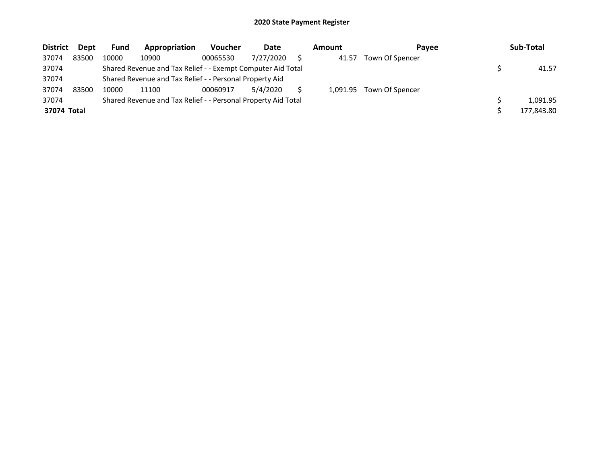| <b>District</b> | Dept  | Fund  | Appropriation                                                 | <b>Voucher</b> | Date      | Amount   | Payee           | Sub-Total  |
|-----------------|-------|-------|---------------------------------------------------------------|----------------|-----------|----------|-----------------|------------|
| 37074           | 83500 | 10000 | 10900                                                         | 00065530       | 7/27/2020 | 41.57    | Town Of Spencer |            |
| 37074           |       |       | Shared Revenue and Tax Relief - - Exempt Computer Aid Total   |                |           |          |                 | 41.57      |
| 37074           |       |       | Shared Revenue and Tax Relief - - Personal Property Aid       |                |           |          |                 |            |
| 37074           | 83500 | 10000 | 11100                                                         | 00060917       | 5/4/2020  | 1.091.95 | Town Of Spencer |            |
| 37074           |       |       | Shared Revenue and Tax Relief - - Personal Property Aid Total |                |           |          |                 | 1.091.95   |
| 37074 Total     |       |       |                                                               |                |           |          |                 | 177,843.80 |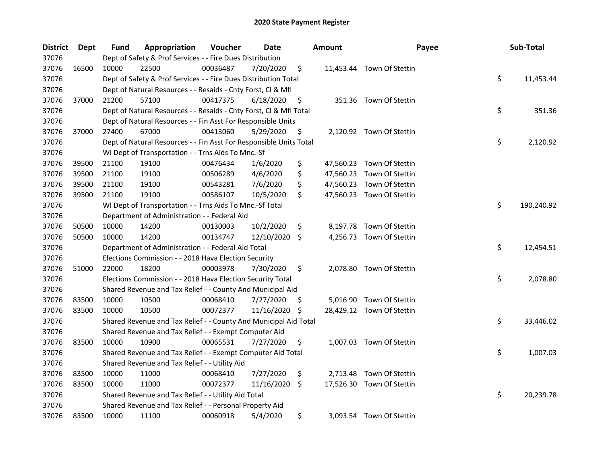| <b>District</b> | Dept  | <b>Fund</b> | Appropriation                                                      | Voucher  | Date       |     | <b>Amount</b> | Payee                     | Sub-Total        |
|-----------------|-------|-------------|--------------------------------------------------------------------|----------|------------|-----|---------------|---------------------------|------------------|
| 37076           |       |             | Dept of Safety & Prof Services - - Fire Dues Distribution          |          |            |     |               |                           |                  |
| 37076           | 16500 | 10000       | 22500                                                              | 00036487 | 7/20/2020  | \$  |               | 11,453.44 Town Of Stettin |                  |
| 37076           |       |             | Dept of Safety & Prof Services - - Fire Dues Distribution Total    |          |            |     |               |                           | \$<br>11,453.44  |
| 37076           |       |             | Dept of Natural Resources - - Resaids - Cnty Forst, Cl & Mfl       |          |            |     |               |                           |                  |
| 37076           | 37000 | 21200       | 57100                                                              | 00417375 | 6/18/2020  | \$  |               | 351.36 Town Of Stettin    |                  |
| 37076           |       |             | Dept of Natural Resources - - Resaids - Cnty Forst, Cl & Mfl Total |          |            |     |               |                           | \$<br>351.36     |
| 37076           |       |             | Dept of Natural Resources - - Fin Asst For Responsible Units       |          |            |     |               |                           |                  |
| 37076           | 37000 | 27400       | 67000                                                              | 00413060 | 5/29/2020  | \$  |               | 2,120.92 Town Of Stettin  |                  |
| 37076           |       |             | Dept of Natural Resources - - Fin Asst For Responsible Units Total |          |            |     |               |                           | \$<br>2,120.92   |
| 37076           |       |             | WI Dept of Transportation - - Trns Aids To Mnc.-Sf                 |          |            |     |               |                           |                  |
| 37076           | 39500 | 21100       | 19100                                                              | 00476434 | 1/6/2020   | \$  |               | 47,560.23 Town Of Stettin |                  |
| 37076           | 39500 | 21100       | 19100                                                              | 00506289 | 4/6/2020   | \$  |               | 47,560.23 Town Of Stettin |                  |
| 37076           | 39500 | 21100       | 19100                                                              | 00543281 | 7/6/2020   | \$  |               | 47,560.23 Town Of Stettin |                  |
| 37076           | 39500 | 21100       | 19100                                                              | 00586107 | 10/5/2020  | \$  |               | 47,560.23 Town Of Stettin |                  |
| 37076           |       |             | WI Dept of Transportation - - Trns Aids To Mnc.-Sf Total           |          |            |     |               |                           | \$<br>190,240.92 |
| 37076           |       |             | Department of Administration - - Federal Aid                       |          |            |     |               |                           |                  |
| 37076           | 50500 | 10000       | 14200                                                              | 00130003 | 10/2/2020  | \$  |               | 8,197.78 Town Of Stettin  |                  |
| 37076           | 50500 | 10000       | 14200                                                              | 00134747 | 12/10/2020 | S.  |               | 4,256.73 Town Of Stettin  |                  |
| 37076           |       |             | Department of Administration - - Federal Aid Total                 |          |            |     |               |                           | \$<br>12,454.51  |
| 37076           |       |             | Elections Commission - - 2018 Hava Election Security               |          |            |     |               |                           |                  |
| 37076           | 51000 | 22000       | 18200                                                              | 00003978 | 7/30/2020  | \$  |               | 2,078.80 Town Of Stettin  |                  |
| 37076           |       |             | Elections Commission - - 2018 Hava Election Security Total         |          |            |     |               |                           | \$<br>2,078.80   |
| 37076           |       |             | Shared Revenue and Tax Relief - - County And Municipal Aid         |          |            |     |               |                           |                  |
| 37076           | 83500 | 10000       | 10500                                                              | 00068410 | 7/27/2020  | \$. |               | 5,016.90 Town Of Stettin  |                  |
| 37076           | 83500 | 10000       | 10500                                                              | 00072377 | 11/16/2020 | \$  |               | 28,429.12 Town Of Stettin |                  |
| 37076           |       |             | Shared Revenue and Tax Relief - - County And Municipal Aid Total   |          |            |     |               |                           | \$<br>33,446.02  |
| 37076           |       |             | Shared Revenue and Tax Relief - - Exempt Computer Aid              |          |            |     |               |                           |                  |
| 37076           | 83500 | 10000       | 10900                                                              | 00065531 | 7/27/2020  | \$  |               | 1,007.03 Town Of Stettin  |                  |
| 37076           |       |             | Shared Revenue and Tax Relief - - Exempt Computer Aid Total        |          |            |     |               |                           | \$<br>1,007.03   |
| 37076           |       |             | Shared Revenue and Tax Relief - - Utility Aid                      |          |            |     |               |                           |                  |
| 37076           | 83500 | 10000       | 11000                                                              | 00068410 | 7/27/2020  | \$  |               | 2,713.48 Town Of Stettin  |                  |
| 37076           | 83500 | 10000       | 11000                                                              | 00072377 | 11/16/2020 | \$  |               | 17,526.30 Town Of Stettin |                  |
| 37076           |       |             | Shared Revenue and Tax Relief - - Utility Aid Total                |          |            |     |               |                           | \$<br>20,239.78  |
| 37076           |       |             | Shared Revenue and Tax Relief - - Personal Property Aid            |          |            |     |               |                           |                  |
| 37076           | 83500 | 10000       | 11100                                                              | 00060918 | 5/4/2020   | \$  |               | 3,093.54 Town Of Stettin  |                  |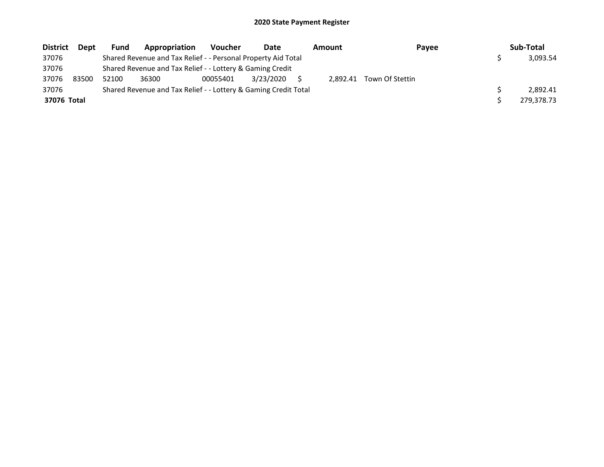| <b>District</b> | <b>Dept</b> | Fund  | Appropriation                                                   | <b>Voucher</b> | Date      | Amount   | Payee           | Sub-Total  |
|-----------------|-------------|-------|-----------------------------------------------------------------|----------------|-----------|----------|-----------------|------------|
| 37076           |             |       | Shared Revenue and Tax Relief - - Personal Property Aid Total   |                |           |          |                 | 3,093.54   |
| 37076           |             |       | Shared Revenue and Tax Relief - - Lottery & Gaming Credit       |                |           |          |                 |            |
| 37076           | 83500       | 52100 | 36300                                                           | 00055401       | 3/23/2020 | 2.892.41 | Town Of Stettin |            |
| 37076           |             |       | Shared Revenue and Tax Relief - - Lottery & Gaming Credit Total |                |           |          |                 | 2.892.41   |
| 37076 Total     |             |       |                                                                 |                |           |          |                 | 279,378.73 |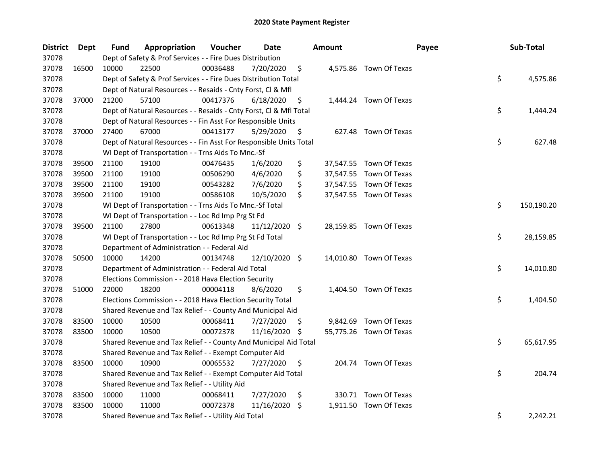| <b>District</b> | Dept  | Fund  | Appropriation                                                      | Voucher  | Date          |     | <b>Amount</b> | Payee                   | Sub-Total        |
|-----------------|-------|-------|--------------------------------------------------------------------|----------|---------------|-----|---------------|-------------------------|------------------|
| 37078           |       |       | Dept of Safety & Prof Services - - Fire Dues Distribution          |          |               |     |               |                         |                  |
| 37078           | 16500 | 10000 | 22500                                                              | 00036488 | 7/20/2020     | \$  |               | 4,575.86 Town Of Texas  |                  |
| 37078           |       |       | Dept of Safety & Prof Services - - Fire Dues Distribution Total    |          |               |     |               |                         | \$<br>4,575.86   |
| 37078           |       |       | Dept of Natural Resources - - Resaids - Cnty Forst, Cl & Mfl       |          |               |     |               |                         |                  |
| 37078           | 37000 | 21200 | 57100                                                              | 00417376 | 6/18/2020     | \$  |               | 1,444.24 Town Of Texas  |                  |
| 37078           |       |       | Dept of Natural Resources - - Resaids - Cnty Forst, Cl & Mfl Total |          |               |     |               |                         | \$<br>1,444.24   |
| 37078           |       |       | Dept of Natural Resources - - Fin Asst For Responsible Units       |          |               |     |               |                         |                  |
| 37078           | 37000 | 27400 | 67000                                                              | 00413177 | 5/29/2020     | \$  |               | 627.48 Town Of Texas    |                  |
| 37078           |       |       | Dept of Natural Resources - - Fin Asst For Responsible Units Total |          |               |     |               |                         | \$<br>627.48     |
| 37078           |       |       | WI Dept of Transportation - - Trns Aids To Mnc.-Sf                 |          |               |     |               |                         |                  |
| 37078           | 39500 | 21100 | 19100                                                              | 00476435 | 1/6/2020      | \$  |               | 37,547.55 Town Of Texas |                  |
| 37078           | 39500 | 21100 | 19100                                                              | 00506290 | 4/6/2020      | \$  |               | 37,547.55 Town Of Texas |                  |
| 37078           | 39500 | 21100 | 19100                                                              | 00543282 | 7/6/2020      | \$  |               | 37,547.55 Town Of Texas |                  |
| 37078           | 39500 | 21100 | 19100                                                              | 00586108 | 10/5/2020     | \$  |               | 37,547.55 Town Of Texas |                  |
| 37078           |       |       | WI Dept of Transportation - - Trns Aids To Mnc.-Sf Total           |          |               |     |               |                         | \$<br>150,190.20 |
| 37078           |       |       | WI Dept of Transportation - - Loc Rd Imp Prg St Fd                 |          |               |     |               |                         |                  |
| 37078           | 39500 | 21100 | 27800                                                              | 00613348 | 11/12/2020 \$ |     |               | 28,159.85 Town Of Texas |                  |
| 37078           |       |       | WI Dept of Transportation - - Loc Rd Imp Prg St Fd Total           |          |               |     |               |                         | \$<br>28,159.85  |
| 37078           |       |       | Department of Administration - - Federal Aid                       |          |               |     |               |                         |                  |
| 37078           | 50500 | 10000 | 14200                                                              | 00134748 | 12/10/2020 \$ |     |               | 14,010.80 Town Of Texas |                  |
| 37078           |       |       | Department of Administration - - Federal Aid Total                 |          |               |     |               |                         | \$<br>14,010.80  |
| 37078           |       |       | Elections Commission - - 2018 Hava Election Security               |          |               |     |               |                         |                  |
| 37078           | 51000 | 22000 | 18200                                                              | 00004118 | 8/6/2020      | \$  |               | 1,404.50 Town Of Texas  |                  |
| 37078           |       |       | Elections Commission - - 2018 Hava Election Security Total         |          |               |     |               |                         | \$<br>1,404.50   |
| 37078           |       |       | Shared Revenue and Tax Relief - - County And Municipal Aid         |          |               |     |               |                         |                  |
| 37078           | 83500 | 10000 | 10500                                                              | 00068411 | 7/27/2020     | \$. | 9,842.69      | Town Of Texas           |                  |
| 37078           | 83500 | 10000 | 10500                                                              | 00072378 | 11/16/2020 \$ |     |               | 55,775.26 Town Of Texas |                  |
| 37078           |       |       | Shared Revenue and Tax Relief - - County And Municipal Aid Total   |          |               |     |               |                         | \$<br>65,617.95  |
| 37078           |       |       | Shared Revenue and Tax Relief - - Exempt Computer Aid              |          |               |     |               |                         |                  |
| 37078           | 83500 | 10000 | 10900                                                              | 00065532 | 7/27/2020     | \$  |               | 204.74 Town Of Texas    |                  |
| 37078           |       |       | Shared Revenue and Tax Relief - - Exempt Computer Aid Total        |          |               |     |               |                         | \$<br>204.74     |
| 37078           |       |       | Shared Revenue and Tax Relief - - Utility Aid                      |          |               |     |               |                         |                  |
| 37078           | 83500 | 10000 | 11000                                                              | 00068411 | 7/27/2020     | \$  |               | 330.71 Town Of Texas    |                  |
| 37078           | 83500 | 10000 | 11000                                                              | 00072378 | 11/16/2020    | \$  | 1,911.50      | Town Of Texas           |                  |
| 37078           |       |       | Shared Revenue and Tax Relief - - Utility Aid Total                |          |               |     |               |                         | \$<br>2,242.21   |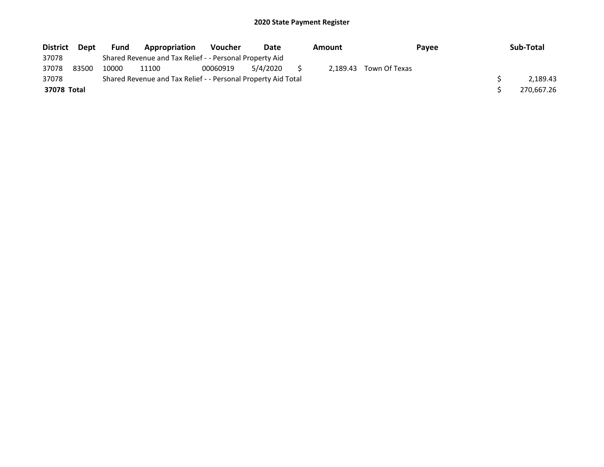| <b>District</b> | <b>Dept</b> | <b>Fund</b> | Appropriation                                                 | <b>Voucher</b> | Date     | Amount | <b>Pavee</b>           | Sub-Total  |
|-----------------|-------------|-------------|---------------------------------------------------------------|----------------|----------|--------|------------------------|------------|
| 37078           |             |             | Shared Revenue and Tax Relief - - Personal Property Aid       |                |          |        |                        |            |
| 37078           | 83500       | 10000       | 11100                                                         | 00060919       | 5/4/2020 |        | 2.189.43 Town Of Texas |            |
| 37078           |             |             | Shared Revenue and Tax Relief - - Personal Property Aid Total |                |          |        |                        | 2,189.43   |
| 37078 Total     |             |             |                                                               |                |          |        |                        | 270.667.26 |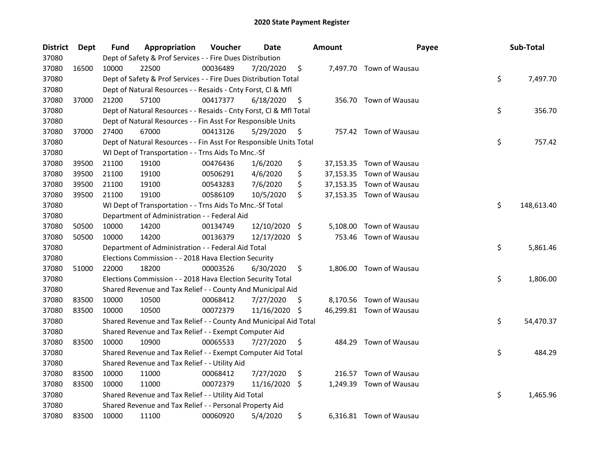| <b>District</b> | Dept  | <b>Fund</b> | Appropriation                                                      | Voucher  | Date       |     | <b>Amount</b> | Payee                    | Sub-Total        |
|-----------------|-------|-------------|--------------------------------------------------------------------|----------|------------|-----|---------------|--------------------------|------------------|
| 37080           |       |             | Dept of Safety & Prof Services - - Fire Dues Distribution          |          |            |     |               |                          |                  |
| 37080           | 16500 | 10000       | 22500                                                              | 00036489 | 7/20/2020  | \$  |               | 7,497.70 Town of Wausau  |                  |
| 37080           |       |             | Dept of Safety & Prof Services - - Fire Dues Distribution Total    |          |            |     |               |                          | \$<br>7,497.70   |
| 37080           |       |             | Dept of Natural Resources - - Resaids - Cnty Forst, Cl & Mfl       |          |            |     |               |                          |                  |
| 37080           | 37000 | 21200       | 57100                                                              | 00417377 | 6/18/2020  | \$  |               | 356.70 Town of Wausau    |                  |
| 37080           |       |             | Dept of Natural Resources - - Resaids - Cnty Forst, Cl & Mfl Total |          |            |     |               |                          | \$<br>356.70     |
| 37080           |       |             | Dept of Natural Resources - - Fin Asst For Responsible Units       |          |            |     |               |                          |                  |
| 37080           | 37000 | 27400       | 67000                                                              | 00413126 | 5/29/2020  | \$  |               | 757.42 Town of Wausau    |                  |
| 37080           |       |             | Dept of Natural Resources - - Fin Asst For Responsible Units Total |          |            |     |               |                          | \$<br>757.42     |
| 37080           |       |             | WI Dept of Transportation - - Trns Aids To Mnc.-Sf                 |          |            |     |               |                          |                  |
| 37080           | 39500 | 21100       | 19100                                                              | 00476436 | 1/6/2020   | \$  |               | 37,153.35 Town of Wausau |                  |
| 37080           | 39500 | 21100       | 19100                                                              | 00506291 | 4/6/2020   | \$  |               | 37,153.35 Town of Wausau |                  |
| 37080           | 39500 | 21100       | 19100                                                              | 00543283 | 7/6/2020   | \$  |               | 37,153.35 Town of Wausau |                  |
| 37080           | 39500 | 21100       | 19100                                                              | 00586109 | 10/5/2020  | \$  |               | 37,153.35 Town of Wausau |                  |
| 37080           |       |             | WI Dept of Transportation - - Trns Aids To Mnc.-Sf Total           |          |            |     |               |                          | \$<br>148,613.40 |
| 37080           |       |             | Department of Administration - - Federal Aid                       |          |            |     |               |                          |                  |
| 37080           | 50500 | 10000       | 14200                                                              | 00134749 | 12/10/2020 | -\$ | 5,108.00      | Town of Wausau           |                  |
| 37080           | 50500 | 10000       | 14200                                                              | 00136379 | 12/17/2020 | -\$ | 753.46        | Town of Wausau           |                  |
| 37080           |       |             | Department of Administration - - Federal Aid Total                 |          |            |     |               |                          | \$<br>5,861.46   |
| 37080           |       |             | Elections Commission - - 2018 Hava Election Security               |          |            |     |               |                          |                  |
| 37080           | 51000 | 22000       | 18200                                                              | 00003526 | 6/30/2020  | \$  |               | 1,806.00 Town of Wausau  |                  |
| 37080           |       |             | Elections Commission - - 2018 Hava Election Security Total         |          |            |     |               |                          | \$<br>1,806.00   |
| 37080           |       |             | Shared Revenue and Tax Relief - - County And Municipal Aid         |          |            |     |               |                          |                  |
| 37080           | 83500 | 10000       | 10500                                                              | 00068412 | 7/27/2020  | \$. |               | 8,170.56 Town of Wausau  |                  |
| 37080           | 83500 | 10000       | 10500                                                              | 00072379 | 11/16/2020 | \$  |               | 46,299.81 Town of Wausau |                  |
| 37080           |       |             | Shared Revenue and Tax Relief - - County And Municipal Aid Total   |          |            |     |               |                          | \$<br>54,470.37  |
| 37080           |       |             | Shared Revenue and Tax Relief - - Exempt Computer Aid              |          |            |     |               |                          |                  |
| 37080           | 83500 | 10000       | 10900                                                              | 00065533 | 7/27/2020  | \$  | 484.29        | Town of Wausau           |                  |
| 37080           |       |             | Shared Revenue and Tax Relief - - Exempt Computer Aid Total        |          |            |     |               |                          | \$<br>484.29     |
| 37080           |       |             | Shared Revenue and Tax Relief - - Utility Aid                      |          |            |     |               |                          |                  |
| 37080           | 83500 | 10000       | 11000                                                              | 00068412 | 7/27/2020  | \$  | 216.57        | Town of Wausau           |                  |
| 37080           | 83500 | 10000       | 11000                                                              | 00072379 | 11/16/2020 | \$  |               | 1,249.39 Town of Wausau  |                  |
| 37080           |       |             | Shared Revenue and Tax Relief - - Utility Aid Total                |          |            |     |               |                          | \$<br>1,465.96   |
| 37080           |       |             | Shared Revenue and Tax Relief - - Personal Property Aid            |          |            |     |               |                          |                  |
| 37080           | 83500 | 10000       | 11100                                                              | 00060920 | 5/4/2020   | \$  |               | 6,316.81 Town of Wausau  |                  |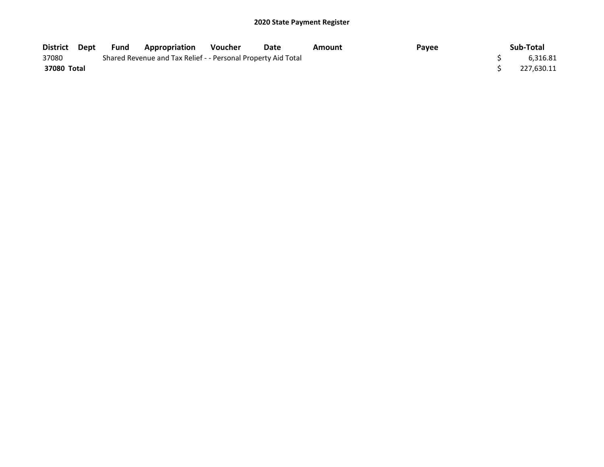| District    | Dept | Fund | <b>Appropriation</b>                                          | <b>Voucher</b> | Date | Amount | Payee | Sub-Total  |
|-------------|------|------|---------------------------------------------------------------|----------------|------|--------|-------|------------|
| 37080       |      |      | Shared Revenue and Tax Relief - - Personal Property Aid Total |                |      |        |       | 6,316.81   |
| 37080 Total |      |      |                                                               |                |      |        |       | 227,630.11 |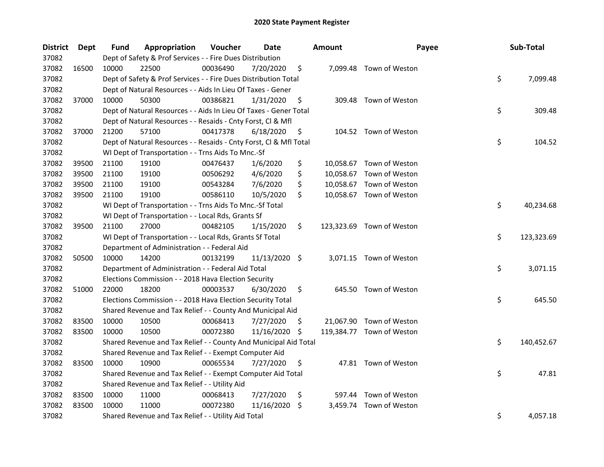| <b>District</b> | Dept  | <b>Fund</b> | Appropriation                                                      | Voucher  | Date          |     | <b>Amount</b> | Payee                     | Sub-Total        |
|-----------------|-------|-------------|--------------------------------------------------------------------|----------|---------------|-----|---------------|---------------------------|------------------|
| 37082           |       |             | Dept of Safety & Prof Services - - Fire Dues Distribution          |          |               |     |               |                           |                  |
| 37082           | 16500 | 10000       | 22500                                                              | 00036490 | 7/20/2020     | \$  |               | 7,099.48 Town of Weston   |                  |
| 37082           |       |             | Dept of Safety & Prof Services - - Fire Dues Distribution Total    |          |               |     |               |                           | \$<br>7,099.48   |
| 37082           |       |             | Dept of Natural Resources - - Aids In Lieu Of Taxes - Gener        |          |               |     |               |                           |                  |
| 37082           | 37000 | 10000       | 50300                                                              | 00386821 | 1/31/2020     | \$  |               | 309.48 Town of Weston     |                  |
| 37082           |       |             | Dept of Natural Resources - - Aids In Lieu Of Taxes - Gener Total  |          |               |     |               |                           | \$<br>309.48     |
| 37082           |       |             | Dept of Natural Resources - - Resaids - Cnty Forst, Cl & Mfl       |          |               |     |               |                           |                  |
| 37082           | 37000 | 21200       | 57100                                                              | 00417378 | 6/18/2020     | \$  |               | 104.52 Town of Weston     |                  |
| 37082           |       |             | Dept of Natural Resources - - Resaids - Cnty Forst, Cl & Mfl Total |          |               |     |               |                           | \$<br>104.52     |
| 37082           |       |             | WI Dept of Transportation - - Trns Aids To Mnc.-Sf                 |          |               |     |               |                           |                  |
| 37082           | 39500 | 21100       | 19100                                                              | 00476437 | 1/6/2020      | \$  |               | 10,058.67 Town of Weston  |                  |
| 37082           | 39500 | 21100       | 19100                                                              | 00506292 | 4/6/2020      | \$  |               | 10,058.67 Town of Weston  |                  |
| 37082           | 39500 | 21100       | 19100                                                              | 00543284 | 7/6/2020      | \$  |               | 10,058.67 Town of Weston  |                  |
| 37082           | 39500 | 21100       | 19100                                                              | 00586110 | 10/5/2020     | \$  |               | 10,058.67 Town of Weston  |                  |
| 37082           |       |             | WI Dept of Transportation - - Trns Aids To Mnc.-Sf Total           |          |               |     |               |                           | \$<br>40,234.68  |
| 37082           |       |             | WI Dept of Transportation - - Local Rds, Grants Sf                 |          |               |     |               |                           |                  |
| 37082           | 39500 | 21100       | 27000                                                              | 00482105 | 1/15/2020     | \$  |               | 123,323.69 Town of Weston |                  |
| 37082           |       |             | WI Dept of Transportation - - Local Rds, Grants Sf Total           |          |               |     |               |                           | \$<br>123,323.69 |
| 37082           |       |             | Department of Administration - - Federal Aid                       |          |               |     |               |                           |                  |
| 37082           | 50500 | 10000       | 14200                                                              | 00132199 | 11/13/2020 \$ |     |               | 3,071.15 Town of Weston   |                  |
| 37082           |       |             | Department of Administration - - Federal Aid Total                 |          |               |     |               |                           | \$<br>3,071.15   |
| 37082           |       |             | Elections Commission - - 2018 Hava Election Security               |          |               |     |               |                           |                  |
| 37082           | 51000 | 22000       | 18200                                                              | 00003537 | 6/30/2020     | \$  |               | 645.50 Town of Weston     |                  |
| 37082           |       |             | Elections Commission - - 2018 Hava Election Security Total         |          |               |     |               |                           | \$<br>645.50     |
| 37082           |       |             | Shared Revenue and Tax Relief - - County And Municipal Aid         |          |               |     |               |                           |                  |
| 37082           | 83500 | 10000       | 10500                                                              | 00068413 | 7/27/2020     | S   |               | 21,067.90 Town of Weston  |                  |
| 37082           | 83500 | 10000       | 10500                                                              | 00072380 | 11/16/2020    | \$  |               | 119,384.77 Town of Weston |                  |
| 37082           |       |             | Shared Revenue and Tax Relief - - County And Municipal Aid Total   |          |               |     |               |                           | \$<br>140,452.67 |
| 37082           |       |             | Shared Revenue and Tax Relief - - Exempt Computer Aid              |          |               |     |               |                           |                  |
| 37082           | 83500 | 10000       | 10900                                                              | 00065534 | 7/27/2020     | \$  |               | 47.81 Town of Weston      |                  |
| 37082           |       |             | Shared Revenue and Tax Relief - - Exempt Computer Aid Total        |          |               |     |               |                           | \$<br>47.81      |
| 37082           |       |             | Shared Revenue and Tax Relief - - Utility Aid                      |          |               |     |               |                           |                  |
| 37082           | 83500 | 10000       | 11000                                                              | 00068413 | 7/27/2020     | \$  |               | 597.44 Town of Weston     |                  |
| 37082           | 83500 | 10000       | 11000                                                              | 00072380 | 11/16/2020    | \$. | 3,459.74      | Town of Weston            |                  |
| 37082           |       |             | Shared Revenue and Tax Relief - - Utility Aid Total                |          |               |     |               |                           | \$<br>4,057.18   |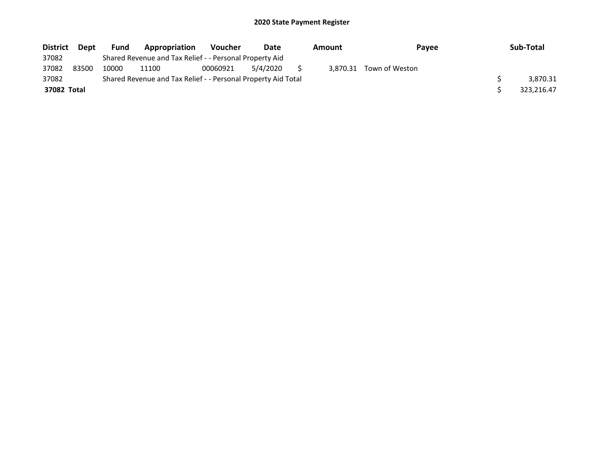| <b>District</b> | <b>Dept</b> | <b>Fund</b> | <b>Appropriation</b>                                          | <b>Voucher</b> | Date     | Amount   | <b>Pavee</b>   | Sub-Total  |
|-----------------|-------------|-------------|---------------------------------------------------------------|----------------|----------|----------|----------------|------------|
| 37082           |             |             | Shared Revenue and Tax Relief - - Personal Property Aid       |                |          |          |                |            |
| 37082           | 83500       | 10000       | 11100                                                         | 00060921       | 5/4/2020 | 3.870.31 | Town of Weston |            |
| 37082           |             |             | Shared Revenue and Tax Relief - - Personal Property Aid Total |                |          |          |                | 3.870.31   |
| 37082 Total     |             |             |                                                               |                |          |          |                | 323.216.47 |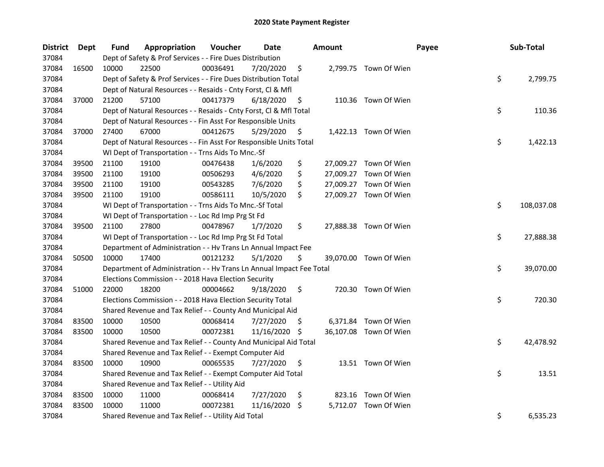| <b>District</b> | Dept  | <b>Fund</b> | Appropriation                                                        | Voucher  | Date       |     | <b>Amount</b> |                        | Payee | Sub-Total  |
|-----------------|-------|-------------|----------------------------------------------------------------------|----------|------------|-----|---------------|------------------------|-------|------------|
| 37084           |       |             | Dept of Safety & Prof Services - - Fire Dues Distribution            |          |            |     |               |                        |       |            |
| 37084           | 16500 | 10000       | 22500                                                                | 00036491 | 7/20/2020  | \$  |               | 2,799.75 Town Of Wien  |       |            |
| 37084           |       |             | Dept of Safety & Prof Services - - Fire Dues Distribution Total      |          |            |     |               |                        | \$    | 2,799.75   |
| 37084           |       |             | Dept of Natural Resources - - Resaids - Cnty Forst, Cl & Mfl         |          |            |     |               |                        |       |            |
| 37084           | 37000 | 21200       | 57100                                                                | 00417379 | 6/18/2020  | \$  |               | 110.36 Town Of Wien    |       |            |
| 37084           |       |             | Dept of Natural Resources - - Resaids - Cnty Forst, Cl & Mfl Total   |          |            |     |               |                        | \$    | 110.36     |
| 37084           |       |             | Dept of Natural Resources - - Fin Asst For Responsible Units         |          |            |     |               |                        |       |            |
| 37084           | 37000 | 27400       | 67000                                                                | 00412675 | 5/29/2020  | \$  |               | 1,422.13 Town Of Wien  |       |            |
| 37084           |       |             | Dept of Natural Resources - - Fin Asst For Responsible Units Total   |          |            |     |               |                        | \$    | 1,422.13   |
| 37084           |       |             | WI Dept of Transportation - - Trns Aids To Mnc.-Sf                   |          |            |     |               |                        |       |            |
| 37084           | 39500 | 21100       | 19100                                                                | 00476438 | 1/6/2020   | \$  |               | 27,009.27 Town Of Wien |       |            |
| 37084           | 39500 | 21100       | 19100                                                                | 00506293 | 4/6/2020   | \$  |               | 27,009.27 Town Of Wien |       |            |
| 37084           | 39500 | 21100       | 19100                                                                | 00543285 | 7/6/2020   | \$  |               | 27,009.27 Town Of Wien |       |            |
| 37084           | 39500 | 21100       | 19100                                                                | 00586111 | 10/5/2020  | \$  |               | 27,009.27 Town Of Wien |       |            |
| 37084           |       |             | WI Dept of Transportation - - Trns Aids To Mnc.-Sf Total             |          |            |     |               |                        | \$    | 108,037.08 |
| 37084           |       |             | WI Dept of Transportation - - Loc Rd Imp Prg St Fd                   |          |            |     |               |                        |       |            |
| 37084           | 39500 | 21100       | 27800                                                                | 00478967 | 1/7/2020   | \$  |               | 27,888.38 Town Of Wien |       |            |
| 37084           |       |             | WI Dept of Transportation - - Loc Rd Imp Prg St Fd Total             |          |            |     |               |                        | \$    | 27,888.38  |
| 37084           |       |             | Department of Administration - - Hv Trans Ln Annual Impact Fee       |          |            |     |               |                        |       |            |
| 37084           | 50500 | 10000       | 17400                                                                | 00121232 | 5/1/2020   | \$  |               | 39,070.00 Town Of Wien |       |            |
| 37084           |       |             | Department of Administration - - Hv Trans Ln Annual Impact Fee Total |          |            |     |               |                        | \$    | 39,070.00  |
| 37084           |       |             | Elections Commission - - 2018 Hava Election Security                 |          |            |     |               |                        |       |            |
| 37084           | 51000 | 22000       | 18200                                                                | 00004662 | 9/18/2020  | \$  |               | 720.30 Town Of Wien    |       |            |
| 37084           |       |             | Elections Commission - - 2018 Hava Election Security Total           |          |            |     |               |                        | \$    | 720.30     |
| 37084           |       |             | Shared Revenue and Tax Relief - - County And Municipal Aid           |          |            |     |               |                        |       |            |
| 37084           | 83500 | 10000       | 10500                                                                | 00068414 | 7/27/2020  | \$. |               | 6,371.84 Town Of Wien  |       |            |
| 37084           | 83500 | 10000       | 10500                                                                | 00072381 | 11/16/2020 | \$. |               | 36,107.08 Town Of Wien |       |            |
| 37084           |       |             | Shared Revenue and Tax Relief - - County And Municipal Aid Total     |          |            |     |               |                        | \$    | 42,478.92  |
| 37084           |       |             | Shared Revenue and Tax Relief - - Exempt Computer Aid                |          |            |     |               |                        |       |            |
| 37084           | 83500 | 10000       | 10900                                                                | 00065535 | 7/27/2020  | \$  |               | 13.51 Town Of Wien     |       |            |
| 37084           |       |             | Shared Revenue and Tax Relief - - Exempt Computer Aid Total          |          |            |     |               |                        | \$    | 13.51      |
| 37084           |       |             | Shared Revenue and Tax Relief - - Utility Aid                        |          |            |     |               |                        |       |            |
| 37084           | 83500 | 10000       | 11000                                                                | 00068414 | 7/27/2020  | \$  |               | 823.16 Town Of Wien    |       |            |
| 37084           | 83500 | 10000       | 11000                                                                | 00072381 | 11/16/2020 | \$. |               | 5,712.07 Town Of Wien  |       |            |
| 37084           |       |             | Shared Revenue and Tax Relief - - Utility Aid Total                  |          |            |     |               |                        | \$    | 6,535.23   |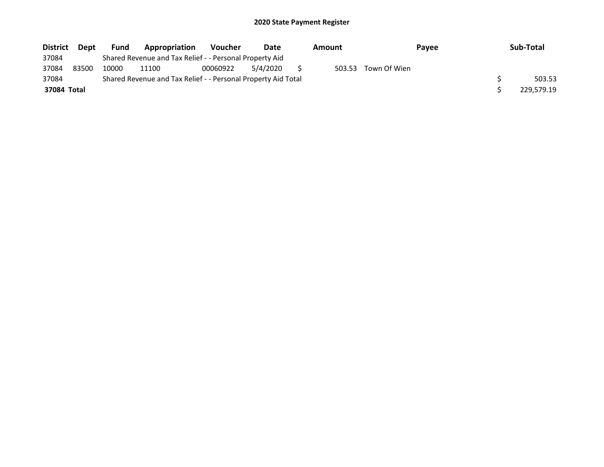| <b>District</b> | Dept  | <b>Fund</b> | Appropriation                                                 | <b>Voucher</b> | Date     | Amount |              | Payee | Sub-Total  |
|-----------------|-------|-------------|---------------------------------------------------------------|----------------|----------|--------|--------------|-------|------------|
| 37084           |       |             | Shared Revenue and Tax Relief - - Personal Property Aid       |                |          |        |              |       |            |
| 37084           | 83500 | 10000       | 11100                                                         | 00060922       | 5/4/2020 | 503.53 | Town Of Wien |       |            |
| 37084           |       |             | Shared Revenue and Tax Relief - - Personal Property Aid Total |                |          |        |              |       | 503.53     |
| 37084 Total     |       |             |                                                               |                |          |        |              |       | 229.579.19 |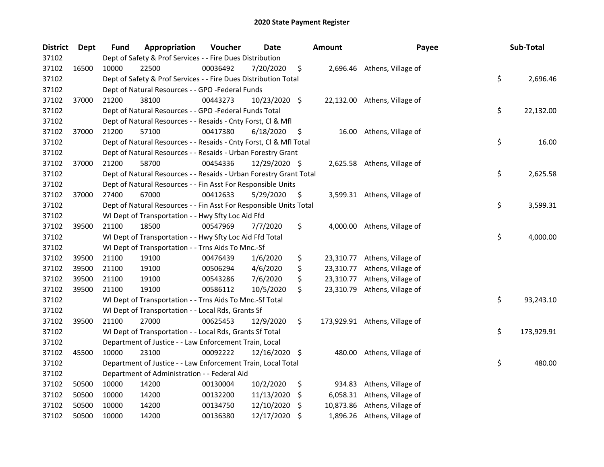| <b>District</b> | Dept  | Fund  | Appropriation                                                      | Voucher  | Date          |     | Amount    | Payee                         | Sub-Total        |
|-----------------|-------|-------|--------------------------------------------------------------------|----------|---------------|-----|-----------|-------------------------------|------------------|
| 37102           |       |       | Dept of Safety & Prof Services - - Fire Dues Distribution          |          |               |     |           |                               |                  |
| 37102           | 16500 | 10000 | 22500                                                              | 00036492 | 7/20/2020     | \$  |           | 2,696.46 Athens, Village of   |                  |
| 37102           |       |       | Dept of Safety & Prof Services - - Fire Dues Distribution Total    |          |               |     |           |                               | \$<br>2,696.46   |
| 37102           |       |       | Dept of Natural Resources - - GPO -Federal Funds                   |          |               |     |           |                               |                  |
| 37102           | 37000 | 21200 | 38100                                                              | 00443273 | 10/23/2020 \$ |     |           | 22,132.00 Athens, Village of  |                  |
| 37102           |       |       | Dept of Natural Resources - - GPO -Federal Funds Total             |          |               |     |           |                               | \$<br>22,132.00  |
| 37102           |       |       | Dept of Natural Resources - - Resaids - Cnty Forst, Cl & Mfl       |          |               |     |           |                               |                  |
| 37102           | 37000 | 21200 | 57100                                                              | 00417380 | 6/18/2020     | \$  |           | 16.00 Athens, Village of      |                  |
| 37102           |       |       | Dept of Natural Resources - - Resaids - Cnty Forst, Cl & Mfl Total |          |               |     |           |                               | \$<br>16.00      |
| 37102           |       |       | Dept of Natural Resources - - Resaids - Urban Forestry Grant       |          |               |     |           |                               |                  |
| 37102           | 37000 | 21200 | 58700                                                              | 00454336 | 12/29/2020 \$ |     |           | 2,625.58 Athens, Village of   |                  |
| 37102           |       |       | Dept of Natural Resources - - Resaids - Urban Forestry Grant Total |          |               |     |           |                               | \$<br>2,625.58   |
| 37102           |       |       | Dept of Natural Resources - - Fin Asst For Responsible Units       |          |               |     |           |                               |                  |
| 37102           | 37000 | 27400 | 67000                                                              | 00412633 | 5/29/2020     | \$, |           | 3,599.31 Athens, Village of   |                  |
| 37102           |       |       | Dept of Natural Resources - - Fin Asst For Responsible Units Total |          |               |     |           |                               | \$<br>3,599.31   |
| 37102           |       |       | WI Dept of Transportation - - Hwy Sfty Loc Aid Ffd                 |          |               |     |           |                               |                  |
| 37102           | 39500 | 21100 | 18500                                                              | 00547969 | 7/7/2020      | \$  | 4,000.00  | Athens, Village of            |                  |
| 37102           |       |       | WI Dept of Transportation - - Hwy Sfty Loc Aid Ffd Total           |          |               |     |           |                               | \$<br>4,000.00   |
| 37102           |       |       | WI Dept of Transportation - - Trns Aids To Mnc.-Sf                 |          |               |     |           |                               |                  |
| 37102           | 39500 | 21100 | 19100                                                              | 00476439 | 1/6/2020      | \$  | 23,310.77 | Athens, Village of            |                  |
| 37102           | 39500 | 21100 | 19100                                                              | 00506294 | 4/6/2020      | \$  | 23,310.77 | Athens, Village of            |                  |
| 37102           | 39500 | 21100 | 19100                                                              | 00543286 | 7/6/2020      | \$  | 23,310.77 | Athens, Village of            |                  |
| 37102           | 39500 | 21100 | 19100                                                              | 00586112 | 10/5/2020     | \$  | 23,310.79 | Athens, Village of            |                  |
| 37102           |       |       | WI Dept of Transportation - - Trns Aids To Mnc.-Sf Total           |          |               |     |           |                               | \$<br>93,243.10  |
| 37102           |       |       | WI Dept of Transportation - - Local Rds, Grants Sf                 |          |               |     |           |                               |                  |
| 37102           | 39500 | 21100 | 27000                                                              | 00625453 | 12/9/2020     | \$  |           | 173,929.91 Athens, Village of |                  |
| 37102           |       |       | WI Dept of Transportation - - Local Rds, Grants Sf Total           |          |               |     |           |                               | \$<br>173,929.91 |
| 37102           |       |       | Department of Justice - - Law Enforcement Train, Local             |          |               |     |           |                               |                  |
| 37102           | 45500 | 10000 | 23100                                                              | 00092222 | 12/16/2020 \$ |     |           | 480.00 Athens, Village of     |                  |
| 37102           |       |       | Department of Justice - - Law Enforcement Train, Local Total       |          |               |     |           |                               | \$<br>480.00     |
| 37102           |       |       | Department of Administration - - Federal Aid                       |          |               |     |           |                               |                  |
| 37102           | 50500 | 10000 | 14200                                                              | 00130004 | 10/2/2020     | \$  | 934.83    | Athens, Village of            |                  |
| 37102           | 50500 | 10000 | 14200                                                              | 00132200 | 11/13/2020    | S   | 6,058.31  | Athens, Village of            |                  |
| 37102           | 50500 | 10000 | 14200                                                              | 00134750 | 12/10/2020    | \$  | 10,873.86 | Athens, Village of            |                  |
| 37102           | 50500 | 10000 | 14200                                                              | 00136380 | 12/17/2020    | \$  |           | 1,896.26 Athens, Village of   |                  |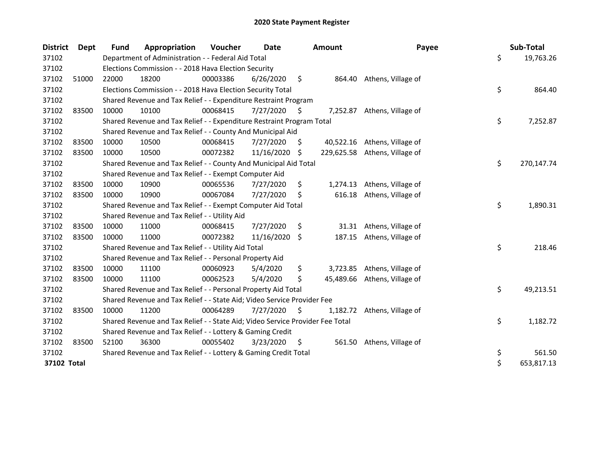| <b>District</b> | Dept  | <b>Fund</b> | Appropriation                                                                 | Voucher  | Date       |      | <b>Amount</b> | Payee              | Sub-Total        |
|-----------------|-------|-------------|-------------------------------------------------------------------------------|----------|------------|------|---------------|--------------------|------------------|
| 37102           |       |             | Department of Administration - - Federal Aid Total                            |          |            |      |               |                    | \$<br>19,763.26  |
| 37102           |       |             | Elections Commission - - 2018 Hava Election Security                          |          |            |      |               |                    |                  |
| 37102           | 51000 | 22000       | 18200                                                                         | 00003386 | 6/26/2020  | \$   | 864.40        | Athens, Village of |                  |
| 37102           |       |             | Elections Commission - - 2018 Hava Election Security Total                    |          |            |      |               |                    | \$<br>864.40     |
| 37102           |       |             | Shared Revenue and Tax Relief - - Expenditure Restraint Program               |          |            |      |               |                    |                  |
| 37102           | 83500 | 10000       | 10100                                                                         | 00068415 | 7/27/2020  | - \$ | 7,252.87      | Athens, Village of |                  |
| 37102           |       |             | Shared Revenue and Tax Relief - - Expenditure Restraint Program Total         |          |            |      |               |                    | \$<br>7,252.87   |
| 37102           |       |             | Shared Revenue and Tax Relief - - County And Municipal Aid                    |          |            |      |               |                    |                  |
| 37102           | 83500 | 10000       | 10500                                                                         | 00068415 | 7/27/2020  | S.   | 40,522.16     | Athens, Village of |                  |
| 37102           | 83500 | 10000       | 10500                                                                         | 00072382 | 11/16/2020 | -S   | 229,625.58    | Athens, Village of |                  |
| 37102           |       |             | Shared Revenue and Tax Relief - - County And Municipal Aid Total              |          |            |      |               |                    | \$<br>270,147.74 |
| 37102           |       |             | Shared Revenue and Tax Relief - - Exempt Computer Aid                         |          |            |      |               |                    |                  |
| 37102           | 83500 | 10000       | 10900                                                                         | 00065536 | 7/27/2020  | \$   | 1,274.13      | Athens, Village of |                  |
| 37102           | 83500 | 10000       | 10900                                                                         | 00067084 | 7/27/2020  | S    | 616.18        | Athens, Village of |                  |
| 37102           |       |             | Shared Revenue and Tax Relief - - Exempt Computer Aid Total                   |          |            |      |               |                    | \$<br>1,890.31   |
| 37102           |       |             | Shared Revenue and Tax Relief - - Utility Aid                                 |          |            |      |               |                    |                  |
| 37102           | 83500 | 10000       | 11000                                                                         | 00068415 | 7/27/2020  | \$   | 31.31         | Athens, Village of |                  |
| 37102           | 83500 | 10000       | 11000                                                                         | 00072382 | 11/16/2020 | S.   | 187.15        | Athens, Village of |                  |
| 37102           |       |             | Shared Revenue and Tax Relief - - Utility Aid Total                           |          |            |      |               |                    | \$<br>218.46     |
| 37102           |       |             | Shared Revenue and Tax Relief - - Personal Property Aid                       |          |            |      |               |                    |                  |
| 37102           | 83500 | 10000       | 11100                                                                         | 00060923 | 5/4/2020   | \$   | 3,723.85      | Athens, Village of |                  |
| 37102           | 83500 | 10000       | 11100                                                                         | 00062523 | 5/4/2020   | \$   | 45,489.66     | Athens, Village of |                  |
| 37102           |       |             | Shared Revenue and Tax Relief - - Personal Property Aid Total                 |          |            |      |               |                    | \$<br>49,213.51  |
| 37102           |       |             | Shared Revenue and Tax Relief - - State Aid; Video Service Provider Fee       |          |            |      |               |                    |                  |
| 37102           | 83500 | 10000       | 11200                                                                         | 00064289 | 7/27/2020  | \$,  | 1,182.72      | Athens, Village of |                  |
| 37102           |       |             | Shared Revenue and Tax Relief - - State Aid; Video Service Provider Fee Total |          |            |      |               |                    | \$<br>1,182.72   |
| 37102           |       |             | Shared Revenue and Tax Relief - - Lottery & Gaming Credit                     |          |            |      |               |                    |                  |
| 37102           | 83500 | 52100       | 36300                                                                         | 00055402 | 3/23/2020  | \$   | 561.50        | Athens, Village of |                  |
| 37102           |       |             | Shared Revenue and Tax Relief - - Lottery & Gaming Credit Total               |          |            |      |               |                    | \$<br>561.50     |
| 37102 Total     |       |             |                                                                               |          |            |      |               |                    | \$<br>653,817.13 |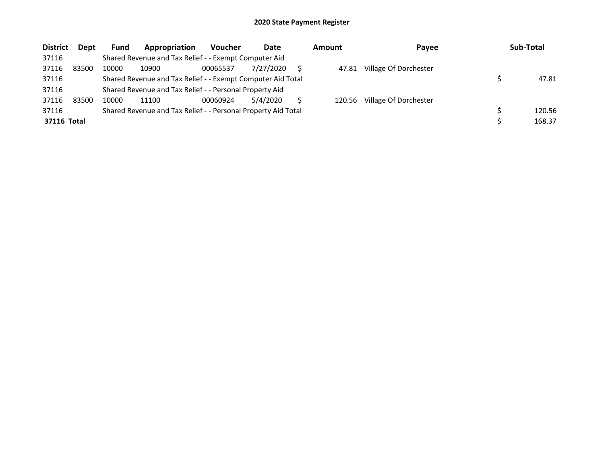| <b>District</b> | Dept  | Fund  | Appropriation                                                 | <b>Voucher</b> | Date      | Amount | Payee                 | Sub-Total |
|-----------------|-------|-------|---------------------------------------------------------------|----------------|-----------|--------|-----------------------|-----------|
| 37116           |       |       | Shared Revenue and Tax Relief - - Exempt Computer Aid         |                |           |        |                       |           |
| 37116           | 83500 | 10000 | 10900                                                         | 00065537       | 7/27/2020 | 47.81  | Village Of Dorchester |           |
| 37116           |       |       | Shared Revenue and Tax Relief - - Exempt Computer Aid Total   |                |           |        |                       | 47.81     |
| 37116           |       |       | Shared Revenue and Tax Relief - - Personal Property Aid       |                |           |        |                       |           |
| 37116           | 83500 | 10000 | 11100                                                         | 00060924       | 5/4/2020  | 120.56 | Village Of Dorchester |           |
| 37116           |       |       | Shared Revenue and Tax Relief - - Personal Property Aid Total |                |           |        |                       | 120.56    |
| 37116 Total     |       |       |                                                               |                |           |        |                       | 168.37    |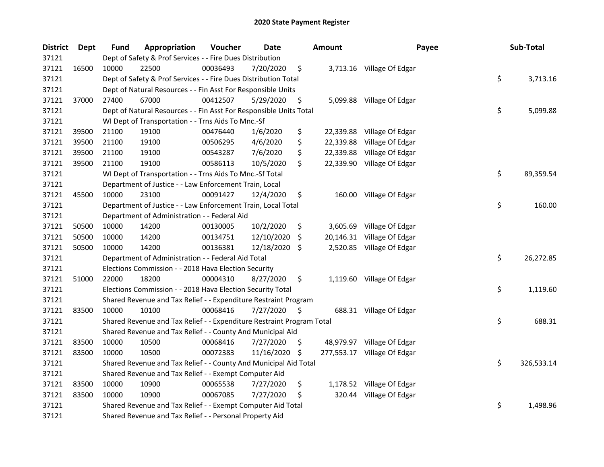| <b>District</b> | Dept  | <b>Fund</b> | Appropriation                                                         | Voucher  | <b>Date</b> |     | Amount    | Payee                       | Sub-Total        |
|-----------------|-------|-------------|-----------------------------------------------------------------------|----------|-------------|-----|-----------|-----------------------------|------------------|
| 37121           |       |             | Dept of Safety & Prof Services - - Fire Dues Distribution             |          |             |     |           |                             |                  |
| 37121           | 16500 | 10000       | 22500                                                                 | 00036493 | 7/20/2020   | \$  |           | 3,713.16 Village Of Edgar   |                  |
| 37121           |       |             | Dept of Safety & Prof Services - - Fire Dues Distribution Total       |          |             |     |           |                             | \$<br>3,713.16   |
| 37121           |       |             | Dept of Natural Resources - - Fin Asst For Responsible Units          |          |             |     |           |                             |                  |
| 37121           | 37000 | 27400       | 67000                                                                 | 00412507 | 5/29/2020   | \$  |           | 5,099.88 Village Of Edgar   |                  |
| 37121           |       |             | Dept of Natural Resources - - Fin Asst For Responsible Units Total    |          |             |     |           |                             | \$<br>5,099.88   |
| 37121           |       |             | WI Dept of Transportation - - Trns Aids To Mnc.-Sf                    |          |             |     |           |                             |                  |
| 37121           | 39500 | 21100       | 19100                                                                 | 00476440 | 1/6/2020    | \$  |           | 22,339.88 Village Of Edgar  |                  |
| 37121           | 39500 | 21100       | 19100                                                                 | 00506295 | 4/6/2020    | \$  |           | 22,339.88 Village Of Edgar  |                  |
| 37121           | 39500 | 21100       | 19100                                                                 | 00543287 | 7/6/2020    | \$  |           | 22,339.88 Village Of Edgar  |                  |
| 37121           | 39500 | 21100       | 19100                                                                 | 00586113 | 10/5/2020   | \$  |           | 22,339.90 Village Of Edgar  |                  |
| 37121           |       |             | WI Dept of Transportation - - Trns Aids To Mnc.-Sf Total              |          |             |     |           |                             | \$<br>89,359.54  |
| 37121           |       |             | Department of Justice - - Law Enforcement Train, Local                |          |             |     |           |                             |                  |
| 37121           | 45500 | 10000       | 23100                                                                 | 00091427 | 12/4/2020   | \$  |           | 160.00 Village Of Edgar     |                  |
| 37121           |       |             | Department of Justice - - Law Enforcement Train, Local Total          |          |             |     |           |                             | \$<br>160.00     |
| 37121           |       |             | Department of Administration - - Federal Aid                          |          |             |     |           |                             |                  |
| 37121           | 50500 | 10000       | 14200                                                                 | 00130005 | 10/2/2020   | \$  | 3,605.69  | Village Of Edgar            |                  |
| 37121           | 50500 | 10000       | 14200                                                                 | 00134751 | 12/10/2020  | S.  | 20,146.31 | Village Of Edgar            |                  |
| 37121           | 50500 | 10000       | 14200                                                                 | 00136381 | 12/18/2020  | -S  |           | 2,520.85 Village Of Edgar   |                  |
| 37121           |       |             | Department of Administration - - Federal Aid Total                    |          |             |     |           |                             | \$<br>26,272.85  |
| 37121           |       |             | Elections Commission - - 2018 Hava Election Security                  |          |             |     |           |                             |                  |
| 37121           | 51000 | 22000       | 18200                                                                 | 00004310 | 8/27/2020   | \$  |           | 1,119.60 Village Of Edgar   |                  |
| 37121           |       |             | Elections Commission - - 2018 Hava Election Security Total            |          |             |     |           |                             | \$<br>1,119.60   |
| 37121           |       |             | Shared Revenue and Tax Relief - - Expenditure Restraint Program       |          |             |     |           |                             |                  |
| 37121           | 83500 | 10000       | 10100                                                                 | 00068416 | 7/27/2020   | \$. |           | 688.31 Village Of Edgar     |                  |
| 37121           |       |             | Shared Revenue and Tax Relief - - Expenditure Restraint Program Total |          |             |     |           |                             | \$<br>688.31     |
| 37121           |       |             | Shared Revenue and Tax Relief - - County And Municipal Aid            |          |             |     |           |                             |                  |
| 37121           | 83500 | 10000       | 10500                                                                 | 00068416 | 7/27/2020   | \$  |           | 48,979.97 Village Of Edgar  |                  |
| 37121           | 83500 | 10000       | 10500                                                                 | 00072383 | 11/16/2020  | -S  |           | 277,553.17 Village Of Edgar |                  |
| 37121           |       |             | Shared Revenue and Tax Relief - - County And Municipal Aid Total      |          |             |     |           |                             | \$<br>326,533.14 |
| 37121           |       |             | Shared Revenue and Tax Relief - - Exempt Computer Aid                 |          |             |     |           |                             |                  |
| 37121           | 83500 | 10000       | 10900                                                                 | 00065538 | 7/27/2020   | \$  |           | 1,178.52 Village Of Edgar   |                  |
| 37121           | 83500 | 10000       | 10900                                                                 | 00067085 | 7/27/2020   | \$  | 320.44    | Village Of Edgar            |                  |
| 37121           |       |             | Shared Revenue and Tax Relief - - Exempt Computer Aid Total           |          |             |     |           |                             | \$<br>1,498.96   |
| 37121           |       |             | Shared Revenue and Tax Relief - - Personal Property Aid               |          |             |     |           |                             |                  |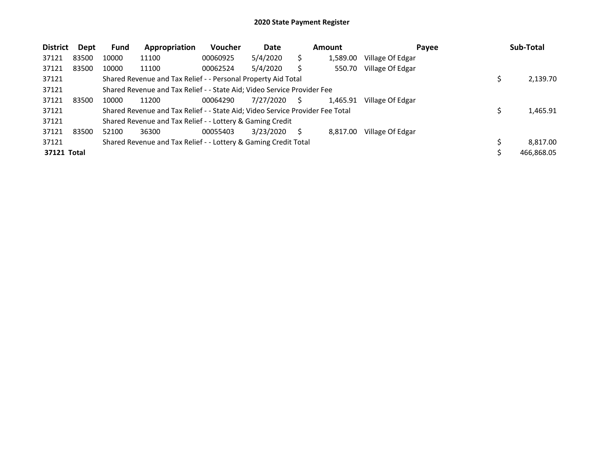| <b>District</b> | Dept  | <b>Fund</b> | Appropriation                                                                 | Voucher  | Date      |   | <b>Amount</b> | Payee            | Sub-Total  |
|-----------------|-------|-------------|-------------------------------------------------------------------------------|----------|-----------|---|---------------|------------------|------------|
| 37121           | 83500 | 10000       | 11100                                                                         | 00060925 | 5/4/2020  |   | 1,589.00      | Village Of Edgar |            |
| 37121           | 83500 | 10000       | 11100                                                                         | 00062524 | 5/4/2020  |   | 550.70        | Village Of Edgar |            |
| 37121           |       |             | Shared Revenue and Tax Relief - - Personal Property Aid Total                 |          |           |   |               |                  | 2,139.70   |
| 37121           |       |             | Shared Revenue and Tax Relief - - State Aid; Video Service Provider Fee       |          |           |   |               |                  |            |
| 37121           | 83500 | 10000       | 11200                                                                         | 00064290 | 7/27/2020 | S | 1,465.91      | Village Of Edgar |            |
| 37121           |       |             | Shared Revenue and Tax Relief - - State Aid; Video Service Provider Fee Total |          |           |   |               |                  | 1,465.91   |
| 37121           |       |             | Shared Revenue and Tax Relief - - Lottery & Gaming Credit                     |          |           |   |               |                  |            |
| 37121           | 83500 | 52100       | 36300                                                                         | 00055403 | 3/23/2020 | S | 8,817.00      | Village Of Edgar |            |
| 37121           |       |             | Shared Revenue and Tax Relief - - Lottery & Gaming Credit Total               |          |           |   |               |                  | 8.817.00   |
| 37121 Total     |       |             |                                                                               |          |           |   |               |                  | 466,868.05 |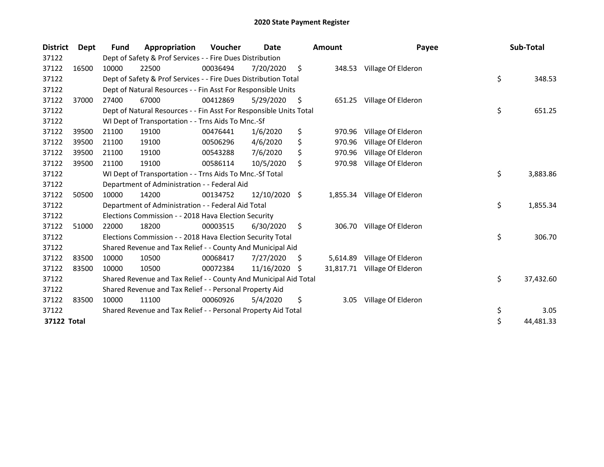| <b>District</b> | <b>Dept</b> | <b>Fund</b> | Appropriation                                                      | Voucher  | Date       |    | <b>Amount</b> | Payee              | Sub-Total       |
|-----------------|-------------|-------------|--------------------------------------------------------------------|----------|------------|----|---------------|--------------------|-----------------|
| 37122           |             |             | Dept of Safety & Prof Services - - Fire Dues Distribution          |          |            |    |               |                    |                 |
| 37122           | 16500       | 10000       | 22500                                                              | 00036494 | 7/20/2020  | \$ | 348.53        | Village Of Elderon |                 |
| 37122           |             |             | Dept of Safety & Prof Services - - Fire Dues Distribution Total    |          |            |    |               |                    | \$<br>348.53    |
| 37122           |             |             | Dept of Natural Resources - - Fin Asst For Responsible Units       |          |            |    |               |                    |                 |
| 37122           | 37000       | 27400       | 67000                                                              | 00412869 | 5/29/2020  | S  | 651.25        | Village Of Elderon |                 |
| 37122           |             |             | Dept of Natural Resources - - Fin Asst For Responsible Units Total |          |            |    |               |                    | \$<br>651.25    |
| 37122           |             |             | WI Dept of Transportation - - Trns Aids To Mnc.-Sf                 |          |            |    |               |                    |                 |
| 37122           | 39500       | 21100       | 19100                                                              | 00476441 | 1/6/2020   | \$ | 970.96        | Village Of Elderon |                 |
| 37122           | 39500       | 21100       | 19100                                                              | 00506296 | 4/6/2020   | \$ | 970.96        | Village Of Elderon |                 |
| 37122           | 39500       | 21100       | 19100                                                              | 00543288 | 7/6/2020   | \$ | 970.96        | Village Of Elderon |                 |
| 37122           | 39500       | 21100       | 19100                                                              | 00586114 | 10/5/2020  | \$ | 970.98        | Village Of Elderon |                 |
| 37122           |             |             | WI Dept of Transportation - - Trns Aids To Mnc.-Sf Total           |          |            |    |               |                    | \$<br>3,883.86  |
| 37122           |             |             | Department of Administration - - Federal Aid                       |          |            |    |               |                    |                 |
| 37122           | 50500       | 10000       | 14200                                                              | 00134752 | 12/10/2020 | \$ | 1,855.34      | Village Of Elderon |                 |
| 37122           |             |             | Department of Administration - - Federal Aid Total                 |          |            |    |               |                    | \$<br>1,855.34  |
| 37122           |             |             | Elections Commission - - 2018 Hava Election Security               |          |            |    |               |                    |                 |
| 37122           | 51000       | 22000       | 18200                                                              | 00003515 | 6/30/2020  | \$ | 306.70        | Village Of Elderon |                 |
| 37122           |             |             | Elections Commission - - 2018 Hava Election Security Total         |          |            |    |               |                    | \$<br>306.70    |
| 37122           |             |             | Shared Revenue and Tax Relief - - County And Municipal Aid         |          |            |    |               |                    |                 |
| 37122           | 83500       | 10000       | 10500                                                              | 00068417 | 7/27/2020  | S  | 5,614.89      | Village Of Elderon |                 |
| 37122           | 83500       | 10000       | 10500                                                              | 00072384 | 11/16/2020 | S  | 31,817.71     | Village Of Elderon |                 |
| 37122           |             |             | Shared Revenue and Tax Relief - - County And Municipal Aid Total   |          |            |    |               |                    | \$<br>37,432.60 |
| 37122           |             |             | Shared Revenue and Tax Relief - - Personal Property Aid            |          |            |    |               |                    |                 |
| 37122           | 83500       | 10000       | 11100                                                              | 00060926 | 5/4/2020   | \$ | 3.05          | Village Of Elderon |                 |
| 37122           |             |             | Shared Revenue and Tax Relief - - Personal Property Aid Total      |          |            |    |               |                    | \$<br>3.05      |
| 37122 Total     |             |             |                                                                    |          |            |    |               |                    | \$<br>44,481.33 |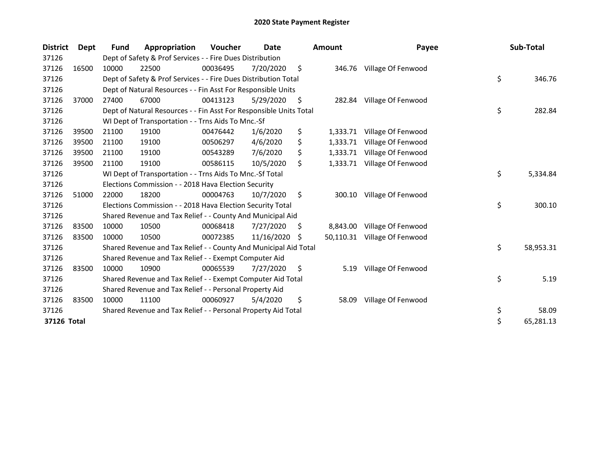| <b>District</b> | Dept  | Fund  | Appropriation                                                      | Voucher  | Date       |     | <b>Amount</b> | Payee                     | Sub-Total       |
|-----------------|-------|-------|--------------------------------------------------------------------|----------|------------|-----|---------------|---------------------------|-----------------|
| 37126           |       |       | Dept of Safety & Prof Services - - Fire Dues Distribution          |          |            |     |               |                           |                 |
| 37126           | 16500 | 10000 | 22500                                                              | 00036495 | 7/20/2020  | \$  | 346.76        | Village Of Fenwood        |                 |
| 37126           |       |       | Dept of Safety & Prof Services - - Fire Dues Distribution Total    |          |            |     |               |                           | \$<br>346.76    |
| 37126           |       |       | Dept of Natural Resources - - Fin Asst For Responsible Units       |          |            |     |               |                           |                 |
| 37126           | 37000 | 27400 | 67000                                                              | 00413123 | 5/29/2020  | S   |               | 282.84 Village Of Fenwood |                 |
| 37126           |       |       | Dept of Natural Resources - - Fin Asst For Responsible Units Total |          |            |     |               |                           | \$<br>282.84    |
| 37126           |       |       | WI Dept of Transportation - - Trns Aids To Mnc.-Sf                 |          |            |     |               |                           |                 |
| 37126           | 39500 | 21100 | 19100                                                              | 00476442 | 1/6/2020   | \$  | 1,333.71      | Village Of Fenwood        |                 |
| 37126           | 39500 | 21100 | 19100                                                              | 00506297 | 4/6/2020   | \$  | 1,333.71      | Village Of Fenwood        |                 |
| 37126           | 39500 | 21100 | 19100                                                              | 00543289 | 7/6/2020   | \$  | 1,333.71      | Village Of Fenwood        |                 |
| 37126           | 39500 | 21100 | 19100                                                              | 00586115 | 10/5/2020  | \$  | 1,333.71      | Village Of Fenwood        |                 |
| 37126           |       |       | WI Dept of Transportation - - Trns Aids To Mnc.-Sf Total           |          |            |     |               |                           | \$<br>5,334.84  |
| 37126           |       |       | Elections Commission - - 2018 Hava Election Security               |          |            |     |               |                           |                 |
| 37126           | 51000 | 22000 | 18200                                                              | 00004763 | 10/7/2020  | \$  | 300.10        | Village Of Fenwood        |                 |
| 37126           |       |       | Elections Commission - - 2018 Hava Election Security Total         |          |            |     |               |                           | \$<br>300.10    |
| 37126           |       |       | Shared Revenue and Tax Relief - - County And Municipal Aid         |          |            |     |               |                           |                 |
| 37126           | 83500 | 10000 | 10500                                                              | 00068418 | 7/27/2020  | \$, | 8,843.00      | Village Of Fenwood        |                 |
| 37126           | 83500 | 10000 | 10500                                                              | 00072385 | 11/16/2020 | S   | 50,110.31     | Village Of Fenwood        |                 |
| 37126           |       |       | Shared Revenue and Tax Relief - - County And Municipal Aid Total   |          |            |     |               |                           | \$<br>58,953.31 |
| 37126           |       |       | Shared Revenue and Tax Relief - - Exempt Computer Aid              |          |            |     |               |                           |                 |
| 37126           | 83500 | 10000 | 10900                                                              | 00065539 | 7/27/2020  | \$, | 5.19          | Village Of Fenwood        |                 |
| 37126           |       |       | Shared Revenue and Tax Relief - - Exempt Computer Aid Total        |          |            |     |               |                           | \$<br>5.19      |
| 37126           |       |       | Shared Revenue and Tax Relief - - Personal Property Aid            |          |            |     |               |                           |                 |
| 37126           | 83500 | 10000 | 11100                                                              | 00060927 | 5/4/2020   | \$  | 58.09         | Village Of Fenwood        |                 |
| 37126           |       |       | Shared Revenue and Tax Relief - - Personal Property Aid Total      |          |            |     |               |                           | \$<br>58.09     |
| 37126 Total     |       |       |                                                                    |          |            |     |               |                           | \$<br>65,281.13 |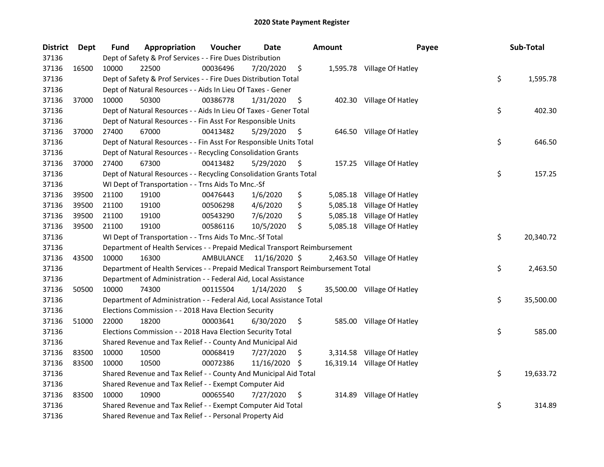| <b>District</b> | <b>Dept</b> | Fund  | Appropriation                                                                   | Voucher   | <b>Date</b>   |     | <b>Amount</b> | Payee                       | Sub-Total       |
|-----------------|-------------|-------|---------------------------------------------------------------------------------|-----------|---------------|-----|---------------|-----------------------------|-----------------|
| 37136           |             |       | Dept of Safety & Prof Services - - Fire Dues Distribution                       |           |               |     |               |                             |                 |
| 37136           | 16500       | 10000 | 22500                                                                           | 00036496  | 7/20/2020     | \$  |               | 1,595.78 Village Of Hatley  |                 |
| 37136           |             |       | Dept of Safety & Prof Services - - Fire Dues Distribution Total                 |           |               |     |               |                             | \$<br>1,595.78  |
| 37136           |             |       | Dept of Natural Resources - - Aids In Lieu Of Taxes - Gener                     |           |               |     |               |                             |                 |
| 37136           | 37000       | 10000 | 50300                                                                           | 00386778  | 1/31/2020     | \$  |               | 402.30 Village Of Hatley    |                 |
| 37136           |             |       | Dept of Natural Resources - - Aids In Lieu Of Taxes - Gener Total               |           |               |     |               |                             | \$<br>402.30    |
| 37136           |             |       | Dept of Natural Resources - - Fin Asst For Responsible Units                    |           |               |     |               |                             |                 |
| 37136           | 37000       | 27400 | 67000                                                                           | 00413482  | 5/29/2020     | \$  |               | 646.50 Village Of Hatley    |                 |
| 37136           |             |       | Dept of Natural Resources - - Fin Asst For Responsible Units Total              |           |               |     |               |                             | \$<br>646.50    |
| 37136           |             |       | Dept of Natural Resources - - Recycling Consolidation Grants                    |           |               |     |               |                             |                 |
| 37136           | 37000       | 27400 | 67300                                                                           | 00413482  | 5/29/2020     | \$  |               | 157.25 Village Of Hatley    |                 |
| 37136           |             |       | Dept of Natural Resources - - Recycling Consolidation Grants Total              |           |               |     |               |                             | \$<br>157.25    |
| 37136           |             |       | WI Dept of Transportation - - Trns Aids To Mnc.-Sf                              |           |               |     |               |                             |                 |
| 37136           | 39500       | 21100 | 19100                                                                           | 00476443  | 1/6/2020      | \$  | 5,085.18      | Village Of Hatley           |                 |
| 37136           | 39500       | 21100 | 19100                                                                           | 00506298  | 4/6/2020      | \$  | 5,085.18      | Village Of Hatley           |                 |
| 37136           | 39500       | 21100 | 19100                                                                           | 00543290  | 7/6/2020      | \$  | 5,085.18      | Village Of Hatley           |                 |
| 37136           | 39500       | 21100 | 19100                                                                           | 00586116  | 10/5/2020     | \$  | 5,085.18      | Village Of Hatley           |                 |
| 37136           |             |       | WI Dept of Transportation - - Trns Aids To Mnc.-Sf Total                        |           |               |     |               |                             | \$<br>20,340.72 |
| 37136           |             |       | Department of Health Services - - Prepaid Medical Transport Reimbursement       |           |               |     |               |                             |                 |
| 37136           | 43500       | 10000 | 16300                                                                           | AMBULANCE | 11/16/2020 \$ |     |               | 2,463.50 Village Of Hatley  |                 |
| 37136           |             |       | Department of Health Services - - Prepaid Medical Transport Reimbursement Total |           |               |     |               |                             | \$<br>2,463.50  |
| 37136           |             |       | Department of Administration - - Federal Aid, Local Assistance                  |           |               |     |               |                             |                 |
| 37136           | 50500       | 10000 | 74300                                                                           | 00115504  | 1/14/2020     | \$  |               | 35,500.00 Village Of Hatley |                 |
| 37136           |             |       | Department of Administration - - Federal Aid, Local Assistance Total            |           |               |     |               |                             | \$<br>35,500.00 |
| 37136           |             |       | Elections Commission - - 2018 Hava Election Security                            |           |               |     |               |                             |                 |
| 37136           | 51000       | 22000 | 18200                                                                           | 00003641  | 6/30/2020     | \$  |               | 585.00 Village Of Hatley    |                 |
| 37136           |             |       | Elections Commission - - 2018 Hava Election Security Total                      |           |               |     |               |                             | \$<br>585.00    |
| 37136           |             |       | Shared Revenue and Tax Relief - - County And Municipal Aid                      |           |               |     |               |                             |                 |
| 37136           | 83500       | 10000 | 10500                                                                           | 00068419  | 7/27/2020     | S   |               | 3,314.58 Village Of Hatley  |                 |
| 37136           | 83500       | 10000 | 10500                                                                           | 00072386  | 11/16/2020    | \$. |               | 16,319.14 Village Of Hatley |                 |
| 37136           |             |       | Shared Revenue and Tax Relief - - County And Municipal Aid Total                |           |               |     |               |                             | \$<br>19,633.72 |
| 37136           |             |       | Shared Revenue and Tax Relief - - Exempt Computer Aid                           |           |               |     |               |                             |                 |
| 37136           | 83500       | 10000 | 10900                                                                           | 00065540  | 7/27/2020     | \$  |               | 314.89 Village Of Hatley    |                 |
| 37136           |             |       | Shared Revenue and Tax Relief - - Exempt Computer Aid Total                     |           |               |     |               |                             | \$<br>314.89    |
| 37136           |             |       | Shared Revenue and Tax Relief - - Personal Property Aid                         |           |               |     |               |                             |                 |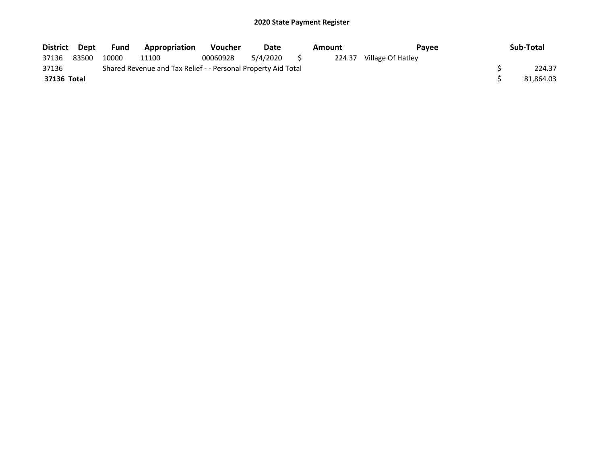| District Dept |       | <b>Fund</b> | Appropriation                                                 | <b>Voucher</b> | Date     |   | Amount | <b>Pavee</b>             | Sub-Total |
|---------------|-------|-------------|---------------------------------------------------------------|----------------|----------|---|--------|--------------------------|-----------|
| 37136         | 83500 | 10000       | 11100                                                         | 00060928       | 5/4/2020 | S |        | 224.37 Village Of Hatley |           |
| 37136         |       |             | Shared Revenue and Tax Relief - - Personal Property Aid Total |                |          |   |        |                          | 224.37    |
| 37136 Total   |       |             |                                                               |                |          |   |        |                          | 81.864.03 |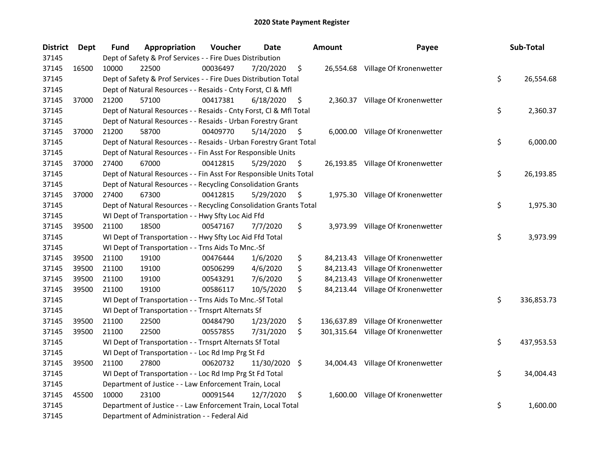| <b>District</b> | <b>Dept</b> | <b>Fund</b> | Appropriation                                                      | Voucher  | Date           |     | <b>Amount</b> | Payee                             | Sub-Total        |
|-----------------|-------------|-------------|--------------------------------------------------------------------|----------|----------------|-----|---------------|-----------------------------------|------------------|
| 37145           |             |             | Dept of Safety & Prof Services - - Fire Dues Distribution          |          |                |     |               |                                   |                  |
| 37145           | 16500       | 10000       | 22500                                                              | 00036497 | 7/20/2020      | \$  |               | 26,554.68 Village Of Kronenwetter |                  |
| 37145           |             |             | Dept of Safety & Prof Services - - Fire Dues Distribution Total    |          |                |     |               |                                   | \$<br>26,554.68  |
| 37145           |             |             | Dept of Natural Resources - - Resaids - Cnty Forst, Cl & Mfl       |          |                |     |               |                                   |                  |
| 37145           | 37000       | 21200       | 57100                                                              | 00417381 | 6/18/2020      | \$  |               | 2,360.37 Village Of Kronenwetter  |                  |
| 37145           |             |             | Dept of Natural Resources - - Resaids - Cnty Forst, Cl & Mfl Total |          |                |     |               |                                   | \$<br>2,360.37   |
| 37145           |             |             | Dept of Natural Resources - - Resaids - Urban Forestry Grant       |          |                |     |               |                                   |                  |
| 37145           | 37000       | 21200       | 58700                                                              | 00409770 | $5/14/2020$ \$ |     |               | 6,000.00 Village Of Kronenwetter  |                  |
| 37145           |             |             | Dept of Natural Resources - - Resaids - Urban Forestry Grant Total |          |                |     |               |                                   | \$<br>6,000.00   |
| 37145           |             |             | Dept of Natural Resources - - Fin Asst For Responsible Units       |          |                |     |               |                                   |                  |
| 37145           | 37000       | 27400       | 67000                                                              | 00412815 | 5/29/2020      | \$. |               | 26,193.85 Village Of Kronenwetter |                  |
| 37145           |             |             | Dept of Natural Resources - - Fin Asst For Responsible Units Total |          |                |     |               |                                   | \$<br>26,193.85  |
| 37145           |             |             | Dept of Natural Resources - - Recycling Consolidation Grants       |          |                |     |               |                                   |                  |
| 37145           | 37000       | 27400       | 67300                                                              | 00412815 | 5/29/2020      | \$. |               | 1,975.30 Village Of Kronenwetter  |                  |
| 37145           |             |             | Dept of Natural Resources - - Recycling Consolidation Grants Total |          |                |     |               |                                   | \$<br>1,975.30   |
| 37145           |             |             | WI Dept of Transportation - - Hwy Sfty Loc Aid Ffd                 |          |                |     |               |                                   |                  |
| 37145           | 39500       | 21100       | 18500                                                              | 00547167 | 7/7/2020       | \$  | 3,973.99      | Village Of Kronenwetter           |                  |
| 37145           |             |             | WI Dept of Transportation - - Hwy Sfty Loc Aid Ffd Total           |          |                |     |               |                                   | \$<br>3,973.99   |
| 37145           |             |             | WI Dept of Transportation - - Trns Aids To Mnc.-Sf                 |          |                |     |               |                                   |                  |
| 37145           | 39500       | 21100       | 19100                                                              | 00476444 | 1/6/2020       | \$  | 84,213.43     | Village Of Kronenwetter           |                  |
| 37145           | 39500       | 21100       | 19100                                                              | 00506299 | 4/6/2020       | \$  | 84,213.43     | Village Of Kronenwetter           |                  |
| 37145           | 39500       | 21100       | 19100                                                              | 00543291 | 7/6/2020       | \$  | 84,213.43     | Village Of Kronenwetter           |                  |
| 37145           | 39500       | 21100       | 19100                                                              | 00586117 | 10/5/2020      | \$  |               | 84,213.44 Village Of Kronenwetter |                  |
| 37145           |             |             | WI Dept of Transportation - - Trns Aids To Mnc.-Sf Total           |          |                |     |               |                                   | \$<br>336,853.73 |
| 37145           |             |             | WI Dept of Transportation - - Trnsprt Alternats Sf                 |          |                |     |               |                                   |                  |
| 37145           | 39500       | 21100       | 22500                                                              | 00484790 | 1/23/2020      | \$  | 136,637.89    | Village Of Kronenwetter           |                  |
| 37145           | 39500       | 21100       | 22500                                                              | 00557855 | 7/31/2020      | \$  | 301,315.64    | Village Of Kronenwetter           |                  |
| 37145           |             |             | WI Dept of Transportation - - Trnsprt Alternats Sf Total           |          |                |     |               |                                   | \$<br>437,953.53 |
| 37145           |             |             | WI Dept of Transportation - - Loc Rd Imp Prg St Fd                 |          |                |     |               |                                   |                  |
| 37145           | 39500       | 21100       | 27800                                                              | 00620732 | 11/30/2020 \$  |     |               | 34,004.43 Village Of Kronenwetter |                  |
| 37145           |             |             | WI Dept of Transportation - - Loc Rd Imp Prg St Fd Total           |          |                |     |               |                                   | \$<br>34,004.43  |
| 37145           |             |             | Department of Justice - - Law Enforcement Train, Local             |          |                |     |               |                                   |                  |
| 37145           | 45500       | 10000       | 23100                                                              | 00091544 | 12/7/2020      | \$  |               | 1,600.00 Village Of Kronenwetter  |                  |
| 37145           |             |             | Department of Justice - - Law Enforcement Train, Local Total       |          |                |     |               |                                   | \$<br>1,600.00   |
| 37145           |             |             | Department of Administration - - Federal Aid                       |          |                |     |               |                                   |                  |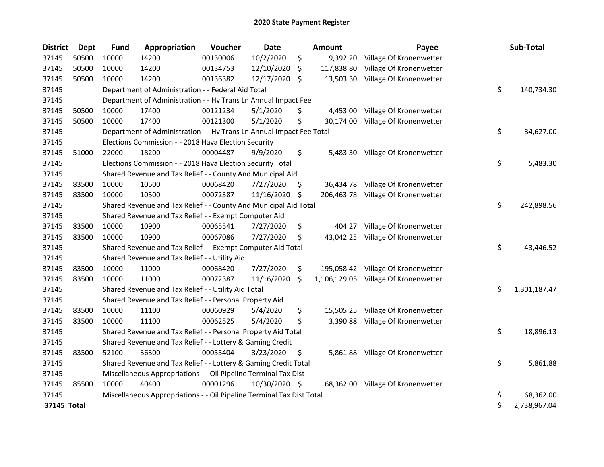| <b>District</b> | Dept  | <b>Fund</b> | Appropriation                                                         | Voucher  | <b>Date</b>   |     | Amount     | Payee                                | Sub-Total          |
|-----------------|-------|-------------|-----------------------------------------------------------------------|----------|---------------|-----|------------|--------------------------------------|--------------------|
| 37145           | 50500 | 10000       | 14200                                                                 | 00130006 | 10/2/2020     | \$  | 9,392.20   | Village Of Kronenwetter              |                    |
| 37145           | 50500 | 10000       | 14200                                                                 | 00134753 | 12/10/2020    | \$  | 117,838.80 | Village Of Kronenwetter              |                    |
| 37145           | 50500 | 10000       | 14200                                                                 | 00136382 | 12/17/2020    | -S  | 13,503.30  | Village Of Kronenwetter              |                    |
| 37145           |       |             | Department of Administration - - Federal Aid Total                    |          |               |     |            |                                      | \$<br>140,734.30   |
| 37145           |       |             | Department of Administration - - Hv Trans Ln Annual Impact Fee        |          |               |     |            |                                      |                    |
| 37145           | 50500 | 10000       | 17400                                                                 | 00121234 | 5/1/2020      | \$  | 4,453.00   | Village Of Kronenwetter              |                    |
| 37145           | 50500 | 10000       | 17400                                                                 | 00121300 | 5/1/2020      | \$  | 30,174.00  | Village Of Kronenwetter              |                    |
| 37145           |       |             | Department of Administration - - Hv Trans Ln Annual Impact Fee Total  |          |               |     |            |                                      | \$<br>34,627.00    |
| 37145           |       |             | Elections Commission - - 2018 Hava Election Security                  |          |               |     |            |                                      |                    |
| 37145           | 51000 | 22000       | 18200                                                                 | 00004487 | 9/9/2020      | \$  | 5,483.30   | Village Of Kronenwetter              |                    |
| 37145           |       |             | Elections Commission - - 2018 Hava Election Security Total            |          |               |     |            |                                      | \$<br>5,483.30     |
| 37145           |       |             | Shared Revenue and Tax Relief - - County And Municipal Aid            |          |               |     |            |                                      |                    |
| 37145           | 83500 | 10000       | 10500                                                                 | 00068420 | 7/27/2020     | \$. |            | 36,434.78 Village Of Kronenwetter    |                    |
| 37145           | 83500 | 10000       | 10500                                                                 | 00072387 | 11/16/2020    | \$  | 206,463.78 | Village Of Kronenwetter              |                    |
| 37145           |       |             | Shared Revenue and Tax Relief - - County And Municipal Aid Total      |          |               |     |            |                                      | \$<br>242,898.56   |
| 37145           |       |             | Shared Revenue and Tax Relief - - Exempt Computer Aid                 |          |               |     |            |                                      |                    |
| 37145           | 83500 | 10000       | 10900                                                                 | 00065541 | 7/27/2020     | \$  | 404.27     | Village Of Kronenwetter              |                    |
| 37145           | 83500 | 10000       | 10900                                                                 | 00067086 | 7/27/2020     | \$  | 43,042.25  | Village Of Kronenwetter              |                    |
| 37145           |       |             | Shared Revenue and Tax Relief - - Exempt Computer Aid Total           |          |               |     |            |                                      | \$<br>43,446.52    |
| 37145           |       |             | Shared Revenue and Tax Relief - - Utility Aid                         |          |               |     |            |                                      |                    |
| 37145           | 83500 | 10000       | 11000                                                                 | 00068420 | 7/27/2020     | \$  | 195,058.42 | Village Of Kronenwetter              |                    |
| 37145           | 83500 | 10000       | 11000                                                                 | 00072387 | 11/16/2020    | -\$ |            | 1,106,129.05 Village Of Kronenwetter |                    |
| 37145           |       |             | Shared Revenue and Tax Relief - - Utility Aid Total                   |          |               |     |            |                                      | \$<br>1,301,187.47 |
| 37145           |       |             | Shared Revenue and Tax Relief - - Personal Property Aid               |          |               |     |            |                                      |                    |
| 37145           | 83500 | 10000       | 11100                                                                 | 00060929 | 5/4/2020      | \$  | 15,505.25  | Village Of Kronenwetter              |                    |
| 37145           | 83500 | 10000       | 11100                                                                 | 00062525 | 5/4/2020      | \$  | 3,390.88   | Village Of Kronenwetter              |                    |
| 37145           |       |             | Shared Revenue and Tax Relief - - Personal Property Aid Total         |          |               |     |            |                                      | \$<br>18,896.13    |
| 37145           |       |             | Shared Revenue and Tax Relief - - Lottery & Gaming Credit             |          |               |     |            |                                      |                    |
| 37145           | 83500 | 52100       | 36300                                                                 | 00055404 | 3/23/2020     | \$  |            | 5,861.88 Village Of Kronenwetter     |                    |
| 37145           |       |             | Shared Revenue and Tax Relief - - Lottery & Gaming Credit Total       |          |               |     |            |                                      | \$<br>5,861.88     |
| 37145           |       |             | Miscellaneous Appropriations - - Oil Pipeline Terminal Tax Dist       |          |               |     |            |                                      |                    |
| 37145           | 85500 | 10000       | 40400                                                                 | 00001296 | 10/30/2020 \$ |     |            | 68,362.00 Village Of Kronenwetter    |                    |
| 37145           |       |             | Miscellaneous Appropriations - - Oil Pipeline Terminal Tax Dist Total |          |               |     |            |                                      | \$<br>68,362.00    |
| 37145 Total     |       |             |                                                                       |          |               |     |            |                                      | \$<br>2,738,967.04 |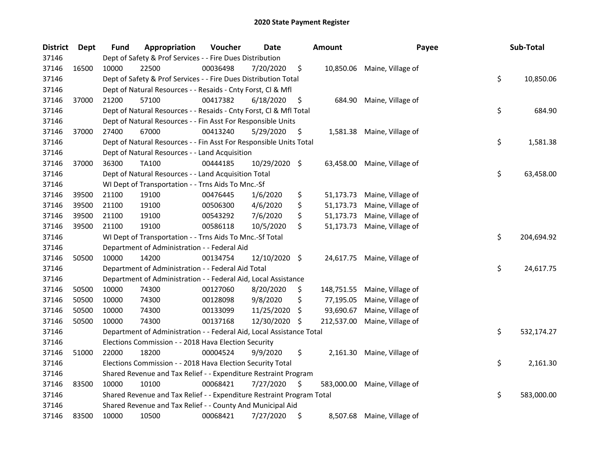| <b>District</b> | Dept  | <b>Fund</b> | Appropriation                                                         | Voucher  | Date          |     | <b>Amount</b> | Payee                       | Sub-Total        |
|-----------------|-------|-------------|-----------------------------------------------------------------------|----------|---------------|-----|---------------|-----------------------------|------------------|
| 37146           |       |             | Dept of Safety & Prof Services - - Fire Dues Distribution             |          |               |     |               |                             |                  |
| 37146           | 16500 | 10000       | 22500                                                                 | 00036498 | 7/20/2020     | \$  |               | 10,850.06 Maine, Village of |                  |
| 37146           |       |             | Dept of Safety & Prof Services - - Fire Dues Distribution Total       |          |               |     |               |                             | \$<br>10,850.06  |
| 37146           |       |             | Dept of Natural Resources - - Resaids - Cnty Forst, Cl & Mfl          |          |               |     |               |                             |                  |
| 37146           | 37000 | 21200       | 57100                                                                 | 00417382 | 6/18/2020     | \$  | 684.90        | Maine, Village of           |                  |
| 37146           |       |             | Dept of Natural Resources - - Resaids - Cnty Forst, Cl & Mfl Total    |          |               |     |               |                             | \$<br>684.90     |
| 37146           |       |             | Dept of Natural Resources - - Fin Asst For Responsible Units          |          |               |     |               |                             |                  |
| 37146           | 37000 | 27400       | 67000                                                                 | 00413240 | 5/29/2020     | \$  |               | 1,581.38 Maine, Village of  |                  |
| 37146           |       |             | Dept of Natural Resources - - Fin Asst For Responsible Units Total    |          |               |     |               |                             | \$<br>1,581.38   |
| 37146           |       |             | Dept of Natural Resources - - Land Acquisition                        |          |               |     |               |                             |                  |
| 37146           | 37000 | 36300       | TA100                                                                 | 00444185 | 10/29/2020 \$ |     |               | 63,458.00 Maine, Village of |                  |
| 37146           |       |             | Dept of Natural Resources - - Land Acquisition Total                  |          |               |     |               |                             | \$<br>63,458.00  |
| 37146           |       |             | WI Dept of Transportation - - Trns Aids To Mnc.-Sf                    |          |               |     |               |                             |                  |
| 37146           | 39500 | 21100       | 19100                                                                 | 00476445 | 1/6/2020      | \$  | 51,173.73     | Maine, Village of           |                  |
| 37146           | 39500 | 21100       | 19100                                                                 | 00506300 | 4/6/2020      | \$  | 51,173.73     | Maine, Village of           |                  |
| 37146           | 39500 | 21100       | 19100                                                                 | 00543292 | 7/6/2020      | \$  | 51,173.73     | Maine, Village of           |                  |
| 37146           | 39500 | 21100       | 19100                                                                 | 00586118 | 10/5/2020     | \$  | 51,173.73     | Maine, Village of           |                  |
| 37146           |       |             | WI Dept of Transportation - - Trns Aids To Mnc.-Sf Total              |          |               |     |               |                             | \$<br>204,694.92 |
| 37146           |       |             | Department of Administration - - Federal Aid                          |          |               |     |               |                             |                  |
| 37146           | 50500 | 10000       | 14200                                                                 | 00134754 | 12/10/2020    | -\$ | 24,617.75     | Maine, Village of           |                  |
| 37146           |       |             | Department of Administration - - Federal Aid Total                    |          |               |     |               |                             | \$<br>24,617.75  |
| 37146           |       |             | Department of Administration - - Federal Aid, Local Assistance        |          |               |     |               |                             |                  |
| 37146           | 50500 | 10000       | 74300                                                                 | 00127060 | 8/20/2020     | \$  | 148,751.55    | Maine, Village of           |                  |
| 37146           | 50500 | 10000       | 74300                                                                 | 00128098 | 9/8/2020      | \$  | 77,195.05     | Maine, Village of           |                  |
| 37146           | 50500 | 10000       | 74300                                                                 | 00133099 | 11/25/2020    | \$  | 93,690.67     | Maine, Village of           |                  |
| 37146           | 50500 | 10000       | 74300                                                                 | 00137168 | 12/30/2020    | \$  | 212,537.00    | Maine, Village of           |                  |
| 37146           |       |             | Department of Administration - - Federal Aid, Local Assistance Total  |          |               |     |               |                             | \$<br>532,174.27 |
| 37146           |       |             | Elections Commission - - 2018 Hava Election Security                  |          |               |     |               |                             |                  |
| 37146           | 51000 | 22000       | 18200                                                                 | 00004524 | 9/9/2020      | \$  | 2,161.30      | Maine, Village of           |                  |
| 37146           |       |             | Elections Commission - - 2018 Hava Election Security Total            |          |               |     |               |                             | \$<br>2,161.30   |
| 37146           |       |             | Shared Revenue and Tax Relief - - Expenditure Restraint Program       |          |               |     |               |                             |                  |
| 37146           | 83500 | 10000       | 10100                                                                 | 00068421 | 7/27/2020     | \$  | 583,000.00    | Maine, Village of           |                  |
| 37146           |       |             | Shared Revenue and Tax Relief - - Expenditure Restraint Program Total |          |               |     |               |                             | \$<br>583,000.00 |
| 37146           |       |             | Shared Revenue and Tax Relief - - County And Municipal Aid            |          |               |     |               |                             |                  |
| 37146           | 83500 | 10000       | 10500                                                                 | 00068421 | 7/27/2020     | \$  | 8,507.68      | Maine, Village of           |                  |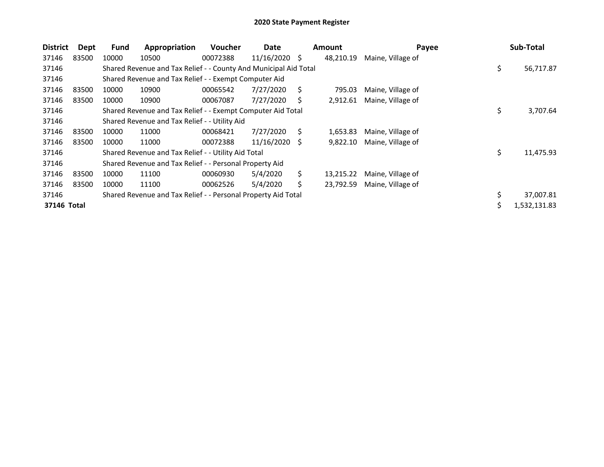| <b>District</b> | Dept  | <b>Fund</b> | Appropriation                                                    | <b>Voucher</b> | Date       |    | <b>Amount</b> | Payee             |    | Sub-Total    |
|-----------------|-------|-------------|------------------------------------------------------------------|----------------|------------|----|---------------|-------------------|----|--------------|
| 37146           | 83500 | 10000       | 10500                                                            | 00072388       | 11/16/2020 | \$ | 48,210.19     | Maine, Village of |    |              |
| 37146           |       |             | Shared Revenue and Tax Relief - - County And Municipal Aid Total |                |            |    |               |                   | \$ | 56,717.87    |
| 37146           |       |             | Shared Revenue and Tax Relief - - Exempt Computer Aid            |                |            |    |               |                   |    |              |
| 37146           | 83500 | 10000       | 10900                                                            | 00065542       | 7/27/2020  | Ś. | 795.03        | Maine, Village of |    |              |
| 37146           | 83500 | 10000       | 10900                                                            | 00067087       | 7/27/2020  | S  | 2,912.61      | Maine, Village of |    |              |
| 37146           |       |             | Shared Revenue and Tax Relief - - Exempt Computer Aid Total      |                |            |    |               |                   | \$ | 3,707.64     |
| 37146           |       |             | Shared Revenue and Tax Relief - - Utility Aid                    |                |            |    |               |                   |    |              |
| 37146           | 83500 | 10000       | 11000                                                            | 00068421       | 7/27/2020  | S  | 1,653.83      | Maine, Village of |    |              |
| 37146           | 83500 | 10000       | 11000                                                            | 00072388       | 11/16/2020 | -S | 9,822.10      | Maine, Village of |    |              |
| 37146           |       |             | Shared Revenue and Tax Relief - - Utility Aid Total              |                |            |    |               |                   | \$ | 11,475.93    |
| 37146           |       |             | Shared Revenue and Tax Relief - - Personal Property Aid          |                |            |    |               |                   |    |              |
| 37146           | 83500 | 10000       | 11100                                                            | 00060930       | 5/4/2020   | Ś. | 13,215.22     | Maine, Village of |    |              |
| 37146           | 83500 | 10000       | 11100                                                            | 00062526       | 5/4/2020   | \$ | 23,792.59     | Maine, Village of |    |              |
| 37146           |       |             | Shared Revenue and Tax Relief - - Personal Property Aid Total    |                |            |    |               |                   |    | 37,007.81    |
| 37146 Total     |       |             |                                                                  |                |            |    |               |                   | Ś  | 1,532,131.83 |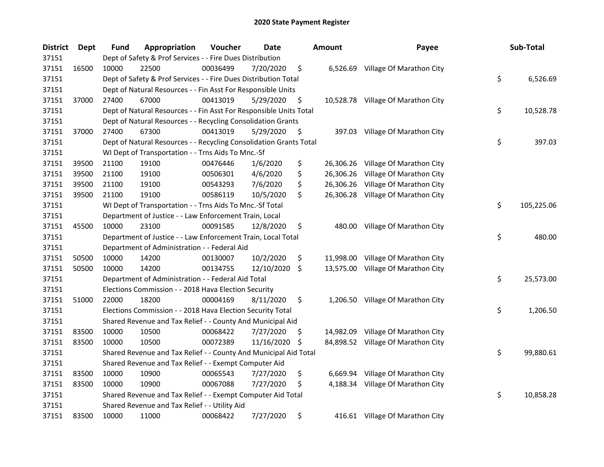| <b>District</b> | Dept  | <b>Fund</b> | Appropriation                                                      | Voucher  | Date       |     | <b>Amount</b> | Payee                              | Sub-Total        |
|-----------------|-------|-------------|--------------------------------------------------------------------|----------|------------|-----|---------------|------------------------------------|------------------|
| 37151           |       |             | Dept of Safety & Prof Services - - Fire Dues Distribution          |          |            |     |               |                                    |                  |
| 37151           | 16500 | 10000       | 22500                                                              | 00036499 | 7/20/2020  | \$  | 6,526.69      | Village Of Marathon City           |                  |
| 37151           |       |             | Dept of Safety & Prof Services - - Fire Dues Distribution Total    |          |            |     |               |                                    | \$<br>6,526.69   |
| 37151           |       |             | Dept of Natural Resources - - Fin Asst For Responsible Units       |          |            |     |               |                                    |                  |
| 37151           | 37000 | 27400       | 67000                                                              | 00413019 | 5/29/2020  | \$  |               | 10,528.78 Village Of Marathon City |                  |
| 37151           |       |             | Dept of Natural Resources - - Fin Asst For Responsible Units Total |          |            |     |               |                                    | \$<br>10,528.78  |
| 37151           |       |             | Dept of Natural Resources - - Recycling Consolidation Grants       |          |            |     |               |                                    |                  |
| 37151           | 37000 | 27400       | 67300                                                              | 00413019 | 5/29/2020  | \$  |               | 397.03 Village Of Marathon City    |                  |
| 37151           |       |             | Dept of Natural Resources - - Recycling Consolidation Grants Total |          |            |     |               |                                    | \$<br>397.03     |
| 37151           |       |             | WI Dept of Transportation - - Trns Aids To Mnc.-Sf                 |          |            |     |               |                                    |                  |
| 37151           | 39500 | 21100       | 19100                                                              | 00476446 | 1/6/2020   | \$  |               | 26,306.26 Village Of Marathon City |                  |
| 37151           | 39500 | 21100       | 19100                                                              | 00506301 | 4/6/2020   | \$  | 26,306.26     | Village Of Marathon City           |                  |
| 37151           | 39500 | 21100       | 19100                                                              | 00543293 | 7/6/2020   | \$  | 26,306.26     | Village Of Marathon City           |                  |
| 37151           | 39500 | 21100       | 19100                                                              | 00586119 | 10/5/2020  | \$  | 26,306.28     | Village Of Marathon City           |                  |
| 37151           |       |             | WI Dept of Transportation - - Trns Aids To Mnc.-Sf Total           |          |            |     |               |                                    | \$<br>105,225.06 |
| 37151           |       |             | Department of Justice - - Law Enforcement Train, Local             |          |            |     |               |                                    |                  |
| 37151           | 45500 | 10000       | 23100                                                              | 00091585 | 12/8/2020  | \$  | 480.00        | Village Of Marathon City           |                  |
| 37151           |       |             | Department of Justice - - Law Enforcement Train, Local Total       |          |            |     |               |                                    | \$<br>480.00     |
| 37151           |       |             | Department of Administration - - Federal Aid                       |          |            |     |               |                                    |                  |
| 37151           | 50500 | 10000       | 14200                                                              | 00130007 | 10/2/2020  | \$  |               | 11,998.00 Village Of Marathon City |                  |
| 37151           | 50500 | 10000       | 14200                                                              | 00134755 | 12/10/2020 | -\$ |               | 13,575.00 Village Of Marathon City |                  |
| 37151           |       |             | Department of Administration - - Federal Aid Total                 |          |            |     |               |                                    | \$<br>25,573.00  |
| 37151           |       |             | Elections Commission - - 2018 Hava Election Security               |          |            |     |               |                                    |                  |
| 37151           | 51000 | 22000       | 18200                                                              | 00004169 | 8/11/2020  | \$  |               | 1,206.50 Village Of Marathon City  |                  |
| 37151           |       |             | Elections Commission - - 2018 Hava Election Security Total         |          |            |     |               |                                    | \$<br>1,206.50   |
| 37151           |       |             | Shared Revenue and Tax Relief - - County And Municipal Aid         |          |            |     |               |                                    |                  |
| 37151           | 83500 | 10000       | 10500                                                              | 00068422 | 7/27/2020  | \$, |               | 14,982.09 Village Of Marathon City |                  |
| 37151           | 83500 | 10000       | 10500                                                              | 00072389 | 11/16/2020 | \$  |               | 84,898.52 Village Of Marathon City |                  |
| 37151           |       |             | Shared Revenue and Tax Relief - - County And Municipal Aid Total   |          |            |     |               |                                    | \$<br>99,880.61  |
| 37151           |       |             | Shared Revenue and Tax Relief - - Exempt Computer Aid              |          |            |     |               |                                    |                  |
| 37151           | 83500 | 10000       | 10900                                                              | 00065543 | 7/27/2020  | \$  | 6,669.94      | Village Of Marathon City           |                  |
| 37151           | 83500 | 10000       | 10900                                                              | 00067088 | 7/27/2020  | \$  | 4,188.34      | Village Of Marathon City           |                  |
| 37151           |       |             | Shared Revenue and Tax Relief - - Exempt Computer Aid Total        |          |            |     |               |                                    | \$<br>10,858.28  |
| 37151           |       |             | Shared Revenue and Tax Relief - - Utility Aid                      |          |            |     |               |                                    |                  |
| 37151           | 83500 | 10000       | 11000                                                              | 00068422 | 7/27/2020  | \$  |               | 416.61 Village Of Marathon City    |                  |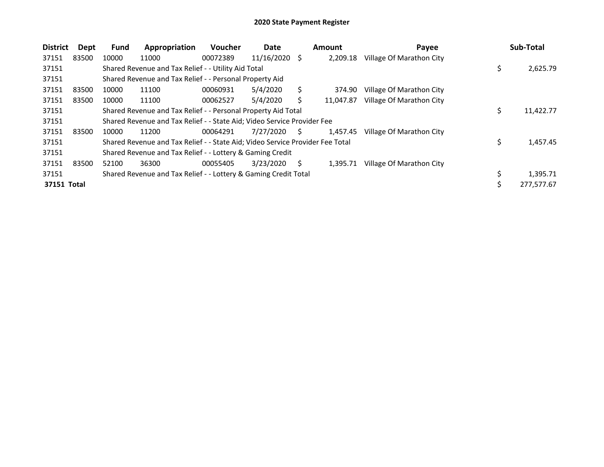| <b>District</b> | Dept  | <b>Fund</b> | Appropriation                                                                 | <b>Voucher</b> | Date          |    | <b>Amount</b> | Payee                    |    | Sub-Total  |
|-----------------|-------|-------------|-------------------------------------------------------------------------------|----------------|---------------|----|---------------|--------------------------|----|------------|
| 37151           | 83500 | 10000       | 11000                                                                         | 00072389       | 11/16/2020 \$ |    | 2.209.18      | Village Of Marathon City |    |            |
| 37151           |       |             | Shared Revenue and Tax Relief - - Utility Aid Total                           |                |               |    |               |                          | \$ | 2,625.79   |
| 37151           |       |             | Shared Revenue and Tax Relief - - Personal Property Aid                       |                |               |    |               |                          |    |            |
| 37151           | 83500 | 10000       | 11100                                                                         | 00060931       | 5/4/2020      | Ś  | 374.90        | Village Of Marathon City |    |            |
| 37151           | 83500 | 10000       | 11100                                                                         | 00062527       | 5/4/2020      |    | 11,047.87     | Village Of Marathon City |    |            |
| 37151           |       |             | Shared Revenue and Tax Relief - - Personal Property Aid Total                 |                |               |    |               |                          | \$ | 11,422.77  |
| 37151           |       |             | Shared Revenue and Tax Relief - - State Aid; Video Service Provider Fee       |                |               |    |               |                          |    |            |
| 37151           | 83500 | 10000       | 11200                                                                         | 00064291       | 7/27/2020     | S. | 1,457.45      | Village Of Marathon City |    |            |
| 37151           |       |             | Shared Revenue and Tax Relief - - State Aid; Video Service Provider Fee Total |                |               |    |               |                          | Ś  | 1,457.45   |
| 37151           |       |             | Shared Revenue and Tax Relief - - Lottery & Gaming Credit                     |                |               |    |               |                          |    |            |
| 37151           | 83500 | 52100       | 36300                                                                         | 00055405       | 3/23/2020     | S  | 1.395.71      | Village Of Marathon City |    |            |
| 37151           |       |             | Shared Revenue and Tax Relief - - Lottery & Gaming Credit Total               |                |               |    |               |                          | \$ | 1,395.71   |
| 37151 Total     |       |             |                                                                               |                |               |    |               |                          | \$ | 277,577.67 |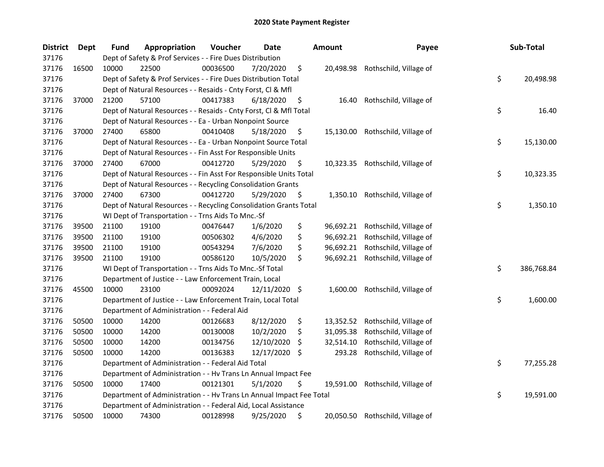| <b>District</b> | Dept  | Fund  | Appropriation                                                        | Voucher  | Date       |     | <b>Amount</b> | Payee                            | Sub-Total        |
|-----------------|-------|-------|----------------------------------------------------------------------|----------|------------|-----|---------------|----------------------------------|------------------|
| 37176           |       |       | Dept of Safety & Prof Services - - Fire Dues Distribution            |          |            |     |               |                                  |                  |
| 37176           | 16500 | 10000 | 22500                                                                | 00036500 | 7/20/2020  | \$  |               | 20,498.98 Rothschild, Village of |                  |
| 37176           |       |       | Dept of Safety & Prof Services - - Fire Dues Distribution Total      |          |            |     |               |                                  | \$<br>20,498.98  |
| 37176           |       |       | Dept of Natural Resources - - Resaids - Cnty Forst, Cl & Mfl         |          |            |     |               |                                  |                  |
| 37176           | 37000 | 21200 | 57100                                                                | 00417383 | 6/18/2020  | \$  | 16.40         | Rothschild, Village of           |                  |
| 37176           |       |       | Dept of Natural Resources - - Resaids - Cnty Forst, Cl & Mfl Total   |          |            |     |               |                                  | \$<br>16.40      |
| 37176           |       |       | Dept of Natural Resources - - Ea - Urban Nonpoint Source             |          |            |     |               |                                  |                  |
| 37176           | 37000 | 27400 | 65800                                                                | 00410408 | 5/18/2020  | \$  |               | 15,130.00 Rothschild, Village of |                  |
| 37176           |       |       | Dept of Natural Resources - - Ea - Urban Nonpoint Source Total       |          |            |     |               |                                  | \$<br>15,130.00  |
| 37176           |       |       | Dept of Natural Resources - - Fin Asst For Responsible Units         |          |            |     |               |                                  |                  |
| 37176           | 37000 | 27400 | 67000                                                                | 00412720 | 5/29/2020  | \$  |               | 10,323.35 Rothschild, Village of |                  |
| 37176           |       |       | Dept of Natural Resources - - Fin Asst For Responsible Units Total   |          |            |     |               |                                  | \$<br>10,323.35  |
| 37176           |       |       | Dept of Natural Resources - - Recycling Consolidation Grants         |          |            |     |               |                                  |                  |
| 37176           | 37000 | 27400 | 67300                                                                | 00412720 | 5/29/2020  | \$  | 1,350.10      | Rothschild, Village of           |                  |
| 37176           |       |       | Dept of Natural Resources - - Recycling Consolidation Grants Total   |          |            |     |               |                                  | \$<br>1,350.10   |
| 37176           |       |       | WI Dept of Transportation - - Trns Aids To Mnc.-Sf                   |          |            |     |               |                                  |                  |
| 37176           | 39500 | 21100 | 19100                                                                | 00476447 | 1/6/2020   | \$  | 96,692.21     | Rothschild, Village of           |                  |
| 37176           | 39500 | 21100 | 19100                                                                | 00506302 | 4/6/2020   | \$  | 96,692.21     | Rothschild, Village of           |                  |
| 37176           | 39500 | 21100 | 19100                                                                | 00543294 | 7/6/2020   | \$  | 96,692.21     | Rothschild, Village of           |                  |
| 37176           | 39500 | 21100 | 19100                                                                | 00586120 | 10/5/2020  | \$  | 96,692.21     | Rothschild, Village of           |                  |
| 37176           |       |       | WI Dept of Transportation - - Trns Aids To Mnc.-Sf Total             |          |            |     |               |                                  | \$<br>386,768.84 |
| 37176           |       |       | Department of Justice - - Law Enforcement Train, Local               |          |            |     |               |                                  |                  |
| 37176           | 45500 | 10000 | 23100                                                                | 00092024 | 12/11/2020 | \$. | 1,600.00      | Rothschild, Village of           |                  |
| 37176           |       |       | Department of Justice - - Law Enforcement Train, Local Total         |          |            |     |               |                                  | \$<br>1,600.00   |
| 37176           |       |       | Department of Administration - - Federal Aid                         |          |            |     |               |                                  |                  |
| 37176           | 50500 | 10000 | 14200                                                                | 00126683 | 8/12/2020  | \$  | 13,352.52     | Rothschild, Village of           |                  |
| 37176           | 50500 | 10000 | 14200                                                                | 00130008 | 10/2/2020  | \$  | 31,095.38     | Rothschild, Village of           |                  |
| 37176           | 50500 | 10000 | 14200                                                                | 00134756 | 12/10/2020 | S   | 32,514.10     | Rothschild, Village of           |                  |
| 37176           | 50500 | 10000 | 14200                                                                | 00136383 | 12/17/2020 | \$. | 293.28        | Rothschild, Village of           |                  |
| 37176           |       |       | Department of Administration - - Federal Aid Total                   |          |            |     |               |                                  | \$<br>77,255.28  |
| 37176           |       |       | Department of Administration - - Hv Trans Ln Annual Impact Fee       |          |            |     |               |                                  |                  |
| 37176           | 50500 | 10000 | 17400                                                                | 00121301 | 5/1/2020   | \$  | 19,591.00     | Rothschild, Village of           |                  |
| 37176           |       |       | Department of Administration - - Hv Trans Ln Annual Impact Fee Total |          |            |     |               |                                  | \$<br>19,591.00  |
| 37176           |       |       | Department of Administration - - Federal Aid, Local Assistance       |          |            |     |               |                                  |                  |
| 37176           | 50500 | 10000 | 74300                                                                | 00128998 | 9/25/2020  | \$  |               | 20,050.50 Rothschild, Village of |                  |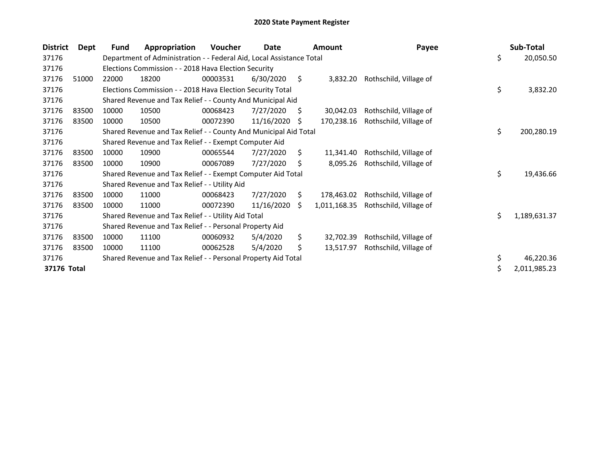| <b>District</b> | Dept  | <b>Fund</b> | Appropriation                                                        | <b>Voucher</b> | Date       |     | <b>Amount</b> | Payee                  | Sub-Total          |
|-----------------|-------|-------------|----------------------------------------------------------------------|----------------|------------|-----|---------------|------------------------|--------------------|
| 37176           |       |             | Department of Administration - - Federal Aid, Local Assistance Total |                |            |     |               |                        | \$<br>20,050.50    |
| 37176           |       |             | Elections Commission - - 2018 Hava Election Security                 |                |            |     |               |                        |                    |
| 37176           | 51000 | 22000       | 18200                                                                | 00003531       | 6/30/2020  | \$  | 3,832.20      | Rothschild, Village of |                    |
| 37176           |       |             | Elections Commission - - 2018 Hava Election Security Total           |                |            |     |               |                        | \$<br>3,832.20     |
| 37176           |       |             | Shared Revenue and Tax Relief - - County And Municipal Aid           |                |            |     |               |                        |                    |
| 37176           | 83500 | 10000       | 10500                                                                | 00068423       | 7/27/2020  | -S  | 30,042.03     | Rothschild, Village of |                    |
| 37176           | 83500 | 10000       | 10500                                                                | 00072390       | 11/16/2020 | \$. | 170,238.16    | Rothschild, Village of |                    |
| 37176           |       |             | Shared Revenue and Tax Relief - - County And Municipal Aid Total     |                |            |     |               |                        | \$<br>200,280.19   |
| 37176           |       |             | Shared Revenue and Tax Relief - - Exempt Computer Aid                |                |            |     |               |                        |                    |
| 37176           | 83500 | 10000       | 10900                                                                | 00065544       | 7/27/2020  | \$  | 11,341.40     | Rothschild, Village of |                    |
| 37176           | 83500 | 10000       | 10900                                                                | 00067089       | 7/27/2020  | Ś.  | 8,095.26      | Rothschild, Village of |                    |
| 37176           |       |             | Shared Revenue and Tax Relief - - Exempt Computer Aid Total          |                |            |     |               |                        | \$<br>19,436.66    |
| 37176           |       |             | Shared Revenue and Tax Relief - - Utility Aid                        |                |            |     |               |                        |                    |
| 37176           | 83500 | 10000       | 11000                                                                | 00068423       | 7/27/2020  | S.  | 178,463.02    | Rothschild, Village of |                    |
| 37176           | 83500 | 10000       | 11000                                                                | 00072390       | 11/16/2020 | S.  | 1,011,168.35  | Rothschild, Village of |                    |
| 37176           |       |             | Shared Revenue and Tax Relief - - Utility Aid Total                  |                |            |     |               |                        | \$<br>1,189,631.37 |
| 37176           |       |             | Shared Revenue and Tax Relief - - Personal Property Aid              |                |            |     |               |                        |                    |
| 37176           | 83500 | 10000       | 11100                                                                | 00060932       | 5/4/2020   | \$  | 32,702.39     | Rothschild, Village of |                    |
| 37176           | 83500 | 10000       | 11100                                                                | 00062528       | 5/4/2020   | \$  | 13,517.97     | Rothschild, Village of |                    |
| 37176           |       |             | Shared Revenue and Tax Relief - - Personal Property Aid Total        |                |            |     |               |                        | \$<br>46,220.36    |
| 37176 Total     |       |             |                                                                      |                |            |     |               |                        | \$<br>2,011,985.23 |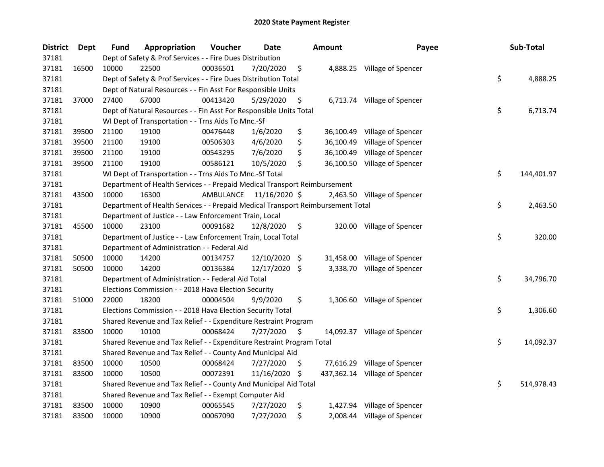| <b>District</b> | Dept  | <b>Fund</b> | Appropriation                                                                   | Voucher   | Date          |     | <b>Amount</b> | Payee                         | Sub-Total        |
|-----------------|-------|-------------|---------------------------------------------------------------------------------|-----------|---------------|-----|---------------|-------------------------------|------------------|
| 37181           |       |             | Dept of Safety & Prof Services - - Fire Dues Distribution                       |           |               |     |               |                               |                  |
| 37181           | 16500 | 10000       | 22500                                                                           | 00036501  | 7/20/2020     | \$  |               | 4,888.25 Village of Spencer   |                  |
| 37181           |       |             | Dept of Safety & Prof Services - - Fire Dues Distribution Total                 |           |               |     |               |                               | \$<br>4,888.25   |
| 37181           |       |             | Dept of Natural Resources - - Fin Asst For Responsible Units                    |           |               |     |               |                               |                  |
| 37181           | 37000 | 27400       | 67000                                                                           | 00413420  | 5/29/2020     | \$  |               | 6,713.74 Village of Spencer   |                  |
| 37181           |       |             | Dept of Natural Resources - - Fin Asst For Responsible Units Total              |           |               |     |               |                               | \$<br>6,713.74   |
| 37181           |       |             | WI Dept of Transportation - - Trns Aids To Mnc.-Sf                              |           |               |     |               |                               |                  |
| 37181           | 39500 | 21100       | 19100                                                                           | 00476448  | 1/6/2020      | \$  |               | 36,100.49 Village of Spencer  |                  |
| 37181           | 39500 | 21100       | 19100                                                                           | 00506303  | 4/6/2020      | \$  |               | 36,100.49 Village of Spencer  |                  |
| 37181           | 39500 | 21100       | 19100                                                                           | 00543295  | 7/6/2020      | \$  |               | 36,100.49 Village of Spencer  |                  |
| 37181           | 39500 | 21100       | 19100                                                                           | 00586121  | 10/5/2020     | \$  |               | 36,100.50 Village of Spencer  |                  |
| 37181           |       |             | WI Dept of Transportation - - Trns Aids To Mnc.-Sf Total                        |           |               |     |               |                               | \$<br>144,401.97 |
| 37181           |       |             | Department of Health Services - - Prepaid Medical Transport Reimbursement       |           |               |     |               |                               |                  |
| 37181           | 43500 | 10000       | 16300                                                                           | AMBULANCE | 11/16/2020 \$ |     |               | 2,463.50 Village of Spencer   |                  |
| 37181           |       |             | Department of Health Services - - Prepaid Medical Transport Reimbursement Total |           |               |     |               |                               | \$<br>2,463.50   |
| 37181           |       |             | Department of Justice - - Law Enforcement Train, Local                          |           |               |     |               |                               |                  |
| 37181           | 45500 | 10000       | 23100                                                                           | 00091682  | 12/8/2020     | \$  |               | 320.00 Village of Spencer     |                  |
| 37181           |       |             | Department of Justice - - Law Enforcement Train, Local Total                    |           |               |     |               |                               | \$<br>320.00     |
| 37181           |       |             | Department of Administration - - Federal Aid                                    |           |               |     |               |                               |                  |
| 37181           | 50500 | 10000       | 14200                                                                           | 00134757  | 12/10/2020    | -\$ |               | 31,458.00 Village of Spencer  |                  |
| 37181           | 50500 | 10000       | 14200                                                                           | 00136384  | 12/17/2020 \$ |     |               | 3,338.70 Village of Spencer   |                  |
| 37181           |       |             | Department of Administration - - Federal Aid Total                              |           |               |     |               |                               | \$<br>34,796.70  |
| 37181           |       |             | Elections Commission - - 2018 Hava Election Security                            |           |               |     |               |                               |                  |
| 37181           | 51000 | 22000       | 18200                                                                           | 00004504  | 9/9/2020      | \$  |               | 1,306.60 Village of Spencer   |                  |
| 37181           |       |             | Elections Commission - - 2018 Hava Election Security Total                      |           |               |     |               |                               | \$<br>1,306.60   |
| 37181           |       |             | Shared Revenue and Tax Relief - - Expenditure Restraint Program                 |           |               |     |               |                               |                  |
| 37181           | 83500 | 10000       | 10100                                                                           | 00068424  | 7/27/2020     | \$  |               | 14,092.37 Village of Spencer  |                  |
| 37181           |       |             | Shared Revenue and Tax Relief - - Expenditure Restraint Program Total           |           |               |     |               |                               | \$<br>14,092.37  |
| 37181           |       |             | Shared Revenue and Tax Relief - - County And Municipal Aid                      |           |               |     |               |                               |                  |
| 37181           | 83500 | 10000       | 10500                                                                           | 00068424  | 7/27/2020     | \$. |               | 77,616.29 Village of Spencer  |                  |
| 37181           | 83500 | 10000       | 10500                                                                           | 00072391  | 11/16/2020    | -\$ |               | 437,362.14 Village of Spencer |                  |
| 37181           |       |             | Shared Revenue and Tax Relief - - County And Municipal Aid Total                |           |               |     |               |                               | \$<br>514,978.43 |
| 37181           |       |             | Shared Revenue and Tax Relief - - Exempt Computer Aid                           |           |               |     |               |                               |                  |
| 37181           | 83500 | 10000       | 10900                                                                           | 00065545  | 7/27/2020     | \$  |               | 1,427.94 Village of Spencer   |                  |
| 37181           | 83500 | 10000       | 10900                                                                           | 00067090  | 7/27/2020     | \$  |               | 2,008.44 Village of Spencer   |                  |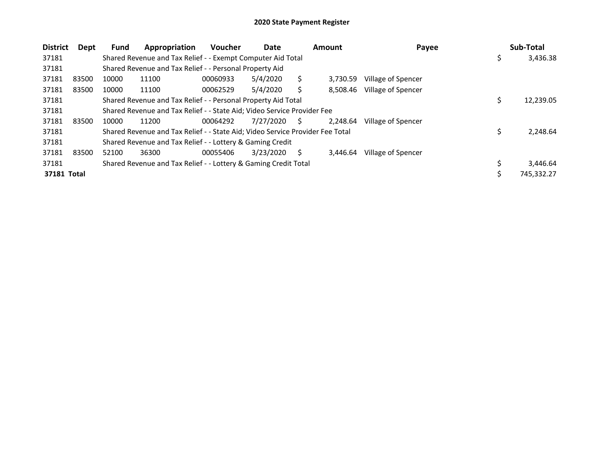| <b>District</b> | Dept  | Fund  | Appropriation                                                                 | <b>Voucher</b> | Date      |    | Amount   | Payee              |    | Sub-Total  |
|-----------------|-------|-------|-------------------------------------------------------------------------------|----------------|-----------|----|----------|--------------------|----|------------|
| 37181           |       |       | Shared Revenue and Tax Relief - - Exempt Computer Aid Total                   |                |           |    |          |                    | \$ | 3,436.38   |
| 37181           |       |       | Shared Revenue and Tax Relief - - Personal Property Aid                       |                |           |    |          |                    |    |            |
| 37181           | 83500 | 10000 | 11100                                                                         | 00060933       | 5/4/2020  |    | 3.730.59 | Village of Spencer |    |            |
| 37181           | 83500 | 10000 | 11100                                                                         | 00062529       | 5/4/2020  |    | 8.508.46 | Village of Spencer |    |            |
| 37181           |       |       | Shared Revenue and Tax Relief - - Personal Property Aid Total                 |                |           |    |          |                    | Ś  | 12,239.05  |
| 37181           |       |       | Shared Revenue and Tax Relief - - State Aid; Video Service Provider Fee       |                |           |    |          |                    |    |            |
| 37181           | 83500 | 10000 | 11200                                                                         | 00064292       | 7/27/2020 | S. | 2.248.64 | Village of Spencer |    |            |
| 37181           |       |       | Shared Revenue and Tax Relief - - State Aid; Video Service Provider Fee Total |                |           |    |          |                    |    | 2,248.64   |
| 37181           |       |       | Shared Revenue and Tax Relief - - Lottery & Gaming Credit                     |                |           |    |          |                    |    |            |
| 37181           | 83500 | 52100 | 36300                                                                         | 00055406       | 3/23/2020 | S  | 3,446.64 | Village of Spencer |    |            |
| 37181           |       |       | Shared Revenue and Tax Relief - - Lottery & Gaming Credit Total               |                |           |    |          |                    |    | 3,446.64   |
| 37181 Total     |       |       |                                                                               |                |           |    |          |                    |    | 745,332.27 |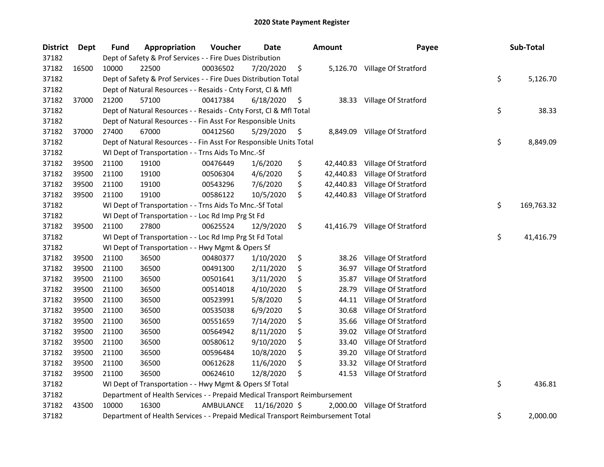| <b>District</b> | Dept  | <b>Fund</b> | Appropriation                                                                   | Voucher   | Date          | <b>Amount</b> | Payee                          | Sub-Total        |
|-----------------|-------|-------------|---------------------------------------------------------------------------------|-----------|---------------|---------------|--------------------------------|------------------|
| 37182           |       |             | Dept of Safety & Prof Services - - Fire Dues Distribution                       |           |               |               |                                |                  |
| 37182           | 16500 | 10000       | 22500                                                                           | 00036502  | 7/20/2020     | \$            | 5,126.70 Village Of Stratford  |                  |
| 37182           |       |             | Dept of Safety & Prof Services - - Fire Dues Distribution Total                 |           |               |               |                                | \$<br>5,126.70   |
| 37182           |       |             | Dept of Natural Resources - - Resaids - Cnty Forst, Cl & Mfl                    |           |               |               |                                |                  |
| 37182           | 37000 | 21200       | 57100                                                                           | 00417384  | 6/18/2020     | \$            | 38.33 Village Of Stratford     |                  |
| 37182           |       |             | Dept of Natural Resources - - Resaids - Cnty Forst, Cl & Mfl Total              |           |               |               |                                | \$<br>38.33      |
| 37182           |       |             | Dept of Natural Resources - - Fin Asst For Responsible Units                    |           |               |               |                                |                  |
| 37182           | 37000 | 27400       | 67000                                                                           | 00412560  | 5/29/2020     | \$            | 8,849.09 Village Of Stratford  |                  |
| 37182           |       |             | Dept of Natural Resources - - Fin Asst For Responsible Units Total              |           |               |               |                                | \$<br>8,849.09   |
| 37182           |       |             | WI Dept of Transportation - - Trns Aids To Mnc.-Sf                              |           |               |               |                                |                  |
| 37182           | 39500 | 21100       | 19100                                                                           | 00476449  | 1/6/2020      | \$            | 42,440.83 Village Of Stratford |                  |
| 37182           | 39500 | 21100       | 19100                                                                           | 00506304  | 4/6/2020      | \$            | 42,440.83 Village Of Stratford |                  |
| 37182           | 39500 | 21100       | 19100                                                                           | 00543296  | 7/6/2020      | \$            | 42,440.83 Village Of Stratford |                  |
| 37182           | 39500 | 21100       | 19100                                                                           | 00586122  | 10/5/2020     | \$            | 42,440.83 Village Of Stratford |                  |
| 37182           |       |             | WI Dept of Transportation - - Trns Aids To Mnc.-Sf Total                        |           |               |               |                                | \$<br>169,763.32 |
| 37182           |       |             | WI Dept of Transportation - - Loc Rd Imp Prg St Fd                              |           |               |               |                                |                  |
| 37182           | 39500 | 21100       | 27800                                                                           | 00625524  | 12/9/2020     | \$            | 41,416.79 Village Of Stratford |                  |
| 37182           |       |             | WI Dept of Transportation - - Loc Rd Imp Prg St Fd Total                        |           |               |               |                                | \$<br>41,416.79  |
| 37182           |       |             | WI Dept of Transportation - - Hwy Mgmt & Opers Sf                               |           |               |               |                                |                  |
| 37182           | 39500 | 21100       | 36500                                                                           | 00480377  | 1/10/2020     | \$<br>38.26   | Village Of Stratford           |                  |
| 37182           | 39500 | 21100       | 36500                                                                           | 00491300  | 2/11/2020     | \$<br>36.97   | Village Of Stratford           |                  |
| 37182           | 39500 | 21100       | 36500                                                                           | 00501641  | 3/11/2020     | \$<br>35.87   | Village Of Stratford           |                  |
| 37182           | 39500 | 21100       | 36500                                                                           | 00514018  | 4/10/2020     | \$<br>28.79   | Village Of Stratford           |                  |
| 37182           | 39500 | 21100       | 36500                                                                           | 00523991  | 5/8/2020      | \$<br>44.11   | Village Of Stratford           |                  |
| 37182           | 39500 | 21100       | 36500                                                                           | 00535038  | 6/9/2020      | \$<br>30.68   | Village Of Stratford           |                  |
| 37182           | 39500 | 21100       | 36500                                                                           | 00551659  | 7/14/2020     | \$<br>35.66   | Village Of Stratford           |                  |
| 37182           | 39500 | 21100       | 36500                                                                           | 00564942  | 8/11/2020     | \$<br>39.02   | Village Of Stratford           |                  |
| 37182           | 39500 | 21100       | 36500                                                                           | 00580612  | 9/10/2020     | \$<br>33.40   | Village Of Stratford           |                  |
| 37182           | 39500 | 21100       | 36500                                                                           | 00596484  | 10/8/2020     | \$<br>39.20   | Village Of Stratford           |                  |
| 37182           | 39500 | 21100       | 36500                                                                           | 00612628  | 11/6/2020     | \$<br>33.32   | Village Of Stratford           |                  |
| 37182           | 39500 | 21100       | 36500                                                                           | 00624610  | 12/8/2020     | \$<br>41.53   | Village Of Stratford           |                  |
| 37182           |       |             | WI Dept of Transportation - - Hwy Mgmt & Opers Sf Total                         |           |               |               |                                | \$<br>436.81     |
| 37182           |       |             | Department of Health Services - - Prepaid Medical Transport Reimbursement       |           |               |               |                                |                  |
| 37182           | 43500 | 10000       | 16300                                                                           | AMBULANCE | 11/16/2020 \$ | 2,000.00      | Village Of Stratford           |                  |
| 37182           |       |             | Department of Health Services - - Prepaid Medical Transport Reimbursement Total |           |               |               |                                | \$<br>2,000.00   |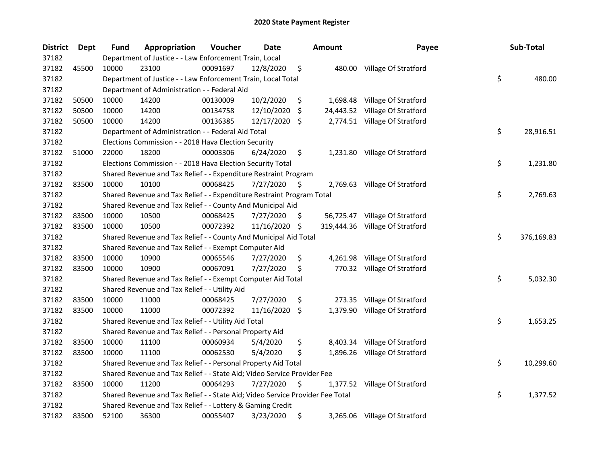| <b>District</b> | Dept  | <b>Fund</b> | Appropriation                                                                 | Voucher  | Date       |     | <b>Amount</b> | Payee                           | Sub-Total        |
|-----------------|-------|-------------|-------------------------------------------------------------------------------|----------|------------|-----|---------------|---------------------------------|------------------|
| 37182           |       |             | Department of Justice - - Law Enforcement Train, Local                        |          |            |     |               |                                 |                  |
| 37182           | 45500 | 10000       | 23100                                                                         | 00091697 | 12/8/2020  | \$  |               | 480.00 Village Of Stratford     |                  |
| 37182           |       |             | Department of Justice - - Law Enforcement Train, Local Total                  |          |            |     |               |                                 | \$<br>480.00     |
| 37182           |       |             | Department of Administration - - Federal Aid                                  |          |            |     |               |                                 |                  |
| 37182           | 50500 | 10000       | 14200                                                                         | 00130009 | 10/2/2020  | \$  | 1,698.48      | Village Of Stratford            |                  |
| 37182           | 50500 | 10000       | 14200                                                                         | 00134758 | 12/10/2020 | S   | 24,443.52     | Village Of Stratford            |                  |
| 37182           | 50500 | 10000       | 14200                                                                         | 00136385 | 12/17/2020 | -S  |               | 2,774.51 Village Of Stratford   |                  |
| 37182           |       |             | Department of Administration - - Federal Aid Total                            |          |            |     |               |                                 | \$<br>28,916.51  |
| 37182           |       |             | Elections Commission - - 2018 Hava Election Security                          |          |            |     |               |                                 |                  |
| 37182           | 51000 | 22000       | 18200                                                                         | 00003306 | 6/24/2020  | \$  |               | 1,231.80 Village Of Stratford   |                  |
| 37182           |       |             | Elections Commission - - 2018 Hava Election Security Total                    |          |            |     |               |                                 | \$<br>1,231.80   |
| 37182           |       |             | Shared Revenue and Tax Relief - - Expenditure Restraint Program               |          |            |     |               |                                 |                  |
| 37182           | 83500 | 10000       | 10100                                                                         | 00068425 | 7/27/2020  | \$, |               | 2,769.63 Village Of Stratford   |                  |
| 37182           |       |             | Shared Revenue and Tax Relief - - Expenditure Restraint Program Total         |          |            |     |               |                                 | \$<br>2,769.63   |
| 37182           |       |             | Shared Revenue and Tax Relief - - County And Municipal Aid                    |          |            |     |               |                                 |                  |
| 37182           | 83500 | 10000       | 10500                                                                         | 00068425 | 7/27/2020  | Ş   |               | 56,725.47 Village Of Stratford  |                  |
| 37182           | 83500 | 10000       | 10500                                                                         | 00072392 | 11/16/2020 | -S  |               | 319,444.36 Village Of Stratford |                  |
| 37182           |       |             | Shared Revenue and Tax Relief - - County And Municipal Aid Total              |          |            |     |               |                                 | \$<br>376,169.83 |
| 37182           |       |             | Shared Revenue and Tax Relief - - Exempt Computer Aid                         |          |            |     |               |                                 |                  |
| 37182           | 83500 | 10000       | 10900                                                                         | 00065546 | 7/27/2020  | \$  | 4,261.98      | Village Of Stratford            |                  |
| 37182           | 83500 | 10000       | 10900                                                                         | 00067091 | 7/27/2020  | \$  |               | 770.32 Village Of Stratford     |                  |
| 37182           |       |             | Shared Revenue and Tax Relief - - Exempt Computer Aid Total                   |          |            |     |               |                                 | \$<br>5,032.30   |
| 37182           |       |             | Shared Revenue and Tax Relief - - Utility Aid                                 |          |            |     |               |                                 |                  |
| 37182           | 83500 | 10000       | 11000                                                                         | 00068425 | 7/27/2020  | \$  | 273.35        | Village Of Stratford            |                  |
| 37182           | 83500 | 10000       | 11000                                                                         | 00072392 | 11/16/2020 | \$  | 1,379.90      | Village Of Stratford            |                  |
| 37182           |       |             | Shared Revenue and Tax Relief - - Utility Aid Total                           |          |            |     |               |                                 | \$<br>1,653.25   |
| 37182           |       |             | Shared Revenue and Tax Relief - - Personal Property Aid                       |          |            |     |               |                                 |                  |
| 37182           | 83500 | 10000       | 11100                                                                         | 00060934 | 5/4/2020   | \$  | 8,403.34      | Village Of Stratford            |                  |
| 37182           | 83500 | 10000       | 11100                                                                         | 00062530 | 5/4/2020   | \$  |               | 1,896.26 Village Of Stratford   |                  |
| 37182           |       |             | Shared Revenue and Tax Relief - - Personal Property Aid Total                 |          |            |     |               |                                 | \$<br>10,299.60  |
| 37182           |       |             | Shared Revenue and Tax Relief - - State Aid; Video Service Provider Fee       |          |            |     |               |                                 |                  |
| 37182           | 83500 | 10000       | 11200                                                                         | 00064293 | 7/27/2020  | \$  | 1,377.52      | Village Of Stratford            |                  |
| 37182           |       |             | Shared Revenue and Tax Relief - - State Aid; Video Service Provider Fee Total |          |            |     |               |                                 | \$<br>1,377.52   |
| 37182           |       |             | Shared Revenue and Tax Relief - - Lottery & Gaming Credit                     |          |            |     |               |                                 |                  |
| 37182           | 83500 | 52100       | 36300                                                                         | 00055407 | 3/23/2020  | \$  |               | 3,265.06 Village Of Stratford   |                  |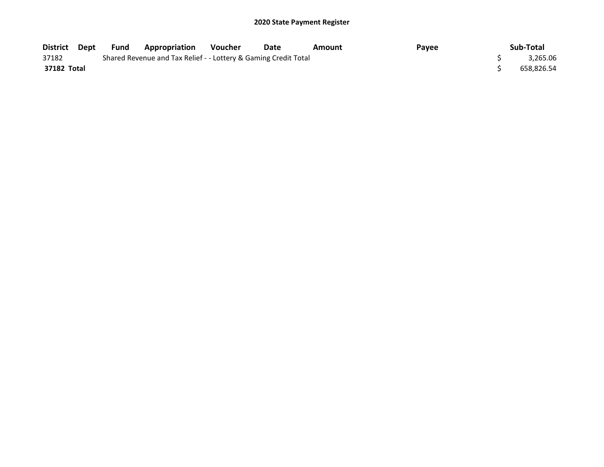| District Dept | Fund | <b>Appropriation</b>                                            | Voucher | Date | Amount | Payee | Sub-Total  |
|---------------|------|-----------------------------------------------------------------|---------|------|--------|-------|------------|
| 37182         |      | Shared Revenue and Tax Relief - - Lottery & Gaming Credit Total |         |      |        |       | 3.265.06   |
| 37182 Total   |      |                                                                 |         |      |        |       | 658.826.54 |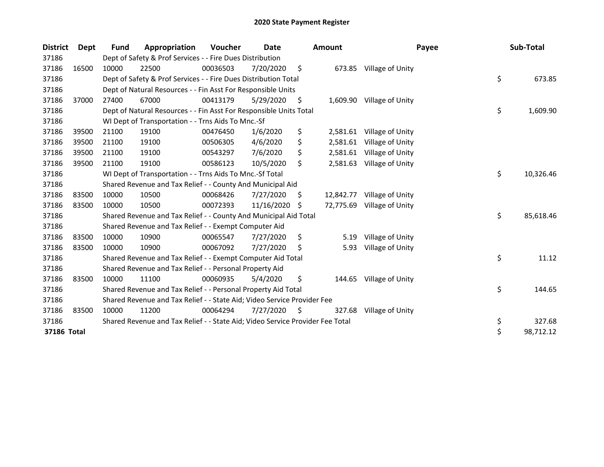| <b>District</b> | <b>Dept</b> | Fund  | Appropriation                                                                 | Voucher  | <b>Date</b> |     | Amount    | Payee            | Sub-Total       |
|-----------------|-------------|-------|-------------------------------------------------------------------------------|----------|-------------|-----|-----------|------------------|-----------------|
| 37186           |             |       | Dept of Safety & Prof Services - - Fire Dues Distribution                     |          |             |     |           |                  |                 |
| 37186           | 16500       | 10000 | 22500                                                                         | 00036503 | 7/20/2020   | \$  | 673.85    | Village of Unity |                 |
| 37186           |             |       | Dept of Safety & Prof Services - - Fire Dues Distribution Total               |          |             |     |           |                  | \$<br>673.85    |
| 37186           |             |       | Dept of Natural Resources - - Fin Asst For Responsible Units                  |          |             |     |           |                  |                 |
| 37186           | 37000       | 27400 | 67000                                                                         | 00413179 | 5/29/2020   | \$  | 1,609.90  | Village of Unity |                 |
| 37186           |             |       | Dept of Natural Resources - - Fin Asst For Responsible Units Total            |          |             |     |           |                  | \$<br>1,609.90  |
| 37186           |             |       | WI Dept of Transportation - - Trns Aids To Mnc.-Sf                            |          |             |     |           |                  |                 |
| 37186           | 39500       | 21100 | 19100                                                                         | 00476450 | 1/6/2020    | \$  | 2,581.61  | Village of Unity |                 |
| 37186           | 39500       | 21100 | 19100                                                                         | 00506305 | 4/6/2020    | \$  | 2,581.61  | Village of Unity |                 |
| 37186           | 39500       | 21100 | 19100                                                                         | 00543297 | 7/6/2020    | \$  | 2,581.61  | Village of Unity |                 |
| 37186           | 39500       | 21100 | 19100                                                                         | 00586123 | 10/5/2020   | \$  | 2,581.63  | Village of Unity |                 |
| 37186           |             |       | WI Dept of Transportation - - Trns Aids To Mnc.-Sf Total                      |          |             |     |           |                  | \$<br>10,326.46 |
| 37186           |             |       | Shared Revenue and Tax Relief - - County And Municipal Aid                    |          |             |     |           |                  |                 |
| 37186           | 83500       | 10000 | 10500                                                                         | 00068426 | 7/27/2020   | \$. | 12,842.77 | Village of Unity |                 |
| 37186           | 83500       | 10000 | 10500                                                                         | 00072393 | 11/16/2020  | \$. | 72,775.69 | Village of Unity |                 |
| 37186           |             |       | Shared Revenue and Tax Relief - - County And Municipal Aid Total              |          |             |     |           |                  | \$<br>85,618.46 |
| 37186           |             |       | Shared Revenue and Tax Relief - - Exempt Computer Aid                         |          |             |     |           |                  |                 |
| 37186           | 83500       | 10000 | 10900                                                                         | 00065547 | 7/27/2020   | \$. | 5.19      | Village of Unity |                 |
| 37186           | 83500       | 10000 | 10900                                                                         | 00067092 | 7/27/2020   | \$  | 5.93      | Village of Unity |                 |
| 37186           |             |       | Shared Revenue and Tax Relief - - Exempt Computer Aid Total                   |          |             |     |           |                  | \$<br>11.12     |
| 37186           |             |       | Shared Revenue and Tax Relief - - Personal Property Aid                       |          |             |     |           |                  |                 |
| 37186           | 83500       | 10000 | 11100                                                                         | 00060935 | 5/4/2020    | \$  | 144.65    | Village of Unity |                 |
| 37186           |             |       | Shared Revenue and Tax Relief - - Personal Property Aid Total                 |          |             |     |           |                  | \$<br>144.65    |
| 37186           |             |       | Shared Revenue and Tax Relief - - State Aid; Video Service Provider Fee       |          |             |     |           |                  |                 |
| 37186           | 83500       | 10000 | 11200                                                                         | 00064294 | 7/27/2020   | \$  | 327.68    | Village of Unity |                 |
| 37186           |             |       | Shared Revenue and Tax Relief - - State Aid; Video Service Provider Fee Total |          |             |     |           |                  | \$<br>327.68    |
| 37186 Total     |             |       |                                                                               |          |             |     |           |                  | \$<br>98,712.12 |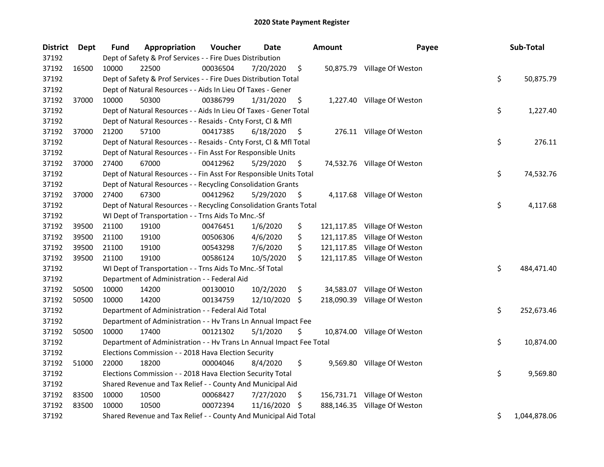| <b>District</b> | <b>Dept</b> | Fund  | Appropriation                                                        | Voucher  | Date       |     | Amount     | Payee                        | Sub-Total          |
|-----------------|-------------|-------|----------------------------------------------------------------------|----------|------------|-----|------------|------------------------------|--------------------|
| 37192           |             |       | Dept of Safety & Prof Services - - Fire Dues Distribution            |          |            |     |            |                              |                    |
| 37192           | 16500       | 10000 | 22500                                                                | 00036504 | 7/20/2020  | \$  |            | 50,875.79 Village Of Weston  |                    |
| 37192           |             |       | Dept of Safety & Prof Services - - Fire Dues Distribution Total      |          |            |     |            |                              | \$<br>50,875.79    |
| 37192           |             |       | Dept of Natural Resources - - Aids In Lieu Of Taxes - Gener          |          |            |     |            |                              |                    |
| 37192           | 37000       | 10000 | 50300                                                                | 00386799 | 1/31/2020  | \$  |            | 1,227.40 Village Of Weston   |                    |
| 37192           |             |       | Dept of Natural Resources - - Aids In Lieu Of Taxes - Gener Total    |          |            |     |            |                              | \$<br>1,227.40     |
| 37192           |             |       | Dept of Natural Resources - - Resaids - Cnty Forst, Cl & Mfl         |          |            |     |            |                              |                    |
| 37192           | 37000       | 21200 | 57100                                                                | 00417385 | 6/18/2020  | \$  |            | 276.11 Village Of Weston     |                    |
| 37192           |             |       | Dept of Natural Resources - - Resaids - Cnty Forst, Cl & Mfl Total   |          |            |     |            |                              | \$<br>276.11       |
| 37192           |             |       | Dept of Natural Resources - - Fin Asst For Responsible Units         |          |            |     |            |                              |                    |
| 37192           | 37000       | 27400 | 67000                                                                | 00412962 | 5/29/2020  | \$  |            | 74,532.76 Village Of Weston  |                    |
| 37192           |             |       | Dept of Natural Resources - - Fin Asst For Responsible Units Total   |          |            |     |            |                              | \$<br>74,532.76    |
| 37192           |             |       | Dept of Natural Resources - - Recycling Consolidation Grants         |          |            |     |            |                              |                    |
| 37192           | 37000       | 27400 | 67300                                                                | 00412962 | 5/29/2020  | \$, |            | 4,117.68 Village Of Weston   |                    |
| 37192           |             |       | Dept of Natural Resources - - Recycling Consolidation Grants Total   |          |            |     |            |                              | \$<br>4,117.68     |
| 37192           |             |       | WI Dept of Transportation - - Trns Aids To Mnc.-Sf                   |          |            |     |            |                              |                    |
| 37192           | 39500       | 21100 | 19100                                                                | 00476451 | 1/6/2020   | \$  | 121,117.85 | Village Of Weston            |                    |
| 37192           | 39500       | 21100 | 19100                                                                | 00506306 | 4/6/2020   | \$  | 121,117.85 | Village Of Weston            |                    |
| 37192           | 39500       | 21100 | 19100                                                                | 00543298 | 7/6/2020   | \$  | 121,117.85 | Village Of Weston            |                    |
| 37192           | 39500       | 21100 | 19100                                                                | 00586124 | 10/5/2020  | \$  | 121,117.85 | Village Of Weston            |                    |
| 37192           |             |       | WI Dept of Transportation - - Trns Aids To Mnc.-Sf Total             |          |            |     |            |                              | \$<br>484,471.40   |
| 37192           |             |       | Department of Administration - - Federal Aid                         |          |            |     |            |                              |                    |
| 37192           | 50500       | 10000 | 14200                                                                | 00130010 | 10/2/2020  | \$  |            | 34,583.07 Village Of Weston  |                    |
| 37192           | 50500       | 10000 | 14200                                                                | 00134759 | 12/10/2020 | \$  |            | 218,090.39 Village Of Weston |                    |
| 37192           |             |       | Department of Administration - - Federal Aid Total                   |          |            |     |            |                              | \$<br>252,673.46   |
| 37192           |             |       | Department of Administration - - Hv Trans Ln Annual Impact Fee       |          |            |     |            |                              |                    |
| 37192           | 50500       | 10000 | 17400                                                                | 00121302 | 5/1/2020   | \$  |            | 10,874.00 Village Of Weston  |                    |
| 37192           |             |       | Department of Administration - - Hv Trans Ln Annual Impact Fee Total |          |            |     |            |                              | \$<br>10,874.00    |
| 37192           |             |       | Elections Commission - - 2018 Hava Election Security                 |          |            |     |            |                              |                    |
| 37192           | 51000       | 22000 | 18200                                                                | 00004046 | 8/4/2020   | \$  |            | 9,569.80 Village Of Weston   |                    |
| 37192           |             |       | Elections Commission - - 2018 Hava Election Security Total           |          |            |     |            |                              | \$<br>9,569.80     |
| 37192           |             |       | Shared Revenue and Tax Relief - - County And Municipal Aid           |          |            |     |            |                              |                    |
| 37192           | 83500       | 10000 | 10500                                                                | 00068427 | 7/27/2020  | \$  |            | 156,731.71 Village Of Weston |                    |
| 37192           | 83500       | 10000 | 10500                                                                | 00072394 | 11/16/2020 | S   | 888,146.35 | Village Of Weston            |                    |
| 37192           |             |       | Shared Revenue and Tax Relief - - County And Municipal Aid Total     |          |            |     |            |                              | \$<br>1,044,878.06 |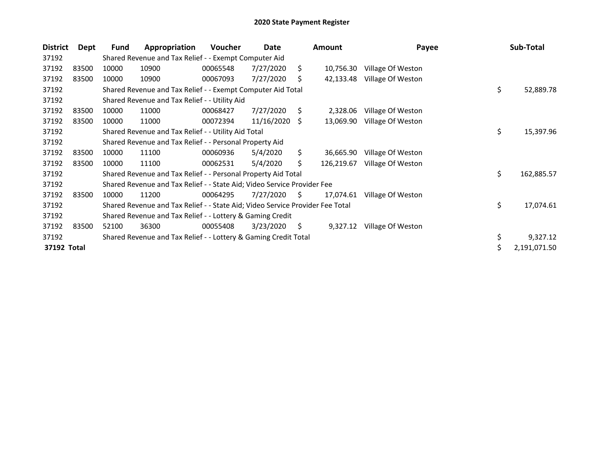| <b>District</b> | Dept  | <b>Fund</b> | Appropriation                                                                 | Voucher  | Date       |     | <b>Amount</b> | Payee             | Sub-Total          |
|-----------------|-------|-------------|-------------------------------------------------------------------------------|----------|------------|-----|---------------|-------------------|--------------------|
| 37192           |       |             | Shared Revenue and Tax Relief - - Exempt Computer Aid                         |          |            |     |               |                   |                    |
| 37192           | 83500 | 10000       | 10900                                                                         | 00065548 | 7/27/2020  | S.  | 10,756.30     | Village Of Weston |                    |
| 37192           | 83500 | 10000       | 10900                                                                         | 00067093 | 7/27/2020  | S   | 42,133.48     | Village Of Weston |                    |
| 37192           |       |             | Shared Revenue and Tax Relief - - Exempt Computer Aid Total                   |          |            |     |               |                   | \$<br>52,889.78    |
| 37192           |       |             | Shared Revenue and Tax Relief - - Utility Aid                                 |          |            |     |               |                   |                    |
| 37192           | 83500 | 10000       | 11000                                                                         | 00068427 | 7/27/2020  | S.  | 2,328.06      | Village Of Weston |                    |
| 37192           | 83500 | 10000       | 11000                                                                         | 00072394 | 11/16/2020 | -S  | 13,069.90     | Village Of Weston |                    |
| 37192           |       |             | Shared Revenue and Tax Relief - - Utility Aid Total                           |          |            |     |               |                   | \$<br>15,397.96    |
| 37192           |       |             | Shared Revenue and Tax Relief - - Personal Property Aid                       |          |            |     |               |                   |                    |
| 37192           | 83500 | 10000       | 11100                                                                         | 00060936 | 5/4/2020   | \$. | 36,665.90     | Village Of Weston |                    |
| 37192           | 83500 | 10000       | 11100                                                                         | 00062531 | 5/4/2020   | Ś.  | 126,219.67    | Village Of Weston |                    |
| 37192           |       |             | Shared Revenue and Tax Relief - - Personal Property Aid Total                 |          |            |     |               |                   | \$<br>162,885.57   |
| 37192           |       |             | Shared Revenue and Tax Relief - - State Aid; Video Service Provider Fee       |          |            |     |               |                   |                    |
| 37192           | 83500 | 10000       | 11200                                                                         | 00064295 | 7/27/2020  | S.  | 17,074.61     | Village Of Weston |                    |
| 37192           |       |             | Shared Revenue and Tax Relief - - State Aid; Video Service Provider Fee Total |          |            |     |               |                   | \$<br>17,074.61    |
| 37192           |       |             | Shared Revenue and Tax Relief - - Lottery & Gaming Credit                     |          |            |     |               |                   |                    |
| 37192           | 83500 | 52100       | 36300                                                                         | 00055408 | 3/23/2020  | S.  | 9,327.12      | Village Of Weston |                    |
| 37192           |       |             | Shared Revenue and Tax Relief - - Lottery & Gaming Credit Total               |          |            |     |               |                   | \$<br>9,327.12     |
| 37192 Total     |       |             |                                                                               |          |            |     |               |                   | \$<br>2,191,071.50 |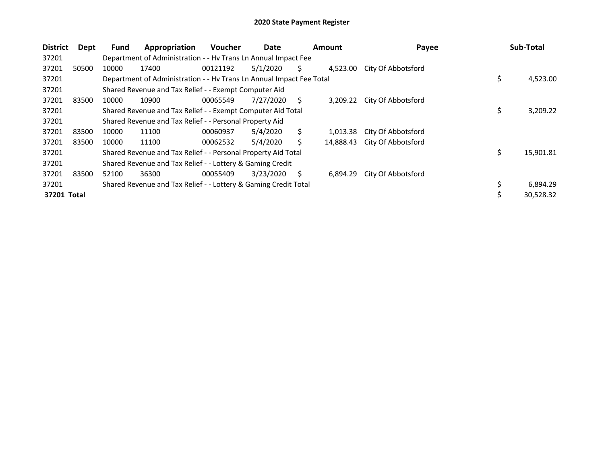| <b>District</b> | Dept  | <b>Fund</b> | Appropriation                                                        | <b>Voucher</b> | Date      |    | <b>Amount</b> | Payee              | Sub-Total       |
|-----------------|-------|-------------|----------------------------------------------------------------------|----------------|-----------|----|---------------|--------------------|-----------------|
| 37201           |       |             | Department of Administration - - Hy Trans Ln Annual Impact Fee       |                |           |    |               |                    |                 |
| 37201           | 50500 | 10000       | 17400                                                                | 00121192       | 5/1/2020  | S. | 4,523.00      | City Of Abbotsford |                 |
| 37201           |       |             | Department of Administration - - Hv Trans Ln Annual Impact Fee Total |                |           |    |               |                    | \$<br>4,523.00  |
| 37201           |       |             | Shared Revenue and Tax Relief - - Exempt Computer Aid                |                |           |    |               |                    |                 |
| 37201           | 83500 | 10000       | 10900                                                                | 00065549       | 7/27/2020 | S  | 3,209.22      | City Of Abbotsford |                 |
| 37201           |       |             | Shared Revenue and Tax Relief - - Exempt Computer Aid Total          |                |           |    |               |                    | \$<br>3,209.22  |
| 37201           |       |             | Shared Revenue and Tax Relief - - Personal Property Aid              |                |           |    |               |                    |                 |
| 37201           | 83500 | 10000       | 11100                                                                | 00060937       | 5/4/2020  | S. | 1,013.38      | City Of Abbotsford |                 |
| 37201           | 83500 | 10000       | 11100                                                                | 00062532       | 5/4/2020  | Ś  | 14,888.43     | City Of Abbotsford |                 |
| 37201           |       |             | Shared Revenue and Tax Relief - - Personal Property Aid Total        |                |           |    |               |                    | \$<br>15,901.81 |
| 37201           |       |             | Shared Revenue and Tax Relief - - Lottery & Gaming Credit            |                |           |    |               |                    |                 |
| 37201           | 83500 | 52100       | 36300                                                                | 00055409       | 3/23/2020 | S. | 6,894.29      | City Of Abbotsford |                 |
| 37201           |       |             | Shared Revenue and Tax Relief - - Lottery & Gaming Credit Total      |                |           |    |               |                    | \$<br>6,894.29  |
| 37201 Total     |       |             |                                                                      |                |           |    |               |                    | \$<br>30,528.32 |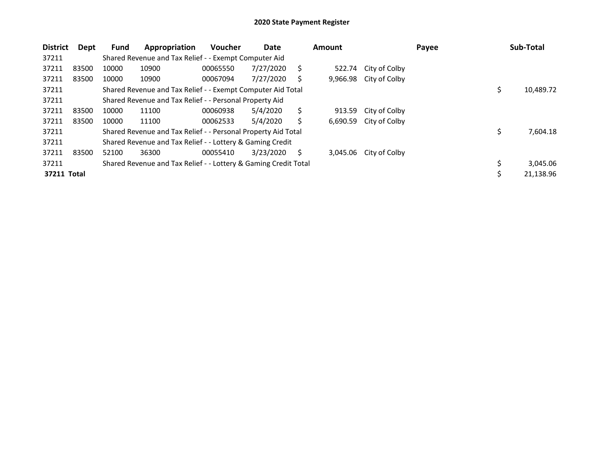| <b>District</b> | Dept  | Fund  | Appropriation                                                   | Voucher  | Date      |    | Amount   |               | Payee | Sub-Total       |
|-----------------|-------|-------|-----------------------------------------------------------------|----------|-----------|----|----------|---------------|-------|-----------------|
| 37211           |       |       | Shared Revenue and Tax Relief - - Exempt Computer Aid           |          |           |    |          |               |       |                 |
| 37211           | 83500 | 10000 | 10900                                                           | 00065550 | 7/27/2020 | S  | 522.74   | City of Colby |       |                 |
| 37211           | 83500 | 10000 | 10900                                                           | 00067094 | 7/27/2020 | S. | 9,966.98 | City of Colby |       |                 |
| 37211           |       |       | Shared Revenue and Tax Relief - - Exempt Computer Aid Total     |          |           |    |          |               |       | \$<br>10,489.72 |
| 37211           |       |       | Shared Revenue and Tax Relief - - Personal Property Aid         |          |           |    |          |               |       |                 |
| 37211           | 83500 | 10000 | 11100                                                           | 00060938 | 5/4/2020  | \$ | 913.59   | City of Colby |       |                 |
| 37211           | 83500 | 10000 | 11100                                                           | 00062533 | 5/4/2020  | Ś  | 6,690.59 | City of Colby |       |                 |
| 37211           |       |       | Shared Revenue and Tax Relief - - Personal Property Aid Total   |          |           |    |          |               |       | \$<br>7,604.18  |
| 37211           |       |       | Shared Revenue and Tax Relief - - Lottery & Gaming Credit       |          |           |    |          |               |       |                 |
| 37211           | 83500 | 52100 | 36300                                                           | 00055410 | 3/23/2020 | S  | 3,045.06 | City of Colby |       |                 |
| 37211           |       |       | Shared Revenue and Tax Relief - - Lottery & Gaming Credit Total |          |           |    |          |               |       | 3,045.06        |
| 37211 Total     |       |       |                                                                 |          |           |    |          |               |       | \$<br>21,138.96 |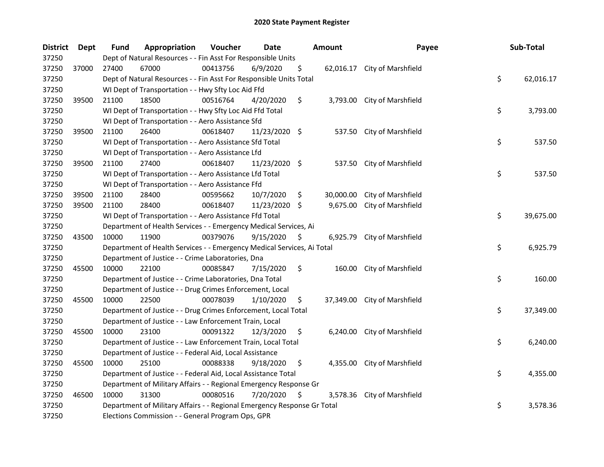| <b>District</b> | Dept  | <b>Fund</b> | Appropriation                                                           | Voucher  | <b>Date</b>   |      | <b>Amount</b> | Payee                        | Sub-Total       |
|-----------------|-------|-------------|-------------------------------------------------------------------------|----------|---------------|------|---------------|------------------------------|-----------------|
| 37250           |       |             | Dept of Natural Resources - - Fin Asst For Responsible Units            |          |               |      |               |                              |                 |
| 37250           | 37000 | 27400       | 67000                                                                   | 00413756 | 6/9/2020      | \$   |               | 62,016.17 City of Marshfield |                 |
| 37250           |       |             | Dept of Natural Resources - - Fin Asst For Responsible Units Total      |          |               |      |               |                              | \$<br>62,016.17 |
| 37250           |       |             | WI Dept of Transportation - - Hwy Sfty Loc Aid Ffd                      |          |               |      |               |                              |                 |
| 37250           | 39500 | 21100       | 18500                                                                   | 00516764 | 4/20/2020     | \$   |               | 3,793.00 City of Marshfield  |                 |
| 37250           |       |             | WI Dept of Transportation - - Hwy Sfty Loc Aid Ffd Total                |          |               |      |               |                              | \$<br>3,793.00  |
| 37250           |       |             | WI Dept of Transportation - - Aero Assistance Sfd                       |          |               |      |               |                              |                 |
| 37250           | 39500 | 21100       | 26400                                                                   | 00618407 | 11/23/2020 \$ |      |               | 537.50 City of Marshfield    |                 |
| 37250           |       |             | WI Dept of Transportation - - Aero Assistance Sfd Total                 |          |               |      |               |                              | \$<br>537.50    |
| 37250           |       |             | WI Dept of Transportation - - Aero Assistance Lfd                       |          |               |      |               |                              |                 |
| 37250           | 39500 | 21100       | 27400                                                                   | 00618407 | 11/23/2020 \$ |      |               | 537.50 City of Marshfield    |                 |
| 37250           |       |             | WI Dept of Transportation - - Aero Assistance Lfd Total                 |          |               |      |               |                              | \$<br>537.50    |
| 37250           |       |             | WI Dept of Transportation - - Aero Assistance Ffd                       |          |               |      |               |                              |                 |
| 37250           | 39500 | 21100       | 28400                                                                   | 00595662 | 10/7/2020     | \$   | 30,000.00     | City of Marshfield           |                 |
| 37250           | 39500 | 21100       | 28400                                                                   | 00618407 | 11/23/2020 \$ |      | 9,675.00      | City of Marshfield           |                 |
| 37250           |       |             | WI Dept of Transportation - - Aero Assistance Ffd Total                 |          |               |      |               |                              | \$<br>39,675.00 |
| 37250           |       |             | Department of Health Services - - Emergency Medical Services, Ai        |          |               |      |               |                              |                 |
| 37250           | 43500 | 10000       | 11900                                                                   | 00379076 | 9/15/2020     | \$   | 6,925.79      | City of Marshfield           |                 |
| 37250           |       |             | Department of Health Services - - Emergency Medical Services, Ai Total  |          |               |      |               |                              | \$<br>6,925.79  |
| 37250           |       |             | Department of Justice - - Crime Laboratories, Dna                       |          |               |      |               |                              |                 |
| 37250           | 45500 | 10000       | 22100                                                                   | 00085847 | 7/15/2020     | \$   | 160.00        | City of Marshfield           |                 |
| 37250           |       |             | Department of Justice - - Crime Laboratories, Dna Total                 |          |               |      |               |                              | \$<br>160.00    |
| 37250           |       |             | Department of Justice - - Drug Crimes Enforcement, Local                |          |               |      |               |                              |                 |
| 37250           | 45500 | 10000       | 22500                                                                   | 00078039 | 1/10/2020     | \$.  | 37,349.00     | City of Marshfield           |                 |
| 37250           |       |             | Department of Justice - - Drug Crimes Enforcement, Local Total          |          |               |      |               |                              | \$<br>37,349.00 |
| 37250           |       |             | Department of Justice - - Law Enforcement Train, Local                  |          |               |      |               |                              |                 |
| 37250           | 45500 | 10000       | 23100                                                                   | 00091322 | 12/3/2020     | \$   | 6,240.00      | City of Marshfield           |                 |
| 37250           |       |             | Department of Justice - - Law Enforcement Train, Local Total            |          |               |      |               |                              | \$<br>6,240.00  |
| 37250           |       |             | Department of Justice - - Federal Aid, Local Assistance                 |          |               |      |               |                              |                 |
| 37250           | 45500 | 10000       | 25100                                                                   | 00088338 | 9/18/2020     | \$   |               | 4,355.00 City of Marshfield  |                 |
| 37250           |       |             | Department of Justice - - Federal Aid, Local Assistance Total           |          |               |      |               |                              | \$<br>4,355.00  |
| 37250           |       |             | Department of Military Affairs - - Regional Emergency Response Gr       |          |               |      |               |                              |                 |
| 37250           | 46500 | 10000       | 31300                                                                   | 00080516 | 7/20/2020     | - \$ | 3,578.36      | City of Marshfield           |                 |
| 37250           |       |             | Department of Military Affairs - - Regional Emergency Response Gr Total |          |               |      |               |                              | \$<br>3,578.36  |
| 37250           |       |             | Elections Commission - - General Program Ops, GPR                       |          |               |      |               |                              |                 |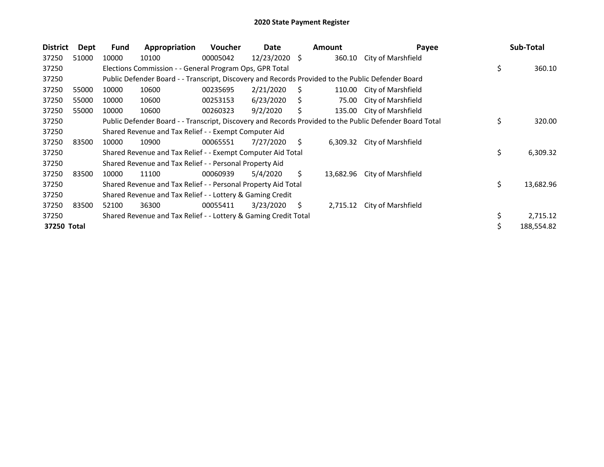| <b>District</b> | Dept  | <b>Fund</b> | Appropriation                                                                                     | <b>Voucher</b> | Date          |    | <b>Amount</b> | Payee                                                                                                   | Sub-Total       |
|-----------------|-------|-------------|---------------------------------------------------------------------------------------------------|----------------|---------------|----|---------------|---------------------------------------------------------------------------------------------------------|-----------------|
| 37250           | 51000 | 10000       | 10100                                                                                             | 00005042       | 12/23/2020 \$ |    | 360.10        | City of Marshfield                                                                                      |                 |
| 37250           |       |             | Elections Commission - - General Program Ops, GPR Total                                           |                |               |    |               |                                                                                                         | \$<br>360.10    |
| 37250           |       |             | Public Defender Board - - Transcript, Discovery and Records Provided to the Public Defender Board |                |               |    |               |                                                                                                         |                 |
| 37250           | 55000 | 10000       | 10600                                                                                             | 00235695       | 2/21/2020     | S  | 110.00        | City of Marshfield                                                                                      |                 |
| 37250           | 55000 | 10000       | 10600                                                                                             | 00253153       | 6/23/2020     | S  | 75.00         | City of Marshfield                                                                                      |                 |
| 37250           | 55000 | 10000       | 10600                                                                                             | 00260323       | 9/2/2020      |    | 135.00        | City of Marshfield                                                                                      |                 |
| 37250           |       |             |                                                                                                   |                |               |    |               | Public Defender Board - - Transcript, Discovery and Records Provided to the Public Defender Board Total | \$<br>320.00    |
| 37250           |       |             | Shared Revenue and Tax Relief - - Exempt Computer Aid                                             |                |               |    |               |                                                                                                         |                 |
| 37250           | 83500 | 10000       | 10900                                                                                             | 00065551       | 7/27/2020     | S. | 6,309.32      | City of Marshfield                                                                                      |                 |
| 37250           |       |             | Shared Revenue and Tax Relief - - Exempt Computer Aid Total                                       |                |               |    |               |                                                                                                         | \$<br>6,309.32  |
| 37250           |       |             | Shared Revenue and Tax Relief - - Personal Property Aid                                           |                |               |    |               |                                                                                                         |                 |
| 37250           | 83500 | 10000       | 11100                                                                                             | 00060939       | 5/4/2020      | S. | 13,682.96     | City of Marshfield                                                                                      |                 |
| 37250           |       |             | Shared Revenue and Tax Relief - - Personal Property Aid Total                                     |                |               |    |               |                                                                                                         | \$<br>13,682.96 |
| 37250           |       |             | Shared Revenue and Tax Relief - - Lottery & Gaming Credit                                         |                |               |    |               |                                                                                                         |                 |
| 37250           | 83500 | 52100       | 36300                                                                                             | 00055411       | 3/23/2020     | \$ | 2,715.12      | City of Marshfield                                                                                      |                 |
| 37250           |       |             | Shared Revenue and Tax Relief - - Lottery & Gaming Credit Total                                   |                |               |    |               |                                                                                                         | 2,715.12        |
| 37250 Total     |       |             |                                                                                                   |                |               |    |               |                                                                                                         | 188,554.82      |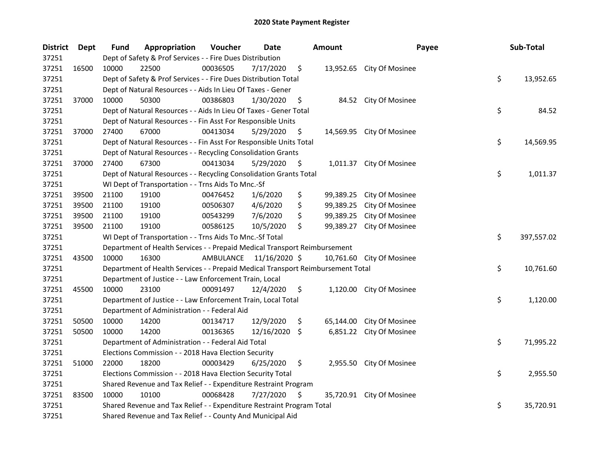| <b>District</b> | Dept  | Fund  | Appropriation                                                                   | Voucher   | <b>Date</b>   |     | <b>Amount</b> | Payee                     | Sub-Total        |
|-----------------|-------|-------|---------------------------------------------------------------------------------|-----------|---------------|-----|---------------|---------------------------|------------------|
| 37251           |       |       | Dept of Safety & Prof Services - - Fire Dues Distribution                       |           |               |     |               |                           |                  |
| 37251           | 16500 | 10000 | 22500                                                                           | 00036505  | 7/17/2020     | \$  |               | 13,952.65 City Of Mosinee |                  |
| 37251           |       |       | Dept of Safety & Prof Services - - Fire Dues Distribution Total                 |           |               |     |               |                           | \$<br>13,952.65  |
| 37251           |       |       | Dept of Natural Resources - - Aids In Lieu Of Taxes - Gener                     |           |               |     |               |                           |                  |
| 37251           | 37000 | 10000 | 50300                                                                           | 00386803  | 1/30/2020     | \$  |               | 84.52 City Of Mosinee     |                  |
| 37251           |       |       | Dept of Natural Resources - - Aids In Lieu Of Taxes - Gener Total               |           |               |     |               |                           | \$<br>84.52      |
| 37251           |       |       | Dept of Natural Resources - - Fin Asst For Responsible Units                    |           |               |     |               |                           |                  |
| 37251           | 37000 | 27400 | 67000                                                                           | 00413034  | 5/29/2020     | \$  |               | 14,569.95 City Of Mosinee |                  |
| 37251           |       |       | Dept of Natural Resources - - Fin Asst For Responsible Units Total              |           |               |     |               |                           | \$<br>14,569.95  |
| 37251           |       |       | Dept of Natural Resources - - Recycling Consolidation Grants                    |           |               |     |               |                           |                  |
| 37251           | 37000 | 27400 | 67300                                                                           | 00413034  | 5/29/2020     | \$  |               | 1,011.37 City Of Mosinee  |                  |
| 37251           |       |       | Dept of Natural Resources - - Recycling Consolidation Grants Total              |           |               |     |               |                           | \$<br>1,011.37   |
| 37251           |       |       | WI Dept of Transportation - - Trns Aids To Mnc.-Sf                              |           |               |     |               |                           |                  |
| 37251           | 39500 | 21100 | 19100                                                                           | 00476452  | 1/6/2020      | \$  | 99,389.25     | City Of Mosinee           |                  |
| 37251           | 39500 | 21100 | 19100                                                                           | 00506307  | 4/6/2020      | \$  | 99,389.25     | City Of Mosinee           |                  |
| 37251           | 39500 | 21100 | 19100                                                                           | 00543299  | 7/6/2020      | \$  | 99,389.25     | City Of Mosinee           |                  |
| 37251           | 39500 | 21100 | 19100                                                                           | 00586125  | 10/5/2020     | \$  | 99,389.27     | City Of Mosinee           |                  |
| 37251           |       |       | WI Dept of Transportation - - Trns Aids To Mnc.-Sf Total                        |           |               |     |               |                           | \$<br>397,557.02 |
| 37251           |       |       | Department of Health Services - - Prepaid Medical Transport Reimbursement       |           |               |     |               |                           |                  |
| 37251           | 43500 | 10000 | 16300                                                                           | AMBULANCE | 11/16/2020 \$ |     | 10,761.60     | City Of Mosinee           |                  |
| 37251           |       |       | Department of Health Services - - Prepaid Medical Transport Reimbursement Total |           |               |     |               |                           | \$<br>10,761.60  |
| 37251           |       |       | Department of Justice - - Law Enforcement Train, Local                          |           |               |     |               |                           |                  |
| 37251           | 45500 | 10000 | 23100                                                                           | 00091497  | 12/4/2020     | \$  |               | 1,120.00 City Of Mosinee  |                  |
| 37251           |       |       | Department of Justice - - Law Enforcement Train, Local Total                    |           |               |     |               |                           | \$<br>1,120.00   |
| 37251           |       |       | Department of Administration - - Federal Aid                                    |           |               |     |               |                           |                  |
| 37251           | 50500 | 10000 | 14200                                                                           | 00134717  | 12/9/2020     | \$  | 65,144.00     | <b>City Of Mosinee</b>    |                  |
| 37251           | 50500 | 10000 | 14200                                                                           | 00136365  | 12/16/2020 \$ |     | 6,851.22      | City Of Mosinee           |                  |
| 37251           |       |       | Department of Administration - - Federal Aid Total                              |           |               |     |               |                           | \$<br>71,995.22  |
| 37251           |       |       | Elections Commission - - 2018 Hava Election Security                            |           |               |     |               |                           |                  |
| 37251           | 51000 | 22000 | 18200                                                                           | 00003429  | 6/25/2020     | \$  |               | 2,955.50 City Of Mosinee  |                  |
| 37251           |       |       | Elections Commission - - 2018 Hava Election Security Total                      |           |               |     |               |                           | \$<br>2,955.50   |
| 37251           |       |       | Shared Revenue and Tax Relief - - Expenditure Restraint Program                 |           |               |     |               |                           |                  |
| 37251           | 83500 | 10000 | 10100                                                                           | 00068428  | 7/27/2020     | \$. |               | 35,720.91 City Of Mosinee |                  |
| 37251           |       |       | Shared Revenue and Tax Relief - - Expenditure Restraint Program Total           |           |               |     |               |                           | \$<br>35,720.91  |
| 37251           |       |       | Shared Revenue and Tax Relief - - County And Municipal Aid                      |           |               |     |               |                           |                  |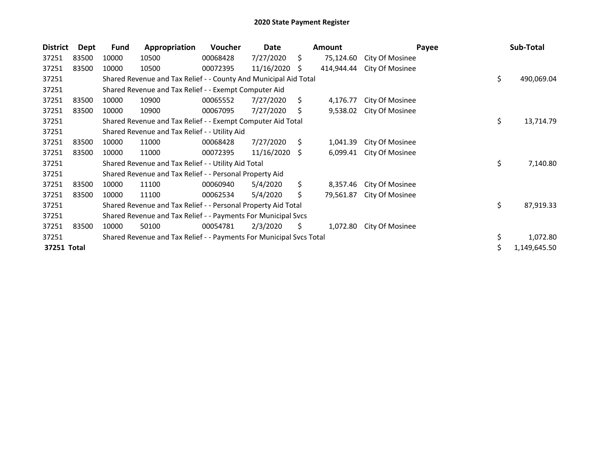| <b>District</b> | Dept  | <b>Fund</b> | Appropriation                                                       | Voucher  | Date       |    | Amount     | Payee           | Sub-Total        |
|-----------------|-------|-------------|---------------------------------------------------------------------|----------|------------|----|------------|-----------------|------------------|
| 37251           | 83500 | 10000       | 10500                                                               | 00068428 | 7/27/2020  | \$ | 75,124.60  | City Of Mosinee |                  |
| 37251           | 83500 | 10000       | 10500                                                               | 00072395 | 11/16/2020 | S. | 414,944.44 | City Of Mosinee |                  |
| 37251           |       |             | Shared Revenue and Tax Relief - - County And Municipal Aid Total    |          |            |    |            |                 | \$<br>490,069.04 |
| 37251           |       |             | Shared Revenue and Tax Relief - - Exempt Computer Aid               |          |            |    |            |                 |                  |
| 37251           | 83500 | 10000       | 10900                                                               | 00065552 | 7/27/2020  | \$ | 4,176.77   | City Of Mosinee |                  |
| 37251           | 83500 | 10000       | 10900                                                               | 00067095 | 7/27/2020  | \$ | 9,538.02   | City Of Mosinee |                  |
| 37251           |       |             | Shared Revenue and Tax Relief - - Exempt Computer Aid Total         |          |            |    |            |                 | \$<br>13,714.79  |
| 37251           |       |             | Shared Revenue and Tax Relief - - Utility Aid                       |          |            |    |            |                 |                  |
| 37251           | 83500 | 10000       | 11000                                                               | 00068428 | 7/27/2020  | S. | 1,041.39   | City Of Mosinee |                  |
| 37251           | 83500 | 10000       | 11000                                                               | 00072395 | 11/16/2020 | -S | 6,099.41   | City Of Mosinee |                  |
| 37251           |       |             | Shared Revenue and Tax Relief - - Utility Aid Total                 |          |            |    |            |                 | \$<br>7,140.80   |
| 37251           |       |             | Shared Revenue and Tax Relief - - Personal Property Aid             |          |            |    |            |                 |                  |
| 37251           | 83500 | 10000       | 11100                                                               | 00060940 | 5/4/2020   | \$ | 8,357.46   | City Of Mosinee |                  |
| 37251           | 83500 | 10000       | 11100                                                               | 00062534 | 5/4/2020   | Ś. | 79,561.87  | City Of Mosinee |                  |
| 37251           |       |             | Shared Revenue and Tax Relief - - Personal Property Aid Total       |          |            |    |            |                 | \$<br>87,919.33  |
| 37251           |       |             | Shared Revenue and Tax Relief - - Payments For Municipal Svcs       |          |            |    |            |                 |                  |
| 37251           | 83500 | 10000       | 50100                                                               | 00054781 | 2/3/2020   | S  | 1,072.80   | City Of Mosinee |                  |
| 37251           |       |             | Shared Revenue and Tax Relief - - Payments For Municipal Svcs Total |          |            |    |            |                 | \$<br>1,072.80   |
| 37251 Total     |       |             |                                                                     |          |            |    |            |                 | 1,149,645.50     |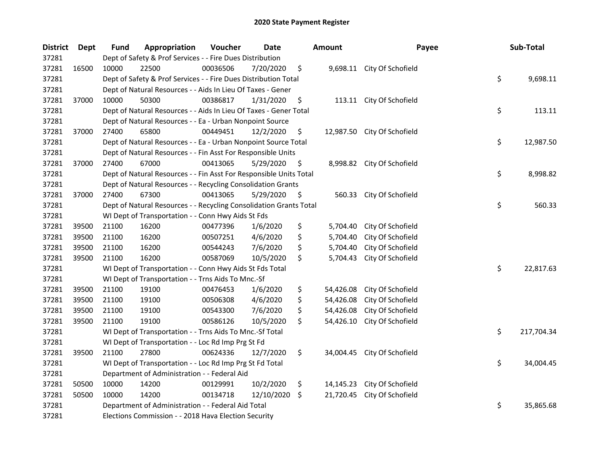| <b>District</b> | <b>Dept</b> | Fund  | Appropriation                                                      | Voucher  | <b>Date</b> |     | <b>Amount</b> | Payee                       | Sub-Total        |
|-----------------|-------------|-------|--------------------------------------------------------------------|----------|-------------|-----|---------------|-----------------------------|------------------|
| 37281           |             |       | Dept of Safety & Prof Services - - Fire Dues Distribution          |          |             |     |               |                             |                  |
| 37281           | 16500       | 10000 | 22500                                                              | 00036506 | 7/20/2020   | \$  |               | 9,698.11 City Of Schofield  |                  |
| 37281           |             |       | Dept of Safety & Prof Services - - Fire Dues Distribution Total    |          |             |     |               |                             | \$<br>9,698.11   |
| 37281           |             |       | Dept of Natural Resources - - Aids In Lieu Of Taxes - Gener        |          |             |     |               |                             |                  |
| 37281           | 37000       | 10000 | 50300                                                              | 00386817 | 1/31/2020   | \$  | 113.11        | City Of Schofield           |                  |
| 37281           |             |       | Dept of Natural Resources - - Aids In Lieu Of Taxes - Gener Total  |          |             |     |               |                             | \$<br>113.11     |
| 37281           |             |       | Dept of Natural Resources - - Ea - Urban Nonpoint Source           |          |             |     |               |                             |                  |
| 37281           | 37000       | 27400 | 65800                                                              | 00449451 | 12/2/2020   | \$  |               | 12,987.50 City Of Schofield |                  |
| 37281           |             |       | Dept of Natural Resources - - Ea - Urban Nonpoint Source Total     |          |             |     |               |                             | \$<br>12,987.50  |
| 37281           |             |       | Dept of Natural Resources - - Fin Asst For Responsible Units       |          |             |     |               |                             |                  |
| 37281           | 37000       | 27400 | 67000                                                              | 00413065 | 5/29/2020   | \$  |               | 8,998.82 City Of Schofield  |                  |
| 37281           |             |       | Dept of Natural Resources - - Fin Asst For Responsible Units Total |          |             |     |               |                             | \$<br>8,998.82   |
| 37281           |             |       | Dept of Natural Resources - - Recycling Consolidation Grants       |          |             |     |               |                             |                  |
| 37281           | 37000       | 27400 | 67300                                                              | 00413065 | 5/29/2020   | \$. | 560.33        | City Of Schofield           |                  |
| 37281           |             |       | Dept of Natural Resources - - Recycling Consolidation Grants Total |          |             |     |               |                             | \$<br>560.33     |
| 37281           |             |       | WI Dept of Transportation - - Conn Hwy Aids St Fds                 |          |             |     |               |                             |                  |
| 37281           | 39500       | 21100 | 16200                                                              | 00477396 | 1/6/2020    | \$  | 5,704.40      | City Of Schofield           |                  |
| 37281           | 39500       | 21100 | 16200                                                              | 00507251 | 4/6/2020    | \$  | 5,704.40      | City Of Schofield           |                  |
| 37281           | 39500       | 21100 | 16200                                                              | 00544243 | 7/6/2020    | \$  | 5,704.40      | City Of Schofield           |                  |
| 37281           | 39500       | 21100 | 16200                                                              | 00587069 | 10/5/2020   | \$  | 5,704.43      | City Of Schofield           |                  |
| 37281           |             |       | WI Dept of Transportation - - Conn Hwy Aids St Fds Total           |          |             |     |               |                             | \$<br>22,817.63  |
| 37281           |             |       | WI Dept of Transportation - - Trns Aids To Mnc.-Sf                 |          |             |     |               |                             |                  |
| 37281           | 39500       | 21100 | 19100                                                              | 00476453 | 1/6/2020    | \$  | 54,426.08     | City Of Schofield           |                  |
| 37281           | 39500       | 21100 | 19100                                                              | 00506308 | 4/6/2020    | \$  | 54,426.08     | City Of Schofield           |                  |
| 37281           | 39500       | 21100 | 19100                                                              | 00543300 | 7/6/2020    | \$  | 54,426.08     | City Of Schofield           |                  |
| 37281           | 39500       | 21100 | 19100                                                              | 00586126 | 10/5/2020   | \$  | 54,426.10     | City Of Schofield           |                  |
| 37281           |             |       | WI Dept of Transportation - - Trns Aids To Mnc.-Sf Total           |          |             |     |               |                             | \$<br>217,704.34 |
| 37281           |             |       | WI Dept of Transportation - - Loc Rd Imp Prg St Fd                 |          |             |     |               |                             |                  |
| 37281           | 39500       | 21100 | 27800                                                              | 00624336 | 12/7/2020   | \$  |               | 34,004.45 City Of Schofield |                  |
| 37281           |             |       | WI Dept of Transportation - - Loc Rd Imp Prg St Fd Total           |          |             |     |               |                             | \$<br>34,004.45  |
| 37281           |             |       | Department of Administration - - Federal Aid                       |          |             |     |               |                             |                  |
| 37281           | 50500       | 10000 | 14200                                                              | 00129991 | 10/2/2020   | \$  | 14,145.23     | City Of Schofield           |                  |
| 37281           | 50500       | 10000 | 14200                                                              | 00134718 | 12/10/2020  | -\$ | 21,720.45     | City Of Schofield           |                  |
| 37281           |             |       | Department of Administration - - Federal Aid Total                 |          |             |     |               |                             | \$<br>35,865.68  |
| 37281           |             |       | Elections Commission - - 2018 Hava Election Security               |          |             |     |               |                             |                  |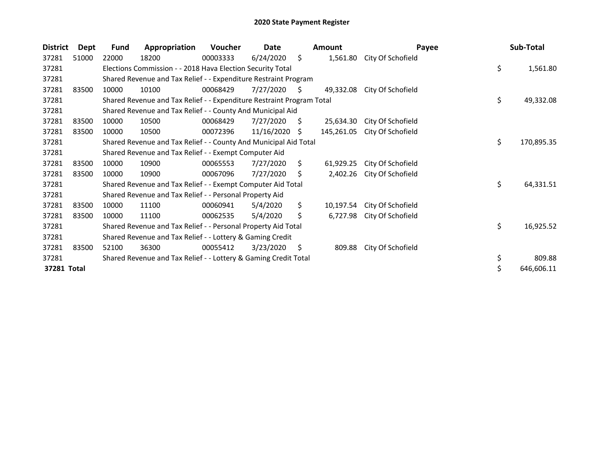| <b>District</b> | <b>Dept</b> | <b>Fund</b> | Appropriation                                                         | Voucher  | Date       |    | <b>Amount</b> | Payee             | Sub-Total        |
|-----------------|-------------|-------------|-----------------------------------------------------------------------|----------|------------|----|---------------|-------------------|------------------|
| 37281           | 51000       | 22000       | 18200                                                                 | 00003333 | 6/24/2020  | \$ | 1,561.80      | City Of Schofield |                  |
| 37281           |             |             | Elections Commission - - 2018 Hava Election Security Total            |          |            |    |               |                   | \$<br>1,561.80   |
| 37281           |             |             | Shared Revenue and Tax Relief - - Expenditure Restraint Program       |          |            |    |               |                   |                  |
| 37281           | 83500       | 10000       | 10100                                                                 | 00068429 | 7/27/2020  | S  | 49,332.08     | City Of Schofield |                  |
| 37281           |             |             | Shared Revenue and Tax Relief - - Expenditure Restraint Program Total |          |            |    |               |                   | \$<br>49,332.08  |
| 37281           |             |             | Shared Revenue and Tax Relief - - County And Municipal Aid            |          |            |    |               |                   |                  |
| 37281           | 83500       | 10000       | 10500                                                                 | 00068429 | 7/27/2020  | S  | 25,634.30     | City Of Schofield |                  |
| 37281           | 83500       | 10000       | 10500                                                                 | 00072396 | 11/16/2020 | S. | 145,261.05    | City Of Schofield |                  |
| 37281           |             |             | Shared Revenue and Tax Relief - - County And Municipal Aid Total      |          |            |    |               |                   | \$<br>170,895.35 |
| 37281           |             |             | Shared Revenue and Tax Relief - - Exempt Computer Aid                 |          |            |    |               |                   |                  |
| 37281           | 83500       | 10000       | 10900                                                                 | 00065553 | 7/27/2020  | S. | 61,929.25     | City Of Schofield |                  |
| 37281           | 83500       | 10000       | 10900                                                                 | 00067096 | 7/27/2020  | \$ | 2,402.26      | City Of Schofield |                  |
| 37281           |             |             | Shared Revenue and Tax Relief - - Exempt Computer Aid Total           |          |            |    |               |                   | \$<br>64,331.51  |
| 37281           |             |             | Shared Revenue and Tax Relief - - Personal Property Aid               |          |            |    |               |                   |                  |
| 37281           | 83500       | 10000       | 11100                                                                 | 00060941 | 5/4/2020   | \$ | 10,197.54     | City Of Schofield |                  |
| 37281           | 83500       | 10000       | 11100                                                                 | 00062535 | 5/4/2020   | \$ | 6,727.98      | City Of Schofield |                  |
| 37281           |             |             | Shared Revenue and Tax Relief - - Personal Property Aid Total         |          |            |    |               |                   | \$<br>16,925.52  |
| 37281           |             |             | Shared Revenue and Tax Relief - - Lottery & Gaming Credit             |          |            |    |               |                   |                  |
| 37281           | 83500       | 52100       | 36300                                                                 | 00055412 | 3/23/2020  | \$ | 809.88        | City Of Schofield |                  |
| 37281           |             |             | Shared Revenue and Tax Relief - - Lottery & Gaming Credit Total       |          |            |    |               |                   | \$<br>809.88     |
| 37281 Total     |             |             |                                                                       |          |            |    |               |                   | \$<br>646,606.11 |
|                 |             |             |                                                                       |          |            |    |               |                   |                  |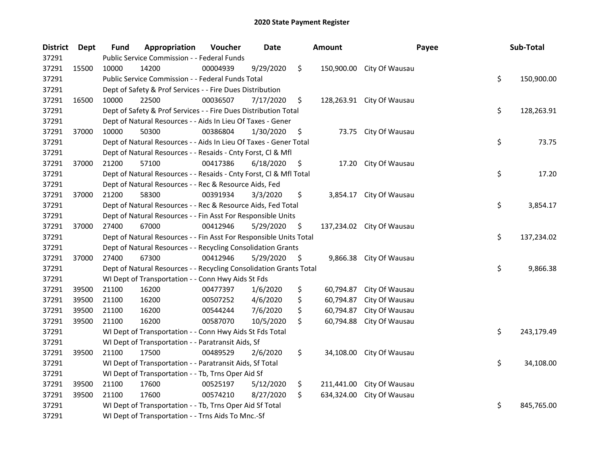| <b>District</b> | Dept  | <b>Fund</b> | Appropriation                                                      | Voucher  | Date      | <b>Amount</b>    | Payee                     | Sub-Total        |
|-----------------|-------|-------------|--------------------------------------------------------------------|----------|-----------|------------------|---------------------------|------------------|
| 37291           |       |             | Public Service Commission - - Federal Funds                        |          |           |                  |                           |                  |
| 37291           | 15500 | 10000       | 14200                                                              | 00004939 | 9/29/2020 | \$<br>150,900.00 | City Of Wausau            |                  |
| 37291           |       |             | Public Service Commission - - Federal Funds Total                  |          |           |                  |                           | \$<br>150,900.00 |
| 37291           |       |             | Dept of Safety & Prof Services - - Fire Dues Distribution          |          |           |                  |                           |                  |
| 37291           | 16500 | 10000       | 22500                                                              | 00036507 | 7/17/2020 | \$               | 128,263.91 City Of Wausau |                  |
| 37291           |       |             | Dept of Safety & Prof Services - - Fire Dues Distribution Total    |          |           |                  |                           | \$<br>128,263.91 |
| 37291           |       |             | Dept of Natural Resources - - Aids In Lieu Of Taxes - Gener        |          |           |                  |                           |                  |
| 37291           | 37000 | 10000       | 50300                                                              | 00386804 | 1/30/2020 | \$               | 73.75 City Of Wausau      |                  |
| 37291           |       |             | Dept of Natural Resources - - Aids In Lieu Of Taxes - Gener Total  |          |           |                  |                           | \$<br>73.75      |
| 37291           |       |             | Dept of Natural Resources - - Resaids - Cnty Forst, Cl & Mfl       |          |           |                  |                           |                  |
| 37291           | 37000 | 21200       | 57100                                                              | 00417386 | 6/18/2020 | \$<br>17.20      | City Of Wausau            |                  |
| 37291           |       |             | Dept of Natural Resources - - Resaids - Cnty Forst, Cl & Mfl Total |          |           |                  |                           | \$<br>17.20      |
| 37291           |       |             | Dept of Natural Resources - - Rec & Resource Aids, Fed             |          |           |                  |                           |                  |
| 37291           | 37000 | 21200       | 58300                                                              | 00391934 | 3/3/2020  | \$<br>3,854.17   | City Of Wausau            |                  |
| 37291           |       |             | Dept of Natural Resources - - Rec & Resource Aids, Fed Total       |          |           |                  |                           | \$<br>3,854.17   |
| 37291           |       |             | Dept of Natural Resources - - Fin Asst For Responsible Units       |          |           |                  |                           |                  |
| 37291           | 37000 | 27400       | 67000                                                              | 00412946 | 5/29/2020 | \$               | 137,234.02 City Of Wausau |                  |
| 37291           |       |             | Dept of Natural Resources - - Fin Asst For Responsible Units Total |          |           |                  |                           | \$<br>137,234.02 |
| 37291           |       |             | Dept of Natural Resources - - Recycling Consolidation Grants       |          |           |                  |                           |                  |
| 37291           | 37000 | 27400       | 67300                                                              | 00412946 | 5/29/2020 | \$<br>9,866.38   | City Of Wausau            |                  |
| 37291           |       |             | Dept of Natural Resources - - Recycling Consolidation Grants Total |          |           |                  |                           | \$<br>9,866.38   |
| 37291           |       |             | WI Dept of Transportation - - Conn Hwy Aids St Fds                 |          |           |                  |                           |                  |
| 37291           | 39500 | 21100       | 16200                                                              | 00477397 | 1/6/2020  | \$<br>60,794.87  | City Of Wausau            |                  |
| 37291           | 39500 | 21100       | 16200                                                              | 00507252 | 4/6/2020  | \$<br>60,794.87  | City Of Wausau            |                  |
| 37291           | 39500 | 21100       | 16200                                                              | 00544244 | 7/6/2020  | \$<br>60,794.87  | City Of Wausau            |                  |
| 37291           | 39500 | 21100       | 16200                                                              | 00587070 | 10/5/2020 | \$<br>60,794.88  | City Of Wausau            |                  |
| 37291           |       |             | WI Dept of Transportation - - Conn Hwy Aids St Fds Total           |          |           |                  |                           | \$<br>243,179.49 |
| 37291           |       |             | WI Dept of Transportation - - Paratransit Aids, Sf                 |          |           |                  |                           |                  |
| 37291           | 39500 | 21100       | 17500                                                              | 00489529 | 2/6/2020  | \$<br>34,108.00  | City Of Wausau            |                  |
| 37291           |       |             | WI Dept of Transportation - - Paratransit Aids, Sf Total           |          |           |                  |                           | \$<br>34,108.00  |
| 37291           |       |             | WI Dept of Transportation - - Tb, Trns Oper Aid Sf                 |          |           |                  |                           |                  |
| 37291           | 39500 | 21100       | 17600                                                              | 00525197 | 5/12/2020 | \$<br>211,441.00 | City Of Wausau            |                  |
| 37291           | 39500 | 21100       | 17600                                                              | 00574210 | 8/27/2020 | \$<br>634,324.00 | City Of Wausau            |                  |
| 37291           |       |             | WI Dept of Transportation - - Tb, Trns Oper Aid Sf Total           |          |           |                  |                           | \$<br>845,765.00 |
| 37291           |       |             | WI Dept of Transportation - - Trns Aids To Mnc.-Sf                 |          |           |                  |                           |                  |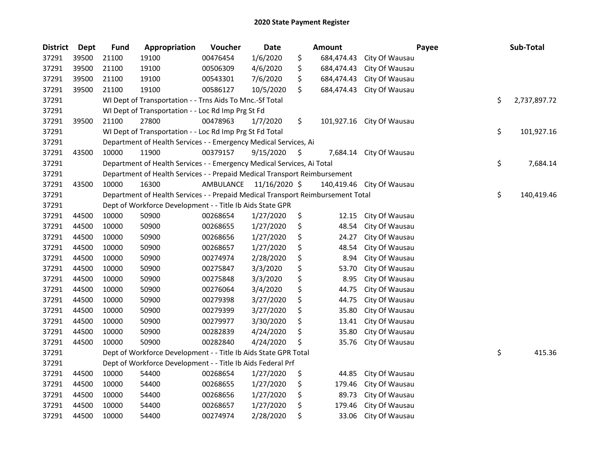| <b>District</b> | <b>Dept</b> | <b>Fund</b> | Appropriation                                                                   | Voucher   | <b>Date</b>   |     | Amount     |                | Payee | Sub-Total    |
|-----------------|-------------|-------------|---------------------------------------------------------------------------------|-----------|---------------|-----|------------|----------------|-------|--------------|
| 37291           | 39500       | 21100       | 19100                                                                           | 00476454  | 1/6/2020      | \$  | 684,474.43 | City Of Wausau |       |              |
| 37291           | 39500       | 21100       | 19100                                                                           | 00506309  | 4/6/2020      | \$  | 684,474.43 | City Of Wausau |       |              |
| 37291           | 39500       | 21100       | 19100                                                                           | 00543301  | 7/6/2020      | \$  | 684,474.43 | City Of Wausau |       |              |
| 37291           | 39500       | 21100       | 19100                                                                           | 00586127  | 10/5/2020     | \$  | 684,474.43 | City Of Wausau |       |              |
| 37291           |             |             | WI Dept of Transportation - - Trns Aids To Mnc.-Sf Total                        |           |               |     |            |                | \$    | 2,737,897.72 |
| 37291           |             |             | WI Dept of Transportation - - Loc Rd Imp Prg St Fd                              |           |               |     |            |                |       |              |
| 37291           | 39500       | 21100       | 27800                                                                           | 00478963  | 1/7/2020      | \$  | 101,927.16 | City Of Wausau |       |              |
| 37291           |             |             | WI Dept of Transportation - - Loc Rd Imp Prg St Fd Total                        |           |               |     |            |                | \$    | 101,927.16   |
| 37291           |             |             | Department of Health Services - - Emergency Medical Services, Ai                |           |               |     |            |                |       |              |
| 37291           | 43500       | 10000       | 11900                                                                           | 00379157  | 9/15/2020     | \$, | 7,684.14   | City Of Wausau |       |              |
| 37291           |             |             | Department of Health Services - - Emergency Medical Services, Ai Total          |           |               |     |            |                | \$    | 7,684.14     |
| 37291           |             |             | Department of Health Services - - Prepaid Medical Transport Reimbursement       |           |               |     |            |                |       |              |
| 37291           | 43500       | 10000       | 16300                                                                           | AMBULANCE | 11/16/2020 \$ |     | 140,419.46 | City Of Wausau |       |              |
| 37291           |             |             | Department of Health Services - - Prepaid Medical Transport Reimbursement Total |           |               |     |            |                | \$    | 140,419.46   |
| 37291           |             |             | Dept of Workforce Development - - Title Ib Aids State GPR                       |           |               |     |            |                |       |              |
| 37291           | 44500       | 10000       | 50900                                                                           | 00268654  | 1/27/2020     | \$  | 12.15      | City Of Wausau |       |              |
| 37291           | 44500       | 10000       | 50900                                                                           | 00268655  | 1/27/2020     | \$  | 48.54      | City Of Wausau |       |              |
| 37291           | 44500       | 10000       | 50900                                                                           | 00268656  | 1/27/2020     | \$  | 24.27      | City Of Wausau |       |              |
| 37291           | 44500       | 10000       | 50900                                                                           | 00268657  | 1/27/2020     | \$  | 48.54      | City Of Wausau |       |              |
| 37291           | 44500       | 10000       | 50900                                                                           | 00274974  | 2/28/2020     | \$  | 8.94       | City Of Wausau |       |              |
| 37291           | 44500       | 10000       | 50900                                                                           | 00275847  | 3/3/2020      | \$  | 53.70      | City Of Wausau |       |              |
| 37291           | 44500       | 10000       | 50900                                                                           | 00275848  | 3/3/2020      | \$  | 8.95       | City Of Wausau |       |              |
| 37291           | 44500       | 10000       | 50900                                                                           | 00276064  | 3/4/2020      | \$  | 44.75      | City Of Wausau |       |              |
| 37291           | 44500       | 10000       | 50900                                                                           | 00279398  | 3/27/2020     | \$  | 44.75      | City Of Wausau |       |              |
| 37291           | 44500       | 10000       | 50900                                                                           | 00279399  | 3/27/2020     | \$  | 35.80      | City Of Wausau |       |              |
| 37291           | 44500       | 10000       | 50900                                                                           | 00279977  | 3/30/2020     | \$  | 13.41      | City Of Wausau |       |              |
| 37291           | 44500       | 10000       | 50900                                                                           | 00282839  | 4/24/2020     | \$  | 35.80      | City Of Wausau |       |              |
| 37291           | 44500       | 10000       | 50900                                                                           | 00282840  | 4/24/2020     | \$  | 35.76      | City Of Wausau |       |              |
| 37291           |             |             | Dept of Workforce Development - - Title Ib Aids State GPR Total                 |           |               |     |            |                | \$    | 415.36       |
| 37291           |             |             | Dept of Workforce Development - - Title Ib Aids Federal Prf                     |           |               |     |            |                |       |              |
| 37291           | 44500       | 10000       | 54400                                                                           | 00268654  | 1/27/2020     | \$  | 44.85      | City Of Wausau |       |              |
| 37291           | 44500       | 10000       | 54400                                                                           | 00268655  | 1/27/2020     | \$  | 179.46     | City Of Wausau |       |              |
| 37291           | 44500       | 10000       | 54400                                                                           | 00268656  | 1/27/2020     | \$  | 89.73      | City Of Wausau |       |              |
| 37291           | 44500       | 10000       | 54400                                                                           | 00268657  | 1/27/2020     | \$  | 179.46     | City Of Wausau |       |              |
| 37291           | 44500       | 10000       | 54400                                                                           | 00274974  | 2/28/2020     | \$  | 33.06      | City Of Wausau |       |              |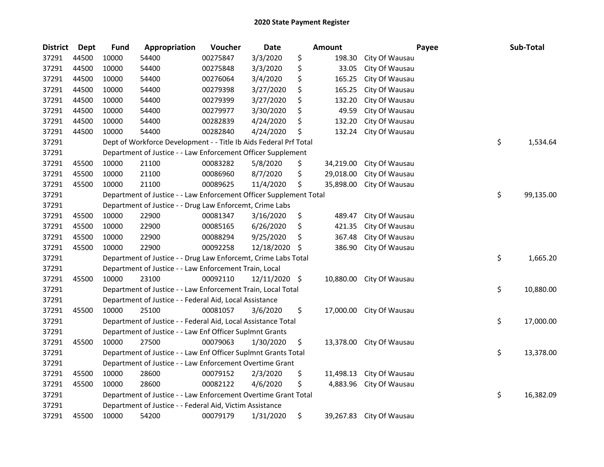| <b>District</b> | <b>Dept</b> | <b>Fund</b> | Appropriation                                                      | Voucher  | <b>Date</b> |      | Amount    | Payee                    | Sub-Total       |
|-----------------|-------------|-------------|--------------------------------------------------------------------|----------|-------------|------|-----------|--------------------------|-----------------|
| 37291           | 44500       | 10000       | 54400                                                              | 00275847 | 3/3/2020    | \$   | 198.30    | City Of Wausau           |                 |
| 37291           | 44500       | 10000       | 54400                                                              | 00275848 | 3/3/2020    | \$   | 33.05     | City Of Wausau           |                 |
| 37291           | 44500       | 10000       | 54400                                                              | 00276064 | 3/4/2020    | \$   | 165.25    | City Of Wausau           |                 |
| 37291           | 44500       | 10000       | 54400                                                              | 00279398 | 3/27/2020   | \$   | 165.25    | City Of Wausau           |                 |
| 37291           | 44500       | 10000       | 54400                                                              | 00279399 | 3/27/2020   | \$   | 132.20    | City Of Wausau           |                 |
| 37291           | 44500       | 10000       | 54400                                                              | 00279977 | 3/30/2020   | \$   | 49.59     | City Of Wausau           |                 |
| 37291           | 44500       | 10000       | 54400                                                              | 00282839 | 4/24/2020   | \$   | 132.20    | City Of Wausau           |                 |
| 37291           | 44500       | 10000       | 54400                                                              | 00282840 | 4/24/2020   | \$   | 132.24    | City Of Wausau           |                 |
| 37291           |             |             | Dept of Workforce Development - - Title Ib Aids Federal Prf Total  |          |             |      |           |                          | \$<br>1,534.64  |
| 37291           |             |             | Department of Justice - - Law Enforcement Officer Supplement       |          |             |      |           |                          |                 |
| 37291           | 45500       | 10000       | 21100                                                              | 00083282 | 5/8/2020    | \$   | 34,219.00 | City Of Wausau           |                 |
| 37291           | 45500       | 10000       | 21100                                                              | 00086960 | 8/7/2020    | \$   | 29,018.00 | City Of Wausau           |                 |
| 37291           | 45500       | 10000       | 21100                                                              | 00089625 | 11/4/2020   | \$   | 35,898.00 | City Of Wausau           |                 |
| 37291           |             |             | Department of Justice - - Law Enforcement Officer Supplement Total |          |             |      |           |                          | \$<br>99,135.00 |
| 37291           |             |             | Department of Justice - - Drug Law Enforcemt, Crime Labs           |          |             |      |           |                          |                 |
| 37291           | 45500       | 10000       | 22900                                                              | 00081347 | 3/16/2020   | \$   | 489.47    | City Of Wausau           |                 |
| 37291           | 45500       | 10000       | 22900                                                              | 00085165 | 6/26/2020   | S    | 421.35    | City Of Wausau           |                 |
| 37291           | 45500       | 10000       | 22900                                                              | 00088294 | 9/25/2020   | \$   | 367.48    | City Of Wausau           |                 |
| 37291           | 45500       | 10000       | 22900                                                              | 00092258 | 12/18/2020  | \$   | 386.90    | City Of Wausau           |                 |
| 37291           |             |             | Department of Justice - - Drug Law Enforcemt, Crime Labs Total     |          |             |      |           |                          | \$<br>1,665.20  |
| 37291           |             |             | Department of Justice - - Law Enforcement Train, Local             |          |             |      |           |                          |                 |
| 37291           | 45500       | 10000       | 23100                                                              | 00092110 | 12/11/2020  | - \$ |           | 10,880.00 City Of Wausau |                 |
| 37291           |             |             | Department of Justice - - Law Enforcement Train, Local Total       |          |             |      |           |                          | \$<br>10,880.00 |
| 37291           |             |             | Department of Justice - - Federal Aid, Local Assistance            |          |             |      |           |                          |                 |
| 37291           | 45500       | 10000       | 25100                                                              | 00081057 | 3/6/2020    | \$   |           | 17,000.00 City Of Wausau |                 |
| 37291           |             |             | Department of Justice - - Federal Aid, Local Assistance Total      |          |             |      |           |                          | \$<br>17,000.00 |
| 37291           |             |             | Department of Justice - - Law Enf Officer Suplmnt Grants           |          |             |      |           |                          |                 |
| 37291           | 45500       | 10000       | 27500                                                              | 00079063 | 1/30/2020   | \$   |           | 13,378.00 City Of Wausau |                 |
| 37291           |             |             | Department of Justice - - Law Enf Officer Suplmnt Grants Total     |          |             |      |           |                          | \$<br>13,378.00 |
| 37291           |             |             | Department of Justice - - Law Enforcement Overtime Grant           |          |             |      |           |                          |                 |
| 37291           | 45500       | 10000       | 28600                                                              | 00079152 | 2/3/2020    | \$   | 11,498.13 | City Of Wausau           |                 |
| 37291           | 45500       | 10000       | 28600                                                              | 00082122 | 4/6/2020    | \$   | 4,883.96  | City Of Wausau           |                 |
| 37291           |             |             | Department of Justice - - Law Enforcement Overtime Grant Total     |          |             |      |           |                          | \$<br>16,382.09 |
| 37291           |             |             | Department of Justice - - Federal Aid, Victim Assistance           |          |             |      |           |                          |                 |
| 37291           | 45500       | 10000       | 54200                                                              | 00079179 | 1/31/2020   | \$   |           | 39,267.83 City Of Wausau |                 |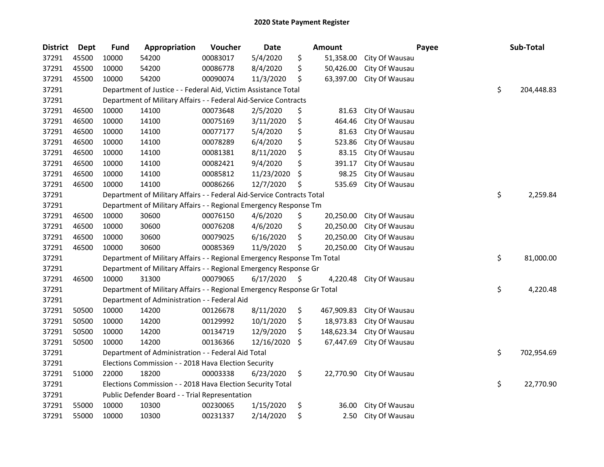| <b>District</b> | Dept  | <b>Fund</b> | Appropriation                                                           | Voucher  | <b>Date</b> | Amount           | Payee                    | Sub-Total        |
|-----------------|-------|-------------|-------------------------------------------------------------------------|----------|-------------|------------------|--------------------------|------------------|
| 37291           | 45500 | 10000       | 54200                                                                   | 00083017 | 5/4/2020    | \$<br>51,358.00  | City Of Wausau           |                  |
| 37291           | 45500 | 10000       | 54200                                                                   | 00086778 | 8/4/2020    | \$<br>50,426.00  | City Of Wausau           |                  |
| 37291           | 45500 | 10000       | 54200                                                                   | 00090074 | 11/3/2020   | \$<br>63,397.00  | City Of Wausau           |                  |
| 37291           |       |             | Department of Justice - - Federal Aid, Victim Assistance Total          |          |             |                  |                          | \$<br>204,448.83 |
| 37291           |       |             | Department of Military Affairs - - Federal Aid-Service Contracts        |          |             |                  |                          |                  |
| 37291           | 46500 | 10000       | 14100                                                                   | 00073648 | 2/5/2020    | \$<br>81.63      | City Of Wausau           |                  |
| 37291           | 46500 | 10000       | 14100                                                                   | 00075169 | 3/11/2020   | \$<br>464.46     | City Of Wausau           |                  |
| 37291           | 46500 | 10000       | 14100                                                                   | 00077177 | 5/4/2020    | \$<br>81.63      | City Of Wausau           |                  |
| 37291           | 46500 | 10000       | 14100                                                                   | 00078289 | 6/4/2020    | \$<br>523.86     | City Of Wausau           |                  |
| 37291           | 46500 | 10000       | 14100                                                                   | 00081381 | 8/11/2020   | \$<br>83.15      | City Of Wausau           |                  |
| 37291           | 46500 | 10000       | 14100                                                                   | 00082421 | 9/4/2020    | \$<br>391.17     | City Of Wausau           |                  |
| 37291           | 46500 | 10000       | 14100                                                                   | 00085812 | 11/23/2020  | \$<br>98.25      | City Of Wausau           |                  |
| 37291           | 46500 | 10000       | 14100                                                                   | 00086266 | 12/7/2020   | \$<br>535.69     | City Of Wausau           |                  |
| 37291           |       |             | Department of Military Affairs - - Federal Aid-Service Contracts Total  |          |             |                  |                          | \$<br>2,259.84   |
| 37291           |       |             | Department of Military Affairs - - Regional Emergency Response Tm       |          |             |                  |                          |                  |
| 37291           | 46500 | 10000       | 30600                                                                   | 00076150 | 4/6/2020    | \$<br>20,250.00  | City Of Wausau           |                  |
| 37291           | 46500 | 10000       | 30600                                                                   | 00076208 | 4/6/2020    | \$<br>20,250.00  | City Of Wausau           |                  |
| 37291           | 46500 | 10000       | 30600                                                                   | 00079025 | 6/16/2020   | \$<br>20,250.00  | City Of Wausau           |                  |
| 37291           | 46500 | 10000       | 30600                                                                   | 00085369 | 11/9/2020   | \$<br>20,250.00  | City Of Wausau           |                  |
| 37291           |       |             | Department of Military Affairs - - Regional Emergency Response Tm Total |          |             |                  |                          | \$<br>81,000.00  |
| 37291           |       |             | Department of Military Affairs - - Regional Emergency Response Gr       |          |             |                  |                          |                  |
| 37291           | 46500 | 10000       | 31300                                                                   | 00079065 | 6/17/2020   | \$<br>4,220.48   | City Of Wausau           |                  |
| 37291           |       |             | Department of Military Affairs - - Regional Emergency Response Gr Total |          |             |                  |                          | \$<br>4,220.48   |
| 37291           |       |             | Department of Administration - - Federal Aid                            |          |             |                  |                          |                  |
| 37291           | 50500 | 10000       | 14200                                                                   | 00126678 | 8/11/2020   | \$<br>467,909.83 | City Of Wausau           |                  |
| 37291           | 50500 | 10000       | 14200                                                                   | 00129992 | 10/1/2020   | \$<br>18,973.83  | City Of Wausau           |                  |
| 37291           | 50500 | 10000       | 14200                                                                   | 00134719 | 12/9/2020   | \$<br>148,623.34 | City Of Wausau           |                  |
| 37291           | 50500 | 10000       | 14200                                                                   | 00136366 | 12/16/2020  | \$<br>67,447.69  | City Of Wausau           |                  |
| 37291           |       |             | Department of Administration - - Federal Aid Total                      |          |             |                  |                          | \$<br>702,954.69 |
| 37291           |       |             | Elections Commission - - 2018 Hava Election Security                    |          |             |                  |                          |                  |
| 37291           | 51000 | 22000       | 18200                                                                   | 00003338 | 6/23/2020   | \$               | 22,770.90 City Of Wausau |                  |
| 37291           |       |             | Elections Commission - - 2018 Hava Election Security Total              |          |             |                  |                          | \$<br>22,770.90  |
| 37291           |       |             | Public Defender Board - - Trial Representation                          |          |             |                  |                          |                  |
| 37291           | 55000 | 10000       | 10300                                                                   | 00230065 | 1/15/2020   | \$<br>36.00      | City Of Wausau           |                  |
| 37291           | 55000 | 10000       | 10300                                                                   | 00231337 | 2/14/2020   | \$<br>2.50       | City Of Wausau           |                  |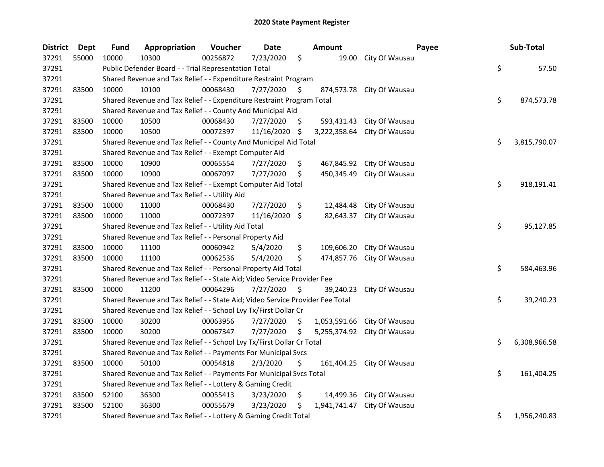| <b>District</b> | Dept  | <b>Fund</b>                                                     | Appropriation                                                                 | Voucher  | <b>Date</b>   |      | <b>Amount</b> |                           | Payee |  | Sub-Total    |
|-----------------|-------|-----------------------------------------------------------------|-------------------------------------------------------------------------------|----------|---------------|------|---------------|---------------------------|-------|--|--------------|
| 37291           | 55000 | 10000                                                           | 10300                                                                         | 00256872 | 7/23/2020     | \$   | 19.00         | City Of Wausau            |       |  |              |
| 37291           |       |                                                                 | Public Defender Board - - Trial Representation Total                          |          |               |      |               |                           | \$    |  | 57.50        |
| 37291           |       | Shared Revenue and Tax Relief - - Expenditure Restraint Program |                                                                               |          |               |      |               |                           |       |  |              |
| 37291           | 83500 | 10000                                                           | 10100                                                                         | 00068430 | 7/27/2020     | \$   |               | 874,573.78 City Of Wausau |       |  |              |
| 37291           |       |                                                                 | Shared Revenue and Tax Relief - - Expenditure Restraint Program Total         |          |               |      |               |                           | \$    |  | 874,573.78   |
| 37291           |       |                                                                 | Shared Revenue and Tax Relief - - County And Municipal Aid                    |          |               |      |               |                           |       |  |              |
| 37291           | 83500 | 10000                                                           | 10500                                                                         | 00068430 | 7/27/2020     | S.   | 593,431.43    | City Of Wausau            |       |  |              |
| 37291           | 83500 | 10000                                                           | 10500                                                                         | 00072397 | 11/16/2020    | \$   | 3,222,358.64  | City Of Wausau            |       |  |              |
| 37291           |       |                                                                 | Shared Revenue and Tax Relief - - County And Municipal Aid Total              |          |               |      |               |                           | \$    |  | 3,815,790.07 |
| 37291           |       |                                                                 | Shared Revenue and Tax Relief - - Exempt Computer Aid                         |          |               |      |               |                           |       |  |              |
| 37291           | 83500 | 10000                                                           | 10900                                                                         | 00065554 | 7/27/2020     | \$   |               | 467,845.92 City Of Wausau |       |  |              |
| 37291           | 83500 | 10000                                                           | 10900                                                                         | 00067097 | 7/27/2020     | \$   | 450,345.49    | City Of Wausau            |       |  |              |
| 37291           |       |                                                                 | Shared Revenue and Tax Relief - - Exempt Computer Aid Total                   |          |               |      |               |                           | \$    |  | 918,191.41   |
| 37291           |       |                                                                 | Shared Revenue and Tax Relief - - Utility Aid                                 |          |               |      |               |                           |       |  |              |
| 37291           | 83500 | 10000                                                           | 11000                                                                         | 00068430 | 7/27/2020     | \$   | 12,484.48     | City Of Wausau            |       |  |              |
| 37291           | 83500 | 10000                                                           | 11000                                                                         | 00072397 | 11/16/2020 \$ |      | 82,643.37     | City Of Wausau            |       |  |              |
| 37291           |       |                                                                 | Shared Revenue and Tax Relief - - Utility Aid Total                           |          |               |      |               |                           | \$    |  | 95,127.85    |
| 37291           |       |                                                                 | Shared Revenue and Tax Relief - - Personal Property Aid                       |          |               |      |               |                           |       |  |              |
| 37291           | 83500 | 10000                                                           | 11100                                                                         | 00060942 | 5/4/2020      | \$   | 109,606.20    | City Of Wausau            |       |  |              |
| 37291           | 83500 | 10000                                                           | 11100                                                                         | 00062536 | 5/4/2020      | \$   | 474,857.76    | City Of Wausau            |       |  |              |
| 37291           |       |                                                                 | Shared Revenue and Tax Relief - - Personal Property Aid Total                 |          |               |      |               |                           | \$    |  | 584,463.96   |
| 37291           |       |                                                                 | Shared Revenue and Tax Relief - - State Aid; Video Service Provider Fee       |          |               |      |               |                           |       |  |              |
| 37291           | 83500 | 10000                                                           | 11200                                                                         | 00064296 | 7/27/2020     | - \$ | 39,240.23     | City Of Wausau            |       |  |              |
| 37291           |       |                                                                 | Shared Revenue and Tax Relief - - State Aid; Video Service Provider Fee Total |          |               |      |               |                           | \$    |  | 39,240.23    |
| 37291           |       |                                                                 | Shared Revenue and Tax Relief - - School Lvy Tx/First Dollar Cr               |          |               |      |               |                           |       |  |              |
| 37291           | 83500 | 10000                                                           | 30200                                                                         | 00063956 | 7/27/2020     | \$.  | 1,053,591.66  | City Of Wausau            |       |  |              |
| 37291           | 83500 | 10000                                                           | 30200                                                                         | 00067347 | 7/27/2020     | \$   | 5,255,374.92  | City Of Wausau            |       |  |              |
| 37291           |       |                                                                 | Shared Revenue and Tax Relief - - School Lvy Tx/First Dollar Cr Total         |          |               |      |               |                           | \$    |  | 6,308,966.58 |
| 37291           |       |                                                                 | Shared Revenue and Tax Relief - - Payments For Municipal Svcs                 |          |               |      |               |                           |       |  |              |
| 37291           | 83500 | 10000                                                           | 50100                                                                         | 00054818 | 2/3/2020      | \$   | 161,404.25    | City Of Wausau            |       |  |              |
| 37291           |       |                                                                 | Shared Revenue and Tax Relief - - Payments For Municipal Svcs Total           |          |               |      |               |                           | \$    |  | 161,404.25   |
| 37291           |       | Shared Revenue and Tax Relief - - Lottery & Gaming Credit       |                                                                               |          |               |      |               |                           |       |  |              |
| 37291           | 83500 | 52100                                                           | 36300                                                                         | 00055413 | 3/23/2020     | \$   |               | 14,499.36 City Of Wausau  |       |  |              |
| 37291           | 83500 | 52100                                                           | 36300                                                                         | 00055679 | 3/23/2020     | \$   | 1,941,741.47  | City Of Wausau            |       |  |              |
| 37291           |       |                                                                 | Shared Revenue and Tax Relief - - Lottery & Gaming Credit Total               |          |               |      |               |                           | \$    |  | 1,956,240.83 |